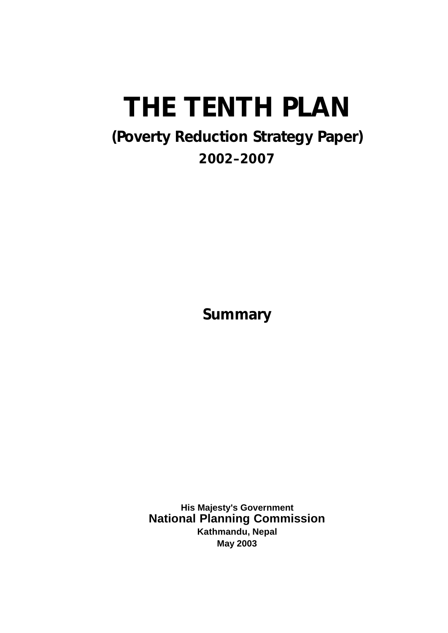## **THE TENTH PLAN**

## **(Poverty Reduction Strategy Paper)**

### **2002–2007**

**Summary**

**His Majesty's Government National Planning Commission Kathmandu, Nepal May 2003**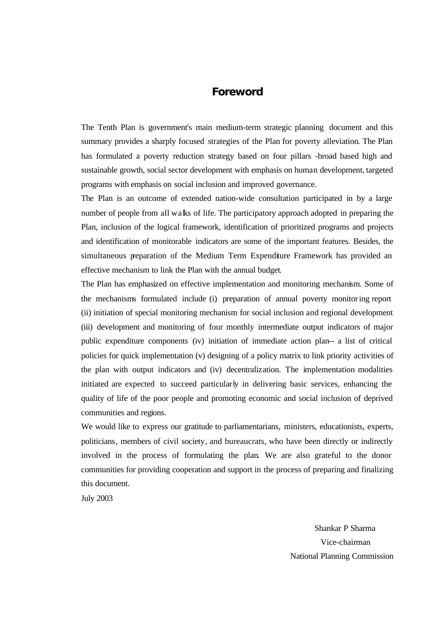#### **Foreword**

The Tenth Plan is government's main medium-term strategic planning document and this summary provides a sharply focused strategies of the Plan for poverty alleviation. The Plan has formulated a poverty reduction strategy based on four pillars -broad based high and sustainable growth, social sector development with emphasis on human development, targeted programs with emphasis on social inclusion and improved governance.

The Plan is an outcome of extended nation-wide consultation participated in by a large number of people from all walks of life. The participatory approach adopted in preparing the Plan, inclusion of the logical framework, identification of prioritized programs and projects and identification of monitorable indicators are some of the important features. Besides, the simultaneous preparation of the Medium Term Expenditure Framework has provided an effective mechanism to link the Plan with the annual budget.

The Plan has emphasized on effective implementation and monitoring mechanism. Some of the mechanisms formulated include (i) preparation of annual poverty monitoring report (ii) initiation of special monitoring mechanism for social inclusion and regional development (iii) development and monitoring of four monthly intermediate output indicators of major public expenditure components (iv) initiation of immediate action plan-- a list of critical policies for quick implementation (v) designing of a policy matrix to link priority activities of the plan with output indicators and (iv) decentralization. The implementation modalities initiated are expected to succeed particularly in delivering basic services, enhancing the quality of life of the poor people and promoting economic and social inclusion of deprived communities and regions.

We would like to express our gratitude to parliamentarians, ministers, educationists, experts, politicians, members of civil society, and bureaucrats, who have been directly or indirectly involved in the process of formulating the plan. We are also grateful to the donor communities for providing cooperation and support in the process of preparing and finalizing this document.

July 2003

Shankar P Sharma Vice-chairman National Planning Commission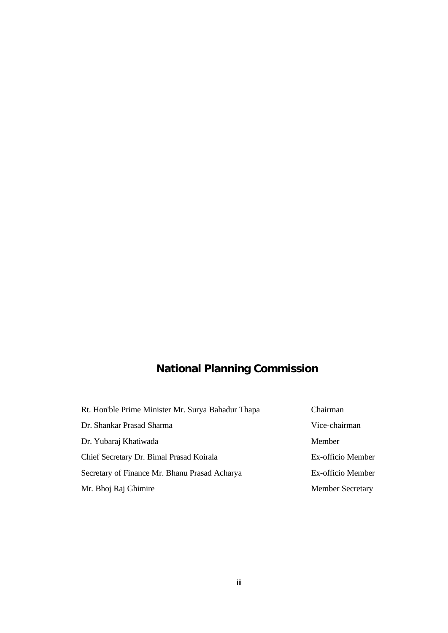### **National Planning Commission**

| Rt. Hon'ble Prime Minister Mr. Surya Bahadur Thapa | Chairman                |
|----------------------------------------------------|-------------------------|
| Dr. Shankar Prasad Sharma                          | Vice-chairman           |
| Dr. Yubaraj Khatiwada                              | Member                  |
| Chief Secretary Dr. Bimal Prasad Koirala           | Ex-officio Member       |
| Secretary of Finance Mr. Bhanu Prasad Acharya      | Ex-officio Member       |
| Mr. Bhoj Raj Ghimire                               | <b>Member Secretary</b> |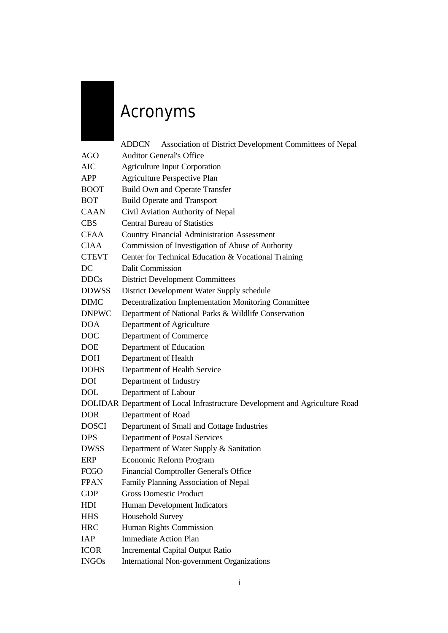## Acronyms

|              | <b>ADDCN</b><br>Association of District Development Committees of Nepal     |
|--------------|-----------------------------------------------------------------------------|
| <b>AGO</b>   | <b>Auditor General's Office</b>                                             |
| AIC          | <b>Agriculture Input Corporation</b>                                        |
| APP          | Agriculture Perspective Plan                                                |
| <b>BOOT</b>  | <b>Build Own and Operate Transfer</b>                                       |
| <b>BOT</b>   | <b>Build Operate and Transport</b>                                          |
| <b>CAAN</b>  | Civil Aviation Authority of Nepal                                           |
| <b>CBS</b>   | <b>Central Bureau of Statistics</b>                                         |
| <b>CFAA</b>  | <b>Country Financial Administration Assessment</b>                          |
| <b>CIAA</b>  | Commission of Investigation of Abuse of Authority                           |
| <b>CTEVT</b> | Center for Technical Education & Vocational Training                        |
| DC           | <b>Dalit Commission</b>                                                     |
| <b>DDCs</b>  | <b>District Development Committees</b>                                      |
| <b>DDWSS</b> | District Development Water Supply schedule                                  |
| <b>DIMC</b>  | Decentralization Implementation Monitoring Committee                        |
| <b>DNPWC</b> | Department of National Parks & Wildlife Conservation                        |
| <b>DOA</b>   | Department of Agriculture                                                   |
| <b>DOC</b>   | Department of Commerce                                                      |
| <b>DOE</b>   | Department of Education                                                     |
| <b>DOH</b>   | Department of Health                                                        |
| <b>DOHS</b>  | Department of Health Service                                                |
| <b>DOI</b>   | Department of Industry                                                      |
| <b>DOL</b>   | Department of Labour                                                        |
|              | DOLIDAR Department of Local Infrastructure Development and Agriculture Road |
| <b>DOR</b>   | Department of Road                                                          |
| <b>DOSCI</b> | Department of Small and Cottage Industries                                  |
| <b>DPS</b>   | Department of Postal Services                                               |
| <b>DWSS</b>  | Department of Water Supply & Sanitation                                     |
| ERP          | Economic Reform Program                                                     |
| <b>FCGO</b>  | Financial Comptroller General's Office                                      |
| <b>FPAN</b>  | Family Planning Association of Nepal                                        |
| <b>GDP</b>   | <b>Gross Domestic Product</b>                                               |
| HDI          | Human Development Indicators                                                |
| <b>HHS</b>   | Household Survey                                                            |
| <b>HRC</b>   | Human Rights Commission                                                     |
| <b>IAP</b>   | <b>Immediate Action Plan</b>                                                |
| <b>ICOR</b>  | <b>Incremental Capital Output Ratio</b>                                     |
| <b>INGOs</b> | International Non-government Organizations                                  |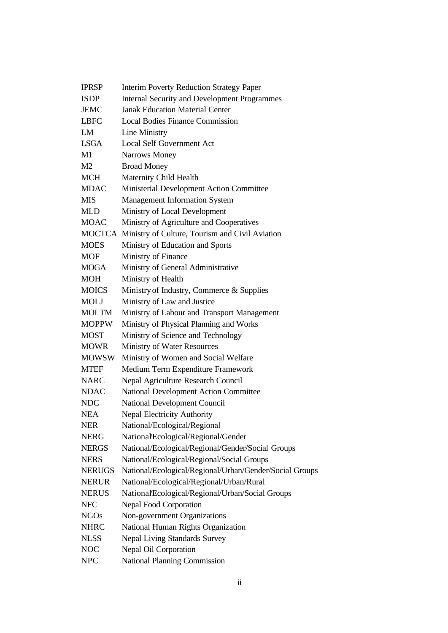| <b>IPRSP</b>   | <b>Interim Poverty Reduction Strategy Paper</b>         |
|----------------|---------------------------------------------------------|
| <b>ISDP</b>    | <b>Internal Security and Development Programmes</b>     |
| <b>JEMC</b>    | <b>Janak Education Material Center</b>                  |
| <b>LBFC</b>    | <b>Local Bodies Finance Commission</b>                  |
| LM             | Line Ministry                                           |
| <b>LSGA</b>    | <b>Local Self Government Act</b>                        |
| M1             | <b>Narrows Money</b>                                    |
| M <sub>2</sub> | <b>Broad Money</b>                                      |
| <b>MCH</b>     | Maternity Child Health                                  |
| <b>MDAC</b>    | Ministerial Development Action Committee                |
| <b>MIS</b>     | <b>Management Information System</b>                    |
| <b>MLD</b>     | Ministry of Local Development                           |
| <b>MOAC</b>    | Ministry of Agriculture and Cooperatives                |
|                | MOCTCA Ministry of Culture, Tourism and Civil Aviation  |
| <b>MOES</b>    | Ministry of Education and Sports                        |
| <b>MOF</b>     | Ministry of Finance                                     |
| MOGA           | Ministry of General Administrative                      |
| <b>MOH</b>     | Ministry of Health                                      |
| <b>MOICS</b>   | Ministry of Industry, Commerce & Supplies               |
| <b>MOLJ</b>    | Ministry of Law and Justice                             |
| <b>MOLTM</b>   | Ministry of Labour and Transport Management             |
| <b>MOPPW</b>   | Ministry of Physical Planning and Works                 |
| <b>MOST</b>    | Ministry of Science and Technology                      |
| <b>MOWR</b>    | Ministry of Water Resources                             |
| <b>MOWSW</b>   | Ministry of Women and Social Welfare                    |
| <b>MTEF</b>    | Medium Term Expenditure Framework                       |
| <b>NARC</b>    | Nepal Agriculture Research Council                      |
| <b>NDAC</b>    | National Development Action Committee                   |
| <b>NDC</b>     | <b>National Development Council</b>                     |
| NEA            | <b>Nepal Electricity Authority</b>                      |
| NER            | National/Ecological/Regional                            |
| <b>NERG</b>    | National/Ecological/Regional/Gender                     |
| <b>NERGS</b>   | National/Ecological/Regional/Gender/Social Groups       |
| <b>NERS</b>    | National/Ecological/Regional/Social Groups              |
| <b>NERUGS</b>  | National/Ecological/Regional/Urban/Gender/Social Groups |
| <b>NERUR</b>   | National/Ecological/Regional/Urban/Rural                |
| <b>NERUS</b>   | National/Ecological/Regional/Urban/Social Groups        |
| <b>NFC</b>     | <b>Nepal Food Corporation</b>                           |
| <b>NGOs</b>    | Non-government Organizations                            |
| <b>NHRC</b>    | National Human Rights Organization                      |
| <b>NLSS</b>    | <b>Nepal Living Standards Survey</b>                    |
| <b>NOC</b>     | Nepal Oil Corporation                                   |
| <b>NPC</b>     | <b>National Planning Commission</b>                     |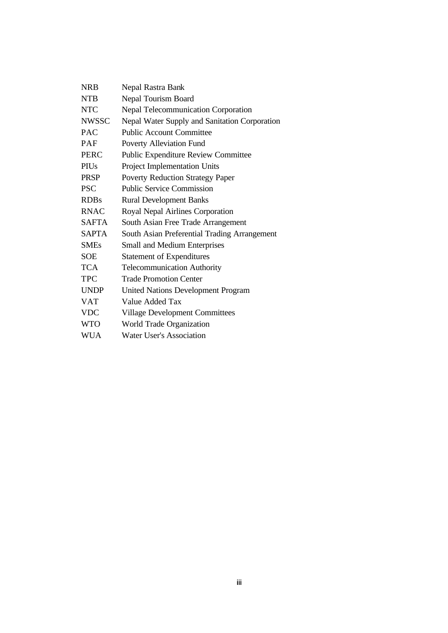| <b>NRB</b>   | Nepal Rastra Bank                             |
|--------------|-----------------------------------------------|
| <b>NTB</b>   | Nepal Tourism Board                           |
| <b>NTC</b>   | <b>Nepal Telecommunication Corporation</b>    |
| <b>NWSSC</b> | Nepal Water Supply and Sanitation Corporation |
| <b>PAC</b>   | <b>Public Account Committee</b>               |
| <b>PAF</b>   | Poverty Alleviation Fund                      |
| <b>PERC</b>  | <b>Public Expenditure Review Committee</b>    |
| <b>PIUs</b>  | Project Implementation Units                  |
| <b>PRSP</b>  | <b>Poverty Reduction Strategy Paper</b>       |
| <b>PSC</b>   | <b>Public Service Commission</b>              |
| <b>RDBs</b>  | <b>Rural Development Banks</b>                |
| <b>RNAC</b>  | Royal Nepal Airlines Corporation              |
| <b>SAFTA</b> | South Asian Free Trade Arrangement            |
| <b>SAPTA</b> | South Asian Preferential Trading Arrangement  |
| <b>SMEs</b>  | <b>Small and Medium Enterprises</b>           |
| <b>SOE</b>   | <b>Statement of Expenditures</b>              |
| TCA          | <b>Telecommunication Authority</b>            |
| <b>TPC</b>   | <b>Trade Promotion Center</b>                 |
| <b>UNDP</b>  | <b>United Nations Development Program</b>     |
| <b>VAT</b>   | Value Added Tax                               |
| <b>VDC</b>   | <b>Village Development Committees</b>         |
| <b>WTO</b>   | World Trade Organization                      |
| <b>WUA</b>   | Water User's Association                      |
|              |                                               |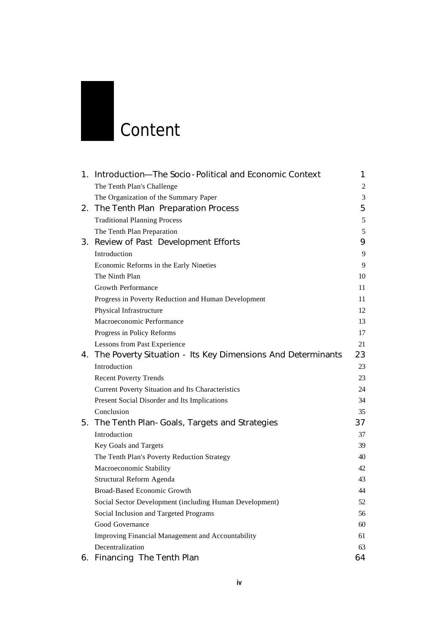

|    | 1. Introduction-The Socio-Political and Economic Context       | 1              |
|----|----------------------------------------------------------------|----------------|
|    | The Tenth Plan's Challenge                                     | 2              |
|    | The Organization of the Summary Paper                          | $\mathfrak{Z}$ |
|    | 2. The Tenth Plan Preparation Process                          | 5              |
|    | <b>Traditional Planning Process</b>                            | 5              |
|    | The Tenth Plan Preparation                                     | 5              |
|    | 3. Review of Past Development Efforts                          | 9              |
|    | Introduction                                                   | 9              |
|    | Economic Reforms in the Early Nineties                         | 9              |
|    | The Ninth Plan                                                 | 10             |
|    | <b>Growth Performance</b>                                      | 11             |
|    | Progress in Poverty Reduction and Human Development            | 11             |
|    | Physical Infrastructure                                        | 12             |
|    | Macroeconomic Performance                                      | 13             |
|    | Progress in Policy Reforms                                     | 17             |
|    | Lessons from Past Experience                                   | 21             |
|    | 4. The Poverty Situation - Its Key Dimensions And Determinants | 23             |
|    | Introduction                                                   | 23             |
|    | <b>Recent Poverty Trends</b>                                   | 23             |
|    | Current Poverty Situation and Its Characteristics              | 24             |
|    | Present Social Disorder and Its Implications                   | 34             |
|    | Conclusion                                                     | 35             |
|    | 5. The Tenth Plan-Goals, Targets and Strategies                | 37             |
|    | Introduction                                                   | 37             |
|    | Key Goals and Targets                                          | 39             |
|    | The Tenth Plan's Poverty Reduction Strategy                    | 40             |
|    | Macroeconomic Stability                                        | 42             |
|    | Structural Reform Agenda                                       | 43             |
|    | <b>Broad-Based Economic Growth</b>                             | 44             |
|    | Social Sector Development (including Human Development)        | 52             |
|    | Social Inclusion and Targeted Programs                         | 56             |
|    | Good Governance                                                | 60             |
|    | Improving Financial Management and Accountability              | 61             |
|    | Decentralization                                               | 63             |
| 6. | Financing The Tenth Plan                                       | 64             |

**iv**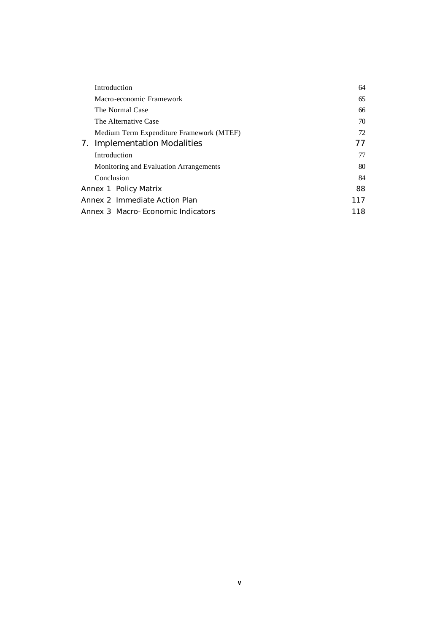|                 |              | Introduction                             | 64  |
|-----------------|--------------|------------------------------------------|-----|
|                 |              | Macro-economic Framework                 | 65  |
|                 |              | The Normal Case                          | 66  |
|                 |              | The Alternative Case                     | 70  |
|                 |              | Medium Term Expenditure Framework (MTEF) | 72  |
| $\mathcal{L}$ . |              | Implementation Modalities                | 77  |
|                 | Introduction |                                          | 77  |
|                 |              | Monitoring and Evaluation Arrangements   | 80  |
|                 | Conclusion   |                                          | 84  |
|                 |              | Annex 1 Policy Matrix                    | 88  |
|                 |              | Annex 2 Immediate Action Plan            | 117 |
|                 |              | Annex 3 Macro-Economic Indicators        | 118 |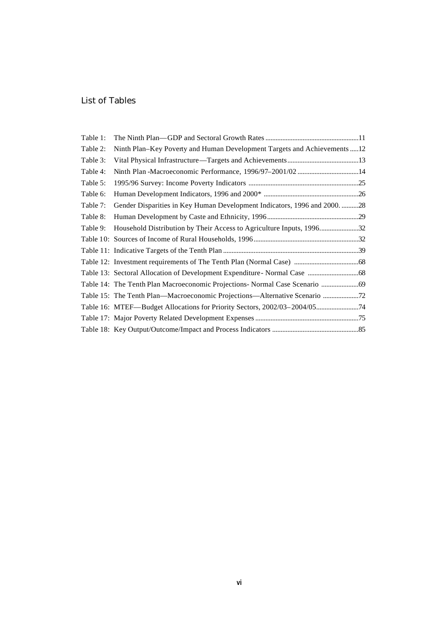#### List of Tables

| Table 1: |                                                                              |  |
|----------|------------------------------------------------------------------------------|--|
| Table 2: | Ninth Plan-Key Poverty and Human Development Targets and Achievements 12     |  |
| Table 3: |                                                                              |  |
| Table 4: |                                                                              |  |
| Table 5: |                                                                              |  |
| Table 6: |                                                                              |  |
| Table 7: | Gender Disparities in Key Human Development Indicators, 1996 and 2000. 28    |  |
| Table 8: |                                                                              |  |
| Table 9: | Household Distribution by Their Access to Agriculture Inputs, 199632         |  |
|          |                                                                              |  |
|          |                                                                              |  |
|          |                                                                              |  |
|          |                                                                              |  |
|          | Table 14: The Tenth Plan Macroeconomic Projections- Normal Case Scenario  69 |  |
|          |                                                                              |  |
|          |                                                                              |  |
|          |                                                                              |  |
|          |                                                                              |  |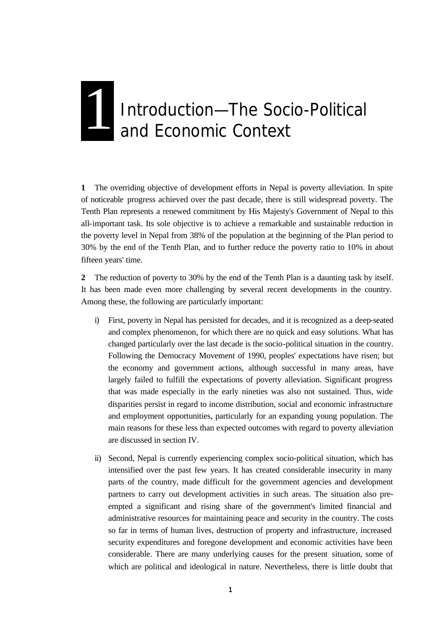## Introduction—The Socio-Political **and Economic Context** 1

**1** The overriding objective of development efforts in Nepal is poverty alleviation. In spite of noticeable progress achieved over the past decade, there is still widespread poverty. The Tenth Plan represents a renewed commitment by His Majesty's Government of Nepal to this all-important task. Its sole objective is to achieve a remarkable and sustainable reduction in the poverty level in Nepal from 38% of the population at the beginning of the Plan period to 30% by the end of the Tenth Plan, and to further reduce the poverty ratio to 10% in about fifteen years' time.

**2** The reduction of poverty to 30% by the end of the Tenth Plan is a daunting task by itself. It has been made even more challenging by several recent developments in the country. Among these, the following are particularly important:

- i) First, poverty in Nepal has persisted for decades, and it is recognized as a deep-seated and complex phenomenon, for which there are no quick and easy solutions. What has changed particularly over the last decade is the socio-political situation in the country. Following the Democracy Movement of 1990, peoples' expectations have risen; but the economy and government actions, although successful in many areas, have largely failed to fulfill the expectations of poverty alleviation. Significant progress that was made especially in the early nineties was also not sustained. Thus, wide disparities persist in regard to income distribution, social and economic infrastructure and employment opportunities, particularly for an expanding young population. The main reasons for these less than expected outcomes with regard to poverty alleviation are discussed in section IV.
- ii) Second, Nepal is currently experiencing complex socio-political situation, which has intensified over the past few years. It has created considerable insecurity in many parts of the country, made difficult for the government agencies and development partners to carry out development activities in such areas. The situation also preempted a significant and rising share of the government's limited financial and administrative resources for maintaining peace and security in the country. The costs so far in terms of human lives, destruction of property and infrastructure, increased security expenditures and foregone development and economic activities have been considerable. There are many underlying causes for the present situation, some of which are political and ideological in nature. Nevertheless, there is little doubt that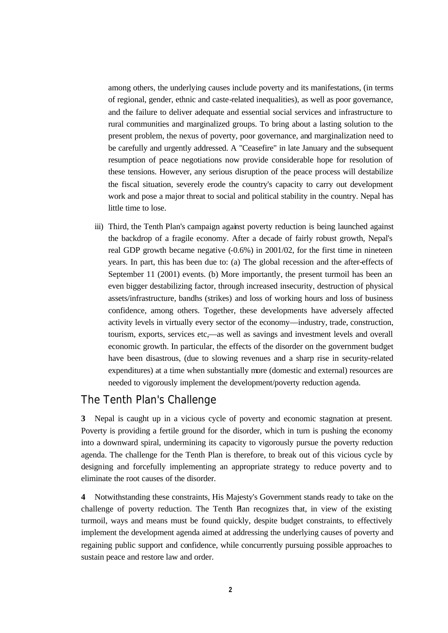among others, the underlying causes include poverty and its manifestations, (in terms of regional, gender, ethnic and caste-related inequalities), as well as poor governance, and the failure to deliver adequate and essential social services and infrastructure to rural communities and marginalized groups. To bring about a lasting solution to the present problem, the nexus of poverty, poor governance, and marginalization need to be carefully and urgently addressed. A "Ceasefire" in late January and the subsequent resumption of peace negotiations now provide considerable hope for resolution of these tensions. However, any serious disruption of the peace process will destabilize the fiscal situation, severely erode the country's capacity to carry out development work and pose a major threat to social and political stability in the country. Nepal has little time to lose.

iii) Third, the Tenth Plan's campaign against poverty reduction is being launched against the backdrop of a fragile economy. After a decade of fairly robust growth, Nepal's real GDP growth became negative (-0.6%) in 2001/02, for the first time in nineteen years. In part, this has been due to: (a) The global recession and the after-effects of September 11 (2001) events. (b) More importantly, the present turmoil has been an even bigger destabilizing factor, through increased insecurity, destruction of physical assets/infrastructure, bandhs (strikes) and loss of working hours and loss of business confidence, among others. Together, these developments have adversely affected activity levels in virtually every sector of the economy—industry, trade, construction, tourism, exports, services etc,—as well as savings and investment levels and overall economic growth. In particular, the effects of the disorder on the government budget have been disastrous, (due to slowing revenues and a sharp rise in security-related expenditures) at a time when substantially more (domestic and external) resources are needed to vigorously implement the development/poverty reduction agenda.

#### *The Tenth Plan's Challenge*

**3** Nepal is caught up in a vicious cycle of poverty and economic stagnation at present. Poverty is providing a fertile ground for the disorder, which in turn is pushing the economy into a downward spiral, undermining its capacity to vigorously pursue the poverty reduction agenda. The challenge for the Tenth Plan is therefore, to break out of this vicious cycle by designing and forcefully implementing an appropriate strategy to reduce poverty and to eliminate the root causes of the disorder.

**4** Notwithstanding these constraints, His Majesty's Government stands ready to take on the challenge of poverty reduction. The Tenth Plan recognizes that, in view of the existing turmoil, ways and means must be found quickly, despite budget constraints, to effectively implement the development agenda aimed at addressing the underlying causes of poverty and regaining public support and confidence, while concurrently pursuing possible approaches to sustain peace and restore law and order.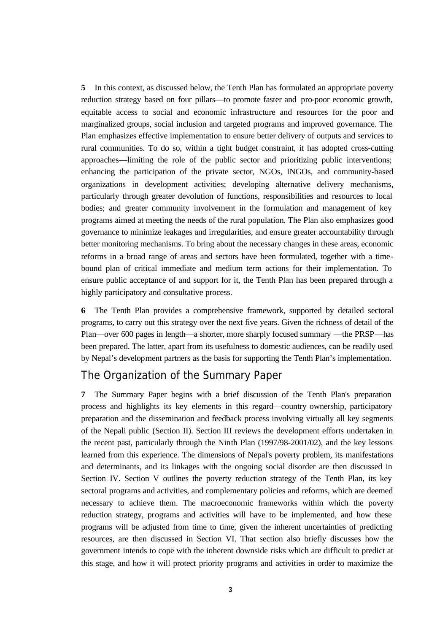**5** In this context, as discussed below, the Tenth Plan has formulated an appropriate poverty reduction strategy based on four pillars—to promote faster and pro-poor economic growth, equitable access to social and economic infrastructure and resources for the poor and marginalized groups, social inclusion and targeted programs and improved governance. The Plan emphasizes effective implementation to ensure better delivery of outputs and services to rural communities. To do so, within a tight budget constraint, it has adopted cross-cutting approaches—limiting the role of the public sector and prioritizing public interventions; enhancing the participation of the private sector, NGOs, INGOs, and community-based organizations in development activities; developing alternative delivery mechanisms, particularly through greater devolution of functions, responsibilities and resources to local bodies; and greater community involvement in the formulation and management of key programs aimed at meeting the needs of the rural population. The Plan also emphasizes good governance to minimize leakages and irregularities, and ensure greater accountability through better monitoring mechanisms. To bring about the necessary changes in these areas, economic reforms in a broad range of areas and sectors have been formulated, together with a timebound plan of critical immediate and medium term actions for their implementation. To ensure public acceptance of and support for it, the Tenth Plan has been prepared through a highly participatory and consultative process.

**6** The Tenth Plan provides a comprehensive framework, supported by detailed sectoral programs, to carry out this strategy over the next five years. Given the richness of detail of the Plan—over 600 pages in length—a shorter, more sharply focused summary —the PRSP—has been prepared. The latter, apart from its usefulness to domestic audiences, can be readily used by Nepal's development partners as the basis for supporting the Tenth Plan's implementation.

#### *The Organization of the Summary Paper*

**7** The Summary Paper begins with a brief discussion of the Tenth Plan's preparation process and highlights its key elements in this regard—country ownership, participatory preparation and the dissemination and feedback process involving virtually all key segments of the Nepali public (Section II). Section III reviews the development efforts undertaken in the recent past, particularly through the Ninth Plan (1997/98-2001/02), and the key lessons learned from this experience. The dimensions of Nepal's poverty problem, its manifestations and determinants, and its linkages with the ongoing social disorder are then discussed in Section IV. Section V outlines the poverty reduction strategy of the Tenth Plan, its key sectoral programs and activities, and complementary policies and reforms, which are deemed necessary to achieve them. The macroeconomic frameworks within which the poverty reduction strategy, programs and activities will have to be implemented, and how these programs will be adjusted from time to time, given the inherent uncertainties of predicting resources, are then discussed in Section VI. That section also briefly discusses how the government intends to cope with the inherent downside risks which are difficult to predict at this stage, and how it will protect priority programs and activities in order to maximize the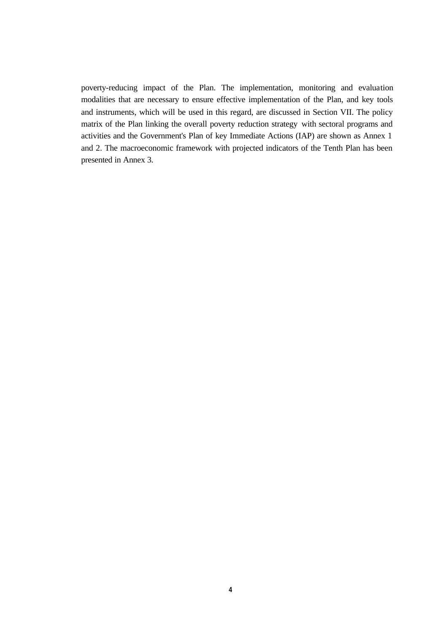poverty-reducing impact of the Plan. The implementation, monitoring and evaluation modalities that are necessary to ensure effective implementation of the Plan, and key tools and instruments, which will be used in this regard, are discussed in Section VII. The policy matrix of the Plan linking the overall poverty reduction strategy with sectoral programs and activities and the Government's Plan of key Immediate Actions (IAP) are shown as Annex 1 and 2. The macroeconomic framework with projected indicators of the Tenth Plan has been presented in Annex 3.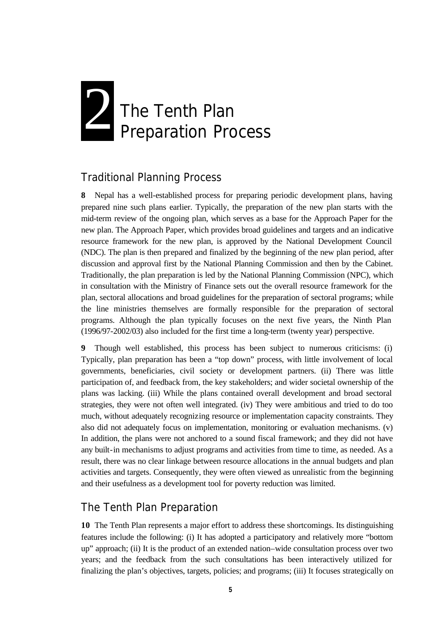# The Tenth Plan 2 The Tenth Plan<br>Preparation Process

#### *Traditional Planning Process*

**8** Nepal has a well-established process for preparing periodic development plans, having prepared nine such plans earlier. Typically, the preparation of the new plan starts with the mid-term review of the ongoing plan, which serves as a base for the Approach Paper for the new plan. The Approach Paper, which provides broad guidelines and targets and an indicative resource framework for the new plan, is approved by the National Development Council (NDC). The plan is then prepared and finalized by the beginning of the new plan period, after discussion and approval first by the National Planning Commission and then by the Cabinet. Traditionally, the plan preparation is led by the National Planning Commission (NPC), which in consultation with the Ministry of Finance sets out the overall resource framework for the plan, sectoral allocations and broad guidelines for the preparation of sectoral programs; while the line ministries themselves are formally responsible for the preparation of sectoral programs. Although the plan typically focuses on the next five years, the Ninth Plan (1996/97-2002/03) also included for the first time a long-term (twenty year) perspective.

**9** Though well established, this process has been subject to numerous criticisms: (i) Typically, plan preparation has been a "top down" process, with little involvement of local governments, beneficiaries, civil society or development partners. (ii) There was little participation of, and feedback from, the key stakeholders; and wider societal ownership of the plans was lacking. (iii) While the plans contained overall development and broad sectoral strategies, they were not often well integrated. (iv) They were ambitious and tried to do too much, without adequately recognizing resource or implementation capacity constraints. They also did not adequately focus on implementation, monitoring or evaluation mechanisms. (v) In addition, the plans were not anchored to a sound fiscal framework; and they did not have any built-in mechanisms to adjust programs and activities from time to time, as needed. As a result, there was no clear linkage between resource allocations in the annual budgets and plan activities and targets. Consequently, they were often viewed as unrealistic from the beginning and their usefulness as a development tool for poverty reduction was limited.

#### *The Tenth Plan Preparation*

**10** The Tenth Plan represents a major effort to address these shortcomings. Its distinguishing features include the following: (i) It has adopted a participatory and relatively more "bottom up" approach; (ii) It is the product of an extended nation–wide consultation process over two years; and the feedback from the such consultations has been interactively utilized for finalizing the plan's objectives, targets, policies; and programs; (iii) It focuses strategically on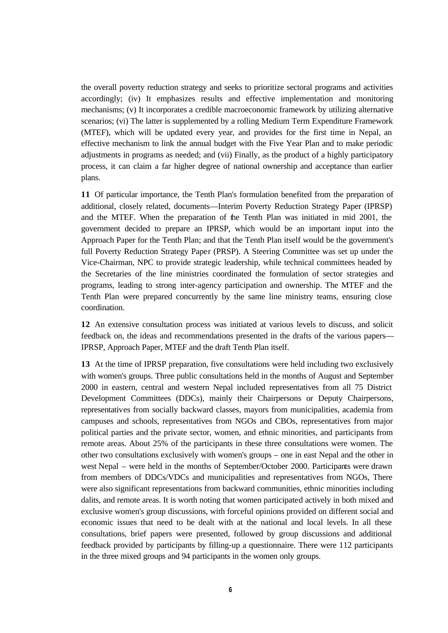the overall poverty reduction strategy and seeks to prioritize sectoral programs and activities accordingly; (iv) It emphasizes results and effective implementation and monitoring mechanisms; (v) It incorporates a credible macroeconomic framework by utilizing alternative scenarios; (vi) The latter is supplemented by a rolling Medium Term Expenditure Framework (MTEF), which will be updated every year, and provides for the first time in Nepal, an effective mechanism to link the annual budget with the Five Year Plan and to make periodic adjustments in programs as needed; and (vii) Finally, as the product of a highly participatory process, it can claim a far higher degree of national ownership and acceptance than earlier plans.

**11** Of particular importance, the Tenth Plan's formulation benefited from the preparation of additional, closely related, documents—Interim Poverty Reduction Strategy Paper (IPRSP) and the MTEF. When the preparation of the Tenth Plan was initiated in mid 2001, the government decided to prepare an IPRSP, which would be an important input into the Approach Paper for the Tenth Plan; and that the Tenth Plan itself would be the government's full Poverty Reduction Strategy Paper (PRSP). A Steering Committee was set up under the Vice-Chairman, NPC to provide strategic leadership, while technical committees headed by the Secretaries of the line ministries coordinated the formulation of sector strategies and programs, leading to strong inter-agency participation and ownership. The MTEF and the Tenth Plan were prepared concurrently by the same line ministry teams, ensuring close coordination.

**12** An extensive consultation process was initiated at various levels to discuss, and solicit feedback on, the ideas and recommendations presented in the drafts of the various papers— IPRSP, Approach Paper, MTEF and the draft Tenth Plan itself.

**13** At the time of IPRSP preparation, five consultations were held including two exclusively with women's groups. Three public consultations held in the months of August and September 2000 in eastern, central and western Nepal included representatives from all 75 District Development Committees (DDCs), mainly their Chairpersons or Deputy Chairpersons, representatives from socially backward classes, mayors from municipalities, academia from campuses and schools, representatives from NGOs and CBOs, representatives from major political parties and the private sector, women, and ethnic minorities, and participants from remote areas. About 25% of the participants in these three consultations were women. The other two consultations exclusively with women's groups – one in east Nepal and the other in west Nepal – were held in the months of September/October 2000. Participants were drawn from members of DDCs/VDCs and municipalities and representatives from NGOs, There were also significant representations from backward communities, ethnic minorities including dalits, and remote areas. It is worth noting that women participated actively in both mixed and exclusive women's group discussions, with forceful opinions provided on different social and economic issues that need to be dealt with at the national and local levels. In all these consultations, brief papers were presented, followed by group discussions and additional feedback provided by participants by filling-up a questionnaire. There were 112 participants in the three mixed groups and 94 participants in the women only groups.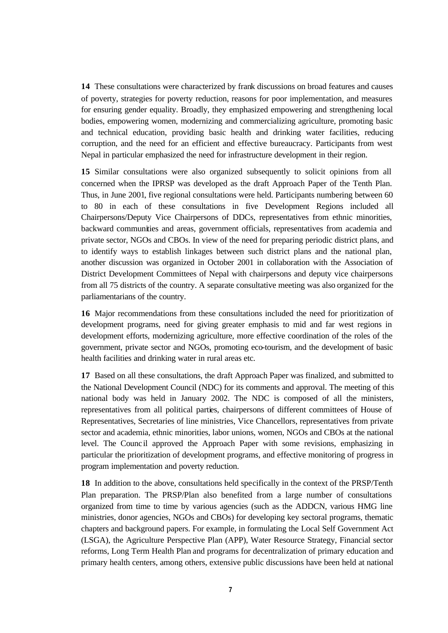**14** These consultations were characterized by frank discussions on broad features and causes of poverty, strategies for poverty reduction, reasons for poor implementation, and measures for ensuring gender equality. Broadly, they emphasized empowering and strengthening local bodies, empowering women, modernizing and commercializing agriculture, promoting basic and technical education, providing basic health and drinking water facilities, reducing corruption, and the need for an efficient and effective bureaucracy. Participants from west Nepal in particular emphasized the need for infrastructure development in their region.

**15** Similar consultations were also organized subsequently to solicit opinions from all concerned when the IPRSP was developed as the draft Approach Paper of the Tenth Plan. Thus, in June 2001, five regional consultations were held. Participants numbering between 60 to 80 in each of these consultations in five Development Regions included all Chairpersons/Deputy Vice Chairpersons of DDCs, representatives from ethnic minorities, backward communities and areas, government officials, representatives from academia and private sector, NGOs and CBOs. In view of the need for preparing periodic district plans, and to identify ways to establish linkages between such district plans and the national plan, another discussion was organized in October 2001 in collaboration with the Association of District Development Committees of Nepal with chairpersons and deputy vice chairpersons from all 75 districts of the country. A separate consultative meeting was also organized for the parliamentarians of the country.

**16** Major recommendations from these consultations included the need for prioritization of development programs, need for giving greater emphasis to mid and far west regions in development efforts, modernizing agriculture, more effective coordination of the roles of the government, private sector and NGOs, promoting eco-tourism, and the development of basic health facilities and drinking water in rural areas etc.

**17** Based on all these consultations, the draft Approach Paper was finalized, and submitted to the National Development Council (NDC) for its comments and approval. The meeting of this national body was held in January 2002. The NDC is composed of all the ministers, representatives from all political parties, chairpersons of different committees of House of Representatives, Secretaries of line ministries, Vice Chancellors, representatives from private sector and academia, ethnic minorities, labor unions, women, NGOs and CBOs at the national level. The Counc il approved the Approach Paper with some revisions, emphasizing in particular the prioritization of development programs, and effective monitoring of progress in program implementation and poverty reduction.

**18** In addition to the above, consultations held specifically in the context of the PRSP/Tenth Plan preparation. The PRSP/Plan also benefited from a large number of consultations organized from time to time by various agencies (such as the ADDCN, various HMG line ministries, donor agencies, NGOs and CBOs) for developing key sectoral programs, thematic chapters and background papers. For example, in formulating the Local Self Government Act (LSGA), the Agriculture Perspective Plan (APP), Water Resource Strategy, Financial sector reforms, Long Term Health Plan and programs for decentralization of primary education and primary health centers, among others, extensive public discussions have been held at national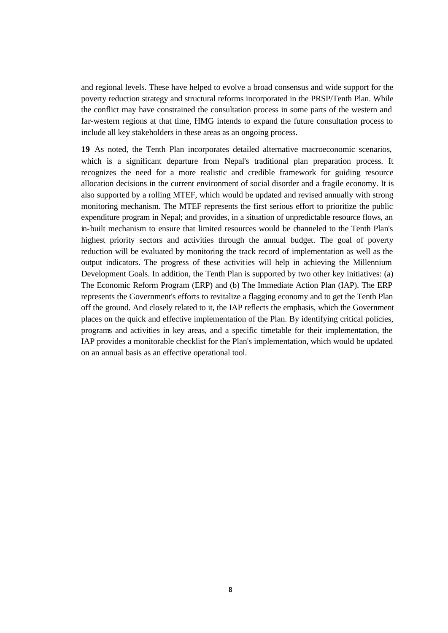and regional levels. These have helped to evolve a broad consensus and wide support for the poverty reduction strategy and structural reforms incorporated in the PRSP/Tenth Plan. While the conflict may have constrained the consultation process in some parts of the western and far-western regions at that time, HMG intends to expand the future consultation process to include all key stakeholders in these areas as an ongoing process.

**19** As noted, the Tenth Plan incorporates detailed alternative macroeconomic scenarios, which is a significant departure from Nepal's traditional plan preparation process. It recognizes the need for a more realistic and credible framework for guiding resource allocation decisions in the current environment of social disorder and a fragile economy. It is also supported by a rolling MTEF, which would be updated and revised annually with strong monitoring mechanism. The MTEF represents the first serious effort to prioritize the public expenditure program in Nepal; and provides, in a situation of unpredictable resource flows, an in-built mechanism to ensure that limited resources would be channeled to the Tenth Plan's highest priority sectors and activities through the annual budget. The goal of poverty reduction will be evaluated by monitoring the track record of implementation as well as the output indicators. The progress of these activities will help in achieving the Millennium Development Goals. In addition, the Tenth Plan is supported by two other key initiatives: (a) The Economic Reform Program (ERP) and (b) The Immediate Action Plan (IAP). The ERP represents the Government's efforts to revitalize a flagging economy and to get the Tenth Plan off the ground. And closely related to it, the IAP reflects the emphasis, which the Government places on the quick and effective implementation of the Plan. By identifying critical policies, programs and activities in key areas, and a specific timetable for their implementation, the IAP provides a monitorable checklist for the Plan's implementation, which would be updated on an annual basis as an effective operational tool.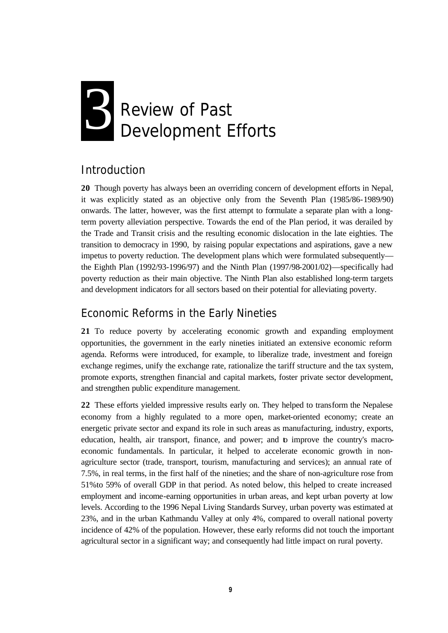# Review of Past **3** Review of Past<br>Development Efforts

#### *Introduction*

**20** Though poverty has always been an overriding concern of development efforts in Nepal, it was explicitly stated as an objective only from the Seventh Plan (1985/86-1989/90) onwards. The latter, however, was the first attempt to formulate a separate plan with a longterm poverty alleviation perspective. Towards the end of the Plan period, it was derailed by the Trade and Transit crisis and the resulting economic dislocation in the late eighties. The transition to democracy in 1990, by raising popular expectations and aspirations, gave a new impetus to poverty reduction. The development plans which were formulated subsequently the Eighth Plan (1992/93-1996/97) and the Ninth Plan (1997/98-2001/02)—specifically had poverty reduction as their main objective. The Ninth Plan also established long-term targets and development indicators for all sectors based on their potential for alleviating poverty.

#### *Economic Reforms in the Early Nineties*

**21** To reduce poverty by accelerating economic growth and expanding employment opportunities, the government in the early nineties initiated an extensive economic reform agenda. Reforms were introduced, for example, to liberalize trade, investment and foreign exchange regimes, unify the exchange rate, rationalize the tariff structure and the tax system, promote exports, strengthen financial and capital markets, foster private sector development, and strengthen public expenditure management.

**22** These efforts yielded impressive results early on. They helped to transform the Nepalese economy from a highly regulated to a more open, market-oriented economy; create an energetic private sector and expand its role in such areas as manufacturing, industry, exports, education, health, air transport, finance, and power; and to improve the country's macroeconomic fundamentals. In particular, it helped to accelerate economic growth in nonagriculture sector (trade, transport, tourism, manufacturing and services); an annual rate of 7.5%, in real terms, in the first half of the nineties; and the share of non-agriculture rose from 51%to 59% of overall GDP in that period. As noted below, this helped to create increased employment and income-earning opportunities in urban areas, and kept urban poverty at low levels. According to the 1996 Nepal Living Standards Survey, urban poverty was estimated at 23%, and in the urban Kathmandu Valley at only 4%, compared to overall national poverty incidence of 42% of the population. However, these early reforms did not touch the important agricultural sector in a significant way; and consequently had little impact on rural poverty.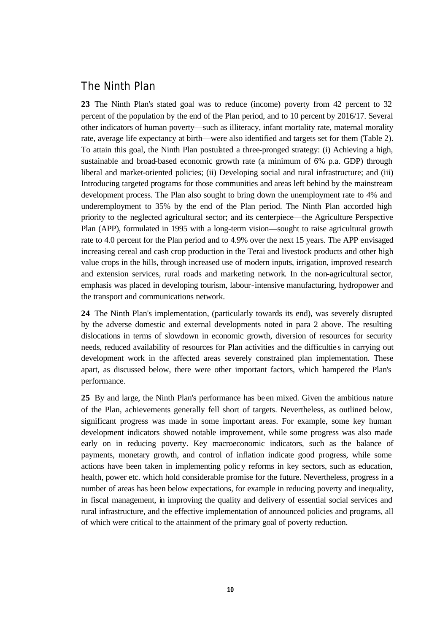#### *The Ninth Plan*

**23** The Ninth Plan's stated goal was to reduce (income) poverty from 42 percent to 32 percent of the population by the end of the Plan period, and to 10 percent by 2016/17. Several other indicators of human poverty—such as illiteracy, infant mortality rate, maternal morality rate, average life expectancy at birth—were also identified and targets set for them (Table 2). To attain this goal, the Ninth Plan postulated a three-pronged strategy: (i) Achieving a high, sustainable and broad-based economic growth rate (a minimum of 6% p.a. GDP) through liberal and market-oriented policies; (ii) Developing social and rural infrastructure; and (iii) Introducing targeted programs for those communities and areas left behind by the mainstream development process. The Plan also sought to bring down the unemployment rate to 4% and underemployment to 35% by the end of the Plan period. The Ninth Plan accorded high priority to the neglected agricultural sector; and its centerpiece—the Agriculture Perspective Plan (APP), formulated in 1995 with a long-term vision—sought to raise agricultural growth rate to 4.0 percent for the Plan period and to 4.9% over the next 15 years. The APP envisaged increasing cereal and cash crop production in the Terai and livestock products and other high value crops in the hills, through increased use of modern inputs, irrigation, improved research and extension services, rural roads and marketing network. In the non-agricultural sector, emphasis was placed in developing tourism, labour-intensive manufacturing, hydropower and the transport and communications network.

**24** The Ninth Plan's implementation, (particularly towards its end), was severely disrupted by the adverse domestic and external developments noted in para 2 above. The resulting dislocations in terms of slowdown in economic growth, diversion of resources for security needs, reduced availability of resources for Plan activities and the difficultie s in carrying out development work in the affected areas severely constrained plan implementation. These apart, as discussed below, there were other important factors, which hampered the Plan's performance.

**25** By and large, the Ninth Plan's performance has be en mixed. Given the ambitious nature of the Plan, achievements generally fell short of targets. Nevertheless, as outlined below, significant progress was made in some important areas. For example, some key human development indicators showed notable improvement, while some progress was also made early on in reducing poverty. Key macroeconomic indicators, such as the balance of payments, monetary growth, and control of inflation indicate good progress, while some actions have been taken in implementing policy reforms in key sectors, such as education, health, power etc. which hold considerable promise for the future. Nevertheless, progress in a number of areas has been below expectations, for example in reducing poverty and inequality, in fiscal management, in improving the quality and delivery of essential social services and rural infrastructure, and the effective implementation of announced policies and programs, all of which were critical to the attainment of the primary goal of poverty reduction.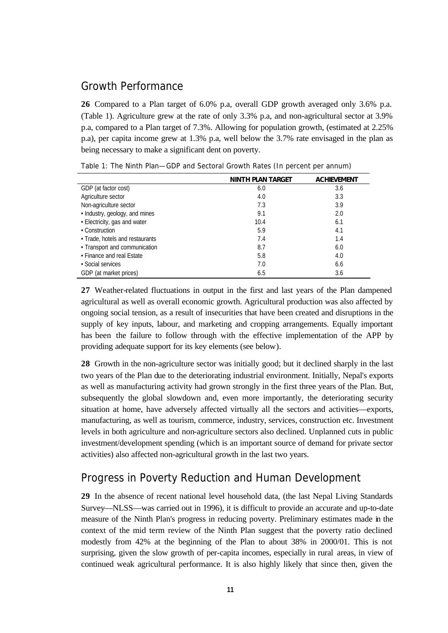#### *Growth Performance*

**26** Compared to a Plan target of 6.0% p.a, overall GDP growth averaged only 3.6% p.a. (Table 1). Agriculture grew at the rate of only 3.3% p.a, and non-agricultural sector at 3.9% p.a, compared to a Plan target of 7.3%. Allowing for population growth, (estimated at 2.25% p.a), per capita income grew at 1.3% p.a, well below the 3.7% rate envisaged in the plan as being necessary to make a significant dent on poverty.

|                                 | <b>NINTH PLAN TARGET</b> | <b>ACHIEVEMENT</b> |
|---------------------------------|--------------------------|--------------------|
| GDP (at factor cost)            | 6.0                      | 3.6                |
| Agriculture sector              | 4.0                      | 3.3                |
| Non-agriculture sector          | 7.3                      | 3.9                |
| · Industry, geology, and mines  | 9.1                      | 2.0                |
| • Electricity, gas and water    | 10.4                     | 6.1                |
| • Construction                  | 5.9                      | 4.1                |
| • Trade, hotels and restaurants | 7.4                      | 1.4                |
| • Transport and communication   | 8.7                      | 6.0                |
| • Finance and real Estate       | 5.8                      | 4.0                |
| • Social services               | 7.0                      | 6.6                |
| GDP (at market prices)          | 6.5                      | 3.6                |

Table 1: The Ninth Plan—GDP and Sectoral Growth Rates (In percent per annum)

**27** Weather-related fluctuations in output in the first and last years of the Plan dampened agricultural as well as overall economic growth. Agricultural production was also affected by ongoing social tension, as a result of insecurities that have been created and disruptions in the supply of key inputs, labour, and marketing and cropping arrangements. Equally important has been the failure to follow through with the effective implementation of the APP by providing adequate support for its key elements (see below).

**28** Growth in the non-agriculture sector was initially good; but it declined sharply in the last two years of the Plan due to the deteriorating industrial environment. Initially, Nepal's exports as well as manufacturing activity had grown strongly in the first three years of the Plan. But, subsequently the global slowdown and, even more importantly, the deteriorating security situation at home, have adversely affected virtually all the sectors and activities—exports, manufacturing, as well as tourism, commerce, industry, services, construction etc. Investment levels in both agriculture and non-agriculture sectors also declined. Unplanned cuts in public investment/development spending (which is an important source of demand for private sector activities) also affected non-agricultural growth in the last two years.

#### *Progress in Poverty Reduction and Human Development*

**29** In the absence of recent national level household data, (the last Nepal Living Standards Survey—NLSS—was carried out in 1996), it is difficult to provide an accurate and up-to-date measure of the Ninth Plan's progress in reducing poverty. Preliminary estimates made in the context of the mid term review of the Ninth Plan suggest that the poverty ratio declined modestly from 42% at the beginning of the Plan to about 38% in 2000/01. This is not surprising, given the slow growth of per-capita incomes, especially in rural areas, in view of continued weak agricultural performance. It is also highly likely that since then, given the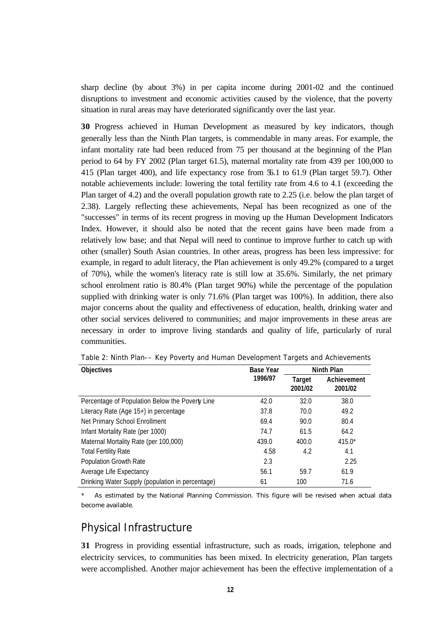sharp decline (by about 3%) in per capita income during 2001-02 and the continued disruptions to investment and economic activities caused by the violence, that the poverty situation in rural areas may have deteriorated significantly over the last year.

**30** Progress achieved in Human Development as measured by key indicators, though generally less than the Ninth Plan targets, is commendable in many areas. For example, the infant mortality rate had been reduced from 75 per thousand at the beginning of the Plan period to 64 by FY 2002 (Plan target 61.5), maternal mortality rate from 439 per 100,000 to 415 (Plan target 400), and life expectancy rose from 56.1 to 61.9 (Plan target 59.7). Other notable achievements include: lowering the total fertility rate from 4.6 to 4.1 (exceeding the Plan target of 4.2) and the overall population growth rate to 2.25 (i.e. below the plan target of 2.38). Largely reflecting these achievements, Nepal has been recognized as one of the "successes" in terms of its recent progress in moving up the Human Development Indicators Index. However, it should also be noted that the recent gains have been made from a relatively low base; and that Nepal will need to continue to improve further to catch up with other (smaller) South Asian countries. In other areas, progress has been less impressive: for example, in regard to adult literacy, the Plan achievement is only 49.2% (compared to a target of 70%), while the women's literacy rate is still low at 35.6%. Similarly, the net primary school enrolment ratio is 80.4% (Plan target 90%) while the percentage of the population supplied with drinking water is only 71.6% (Plan target was 100%). In addition, there also major concerns about the quality and effectiveness of education, health, drinking water and other social services delivered to communities; and major improvements in these areas are necessary in order to improve living standards and quality of life, particularly of rural communities.

| <b>Objectives</b>                                | <b>Base Year</b> | Ninth Plan        |                        |  |
|--------------------------------------------------|------------------|-------------------|------------------------|--|
|                                                  | 1996/97          | Target<br>2001/02 | Achievement<br>2001/02 |  |
| Percentage of Population Below the Poverty Line  | 42.0             | 32.0              | 38.0                   |  |
| Literacy Rate (Age 15+) in percentage            | 37.8             | 70.0              | 49.2                   |  |
| Net Primary School Enrollment                    | 69.4             | 90.0              | 80.4                   |  |
| Infant Mortality Rate (per 1000)                 | 74.7             | 61.5              | 64.2                   |  |
| Maternal Mortality Rate (per 100,000)            | 439.0            | 400.0             | $415.0*$               |  |
| <b>Total Fertility Rate</b>                      | 4.58             | 4.2               | 4.1                    |  |
| Population Growth Rate                           | 2.3              |                   | 2.25                   |  |
| Average Life Expectancy                          | 56.1             | 59.7              | 61.9                   |  |
| Drinking Water Supply (population in percentage) | 61               | 100               | 71.6                   |  |

Table 2: Ninth Plan–– Key Poverty and Human Development Targets and Achievements

*\* As estimated by the National Planning Commission. This figure will be revised when actual data become available.*

#### *Physical Infrastructure*

**31** Progress in providing essential infrastructure, such as roads, irrigation, telephone and electricity services, to communities has been mixed. In electricity generation, Plan targets were accomplished. Another major achievement has been the effective implementation of a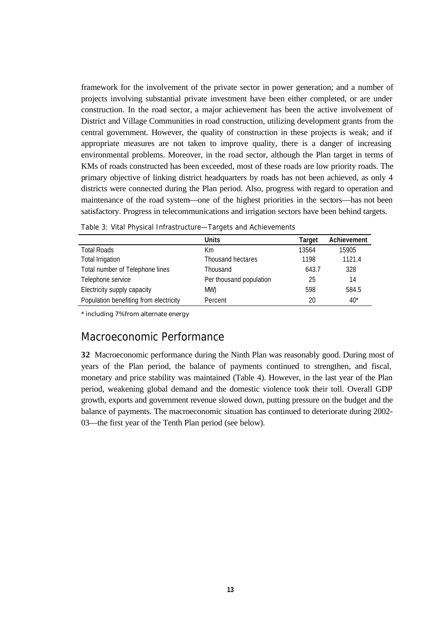framework for the involvement of the private sector in power generation; and a number of projects involving substantial private investment have been either completed, or are under construction. In the road sector, a major achievement has been the active involvement of District and Village Communities in road construction, utilizing development grants from the central government. However, the quality of construction in these projects is weak; and if appropriate measures are not taken to improve quality, there is a danger of increasing environmental problems. Moreover, in the road sector, although the Plan target in terms of KMs of roads constructed has been exceeded, most of these roads are low priority roads. The primary objective of linking district headquarters by roads has not been achieved, as only 4 districts were connected during the Plan period. Also, progress with regard to operation and maintenance of the road system—one of the highest priorities in the sectors—has not been satisfactory. Progress in telecommunications and irrigation sectors have been behind targets.

|                                        | <b>Units</b>            | Target | Achievement |
|----------------------------------------|-------------------------|--------|-------------|
| <b>Total Roads</b>                     | Km                      | 13564  | 15905       |
| Total Irrigation                       | Thousand hectares       | 1198   | 1121.4      |
| Total number of Telephone lines        | Thousand                | 643.7  | 328         |
| Telephone service                      | Per thousand population | 25     | 14          |
| Electricity supply capacity            | MW)                     | 598    | 584.5       |
| Population benefiting from electricity | Percent                 | 20     | $40*$       |

Table 3: Vital Physical Infrastructure—Targets and Achievements

*\* including 7% from alternate energy*

#### *Macroeconomic Performance*

**32** Macroeconomic performance during the Ninth Plan was reasonably good. During most of years of the Plan period, the balance of payments continued to strengthen, and fiscal, monetary and price stability was maintained (Table 4). However, in the last year of the Plan period, weakening global demand and the domestic violence took their toll. Overall GDP growth, exports and government revenue slowed down, putting pressure on the budget and the balance of payments. The macroeconomic situation has continued to deteriorate during 2002- 03—the first year of the Tenth Plan period (see below).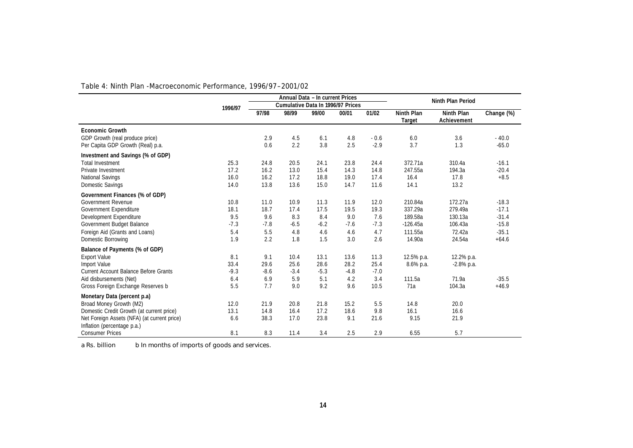|  |  |  |  | Table 4: Ninth Plan -Macroeconomic Performance, 1996/97-2001/02 |
|--|--|--|--|-----------------------------------------------------------------|
|--|--|--|--|-----------------------------------------------------------------|

|                                                                            | 1996/97 |                                          |        | Annual Data - In current Prices |        |        | Ninth Plan Period    |                           |            |
|----------------------------------------------------------------------------|---------|------------------------------------------|--------|---------------------------------|--------|--------|----------------------|---------------------------|------------|
|                                                                            |         | <b>Cumulative Data In 1996/97 Prices</b> |        |                                 |        |        |                      |                           |            |
|                                                                            |         | 97/98                                    | 98/99  | 99/00                           | 00/01  | 01/02  | Ninth Plan<br>Target | Ninth Plan<br>Achievement | Change (%) |
| <b>Economic Growth</b>                                                     |         |                                          |        |                                 |        |        |                      |                           |            |
| GDP Growth (real produce price)                                            |         | 2.9                                      | 4.5    | 6.1                             | 4.8    | $-0.6$ | 6.0                  | 3.6                       | $-40.0$    |
| Per Capita GDP Growth (Real) p.a.                                          |         | 0.6                                      | 2.2    | 3.8                             | 2.5    | $-2.9$ | 3.7                  | 1.3                       | $-65.0$    |
| Investment and Savings (% of GDP)                                          |         |                                          |        |                                 |        |        |                      |                           |            |
| <b>Total Investment</b>                                                    | 25.3    | 24.8                                     | 20.5   | 24.1                            | 23.8   | 24.4   | 372.71a              | 310.4a                    | $-16.1$    |
| Private Investment                                                         | 17.2    | 16.2                                     | 13.0   | 15.4                            | 14.3   | 14.8   | 247.55a              | 194.3a                    | $-20.4$    |
| National Savings                                                           | 16.0    | 16.2                                     | 17.2   | 18.8                            | 19.0   | 17.4   | 16.4                 | 17.8                      | $+8.5$     |
| Domestic Savings                                                           | 14.0    | 13.8                                     | 13.6   | 15.0                            | 14.7   | 11.6   | 14.1                 | 13.2                      |            |
| Government Finances (% of GDP)                                             |         |                                          |        |                                 |        |        |                      |                           |            |
| <b>Government Revenue</b>                                                  | 10.8    | 11.0                                     | 10.9   | 11.3                            | 11.9   | 12.0   | 210.84a              | 172.27a                   | $-18.3$    |
| Government Expenditure                                                     | 18.1    | 18.7                                     | 17.4   | 17.5                            | 19.5   | 19.3   | 337.29a              | 279.49a                   | $-17.1$    |
| Development Expenditure                                                    | 9.5     | 9.6                                      | 8.3    | 8.4                             | 9.0    | 7.6    | 189.58a              | 130.13a                   | $-31.4$    |
| Government Budget Balance                                                  | $-7.3$  | $-7.8$                                   | $-6.5$ | $-6.2$                          | $-7.6$ | $-7.3$ | $-126.45a$           | 106.43a                   | $-15.8$    |
| Foreign Aid (Grants and Loans)                                             | 5.4     | 5.5                                      | 4.8    | 4.6                             | 4.6    | 4.7    | 111.55a              | 72.42a                    | $-35.1$    |
| Domestic Borrowing                                                         | 1.9     | 2.2                                      | 1.8    | 1.5                             | 3.0    | 2.6    | 14.90a               | 24.54a                    | $+64.6$    |
| Balance of Payments (% of GDP)                                             |         |                                          |        |                                 |        |        |                      |                           |            |
| <b>Export Value</b>                                                        | 8.1     | 9.1                                      | 10.4   | 13.1                            | 13.6   | 11.3   | 12.5% p.a.           | 12.2% p.a.                |            |
| Import Value                                                               | 33.4    | 29.6                                     | 25.6   | 28.6                            | 28.2   | 25.4   | $8.6\%$ p.a.         | $-2.8\%$ p.a.             |            |
| <b>Current Account Balance Before Grants</b>                               | $-9.3$  | $-8.6$                                   | $-3.4$ | $-5.3$                          | $-4.8$ | $-7.0$ |                      |                           |            |
| Aid disbursements (Net)                                                    | 6.4     | 6.9                                      | 5.9    | 5.1                             | 4.2    | 3.4    | 111.5a               | 71.9a                     | $-35.5$    |
| Gross Foreign Exchange Reserves b                                          | 5.5     | 7.7                                      | 9.0    | 9.2                             | 9.6    | 10.5   | 71a                  | 104.3a                    | $+46.9$    |
| Monetary Data (percent p.a)                                                |         |                                          |        |                                 |        |        |                      |                           |            |
| Broad Money Growth (M2)                                                    | 12.0    | 21.9                                     | 20.8   | 21.8                            | 15.2   | 5.5    | 14.8                 | 20.0                      |            |
| Domestic Credit Growth (at current price)                                  | 13.1    | 14.8                                     | 16.4   | 17.2                            | 18.6   | 9.8    | 16.1                 | 16.6                      |            |
| Net Foreign Assets (NFA) (at current price)<br>Inflation (percentage p.a.) | 6.6     | 38.3                                     | 17.0   | 23.8                            | 9.1    | 21.6   | 9.15                 | 21.9                      |            |
| <b>Consumer Prices</b>                                                     | 8.1     | 8.3                                      | 11.4   | 3.4                             | 2.5    | 2.9    | 6.55                 | 5.7                       |            |

*a Rs. billion b In months of imports of goods and services.*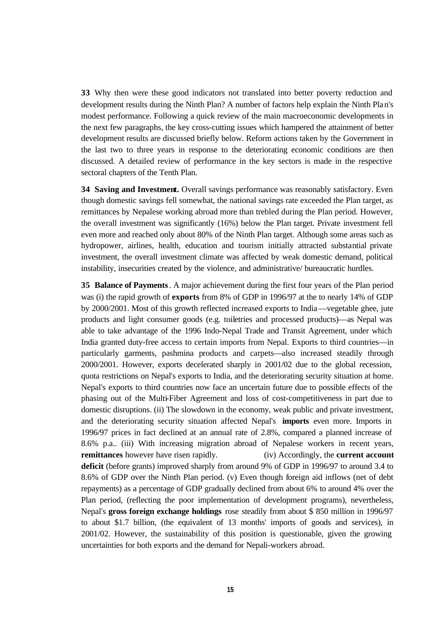**33** Why then were these good indicators not translated into better poverty reduction and development results during the Ninth Plan? A number of factors help explain the Ninth Plan's modest performance. Following a quick review of the main macroeconomic developments in the next few paragraphs, the key cross-cutting issues which hampered the attainment of better development results are discussed briefly below. Reform actions taken by the Government in the last two to three years in response to the deteriorating economic conditions are then discussed. A detailed review of performance in the key sectors is made in the respective sectoral chapters of the Tenth Plan.

**34 Saving and Investment.** Overall savings performance was reasonably satisfactory. Even though domestic savings fell somewhat, the national savings rate exceeded the Plan target, as remittances by Nepalese working abroad more than trebled during the Plan period. However, the overall investment was significantly (16%) below the Plan target. Private investment fell even more and reached only about 80% of the Ninth Plan target. Although some areas such as hydropower, airlines, health, education and tourism initially attracted substantial private investment, the overall investment climate was affected by weak domestic demand, political instability, insecurities created by the violence, and administrative/ bureaucratic hurdles.

**35 Balance of Payments**. A major achievement during the first four years of the Plan period was (i) the rapid growth of **exports** from 8% of GDP in 1996/97 at the to nearly 14% of GDP by 2000/2001. Most of this growth reflected increased exports to India—vegetable ghee, jute products and light consumer goods (e.g. toiletries and processed products)—as Nepal was able to take advantage of the 1996 Indo-Nepal Trade and Transit Agreement, under which India granted duty-free access to certain imports from Nepal. Exports to third countries—in particularly garments, pashmina products and carpets—also increased steadily through 2000/2001. However, exports decelerated sharply in 2001/02 due to the global recession, quota restrictions on Nepal's exports to India, and the deteriorating security situation at home. Nepal's exports to third countries now face an uncertain future due to possible effects of the phasing out of the Multi-Fiber Agreement and loss of cost-competitiveness in part due to domestic disruptions. (ii) The slowdown in the economy, weak public and private investment, and the deteriorating security situation affected Nepal's **imports** even more. Imports in 1996/97 prices in fact declined at an annual rate of 2.8%, compared a planned increase of 8.6% p.a.. (iii) With increasing migration abroad of Nepalese workers in recent years, **remittances** however have risen rapidly. (iv) Accordingly, the **current account deficit** (before grants) improved sharply from around 9% of GDP in 1996/97 to around 3.4 to 8.6% of GDP over the Ninth Plan period. (v) Even though foreign aid inflows (net of debt repayments) as a percentage of GDP gradually declined from about 6% to around 4% over the Plan period, (reflecting the poor implementation of development programs), nevertheless, Nepal's **gross foreign exchange holdings** rose steadily from about \$ 850 million in 1996/97 to about \$1.7 billion, (the equivalent of 13 months' imports of goods and services), in 2001/02. However, the sustainability of this position is questionable, given the growing uncertainties for both exports and the demand for Nepali-workers abroad.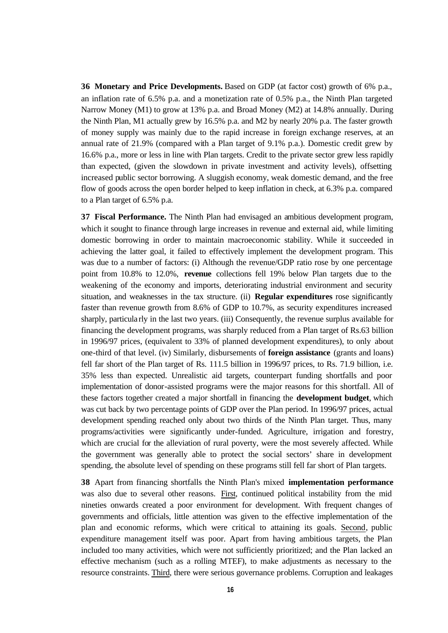**36 Monetary and Price Developments.** Based on GDP (at factor cost) growth of 6% p.a., an inflation rate of 6.5% p.a. and a monetization rate of 0.5% p.a., the Ninth Plan targeted Narrow Money (M1) to grow at 13% p.a. and Broad Money (M2) at 14.8% annually. During the Ninth Plan, M1 actually grew by 16.5% p.a. and M2 by nearly 20% p.a. The faster growth of money supply was mainly due to the rapid increase in foreign exchange reserves, at an annual rate of 21.9% (compared with a Plan target of 9.1% p.a.). Domestic credit grew by 16.6% p.a., more or less in line with Plan targets. Credit to the private sector grew less rapidly than expected, (given the slowdown in private investment and activity levels), offsetting increased public sector borrowing. A sluggish economy, weak domestic demand, and the free flow of goods across the open border helped to keep inflation in check, at 6.3% p.a. compared to a Plan target of 6.5% p.a.

**37 Fiscal Performance.** The Ninth Plan had envisaged an ambitious development program, which it sought to finance through large increases in revenue and external aid, while limiting domestic borrowing in order to maintain macroeconomic stability. While it succeeded in achieving the latter goal, it failed to effectively implement the development program. This was due to a number of factors: (i) Although the revenue/GDP ratio rose by one percentage point from 10.8% to 12.0%, **revenue** collections fell 19% below Plan targets due to the weakening of the economy and imports, deteriorating industrial environment and security situation, and weaknesses in the tax structure. (ii) **Regular expenditures** rose significantly faster than revenue growth from 8.6% of GDP to 10.7%, as security expenditures increased sharply, particula rly in the last two years. (iii) Consequently, the revenue surplus available for financing the development programs, was sharply reduced from a Plan target of Rs.63 billion in 1996/97 prices, (equivalent to 33% of planned development expenditures), to only about one-third of that level. (iv) Similarly, disbursements of **foreign assistance** (grants and loans) fell far short of the Plan target of Rs. 111.5 billion in 1996/97 prices, to Rs. 71.9 billion, i.e. 35% less than expected. Unrealistic aid targets, counterpart funding shortfalls and poor implementation of donor-assisted programs were the major reasons for this shortfall. All of these factors together created a major shortfall in financing the **development budget**, which was cut back by two percentage points of GDP over the Plan period. In 1996/97 prices, actual development spending reached only about two thirds of the Ninth Plan target. Thus, many programs/activities were significantly under-funded. Agriculture, irrigation and forestry, which are crucial for the alleviation of rural poverty, were the most severely affected. While the government was generally able to protect the social sectors' share in development spending, the absolute level of spending on these programs still fell far short of Plan targets.

**38** Apart from financing shortfalls the Ninth Plan's mixed **implementation performance** was also due to several other reasons. First, continued political instability from the mid nineties onwards created a poor environment for development. With frequent changes of governments and officials, little attention was given to the effective implementation of the plan and economic reforms, which were critical to attaining its goals. Second, public expenditure management itself was poor. Apart from having ambitious targets, the Plan included too many activities, which were not sufficiently prioritized; and the Plan lacked an effective mechanism (such as a rolling MTEF), to make adjustments as necessary to the resource constraints. Third, there were serious governance problems. Corruption and leakages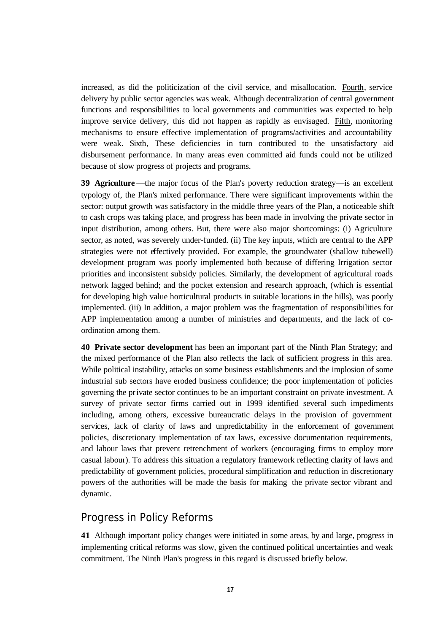increased, as did the politicization of the civil service, and misallocation. Fourth, service delivery by public sector agencies was weak. Although decentralization of central government functions and responsibilities to local governments and communities was expected to help improve service delivery, this did not happen as rapidly as envisaged. Fifth, monitoring mechanisms to ensure effective implementation of programs/activities and accountability were weak. Sixth, These deficiencies in turn contributed to the unsatisfactory aid disbursement performance. In many areas even committed aid funds could not be utilized because of slow progress of projects and programs.

**39 Agriculture** —the major focus of the Plan's poverty reduction strategy—is an excellent typology of, the Plan's mixed performance. There were significant improvements within the sector: output growth was satisfactory in the middle three years of the Plan, a noticeable shift to cash crops was taking place, and progress has been made in involving the private sector in input distribution, among others. But, there were also major shortcomings: (i) Agriculture sector, as noted, was severely under-funded. (ii) The key inputs, which are central to the APP strategies were not effectively provided. For example, the groundwater (shallow tubewell) development program was poorly implemented both because of differing Irrigation sector priorities and inconsistent subsidy policies. Similarly, the development of agricultural roads network lagged behind; and the pocket extension and research approach, (which is essential for developing high value horticultural products in suitable locations in the hills), was poorly implemented. (iii) In addition, a major problem was the fragmentation of responsibilities for APP implementation among a number of ministries and departments, and the lack of coordination among them.

**40 Private sector development** has been an important part of the Ninth Plan Strategy; and the mixed performance of the Plan also reflects the lack of sufficient progress in this area. While political instability, attacks on some business establishments and the implosion of some industrial sub sectors have eroded business confidence; the poor implementation of policies governing the private sector continues to be an important constraint on private investment. A survey of private sector firms carried out in 1999 identified several such impediments including, among others, excessive bureaucratic delays in the provision of government services, lack of clarity of laws and unpredictability in the enforcement of government policies, discretionary implementation of tax laws, excessive documentation requirements, and labour laws that prevent retrenchment of workers (encouraging firms to employ more casual labour). To address this situation a regulatory framework reflecting clarity of laws and predictability of government policies, procedural simplification and reduction in discretionary powers of the authorities will be made the basis for making the private sector vibrant and dynamic.

#### *Progress in Policy Reforms*

**41** Although important policy changes were initiated in some areas, by and large, progress in implementing critical reforms was slow, given the continued political uncertainties and weak commitment. The Ninth Plan's progress in this regard is discussed briefly below.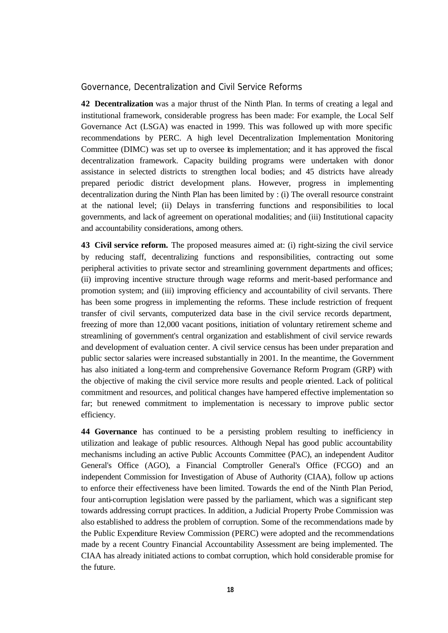#### Governance, Decentralization and Civil Service Reforms

**42 Decentralization** was a major thrust of the Ninth Plan. In terms of creating a legal and institutional framework, considerable progress has been made: For example, the Local Self Governance Act (LSGA) was enacted in 1999. This was followed up with more specific recommendations by PERC. A high level Decentralization Implementation Monitoring Committee (DIMC) was set up to oversee its implementation; and it has approved the fiscal decentralization framework. Capacity building programs were undertaken with donor assistance in selected districts to strengthen local bodies; and 45 districts have already prepared periodic district development plans. However, progress in implementing decentralization during the Ninth Plan has been limited by : (i) The overall resource constraint at the national level; (ii) Delays in transferring functions and responsibilities to local governments, and lack of agreement on operational modalities; and (iii) Institutional capacity and accountability considerations, among others.

**43 Civil service reform.** The proposed measures aimed at: (i) right-sizing the civil service by reducing staff, decentralizing functions and responsibilities, contracting out some peripheral activities to private sector and streamlining government departments and offices; (ii) improving incentive structure through wage reforms and merit-based performance and promotion system; and (iii) improving efficiency and accountability of civil servants. There has been some progress in implementing the reforms. These include restriction of frequent transfer of civil servants, computerized data base in the civil service records department, freezing of more than 12,000 vacant positions, initiation of voluntary retirement scheme and streamlining of government's central organization and establishment of civil service rewards and development of evaluation center. A civil service census has been under preparation and public sector salaries were increased substantially in 2001. In the meantime, the Government has also initiated a long-term and comprehensive Governance Reform Program (GRP) with the objective of making the civil service more results and people oriented. Lack of political commitment and resources, and political changes have hampered effective implementation so far; but renewed commitment to implementation is necessary to improve public sector efficiency.

**44 Governance** has continued to be a persisting problem resulting to inefficiency in utilization and leakage of public resources. Although Nepal has good public accountability mechanisms including an active Public Accounts Committee (PAC), an independent Auditor General's Office (AGO), a Financial Comptroller General's Office (FCGO) and an independent Commission for Investigation of Abuse of Authority (CIAA), follow up actions to enforce their effectiveness have been limited. Towards the end of the Ninth Plan Period, four anti-corruption legislation were passed by the parliament, which was a significant step towards addressing corrupt practices. In addition, a Judicial Property Probe Commission was also established to address the problem of corruption. Some of the recommendations made by the Public Expenditure Review Commission (PERC) were adopted and the recommendations made by a recent Country Financial Accountability Assessment are being implemented. The CIAA has already initiated actions to combat corruption, which hold considerable promise for the future.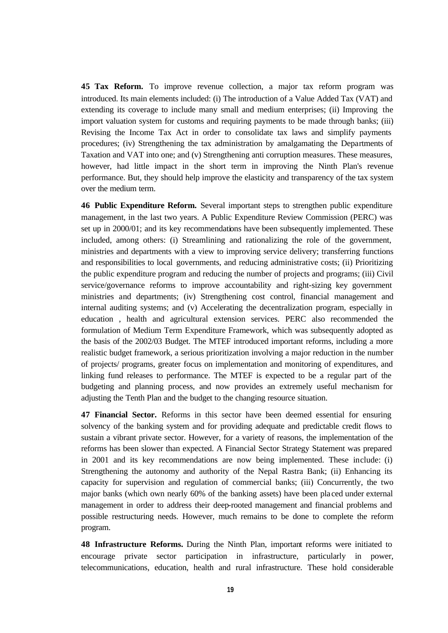**45 Tax Reform.** To improve revenue collection, a major tax reform program was introduced. Its main elements included: (i) The introduction of a Value Added Tax (VAT) and extending its coverage to include many small and medium enterprises; (ii) Improving the import valuation system for customs and requiring payments to be made through banks; (iii) Revising the Income Tax Act in order to consolidate tax laws and simplify payments procedures; (iv) Strengthening the tax administration by amalgamating the Departments of Taxation and VAT into one; and (v) Strengthening anti corruption measures. These measures, however, had little impact in the short term in improving the Ninth Plan's revenue performance. But, they should help improve the elasticity and transparency of the tax system over the medium term.

**46 Public Expenditure Reform.** Several important steps to strengthen public expenditure management, in the last two years. A Public Expenditure Review Commission (PERC) was set up in 2000/01; and its key recommendations have been subsequently implemented. These included, among others: (i) Streamlining and rationalizing the role of the government, ministries and departments with a view to improving service delivery; transferring functions and responsibilities to local governments, and reducing administrative costs; (ii) Prioritizing the public expenditure program and reducing the number of projects and programs; (iii) Civil service/governance reforms to improve accountability and right-sizing key government ministries and departments; (iv) Strengthening cost control, financial management and internal auditing systems; and (v) Accelerating the decentralization program, especially in education , health and agricultural extension services. PERC also recommended the formulation of Medium Term Expenditure Framework, which was subsequently adopted as the basis of the 2002/03 Budget. The MTEF introduced important reforms, including a more realistic budget framework, a serious prioritization involving a major reduction in the number of projects/ programs, greater focus on implementation and monitoring of expenditures, and linking fund releases to performance. The MTEF is expected to be a regular part of the budgeting and planning process, and now provides an extremely useful mechanism for adjusting the Tenth Plan and the budget to the changing resource situation.

**47 Financial Sector.** Reforms in this sector have been deemed essential for ensuring solvency of the banking system and for providing adequate and predictable credit flows to sustain a vibrant private sector. However, for a variety of reasons, the implementation of the reforms has been slower than expected. A Financial Sector Strategy Statement was prepared in 2001 and its key recommendations are now being implemented. These include: (i) Strengthening the autonomy and authority of the Nepal Rastra Bank; (ii) Enhancing its capacity for supervision and regulation of commercial banks; (iii) Concurrently, the two major banks (which own nearly 60% of the banking assets) have been pla ced under external management in order to address their deep-rooted management and financial problems and possible restructuring needs. However, much remains to be done to complete the reform program.

**48 Infrastructure Reforms.** During the Ninth Plan, important reforms were initiated to encourage private sector participation in infrastructure, particularly in power, telecommunications, education, health and rural infrastructure. These hold considerable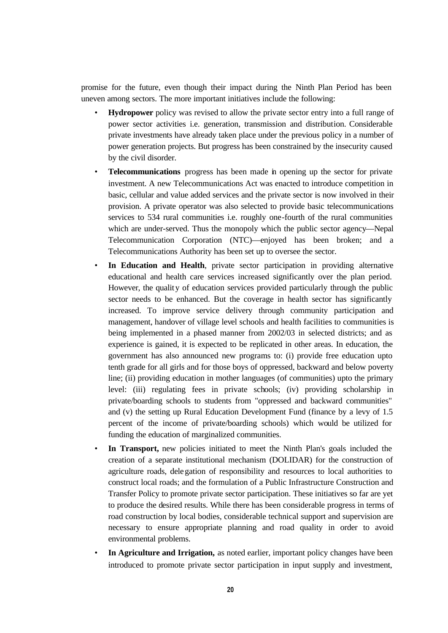promise for the future, even though their impact during the Ninth Plan Period has been uneven among sectors. The more important initiatives include the following:

- **Hydropower** policy was revised to allow the private sector entry into a full range of power sector activities i.e. generation, transmission and distribution. Considerable private investments have already taken place under the previous policy in a number of power generation projects. But progress has been constrained by the insecurity caused by the civil disorder.
- **Telecommunications** progress has been made in opening up the sector for private investment. A new Telecommunications Act was enacted to introduce competition in basic, cellular and value added services and the private sector is now involved in their provision. A private operator was also selected to provide basic telecommunications services to 534 rural communities i.e. roughly one-fourth of the rural communities which are under-served. Thus the monopoly which the public sector agency—Nepal Telecommunication Corporation (NTC)—enjoyed has been broken; and a Telecommunications Authority has been set up to oversee the sector.
- In Education and Health, private sector participation in providing alternative educational and health care services increased significantly over the plan period. However, the quality of education services provided particularly through the public sector needs to be enhanced. But the coverage in health sector has significantly increased. To improve service delivery through community participation and management, handover of village level schools and health facilities to communities is being implemented in a phased manner from 2002/03 in selected districts; and as experience is gained, it is expected to be replicated in other areas. In education, the government has also announced new programs to: (i) provide free education upto tenth grade for all girls and for those boys of oppressed, backward and below poverty line; (ii) providing education in mother languages (of communities) upto the primary level: (iii) regulating fees in private schools; (iv) providing scholarship in private/boarding schools to students from "oppressed and backward communities" and (v) the setting up Rural Education Development Fund (finance by a levy of 1.5 percent of the income of private/boarding schools) which would be utilized for funding the education of marginalized communities.
- **In Transport,** new policies initiated to meet the Ninth Plan's goals included the creation of a separate institutional mechanism (DOLIDAR) for the construction of agriculture roads, delegation of responsibility and resources to local authorities to construct local roads; and the formulation of a Public Infrastructure Construction and Transfer Policy to promote private sector participation. These initiatives so far are yet to produce the desired results. While there has been considerable progress in terms of road construction by local bodies, considerable technical support and supervision are necessary to ensure appropriate planning and road quality in order to avoid environmental problems.
- **In Agriculture and Irrigation,** as noted earlier, important policy changes have been introduced to promote private sector participation in input supply and investment,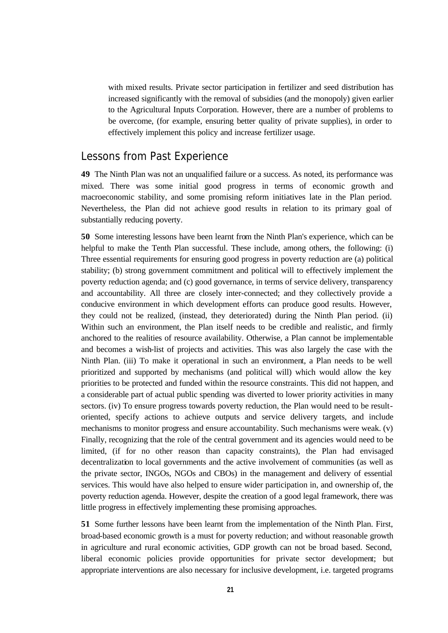with mixed results. Private sector participation in fertilizer and seed distribution has increased significantly with the removal of subsidies (and the monopoly) given earlier to the Agricultural Inputs Corporation. However, there are a number of problems to be overcome, (for example, ensuring better quality of private supplies), in order to effectively implement this policy and increase fertilizer usage.

#### *Lessons from Past Experience*

**49** The Ninth Plan was not an unqualified failure or a success. As noted, its performance was mixed. There was some initial good progress in terms of economic growth and macroeconomic stability, and some promising reform initiatives late in the Plan period. Nevertheless, the Plan did not achieve good results in relation to its primary goal of substantially reducing poverty.

**50** Some interesting lessons have been learnt from the Ninth Plan's experience, which can be helpful to make the Tenth Plan successful. These include, among others, the following: (i) Three essential requirements for ensuring good progress in poverty reduction are (a) political stability; (b) strong government commitment and political will to effectively implement the poverty reduction agenda; and (c) good governance, in terms of service delivery, transparency and accountability. All three are closely inter-connected; and they collectively provide a conducive environment in which development efforts can produce good results. However, they could not be realized, (instead, they deteriorated) during the Ninth Plan period. (ii) Within such an environment, the Plan itself needs to be credible and realistic, and firmly anchored to the realities of resource availability. Otherwise, a Plan cannot be implementable and becomes a wish-list of projects and activities. This was also largely the case with the Ninth Plan. (iii) To make it operational in such an environment, a Plan needs to be well prioritized and supported by mechanisms (and political will) which would allow the key priorities to be protected and funded within the resource constraints. This did not happen, and a considerable part of actual public spending was diverted to lower priority activities in many sectors. (iv) To ensure progress towards poverty reduction, the Plan would need to be resultoriented, specify actions to achieve outputs and service delivery targets, and include mechanisms to monitor progress and ensure accountability. Such mechanisms were weak. (v) Finally, recognizing that the role of the central government and its agencies would need to be limited, (if for no other reason than capacity constraints), the Plan had envisaged decentralization to local governments and the active involvement of communities (as well as the private sector, INGOs, NGOs and CBOs) in the management and delivery of essential services. This would have also helped to ensure wider participation in, and ownership of, the poverty reduction agenda. However, despite the creation of a good legal framework, there was little progress in effectively implementing these promising approaches.

**51** Some further lessons have been learnt from the implementation of the Ninth Plan. First, broad-based economic growth is a must for poverty reduction; and without reasonable growth in agriculture and rural economic activities, GDP growth can not be broad based. Second, liberal economic policies provide opportunities for private sector development; but appropriate interventions are also necessary for inclusive development, i.e. targeted programs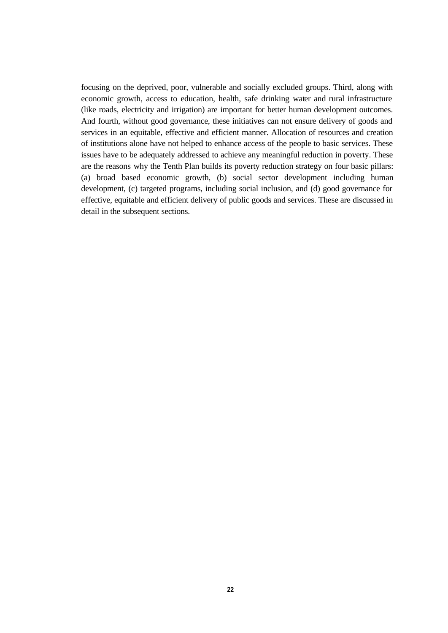focusing on the deprived, poor, vulnerable and socially excluded groups. Third, along with economic growth, access to education, health, safe drinking water and rural infrastructure (like roads, electricity and irrigation) are important for better human development outcomes. And fourth, without good governance, these initiatives can not ensure delivery of goods and services in an equitable, effective and efficient manner. Allocation of resources and creation of institutions alone have not helped to enhance access of the people to basic services. These issues have to be adequately addressed to achieve any meaningful reduction in poverty. These are the reasons why the Tenth Plan builds its poverty reduction strategy on four basic pillars: (a) broad based economic growth, (b) social sector development including human development, (c) targeted programs, including social inclusion, and (d) good governance for effective, equitable and efficient delivery of public goods and services. These are discussed in detail in the subsequent sections.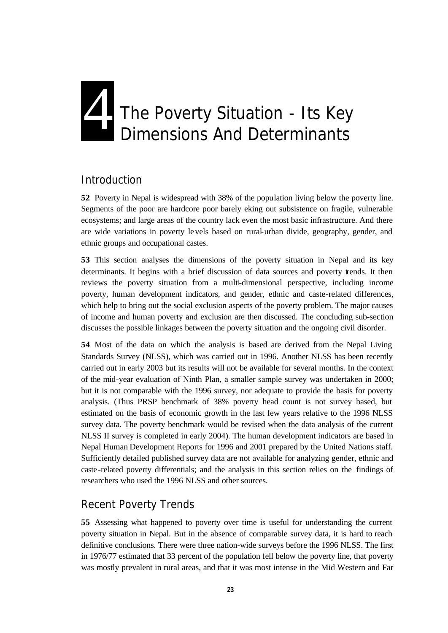## The Poverty Situation - Its Key Dimensions And Determinants 4

#### *Introduction*

**52** Poverty in Nepal is widespread with 38% of the population living below the poverty line. Segments of the poor are hardcore poor barely eking out subsistence on fragile, vulnerable ecosystems; and large areas of the country lack even the most basic infrastructure. And there are wide variations in poverty levels based on rural-urban divide, geography, gender, and ethnic groups and occupational castes.

**53** This section analyses the dimensions of the poverty situation in Nepal and its key determinants. It begins with a brief discussion of data sources and poverty trends. It then reviews the poverty situation from a multi-dimensional perspective, including income poverty, human development indicators, and gender, ethnic and caste-related differences, which help to bring out the social exclusion aspects of the poverty problem. The major causes of income and human poverty and exclusion are then discussed. The concluding sub-section discusses the possible linkages between the poverty situation and the ongoing civil disorder.

**54** Most of the data on which the analysis is based are derived from the Nepal Living Standards Survey (NLSS), which was carried out in 1996. Another NLSS has been recently carried out in early 2003 but its results will not be available for several months. In the context of the mid-year evaluation of Ninth Plan, a smaller sample survey was undertaken in 2000; but it is not comparable with the 1996 survey, nor adequate to provide the basis for poverty analysis. (Thus PRSP benchmark of 38% poverty head count is not survey based, but estimated on the basis of economic growth in the last few years relative to the 1996 NLSS survey data. The poverty benchmark would be revised when the data analysis of the current NLSS II survey is completed in early 2004). The human development indicators are based in Nepal Human Development Reports for 1996 and 2001 prepared by the United Nations staff. Sufficiently detailed published survey data are not available for analyzing gender, ethnic and caste-related poverty differentials; and the analysis in this section relies on the findings of researchers who used the 1996 NLSS and other sources.

#### *Recent Poverty Trends*

**55** Assessing what happened to poverty over time is useful for understanding the current poverty situation in Nepal. But in the absence of comparable survey data, it is hard to reach definitive conclusions. There were three nation-wide surveys before the 1996 NLSS. The first in 1976/77 estimated that 33 percent of the population fell below the poverty line, that poverty was mostly prevalent in rural areas, and that it was most intense in the Mid Western and Far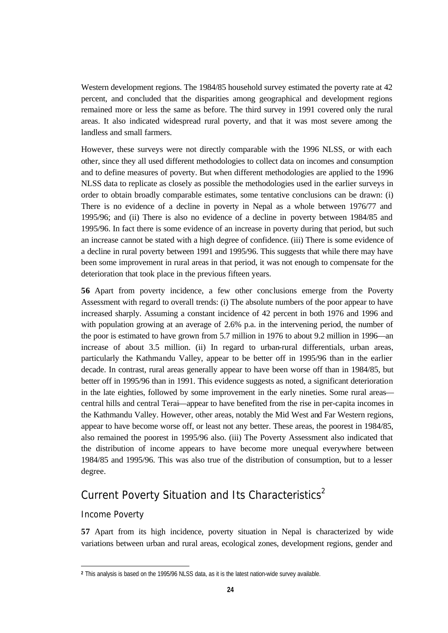Western development regions. The 1984/85 household survey estimated the poverty rate at 42 percent, and concluded that the disparities among geographical and development regions remained more or less the same as before. The third survey in 1991 covered only the rural areas. It also indicated widespread rural poverty, and that it was most severe among the landless and small farmers.

However, these surveys were not directly comparable with the 1996 NLSS, or with each other, since they all used different methodologies to collect data on incomes and consumption and to define measures of poverty. But when different methodologies are applied to the 1996 NLSS data to replicate as closely as possible the methodologies used in the earlier surveys in order to obtain broadly comparable estimates, some tentative conclusions can be drawn: (i) There is no evidence of a decline in poverty in Nepal as a whole between 1976/77 and 1995/96; and (ii) There is also no evidence of a decline in poverty between 1984/85 and 1995/96. In fact there is some evidence of an increase in poverty during that period, but such an increase cannot be stated with a high degree of confidence. (iii) There is some evidence of a decline in rural poverty between 1991 and 1995/96. This suggests that while there may have been some improvement in rural areas in that period, it was not enough to compensate for the deterioration that took place in the previous fifteen years.

**56** Apart from poverty incidence, a few other conclusions emerge from the Poverty Assessment with regard to overall trends: (i) The absolute numbers of the poor appear to have increased sharply. Assuming a constant incidence of 42 percent in both 1976 and 1996 and with population growing at an average of 2.6% p.a. in the intervening period, the number of the poor is estimated to have grown from 5.7 million in 1976 to about 9.2 million in 1996—an increase of about 3.5 million. (ii) In regard to urban-rural differentials, urban areas, particularly the Kathmandu Valley, appear to be better off in 1995/96 than in the earlier decade. In contrast, rural areas generally appear to have been worse off than in 1984/85, but better off in 1995/96 than in 1991. This evidence suggests as noted, a significant deterioration in the late eighties, followed by some improvement in the early nineties. Some rural areas central hills and central Terai—appear to have benefited from the rise in per-capita incomes in the Kathmandu Valley. However, other areas, notably the Mid West and Far Western regions, appear to have become worse off, or least not any better. These areas, the poorest in 1984/85, also remained the poorest in 1995/96 also. (iii) The Poverty Assessment also indicated that the distribution of income appears to have become more unequal everywhere between 1984/85 and 1995/96. This was also true of the distribution of consumption, but to a lesser degree.

### *Current Poverty Situation and Its Characteristics<sup>2</sup>*

#### Income Poverty

l

**57** Apart from its high incidence, poverty situation in Nepal is characterized by wide variations between urban and rural areas, ecological zones, development regions, gender and

**<sup>2</sup>** This analysis is based on the 1995/96 NLSS data, as it is the latest nation-wide survey available.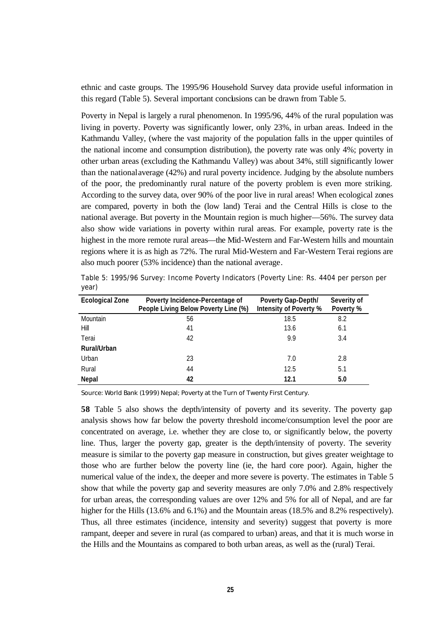ethnic and caste groups. The 1995/96 Household Survey data provide useful information in this regard (Table 5). Several important conclusions can be drawn from Table 5.

Poverty in Nepal is largely a rural phenomenon. In 1995/96, 44% of the rural population was living in poverty. Poverty was significantly lower, only 23%, in urban areas. Indeed in the Kathmandu Valley, (where the vast majority of the population falls in the upper quintiles of the national income and consumption distribution), the poverty rate was only 4%; poverty in other urban areas (excluding the Kathmandu Valley) was about 34%, still significantly lower than the national average (42%) and rural poverty incidence. Judging by the absolute numbers of the poor, the predominantly rural nature of the poverty problem is even more striking. According to the survey data, over 90% of the poor live in rural areas! When ecological zones are compared, poverty in both the (low land) Terai and the Central Hills is close to the national average. But poverty in the Mountain region is much higher—56%. The survey data also show wide variations in poverty within rural areas. For example, poverty rate is the highest in the more remote rural areas—the Mid-Western and Far-Western hills and mountain regions where it is as high as 72%. The rural Mid-Western and Far-Western Terai regions are also much poorer (53% incidence) than the national average.

| <b>Ecological Zone</b> | Poverty Incidence-Percentage of<br>People Living Below Poverty Line (%) | Poverty Gap-Depth/<br>Intensity of Poverty % | Severity of<br>Poverty % |
|------------------------|-------------------------------------------------------------------------|----------------------------------------------|--------------------------|
| Mountain               | 56                                                                      | 18.5                                         | 8.2                      |
|                        |                                                                         |                                              |                          |
| Hill                   | 41                                                                      | 13.6                                         | 6.1                      |
| Terai                  | 42                                                                      | 9.9                                          | 3.4                      |
| Rural/Urban            |                                                                         |                                              |                          |
| Urban                  | 23                                                                      | 7.0                                          | 2.8                      |
| Rural                  | 44                                                                      | 12.5                                         | 5.1                      |
| <b>Nepal</b>           | 42                                                                      | 12.1                                         | 5.0                      |

Table 5: 1995/96 Survey: Income Poverty Indicators (Poverty Line: Rs. 4404 per person per year)

*Source: World Bank (1999) Nepal; Poverty at the Turn of Twenty First Century.*

**58** Table 5 also shows the depth/intensity of poverty and its severity. The poverty gap analysis shows how far below the poverty threshold income/consumption level the poor are concentrated on average, i.e. whether they are close to, or significantly below, the poverty line. Thus, larger the poverty gap, greater is the depth/intensity of poverty. The severity measure is similar to the poverty gap measure in construction, but gives greater weightage to those who are further below the poverty line (ie, the hard core poor). Again, higher the numerical value of the index, the deeper and more severe is poverty. The estimates in Table 5 show that while the poverty gap and severity measures are only 7.0% and 2.8% respectively for urban areas, the corresponding values are over 12% and 5% for all of Nepal, and are far higher for the Hills (13.6% and 6.1%) and the Mountain areas (18.5% and 8.2% respectively). Thus, all three estimates (incidence, intensity and severity) suggest that poverty is more rampant, deeper and severe in rural (as compared to urban) areas, and that it is much worse in the Hills and the Mountains as compared to both urban areas, as well as the (rural) Terai.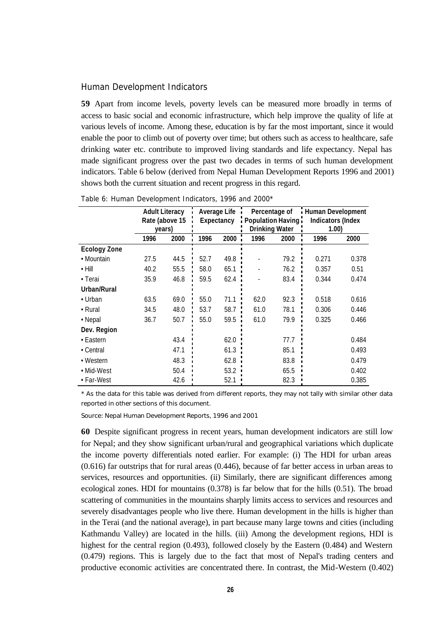#### Human Development Indicators

**59** Apart from income levels, poverty levels can be measured more broadly in terms of access to basic social and economic infrastructure, which help improve the quality of life at various levels of income. Among these, education is by far the most important, since it would enable the poor to climb out of poverty over time; but others such as access to healthcare, safe drinking water etc. contribute to improved living standards and life expectancy. Nepal has made significant progress over the past two decades in terms of such human development indicators. Table 6 below (derived from Nepal Human Development Reports 1996 and 2001) shows both the current situation and recent progress in this regard.

|                     | <b>Adult Literacy</b><br>Rate (above 15<br>vears) |      | Average Life<br>Expectancy |      | Percentage of<br>Population Having<br><b>Drinking Water</b> |      | <b>Human Development</b><br><b>Indicators (Index</b><br>1.00) |       |
|---------------------|---------------------------------------------------|------|----------------------------|------|-------------------------------------------------------------|------|---------------------------------------------------------------|-------|
|                     |                                                   |      |                            |      |                                                             |      |                                                               |       |
|                     |                                                   |      |                            |      |                                                             |      |                                                               |       |
|                     | 1996                                              | 2000 | 1996                       | 2000 | 1996                                                        | 2000 | 1996                                                          | 2000  |
| <b>Ecology Zone</b> |                                                   |      |                            |      |                                                             |      |                                                               |       |
| • Mountain          | 27.5                                              | 44.5 | 52.7                       | 49.8 |                                                             | 79.2 | 0.271                                                         | 0.378 |
| $\cdot$ Hill        | 40.2                                              | 55.5 | 58.0                       | 65.1 |                                                             | 76.2 | 0.357                                                         | 0.51  |
| • Terai             | 35.9                                              | 46.8 | 59.5                       | 62.4 |                                                             | 83.4 | 0.344                                                         | 0.474 |
| Urban/Rural         |                                                   |      |                            |      |                                                             |      |                                                               |       |
| $\cdot$ Urban       | 63.5                                              | 69.0 | 55.0                       | 71.1 | 62.0                                                        | 92.3 | 0.518                                                         | 0.616 |
| $\cdot$ Rural       | 34.5                                              | 48.0 | 53.7                       | 58.7 | 61.0                                                        | 78.1 | 0.306                                                         | 0.446 |
| • Nepal             | 36.7                                              | 50.7 | 55.0                       | 59.5 | 61.0                                                        | 79.9 | 0.325                                                         | 0.466 |
| Dev. Region         |                                                   |      |                            |      |                                                             |      |                                                               |       |
| • Eastern           |                                                   | 43.4 |                            | 62.0 |                                                             | 77.7 |                                                               | 0.484 |
| $\cdot$ Central     |                                                   | 47.1 |                            | 61.3 |                                                             | 85.1 |                                                               | 0.493 |
| • Western           |                                                   | 48.3 |                            | 62.8 |                                                             | 83.8 |                                                               | 0.479 |
| • Mid-West          |                                                   | 50.4 |                            | 53.2 |                                                             | 65.5 |                                                               | 0.402 |
| • Far-West          |                                                   | 42.6 |                            | 52.1 |                                                             | 82.3 |                                                               | 0.385 |

Table 6: Human Development Indicators, 1996 and 2000\*

*\* As the data for this table was derived from different reports, they may not tally with similar other data reported in other sections of this document.* 

*Source: Nepal Human Development Reports, 1996 and 2001*

**60** Despite significant progress in recent years, human development indicators are still low for Nepal; and they show significant urban/rural and geographical variations which duplicate the income poverty differentials noted earlier. For example: (i) The HDI for urban areas (0.616) far outstrips that for rural areas (0.446), because of far better access in urban areas to services, resources and opportunities. (ii) Similarly, there are significant differences among ecological zones. HDI for mountains (0.378) is far below that for the hills (0.51). The broad scattering of communities in the mountains sharply limits access to services and resources and severely disadvantages people who live there. Human development in the hills is higher than in the Terai (and the national average), in part because many large towns and cities (including Kathmandu Valley) are located in the hills. (iii) Among the development regions, HDI is highest for the central region (0.493), followed closely by the Eastern (0.484) and Western (0.479) regions. This is largely due to the fact that most of Nepal's trading centers and productive economic activities are concentrated there. In contrast, the Mid-Western (0.402)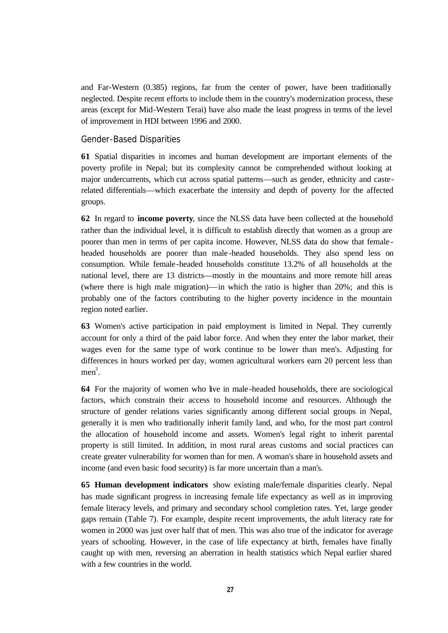and Far-Western (0.385) regions, far from the center of power, have been traditionally neglected. Despite recent efforts to include them in the country's modernization process, these areas (except for Mid-Western Terai) have also made the least progress in terms of the level of improvement in HDI between 1996 and 2000.

#### Gender-Based Disparities

**61** Spatial disparities in incomes and human development are important elements of the poverty profile in Nepal; but its complexity cannot be comprehended without looking at major undercurrents, which cut across spatial patterns—such as gender, ethnicity and casterelated differentials—which exacerbate the intensity and depth of poverty for the affected groups.

**62** In regard to **income poverty**, since the NLSS data have been collected at the household rather than the individual level, it is difficult to establish directly that women as a group are poorer than men in terms of per capita income. However, NLSS data do show that female headed households are poorer than male -headed households. They also spend less on consumption. While female -headed households constitute 13.2% of all households at the national level, there are 13 districts—mostly in the mountains and more remote hill areas (where there is high male migration)—in which the ratio is higher than 20%; and this is probably one of the factors contributing to the higher poverty incidence in the mountain region noted earlier.

**63** Women's active participation in paid employment is limited in Nepal. They currently account for only a third of the paid labor force. And when they enter the labor market, their wages even for the same type of work continue to be lower than men's. Adjusting for differences in hours worked per day, women agricultural workers earn 20 percent less than men<sup>3</sup>.

**64** For the majority of women who live in male-headed households, there are sociological factors, which constrain their access to household income and resources. Although the structure of gender relations varies significantly among different social groups in Nepal, generally it is men who traditionally inherit family land, and who, for the most part control the allocation of household income and assets. Women's legal right to inherit parental property is still limited. In addition, in most rural areas customs and social practices can create greater vulnerability for women than for men. A woman's share in household assets and income (and even basic food security) is far more uncertain than a man's.

**65 Human development indicators** show existing male/female disparities clearly. Nepal has made significant progress in increasing female life expectancy as well as in improving female literacy levels, and primary and secondary school completion rates. Yet, large gender gaps remain (Table 7). For example, despite recent improvements, the adult literacy rate for women in 2000 was just over half that of men. This was also true of the indicator for average years of schooling. However, in the case of life expectancy at birth, females have finally caught up with men, reversing an aberration in health statistics which Nepal earlier shared with a few countries in the world.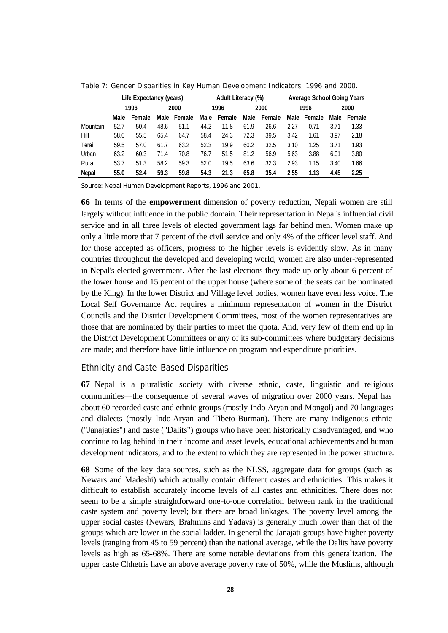|          | Life Expectancy (years) |        |      |        | Adult Literacy (%) |        |      |        | <b>Average School Going Years</b> |        |      |        |
|----------|-------------------------|--------|------|--------|--------------------|--------|------|--------|-----------------------------------|--------|------|--------|
|          | 1996                    |        | 2000 |        | 1996               |        | 2000 |        | 1996                              |        | 2000 |        |
|          | Male                    | Female | Male | Female | Male               | Female | Male | Female | Male                              | Female | Male | Female |
| Mountain | 52.7                    | 50.4   | 48.6 | 51.1   | 44.2               | 11.8   | 61.9 | 26.6   | 2.27                              | 0.71   | 3.71 | 1.33   |
| Hill     | 58.0                    | 55.5   | 65.4 | 64.7   | 58.4               | 24.3   | 72.3 | 39.5   | 3.42                              | 1.61   | 3.97 | 2.18   |
| Terai    | 59.5                    | 57.0   | 61.7 | 63.2   | 52.3               | 19.9   | 60.2 | 32.5   | 3.10                              | 1.25   | 3.71 | 1.93   |
| Urban    | 63.2                    | 60.3   | 71.4 | 70.8   | 76.7               | 51.5   | 81.2 | 56.9   | 5.63                              | 3.88   | 6.01 | 3.80   |
| Rural    | 53.7                    | 51.3   | 58.2 | 59.3   | 52.0               | 19.5   | 63.6 | 32.3   | 2.93                              | 1.15   | 3.40 | 1.66   |
| Nepal    | 55.0                    | 52.4   | 59.3 | 59.8   | 54.3               | 21.3   | 65.8 | 35.4   | 2.55                              | 1.13   | 4.45 | 2.25   |

Table 7: Gender Disparities in Key Human Development Indicators, 1996 and 2000.

*Source: Nepal Human Development Reports, 1996 and 2001.*

**66** In terms of the **empowerment** dimension of poverty reduction, Nepali women are still largely without influence in the public domain. Their representation in Nepal's influential civil service and in all three levels of elected government lags far behind men. Women make up only a little more that 7 percent of the civil service and only 4% of the officer level staff. And for those accepted as officers, progress to the higher levels is evidently slow. As in many countries throughout the developed and developing world, women are also under-represented in Nepal's elected government. After the last elections they made up only about 6 percent of the lower house and 15 percent of the upper house (where some of the seats can be nominated by the King). In the lower District and Village level bodies, women have even less voice. The Local Self Governance Act requires a minimum representation of women in the District Councils and the District Development Committees, most of the women representatives are those that are nominated by their parties to meet the quota. And, very few of them end up in the District Development Committees or any of its sub-committees where budgetary decisions are made; and therefore have little influence on program and expenditure priorities.

#### Ethnicity and Caste-Based Disparities

**67** Nepal is a pluralistic society with diverse ethnic, caste, linguistic and religious communities—the consequence of several waves of migration over 2000 years. Nepal has about 60 recorded caste and ethnic groups (mostly Indo-Aryan and Mongol) and 70 languages and dialects (mostly Indo-Aryan and Tibeto-Burman). There are many indigenous ethnic ("Janajaties") and caste ("Dalits") groups who have been historically disadvantaged, and who continue to lag behind in their income and asset levels, educational achievements and human development indicators, and to the extent to which they are represented in the power structure.

**68** Some of the key data sources, such as the NLSS, aggregate data for groups (such as Newars and Madeshi) which actually contain different castes and ethnicities. This makes it difficult to establish accurately income levels of all castes and ethnicities. There does not seem to be a simple straightforward one-to-one correlation between rank in the traditional caste system and poverty level; but there are broad linkages. The poverty level among the upper social castes (Newars, Brahmins and Yadavs) is generally much lower than that of the groups which are lower in the social ladder. In general the Janajati groups have higher poverty levels (ranging from 45 to 59 percent) than the national average, while the Dalits have poverty levels as high as 65-68%. There are some notable deviations from this generalization. The upper caste Chhetris have an above average poverty rate of 50%, while the Muslims, although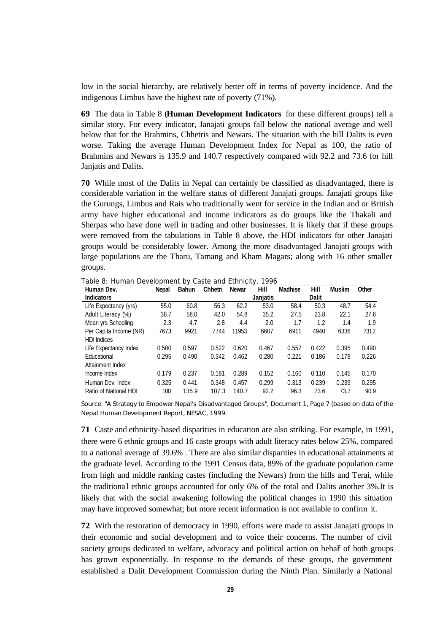low in the social hierarchy, are relatively better off in terms of poverty incidence. And the indigenous Limbus have the highest rate of poverty (71%).

**69** The data in Table 8 (**Human Development Indicators** for these different groups) tell a similar story. For every indicator, Janajati groups fall below the national average and well below that for the Brahmins, Chhetris and Newars. The situation with the hill Dalits is even worse. Taking the average Human Development Index for Nepal as 100, the ratio of Brahmins and Newars is 135.9 and 140.7 respectively compared with 92.2 and 73.6 for hill Janjatis and Dalits.

**70** While most of the Dalits in Nepal can certainly be classified as disadvantaged, there is considerable variation in the welfare status of different Janajati groups. Janajati groups like the Gurungs, Limbus and Rais who traditionally went for service in the Indian and or British army have higher educational and income indicators as do groups like the Thakali and Sherpas who have done well in trading and other businesses. It is likely that if these groups were removed from the tabulations in Table 8 above, the HDI indicators for other Janajati groups would be considerably lower. Among the more disadvantaged Janajati groups with large populations are the Tharu, Tamang and Kham Magars; along with 16 other smaller groups.

Table 8: Human Development by Caste and Ethnicity, 1996

| Human Dev.             | Nepal | <b>Bahun</b> | Chhetri | Newar | Hill     | <b>Madhise</b> | Hill  | <b>Muslim</b> | Other |
|------------------------|-------|--------------|---------|-------|----------|----------------|-------|---------------|-------|
| <b>Indicators</b>      |       |              |         |       | Janjatis |                | Dalit |               |       |
| Life Expectancy (yrs)  | 55.0  | 60.8         | 56.3    | 62.2  | 53.0     | 58.4           | 50.3  | 48.7          | 54.4  |
| Adult Literacy (%)     | 36.7  | 58.0         | 42.0    | 54.8  | 35.2     | 27.5           | 23.8  | 22.1          | 27.6  |
| Mean yrs Schooling     | 2.3   | 4.7          | 2.8     | 4.4   | 2.0      | 1.7            | 1.2   | 1.4           | 1.9   |
| Per Capita Income (NR) | 7673  | 9921         | 7744    | 11953 | 6607     | 6911           | 4940  | 6336          | 7312  |
| <b>HDI</b> Indices     |       |              |         |       |          |                |       |               |       |
| Life Expectancy Index  | 0.500 | 0.597        | 0.522   | 0.620 | 0.467    | 0.557          | 0.422 | 0.395         | 0.490 |
| Educational            | 0.295 | 0.490        | 0.342   | 0.462 | 0.280    | 0.221          | 0.186 | 0.178         | 0.226 |
| Attainment Index       |       |              |         |       |          |                |       |               |       |
| Income Index           | 0.179 | 0.237        | 0.181   | 0.289 | 0.152    | 0.160          | 0.110 | 0.145         | 0.170 |
| Human Dev. Index       | 0.325 | 0.441        | 0.348   | 0.457 | 0.299    | 0.313          | 0.239 | 0.239         | 0.295 |
| Ratio of National HDI  | 100   | 135.9        | 107.3   | 140.7 | 92.2     | 96.3           | 73.6  | 73.7          | 90.9  |

*Source: "A Strategy to Empower Nepal's Disadvantaged Groups", Document 1, Page 7 (based on data of the Nepal Human Development Report, NESAC, 1999.*

**71** Caste and ethnicity-based disparities in education are also striking. For example, in 1991, there were 6 ethnic groups and 16 caste groups with adult literacy rates below 25%, compared to a national average of 39.6% . There are also similar disparities in educational attainments at the graduate level. According to the 1991 Census data, 89% of the graduate population came from high and middle ranking castes (including the Newars) from the hills and Terai, while the traditional ethnic groups accounted for only 6% of the total and Dalits another 3%. It is likely that with the social awakening following the political changes in 1990 this situation may have improved somewhat; but more recent information is not available to confirm it.

**72** With the restoration of democracy in 1990, efforts were made to assist Janajati groups in their economic and social development and to voice their concerns. The number of civil society groups dedicated to welfare, advocacy and political action on behalf of both groups has grown exponentially. In response to the demands of these groups, the government established a Dalit Development Commission during the Ninth Plan. Similarly a National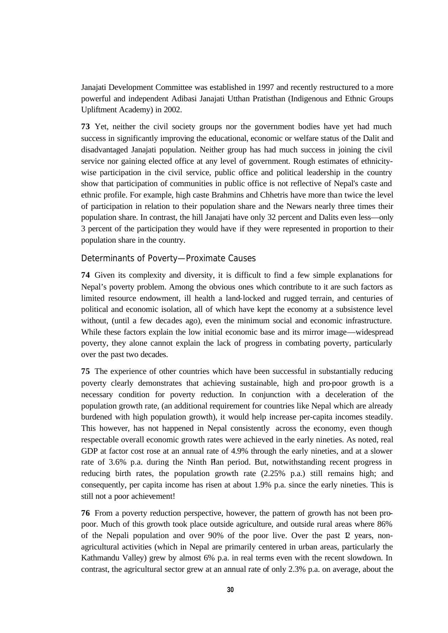Janajati Development Committee was established in 1997 and recently restructured to a more powerful and independent Adibasi Janajati Utthan Pratisthan (Indigenous and Ethnic Groups Upliftment Academy) in 2002.

**73** Yet, neither the civil society groups nor the government bodies have yet had much success in significantly improving the educational, economic or welfare status of the Dalit and disadvantaged Janajati population. Neither group has had much success in joining the civil service nor gaining elected office at any level of government. Rough estimates of ethnicitywise participation in the civil service, public office and political leadership in the country show that participation of communities in public office is not reflective of Nepal's caste and ethnic profile. For example, high caste Brahmins and Chhetris have more than twice the level of participation in relation to their population share and the Newars nearly three times their population share. In contrast, the hill Janajati have only 32 percent and Dalits even less—only 3 percent of the participation they would have if they were represented in proportion to their population share in the country.

#### Determinants of Poverty—Proximate Causes

**74** Given its complexity and diversity, it is difficult to find a few simple explanations for Nepal's poverty problem. Among the obvious ones which contribute to it are such factors as limited resource endowment, ill health a land-locked and rugged terrain, and centuries of political and economic isolation, all of which have kept the economy at a subsistence level without, (until a few decades ago), even the minimum social and economic infrastructure. While these factors explain the low initial economic base and its mirror image—widespread poverty, they alone cannot explain the lack of progress in combating poverty, particularly over the past two decades.

**75** The experience of other countries which have been successful in substantially reducing poverty clearly demonstrates that achieving sustainable, high and pro-poor growth is a necessary condition for poverty reduction. In conjunction with a deceleration of the population growth rate, (an additional requirement for countries like Nepal which are already burdened with high population growth), it would help increase per-capita incomes steadily. This however, has not happened in Nepal consistently across the economy, even though respectable overall economic growth rates were achieved in the early nineties. As noted, real GDP at factor cost rose at an annual rate of 4.9% through the early nineties, and at a slower rate of 3.6% p.a. during the Ninth Han period. But, notwithstanding recent progress in reducing birth rates, the population growth rate (2.25% p.a.) still remains high; and consequently, per capita income has risen at about 1.9% p.a. since the early nineties. This is still not a poor achievement!

**76** From a poverty reduction perspective, however, the pattern of growth has not been propoor. Much of this growth took place outside agriculture, and outside rural areas where 86% of the Nepali population and over  $90\%$  of the poor live. Over the past  $\ddot{2}$  years, nonagricultural activities (which in Nepal are primarily centered in urban areas, particularly the Kathmandu Valley) grew by almost 6% p.a. in real terms even with the recent slowdown. In contrast, the agricultural sector grew at an annual rate of only 2.3% p.a. on average, about the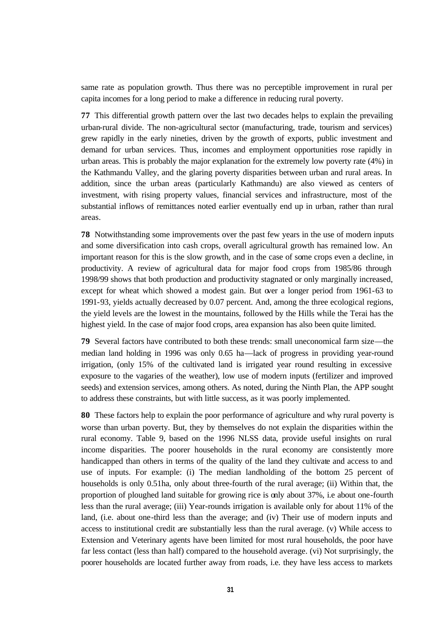same rate as population growth. Thus there was no perceptible improvement in rural per capita incomes for a long period to make a difference in reducing rural poverty.

**77** This differential growth pattern over the last two decades helps to explain the prevailing urban-rural divide. The non-agricultural sector (manufacturing, trade, tourism and services) grew rapidly in the early nineties, driven by the growth of exports, public investment and demand for urban services. Thus, incomes and employment opportunities rose rapidly in urban areas. This is probably the major explanation for the extremely low poverty rate (4%) in the Kathmandu Valley, and the glaring poverty disparities between urban and rural areas. In addition, since the urban areas (particularly Kathmandu) are also viewed as centers of investment, with rising property values, financial services and infrastructure, most of the substantial inflows of remittances noted earlier eventually end up in urban, rather than rural areas.

**78** Notwithstanding some improvements over the past few years in the use of modern inputs and some diversification into cash crops, overall agricultural growth has remained low. An important reason for this is the slow growth, and in the case of some crops even a decline, in productivity. A review of agricultural data for major food crops from 1985/86 through 1998/99 shows that both production and productivity stagnated or only marginally increased, except for wheat which showed a modest gain. But over a longer period from 1961-63 to 1991-93, yields actually decreased by 0.07 percent. And, among the three ecological regions, the yield levels are the lowest in the mountains, followed by the Hills while the Terai has the highest yield. In the case of major food crops, area expansion has also been quite limited.

**79** Several factors have contributed to both these trends: small uneconomical farm size—the median land holding in 1996 was only 0.65 ha—lack of progress in providing year-round irrigation, (only 15% of the cultivated land is irrigated year round resulting in excessive exposure to the vagaries of the weather), low use of modern inputs (fertilizer and improved seeds) and extension services, among others. As noted, during the Ninth Plan, the APP sought to address these constraints, but with little success, as it was poorly implemented.

**80** These factors help to explain the poor performance of agriculture and why rural poverty is worse than urban poverty. But, they by themselves do not explain the disparities within the rural economy. Table 9, based on the 1996 NLSS data, provide useful insights on rural income disparities. The poorer households in the rural economy are consistently more handicapped than others in terms of the quality of the land they cultivate and access to and use of inputs. For example: (i) The median landholding of the bottom 25 percent of households is only 0.51ha, only about three-fourth of the rural average; (ii) Within that, the proportion of ploughed land suitable for growing rice is only about 37%, i.e about one-fourth less than the rural average; (iii) Year-rounds irrigation is available only for about 11% of the land, (i.e. about one-third less than the average; and (iv) Their use of modern inputs and access to institutional credit are substantially less than the rural average. (v) While access to Extension and Veterinary agents have been limited for most rural households, the poor have far less contact (less than half) compared to the household average. (vi) Not surprisingly, the poorer households are located further away from roads, i.e. they have less access to markets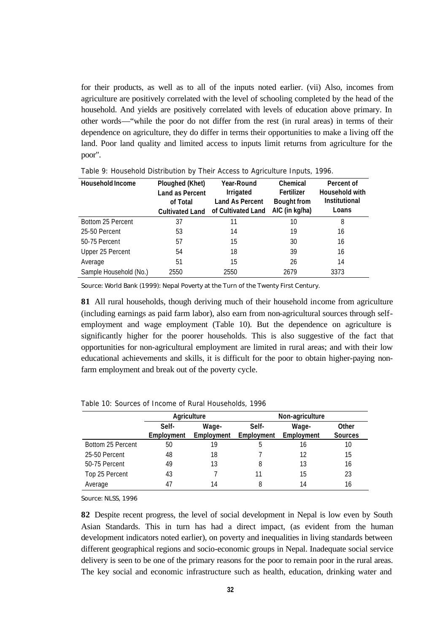for their products, as well as to all of the inputs noted earlier. (vii) Also, incomes from agriculture are positively correlated with the level of schooling completed by the head of the household. And yields are positively correlated with levels of education above primary. In other words—"while the poor do not differ from the rest (in rural areas) in terms of their dependence on agriculture, they do differ in terms their opportunities to make a living off the land. Poor land quality and limited access to inputs limit returns from agriculture for the poor".

| <b>Household Income</b> | Ploughed (Khet)<br><b>Land as Percent</b> | Year-Round<br>Irrigated | Chemical<br>Fertilizer | Percent of<br><b>Household with</b> |  |
|-------------------------|-------------------------------------------|-------------------------|------------------------|-------------------------------------|--|
|                         | of Total                                  | <b>Land As Percent</b>  | <b>Bought from</b>     | <b>Institutional</b>                |  |
|                         | <b>Cultivated Land</b>                    | of Cultivated Land      | AIC (in kg/ha)         | Loans                               |  |
| Bottom 25 Percent       | 37                                        | 11                      | 10                     | 8                                   |  |
| 25-50 Percent           | 53                                        | 14                      | 19                     | 16                                  |  |
| 50-75 Percent           | 57                                        | 15                      | 30                     | 16                                  |  |
| Upper 25 Percent        | 54                                        | 18                      | 39                     | 16                                  |  |
| Average                 | 51                                        | 15                      | 26                     | 14                                  |  |
| Sample Household (No.)  | 2550                                      | 2550                    | 2679                   | 3373                                |  |

Table 9: Household Distribution by Their Access to Agriculture Inputs, 1996.

*Source: World Bank (1999): Nepal Poverty at the Turn of the Twenty First Century.*

**81** All rural households, though deriving much of their household income from agriculture (including earnings as paid farm labor), also earn from non-agricultural sources through selfemployment and wage employment (Table 10). But the dependence on agriculture is significantly higher for the poorer households. This is also suggestive of the fact that opportunities for non-agricultural employment are limited in rural areas; and with their low educational achievements and skills, it is difficult for the poor to obtain higher-paying nonfarm employment and break out of the poverty cycle.

|                   |            | Agriculture | Non-agriculture |            |                |  |
|-------------------|------------|-------------|-----------------|------------|----------------|--|
|                   | Self-      | Wage-       | Self-           | Wage-      |                |  |
|                   | Employment | Employment  | Employment      | Employment | <b>Sources</b> |  |
| Bottom 25 Percent | 50         | 19          | 5               | 16         | 10             |  |
| 25-50 Percent     | 48         | 18          |                 | 12         | 15             |  |
| 50-75 Percent     | 49         | 13          | 8               | 13         | 16             |  |
| Top 25 Percent    | 43         |             | 11              | 15         | 23             |  |
| Average           | 47         | 14          | 8               | 14         | 16             |  |

Table 10: Sources of Income of Rural Households, 1996

*Source: NLSS, 1996*

**82** Despite recent progress, the level of social development in Nepal is low even by South Asian Standards. This in turn has had a direct impact, (as evident from the human development indicators noted earlier), on poverty and inequalities in living standards between different geographical regions and socio-economic groups in Nepal. Inadequate social service delivery is seen to be one of the primary reasons for the poor to remain poor in the rural areas. The key social and economic infrastructure such as health, education, drinking water and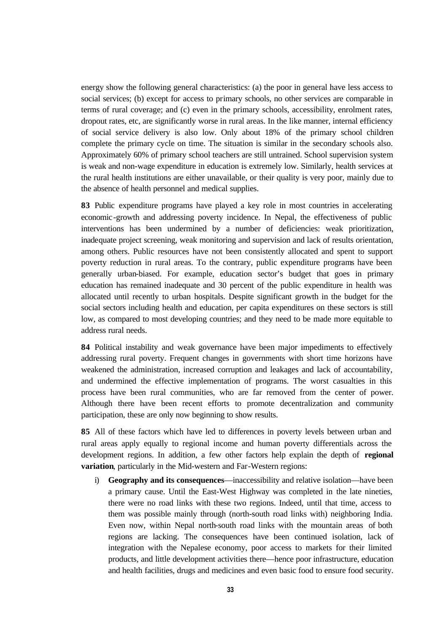energy show the following general characteristics: (a) the poor in general have less access to social services; (b) except for access to primary schools, no other services are comparable in terms of rural coverage; and (c) even in the primary schools, accessibility, enrolment rates, dropout rates, etc, are significantly worse in rural areas. In the like manner, internal efficiency of social service delivery is also low. Only about 18% of the primary school children complete the primary cycle on time. The situation is similar in the secondary schools also. Approximately 60% of primary school teachers are still untrained. School supervision system is weak and non-wage expenditure in education is extremely low. Similarly, health services at the rural health institutions are either unavailable, or their quality is very poor, mainly due to the absence of health personnel and medical supplies.

**83** Public expenditure programs have played a key role in most countries in accelerating economic-growth and addressing poverty incidence. In Nepal, the effectiveness of public interventions has been undermined by a number of deficiencies: weak prioritization, inadequate project screening, weak monitoring and supervision and lack of results orientation, among others. Public resources have not been consistently allocated and spent to support poverty reduction in rural areas. To the contrary, public expenditure programs have been generally urban-biased. For example, education sector's budget that goes in primary education has remained inadequate and 30 percent of the public expenditure in health was allocated until recently to urban hospitals. Despite significant growth in the budget for the social sectors including health and education, per capita expenditures on these sectors is still low, as compared to most developing countries; and they need to be made more equitable to address rural needs.

**84** Political instability and weak governance have been major impediments to effectively addressing rural poverty. Frequent changes in governments with short time horizons have weakened the administration, increased corruption and leakages and lack of accountability, and undermined the effective implementation of programs. The worst casualties in this process have been rural communities, who are far removed from the center of power. Although there have been recent efforts to promote decentralization and community participation, these are only now beginning to show results.

**85** All of these factors which have led to differences in poverty levels between urban and rural areas apply equally to regional income and human poverty differentials across the development regions. In addition, a few other factors help explain the depth of **regional variation**, particularly in the Mid-western and Far-Western regions:

i) **Geography and its consequences**—inaccessibility and relative isolation—have been a primary cause. Until the East-West Highway was completed in the late nineties, there were no road links with these two regions. Indeed, until that time, access to them was possible mainly through (north-south road links with) neighboring India. Even now, within Nepal north-south road links with the mountain areas of both regions are lacking. The consequences have been continued isolation, lack of integration with the Nepalese economy, poor access to markets for their limited products, and little development activities there—hence poor infrastructure, education and health facilities, drugs and medicines and even basic food to ensure food security.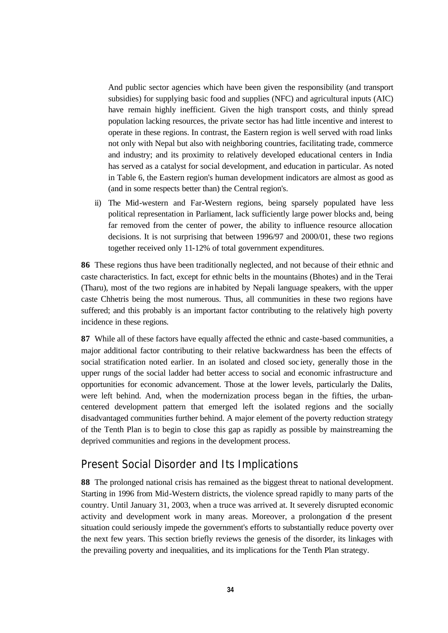And public sector agencies which have been given the responsibility (and transport subsidies) for supplying basic food and supplies (NFC) and agricultural inputs (AIC) have remain highly inefficient. Given the high transport costs, and thinly spread population lacking resources, the private sector has had little incentive and interest to operate in these regions. In contrast, the Eastern region is well served with road links not only with Nepal but also with neighboring countries, facilitating trade, commerce and industry; and its proximity to relatively developed educational centers in India has served as a catalyst for social development, and education in particular. As noted in Table 6, the Eastern region's human development indicators are almost as good as (and in some respects better than) the Central region's.

ii) The Mid-western and Far-Western regions, being sparsely populated have less political representation in Parliament, lack sufficiently large power blocks and, being far removed from the center of power, the ability to influence resource allocation decisions. It is not surprising that between 1996/97 and 2000/01, these two regions together received only 11-12% of total government expenditures.

**86** These regions thus have been traditionally neglected, and not because of their ethnic and caste characteristics. In fact, except for ethnic belts in the mountains (Bhotes) and in the Terai (Tharu), most of the two regions are inhabited by Nepali language speakers, with the upper caste Chhetris being the most numerous. Thus, all communities in these two regions have suffered; and this probably is an important factor contributing to the relatively high poverty incidence in these regions.

**87** While all of these factors have equally affected the ethnic and caste-based communities, a major additional factor contributing to their relative backwardness has been the effects of social stratification noted earlier. In an isolated and closed soc iety, generally those in the upper rungs of the social ladder had better access to social and economic infrastructure and opportunities for economic advancement. Those at the lower levels, particularly the Dalits, were left behind. And, when the modernization process began in the fifties, the urbancentered development pattern that emerged left the isolated regions and the socially disadvantaged communities further behind. A major element of the poverty reduction strategy of the Tenth Plan is to begin to close this gap as rapidly as possible by mainstreaming the deprived communities and regions in the development process.

## *Present Social Disorder and Its Implications*

**88** The prolonged national crisis has remained as the biggest threat to national development. Starting in 1996 from Mid-Western districts, the violence spread rapidly to many parts of the country. Until January 31, 2003, when a truce was arrived at. It severely disrupted economic activity and development work in many areas. Moreover, a prolongation of the present situation could seriously impede the government's efforts to substantially reduce poverty over the next few years. This section briefly reviews the genesis of the disorder, its linkages with the prevailing poverty and inequalities, and its implications for the Tenth Plan strategy.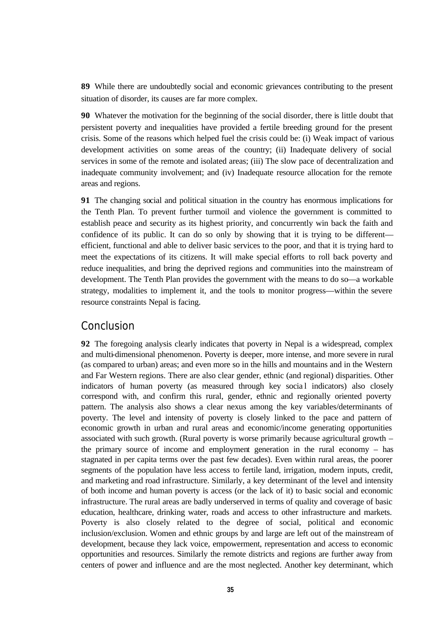**89** While there are undoubtedly social and economic grievances contributing to the present situation of disorder, its causes are far more complex.

**90** Whatever the motivation for the beginning of the social disorder, there is little doubt that persistent poverty and inequalities have provided a fertile breeding ground for the present crisis. Some of the reasons which helped fuel the crisis could be: (i) Weak impact of various development activities on some areas of the country; (ii) Inadequate delivery of social services in some of the remote and isolated areas; (iii) The slow pace of decentralization and inadequate community involvement; and (iv) Inadequate resource allocation for the remote areas and regions.

**91** The changing social and political situation in the country has enormous implications for the Tenth Plan. To prevent further turmoil and violence the government is committed to establish peace and security as its highest priority, and concurrently win back the faith and confidence of its public. It can do so only by showing that it is trying to be different efficient, functional and able to deliver basic services to the poor, and that it is trying hard to meet the expectations of its citizens. It will make special efforts to roll back poverty and reduce inequalities, and bring the deprived regions and communities into the mainstream of development. The Tenth Plan provides the government with the means to do so—a workable strategy, modalities to implement it, and the tools to monitor progress—within the severe resource constraints Nepal is facing.

#### *Conclusion*

**92** The foregoing analysis clearly indicates that poverty in Nepal is a widespread, complex and multi-dimensional phenomenon. Poverty is deeper, more intense, and more severe in rural (as compared to urban) areas; and even more so in the hills and mountains and in the Western and Far Western regions. There are also clear gender, ethnic (and regional) disparities. Other indicators of human poverty (as measured through key socia l indicators) also closely correspond with, and confirm this rural, gender, ethnic and regionally oriented poverty pattern. The analysis also shows a clear nexus among the key variables/determinants of poverty. The level and intensity of poverty is closely linked to the pace and pattern of economic growth in urban and rural areas and economic/income generating opportunities associated with such growth. (Rural poverty is worse primarily because agricultural growth – the primary source of income and employment generation in the rural economy – has stagnated in per capita terms over the past few decades). Even within rural areas, the poorer segments of the population have less access to fertile land, irrigation, modern inputs, credit, and marketing and road infrastructure. Similarly, a key determinant of the level and intensity of both income and human poverty is access (or the lack of it) to basic social and economic infrastructure. The rural areas are badly underserved in terms of quality and coverage of basic education, healthcare, drinking water, roads and access to other infrastructure and markets. Poverty is also closely related to the degree of social, political and economic inclusion/exclusion. Women and ethnic groups by and large are left out of the mainstream of development, because they lack voice, empowerment, representation and access to economic opportunities and resources. Similarly the remote districts and regions are further away from centers of power and influence and are the most neglected. Another key determinant, which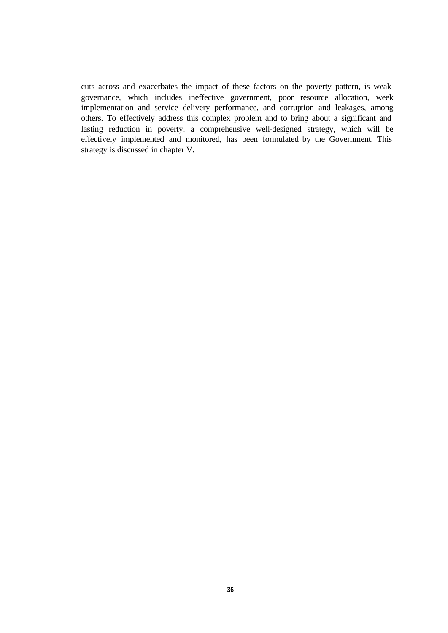cuts across and exacerbates the impact of these factors on the poverty pattern, is weak governance, which includes ineffective government, poor resource allocation, week implementation and service delivery performance, and corruption and leakages, among others. To effectively address this complex problem and to bring about a significant and lasting reduction in poverty, a comprehensive well-designed strategy, which will be effectively implemented and monitored, has been formulated by the Government. This strategy is discussed in chapter V.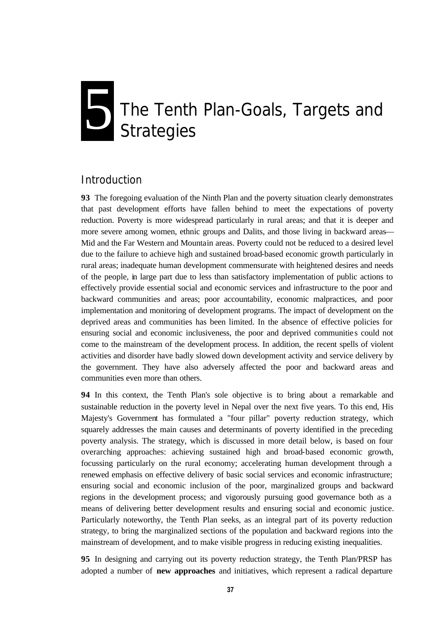# The Tenth Plan-Goals, Targets and S<br>The Tenth<br>Strategies

## *Introduction*

**93** The foregoing evaluation of the Ninth Plan and the poverty situation clearly demonstrates that past development efforts have fallen behind to meet the expectations of poverty reduction. Poverty is more widespread particularly in rural areas; and that it is deeper and more severe among women, ethnic groups and Dalits, and those living in backward areas— Mid and the Far Western and Mountain areas. Poverty could not be reduced to a desired level due to the failure to achieve high and sustained broad-based economic growth particularly in rural areas; inadequate human development commensurate with heightened desires and needs of the people, in large part due to less than satisfactory implementation of public actions to effectively provide essential social and economic services and infrastructure to the poor and backward communities and areas; poor accountability, economic malpractices, and poor implementation and monitoring of development programs. The impact of development on the deprived areas and communities has been limited. In the absence of effective policies for ensuring social and economic inclusiveness, the poor and deprived communitie s could not come to the mainstream of the development process. In addition, the recent spells of violent activities and disorder have badly slowed down development activity and service delivery by the government. They have also adversely affected the poor and backward areas and communities even more than others.

**94** In this context, the Tenth Plan's sole objective is to bring about a remarkable and sustainable reduction in the poverty level in Nepal over the next five years. To this end, His Majesty's Government has formulated a "four pillar" poverty reduction strategy, which squarely addresses the main causes and determinants of poverty identified in the preceding poverty analysis. The strategy, which is discussed in more detail below, is based on four overarching approaches: achieving sustained high and broad-based economic growth, focussing particularly on the rural economy; accelerating human development through a renewed emphasis on effective delivery of basic social services and economic infrastructure; ensuring social and economic inclusion of the poor, marginalized groups and backward regions in the development process; and vigorously pursuing good governance both as a means of delivering better development results and ensuring social and economic justice. Particularly noteworthy, the Tenth Plan seeks, as an integral part of its poverty reduction strategy, to bring the marginalized sections of the population and backward regions into the mainstream of development, and to make visible progress in reducing existing inequalities.

**95** In designing and carrying out its poverty reduction strategy, the Tenth Plan/PRSP has adopted a number of **new approaches** and initiatives, which represent a radical departure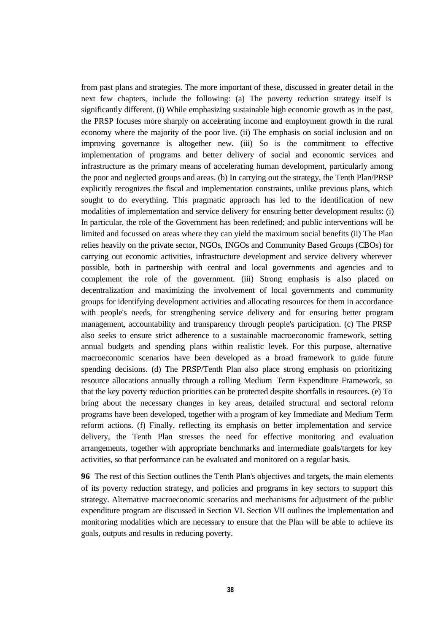from past plans and strategies. The more important of these, discussed in greater detail in the next few chapters, include the following: (a) The poverty reduction strategy itself is significantly different. (i) While emphasizing sustainable high economic growth as in the past, the PRSP focuses more sharply on accelerating income and employment growth in the rural economy where the majority of the poor live. (ii) The emphasis on social inclusion and on improving governance is altogether new. (iii) So is the commitment to effective implementation of programs and better delivery of social and economic services and infrastructure as the primary means of accelerating human development, particularly among the poor and neglected groups and areas. (b) In carrying out the strategy, the Tenth Plan/PRSP explicitly recognizes the fiscal and implementation constraints, unlike previous plans, which sought to do everything. This pragmatic approach has led to the identification of new modalities of implementation and service delivery for ensuring better development results: (i) In particular, the role of the Government has been redefined; and public interventions will be limited and focussed on areas where they can yield the maximum social benefits (ii) The Plan relies heavily on the private sector, NGOs, INGOs and Community Based Groups (CBOs) for carrying out economic activities, infrastructure development and service delivery wherever possible, both in partnership with central and local governments and agencies and to complement the role of the government. (iii) Strong emphasis is also placed on decentralization and maximizing the involvement of local governments and community groups for identifying development activities and allocating resources for them in accordance with people's needs, for strengthening service delivery and for ensuring better program management, accountability and transparency through people's participation. (c) The PRSP also seeks to ensure strict adherence to a sustainable macroeconomic framework, setting annual budgets and spending plans within realistic levels. For this purpose, alternative macroeconomic scenarios have been developed as a broad framework to guide future spending decisions. (d) The PRSP/Tenth Plan also place strong emphasis on prioritizing resource allocations annually through a rolling Medium Term Expenditure Framework, so that the key poverty reduction priorities can be protected despite shortfalls in resources. (e) To bring about the necessary changes in key areas, detailed structural and sectoral reform programs have been developed, together with a program of key Immediate and Medium Term reform actions. (f) Finally, reflecting its emphasis on better implementation and service delivery, the Tenth Plan stresses the need for effective monitoring and evaluation arrangements, together with appropriate benchmarks and intermediate goals/targets for key activities, so that performance can be evaluated and monitored on a regular basis.

**96** The rest of this Section outlines the Tenth Plan's objectives and targets, the main elements of its poverty reduction strategy, and policies and programs in key sectors to support this strategy. Alternative macroeconomic scenarios and mechanisms for adjustment of the public expenditure program are discussed in Section VI. Section VII outlines the implementation and monitoring modalities which are necessary to ensure that the Plan will be able to achieve its goals, outputs and results in reducing poverty.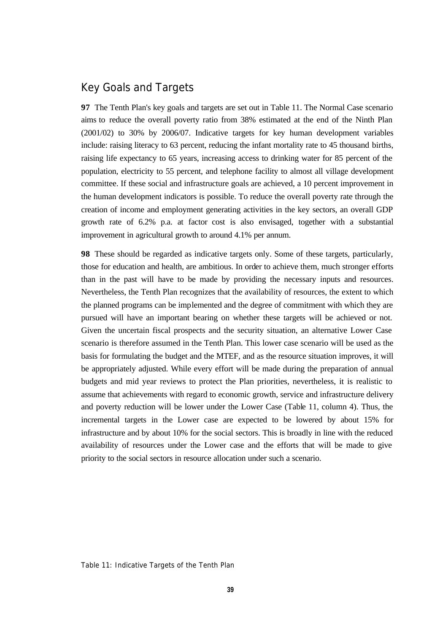## *Key Goals and Targets*

**97** The Tenth Plan's key goals and targets are set out in Table 11. The Normal Case scenario aims to reduce the overall poverty ratio from 38% estimated at the end of the Ninth Plan (2001/02) to 30% by 2006/07. Indicative targets for key human development variables include: raising literacy to 63 percent, reducing the infant mortality rate to 45 thousand births, raising life expectancy to 65 years, increasing access to drinking water for 85 percent of the population, electricity to 55 percent, and telephone facility to almost all village development committee. If these social and infrastructure goals are achieved, a 10 percent improvement in the human development indicators is possible. To reduce the overall poverty rate through the creation of income and employment generating activities in the key sectors, an overall GDP growth rate of 6.2% p.a. at factor cost is also envisaged, together with a substantial improvement in agricultural growth to around 4.1% per annum.

**98** These should be regarded as indicative targets only. Some of these targets, particularly, those for education and health, are ambitious. In order to achieve them, much stronger efforts than in the past will have to be made by providing the necessary inputs and resources. Nevertheless, the Tenth Plan recognizes that the availability of resources, the extent to which the planned programs can be implemented and the degree of commitment with which they are pursued will have an important bearing on whether these targets will be achieved or not. Given the uncertain fiscal prospects and the security situation, an alternative Lower Case scenario is therefore assumed in the Tenth Plan. This lower case scenario will be used as the basis for formulating the budget and the MTEF, and as the resource situation improves, it will be appropriately adjusted. While every effort will be made during the preparation of annual budgets and mid year reviews to protect the Plan priorities, nevertheless, it is realistic to assume that achievements with regard to economic growth, service and infrastructure delivery and poverty reduction will be lower under the Lower Case (Table 11, column 4). Thus, the incremental targets in the Lower case are expected to be lowered by about 15% for infrastructure and by about 10% for the social sectors. This is broadly in line with the reduced availability of resources under the Lower case and the efforts that will be made to give priority to the social sectors in resource allocation under such a scenario.

Table 11: Indicative Targets of the Tenth Plan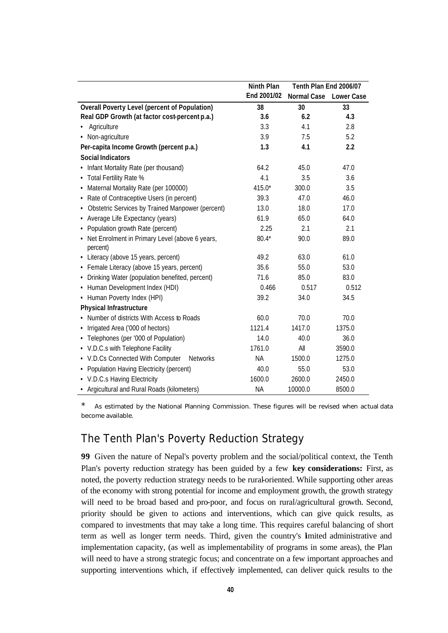|                                                            | Ninth Plan  | Tenth Plan End 2006/07 |        |
|------------------------------------------------------------|-------------|------------------------|--------|
|                                                            | End 2001/02 | Normal Case Lower Case |        |
| <b>Overall Poverty Level (percent of Population)</b>       | 38          | 30                     | 33     |
| Real GDP Growth (at factor cost-percent p.a.)              | 3.6         | 6.2                    | 4.3    |
| Agriculture                                                | 3.3         | 4.1                    | 2.8    |
| • Non-agriculture                                          | 3.9         | 7.5                    | 5.2    |
| Per-capita Income Growth (percent p.a.)                    | 1.3         | 4.1                    | 2.2    |
| <b>Social Indicators</b>                                   |             |                        |        |
| • Infant Mortality Rate (per thousand)                     | 64.2        | 45.0                   | 47.0   |
| • Total Fertility Rate %                                   | 4.1         | 3.5                    | 3.6    |
| Maternal Mortality Rate (per 100000)                       | $415.0*$    | 300.0                  | 3.5    |
| • Rate of Contraceptive Users (in percent)                 | 39.3        | 47.0                   | 46.0   |
| Obstetric Services by Trained Manpower (percent)<br>٠      | 13.0        | 18.0                   | 17.0   |
| • Average Life Expectancy (years)                          | 61.9        | 65.0                   | 64.0   |
| • Population growth Rate (percent)                         | 2.25        | 2.1                    | 2.1    |
| Net Enrolment in Primary Level (above 6 years,<br>percent) | $80.4*$     | 90.0                   | 89.0   |
| • Literacy (above 15 years, percent)                       | 49.2        | 63.0                   | 61.0   |
| • Female Literacy (above 15 years, percent)                | 35.6        | 55.0                   | 53.0   |
| • Drinking Water (population benefited, percent)           | 71.6        | 85.0                   | 83.0   |
| • Human Development Index (HDI)                            | 0.466       | 0.517                  | 0.512  |
| • Human Poverty Index (HPI)                                | 39.2        | 34.0                   | 34.5   |
| <b>Physical Infrastructure</b>                             |             |                        |        |
| • Number of districts With Access to Roads                 | 60.0        | 70.0                   | 70.0   |
| • Irrigated Area ('000 of hectors)                         | 1121.4      | 1417.0                 | 1375.0 |
| • Telephones (per '000 of Population)                      | 14.0        | 40.0                   | 36.0   |
| • V.D.C.s with Telephone Facility                          | 1761.0      | All                    | 3590.0 |
| • V.D.Cs Connected With Computer<br><b>Networks</b>        | ΝA          | 1500.0                 | 1275.0 |
| • Population Having Electricity (percent)                  | 40.0        | 55.0                   | 53.0   |
| • V.D.C.s Having Electricity                               | 1600.0      | 2600.0                 | 2450.0 |
| • Argicultural and Rural Roads (kilometers)                | ΝA          | 10000.0                | 8500.0 |

*\* As estimated by the National Planning Commission. These figures will be revised when actual data become available.*

# *The Tenth Plan's Poverty Reduction Strategy*

**99** Given the nature of Nepal's poverty problem and the social/political context, the Tenth Plan's poverty reduction strategy has been guided by a few **key considerations:** First, as noted, the poverty reduction strategy needs to be rural-oriented. While supporting other areas of the economy with strong potential for income and employment growth, the growth strategy will need to be broad based and pro-poor, and focus on rural/agricultural growth. Second, priority should be given to actions and interventions, which can give quick results, as compared to investments that may take a long time. This requires careful balancing of short term as well as longer term needs. Third, given the country's limited administrative and implementation capacity, (as well as implementability of programs in some areas), the Plan will need to have a strong strategic focus; and concentrate on a few important approaches and supporting interventions which, if effectively implemented, can deliver quick results to the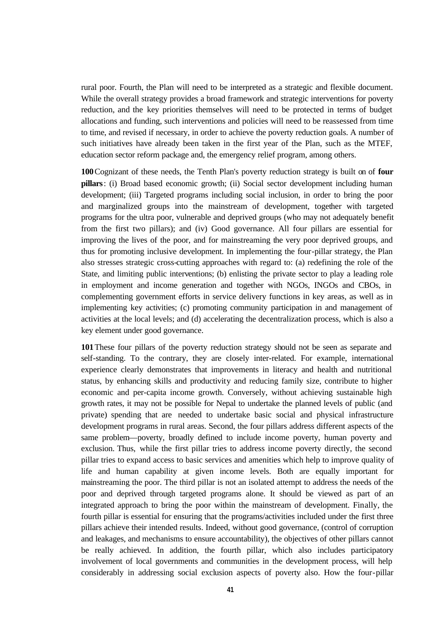rural poor. Fourth, the Plan will need to be interpreted as a strategic and flexible document. While the overall strategy provides a broad framework and strategic interventions for poverty reduction, and the key priorities themselves will need to be protected in terms of budget allocations and funding, such interventions and policies will need to be reassessed from time to time, and revised if necessary, in order to achieve the poverty reduction goals. A number of such initiatives have already been taken in the first year of the Plan, such as the MTEF, education sector reform package and, the emergency relief program, among others.

**100**Cognizant of these needs, the Tenth Plan's poverty reduction strategy is built on of **four pillars**: (i) Broad based economic growth; (ii) Social sector development including human development; (iii) Targeted programs including social inclusion, in order to bring the poor and marginalized groups into the mainstream of development, together with targeted programs for the ultra poor, vulnerable and deprived groups (who may not adequately benefit from the first two pillars); and (iv) Good governance. All four pillars are essential for improving the lives of the poor, and for mainstreaming the very poor deprived groups, and thus for promoting inclusive development. In implementing the four-pillar strategy, the Plan also stresses strategic cross-cutting approaches with regard to: (a) redefining the role of the State, and limiting public interventions; (b) enlisting the private sector to play a leading role in employment and income generation and together with NGOs, INGOs and CBOs, in complementing government efforts in service delivery functions in key areas, as well as in implementing key activities; (c) promoting community participation in and management of activities at the local levels; and (d) accelerating the decentralization process, which is also a key element under good governance.

**101**These four pillars of the poverty reduction strategy should not be seen as separate and self-standing. To the contrary, they are closely inter-related. For example, international experience clearly demonstrates that improvements in literacy and health and nutritional status, by enhancing skills and productivity and reducing family size, contribute to higher economic and per-capita income growth. Conversely, without achieving sustainable high growth rates, it may not be possible for Nepal to undertake the planned levels of public (and private) spending that are needed to undertake basic social and physical infrastructure development programs in rural areas. Second, the four pillars address different aspects of the same problem—poverty, broadly defined to include income poverty, human poverty and exclusion. Thus, while the first pillar tries to address income poverty directly, the second pillar tries to expand access to basic services and amenities which help to improve quality of life and human capability at given income levels. Both are equally important for mainstreaming the poor. The third pillar is not an isolated attempt to address the needs of the poor and deprived through targeted programs alone. It should be viewed as part of an integrated approach to bring the poor within the mainstream of development. Finally, the fourth pillar is essential for ensuring that the programs/activities included under the first three pillars achieve their intended results. Indeed, without good governance, (control of corruption and leakages, and mechanisms to ensure accountability), the objectives of other pillars cannot be really achieved. In addition, the fourth pillar, which also includes participatory involvement of local governments and communities in the development process, will help considerably in addressing social exclusion aspects of poverty also. How the four-pillar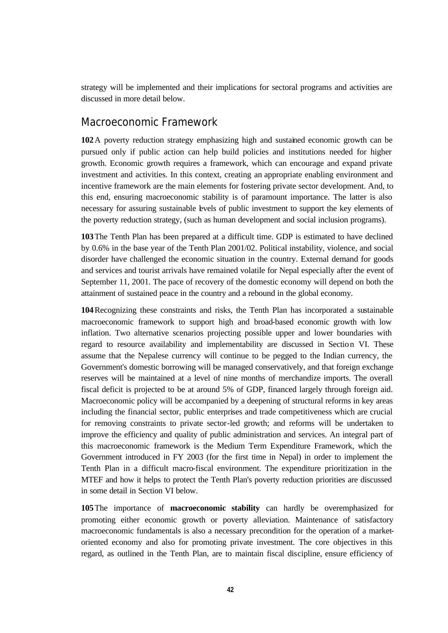strategy will be implemented and their implications for sectoral programs and activities are discussed in more detail below.

#### *Macroeconomic Framework*

**102**A poverty reduction strategy emphasizing high and sustained economic growth can be pursued only if public action can help build policies and institutions needed for higher growth. Economic growth requires a framework, which can encourage and expand private investment and activities. In this context, creating an appropriate enabling environment and incentive framework are the main elements for fostering private sector development. And, to this end, ensuring macroeconomic stability is of paramount importance. The latter is also necessary for assuring sustainable levels of public investment to support the key elements of the poverty reduction strategy, (such as human development and social inclusion programs).

**103**The Tenth Plan has been prepared at a difficult time. GDP is estimated to have declined by 0.6% in the base year of the Tenth Plan 2001/02. Political instability, violence, and social disorder have challenged the economic situation in the country. External demand for goods and services and tourist arrivals have remained volatile for Nepal especially after the event of September 11, 2001. The pace of recovery of the domestic economy will depend on both the attainment of sustained peace in the country and a rebound in the global economy.

**104**Recognizing these constraints and risks, the Tenth Plan has incorporated a sustainable macroeconomic framework to support high and broad-based economic growth with low inflation. Two alternative scenarios projecting possible upper and lower boundaries with regard to resource availability and implementability are discussed in Section VI. These assume that the Nepalese currency will continue to be pegged to the Indian currency, the Government's domestic borrowing will be managed conservatively, and that foreign exchange reserves will be maintained at a level of nine months of merchandize imports. The overall fiscal deficit is projected to be at around 5% of GDP, financed largely through foreign aid. Macroeconomic policy will be accompanied by a deepening of structural reforms in key areas including the financial sector, public enterprises and trade competitiveness which are crucial for removing constraints to private sector-led growth; and reforms will be undertaken to improve the efficiency and quality of public administration and services. An integral part of this macroeconomic framework is the Medium Term Expenditure Framework, which the Government introduced in FY 2003 (for the first time in Nepal) in order to implement the Tenth Plan in a difficult macro-fiscal environment. The expenditure prioritization in the MTEF and how it helps to protect the Tenth Plan's poverty reduction priorities are discussed in some detail in Section VI below.

**105**The importance of **macroeconomic stability** can hardly be overemphasized for promoting either economic growth or poverty alleviation. Maintenance of satisfactory macroeconomic fundamentals is also a necessary precondition for the operation of a marketoriented economy and also for promoting private investment. The core objectives in this regard, as outlined in the Tenth Plan, are to maintain fiscal discipline, ensure efficiency of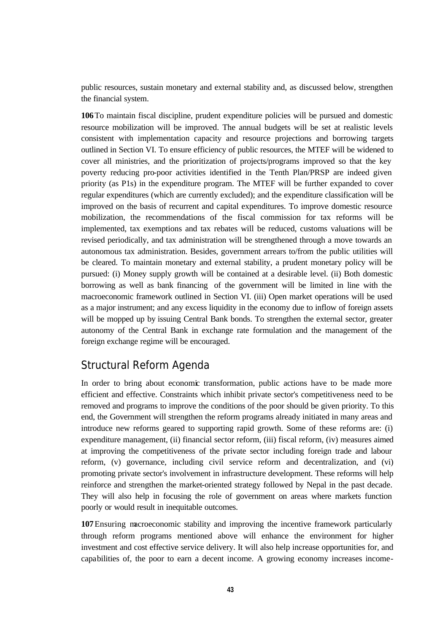public resources, sustain monetary and external stability and, as discussed below, strengthen the financial system.

**106**To maintain fiscal discipline, prudent expenditure policies will be pursued and domestic resource mobilization will be improved. The annual budgets will be set at realistic levels consistent with implementation capacity and resource projections and borrowing targets outlined in Section VI. To ensure efficiency of public resources, the MTEF will be widened to cover all ministries, and the prioritization of projects/programs improved so that the key poverty reducing pro-poor activities identified in the Tenth Plan/PRSP are indeed given priority (as P1s) in the expenditure program. The MTEF will be further expanded to cover regular expenditures (which are currently excluded); and the expenditure classification will be improved on the basis of recurrent and capital expenditures. To improve domestic resource mobilization, the recommendations of the fiscal commission for tax reforms will be implemented, tax exemptions and tax rebates will be reduced, customs valuations will be revised periodically, and tax administration will be strengthened through a move towards an autonomous tax administration. Besides, government arrears to/from the public utilities will be cleared. To maintain monetary and external stability, a prudent monetary policy will be pursued: (i) Money supply growth will be contained at a desirable level. (ii) Both domestic borrowing as well as bank financing of the government will be limited in line with the macroeconomic framework outlined in Section VI. (iii) Open market operations will be used as a major instrument; and any excess liquidity in the economy due to inflow of foreign assets will be mopped up by issuing Central Bank bonds. To strengthen the external sector, greater autonomy of the Central Bank in exchange rate formulation and the management of the foreign exchange regime will be encouraged.

# *Structural Reform Agenda*

In order to bring about economic transformation, public actions have to be made more efficient and effective. Constraints which inhibit private sector's competitiveness need to be removed and programs to improve the conditions of the poor should be given priority. To this end, the Government will strengthen the reform programs already initiated in many areas and introduce new reforms geared to supporting rapid growth. Some of these reforms are: (i) expenditure management, (ii) financial sector reform, (iii) fiscal reform, (iv) measures aimed at improving the competitiveness of the private sector including foreign trade and labour reform, (v) governance, including civil service reform and decentralization, and (vi) promoting private sector's involvement in infrastructure development. These reforms will help reinforce and strengthen the market-oriented strategy followed by Nepal in the past decade. They will also help in focusing the role of government on areas where markets function poorly or would result in inequitable outcomes.

**107**Ensuring macroeconomic stability and improving the incentive framework particularly through reform programs mentioned above will enhance the environment for higher investment and cost effective service delivery. It will also help increase opportunities for, and capabilities of, the poor to earn a decent income. A growing economy increases income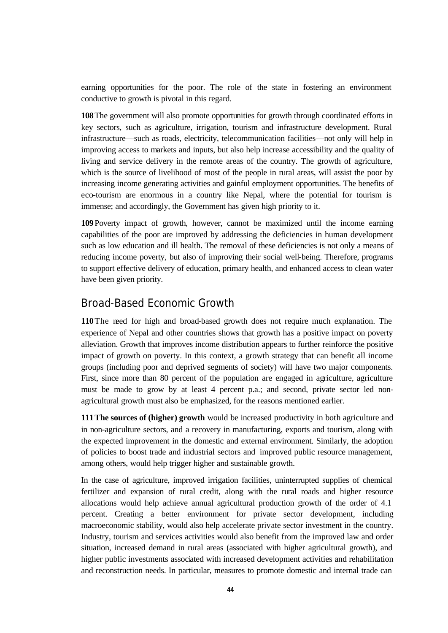earning opportunities for the poor. The role of the state in fostering an environment conductive to growth is pivotal in this regard.

**108**The government will also promote opportunities for growth through coordinated efforts in key sectors, such as agriculture, irrigation, tourism and infrastructure development. Rural infrastructure—such as roads, electricity, telecommunication facilities—not only will help in improving access to markets and inputs, but also help increase accessibility and the quality of living and service delivery in the remote areas of the country. The growth of agriculture, which is the source of livelihood of most of the people in rural areas, will assist the poor by increasing income generating activities and gainful employment opportunities. The benefits of eco-tourism are enormous in a country like Nepal, where the potential for tourism is immense; and accordingly, the Government has given high priority to it.

**109**Poverty impact of growth, however, cannot be maximized until the income earning capabilities of the poor are improved by addressing the deficiencies in human development such as low education and ill health. The removal of these deficiencies is not only a means of reducing income poverty, but also of improving their social well-being. Therefore, programs to support effective delivery of education, primary health, and enhanced access to clean water have been given priority.

# *Broad-Based Economic Growth*

**110**The reed for high and broad-based growth does not require much explanation. The experience of Nepal and other countries shows that growth has a positive impact on poverty alleviation. Growth that improves income distribution appears to further reinforce the positive impact of growth on poverty. In this context, a growth strategy that can benefit all income groups (including poor and deprived segments of society) will have two major components. First, since more than 80 percent of the population are engaged in agriculture, agriculture must be made to grow by at least 4 percent p.a.; and second, private sector led nonagricultural growth must also be emphasized, for the reasons mentioned earlier.

**111The sources of (higher) growth** would be increased productivity in both agriculture and in non-agriculture sectors, and a recovery in manufacturing, exports and tourism, along with the expected improvement in the domestic and external environment. Similarly, the adoption of policies to boost trade and industrial sectors and improved public resource management, among others, would help trigger higher and sustainable growth.

In the case of agriculture, improved irrigation facilities, uninterrupted supplies of chemical fertilizer and expansion of rural credit, along with the rural roads and higher resource allocations would help achieve annual agricultural production growth of the order of 4.1 percent. Creating a better environment for private sector development, including macroeconomic stability, would also help accelerate private sector investment in the country. Industry, tourism and services activities would also benefit from the improved law and order situation, increased demand in rural areas (associated with higher agricultural growth), and higher public investments associated with increased development activities and rehabilitation and reconstruction needs. In particular, measures to promote domestic and internal trade can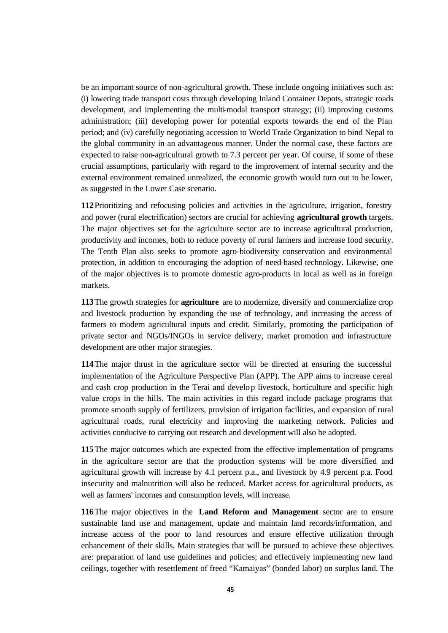be an important source of non-agricultural growth. These include ongoing initiatives such as: (i) lowering trade transport costs through developing Inland Container Depots, strategic roads development, and implementing the multi-modal transport strategy; (ii) improving customs administration; (iii) developing power for potential exports towards the end of the Plan period; and (iv) carefully negotiating accession to World Trade Organization to bind Nepal to the global community in an advantageous manner. Under the normal case, these factors are expected to raise non-agricultural growth to 7.3 percent per year. Of course, if some of these crucial assumptions, particularly with regard to the improvement of internal security and the external environment remained unrealized, the economic growth would turn out to be lower, as suggested in the Lower Case scenario.

**112**Prioritizing and refocusing policies and activities in the agriculture, irrigation, forestry and power (rural electrification) sectors are crucial for achieving **agricultural growth** targets. The major objectives set for the agriculture sector are to increase agricultural production, productivity and incomes, both to reduce poverty of rural farmers and increase food security. The Tenth Plan also seeks to promote agro-biodiversity conservation and environmental protection, in addition to encouraging the adoption of need-based technology. Likewise, one of the major objectives is to promote domestic agro-products in local as well as in foreign markets.

**113**The growth strategies for **agriculture** are to modernize, diversify and commercialize crop and livestock production by expanding the use of technology, and increasing the access of farmers to modern agricultural inputs and credit. Similarly, promoting the participation of private sector and NGOs/INGOs in service delivery, market promotion and infrastructure development are other major strategies.

**114**The major thrust in the agriculture sector will be directed at ensuring the successful implementation of the Agriculture Perspective Plan (APP). The APP aims to increase cereal and cash crop production in the Terai and develop livestock, horticulture and specific high value crops in the hills. The main activities in this regard include package programs that promote smooth supply of fertilizers, provision of irrigation facilities, and expansion of rural agricultural roads, rural electricity and improving the marketing network. Policies and activities conducive to carrying out research and development will also be adopted.

**115**The major outcomes which are expected from the effective implementation of programs in the agriculture sector are that the production systems will be more diversified and agricultural growth will increase by 4.1 percent p.a., and livestock by 4.9 percent p.a. Food insecurity and malnutrition will also be reduced. Market access for agricultural products, as well as farmers' incomes and consumption levels, will increase.

**116**The major objectives in the **Land Reform and Management** sector are to ensure sustainable land use and management, update and maintain land records/information, and increase access of the poor to land resources and ensure effective utilization through enhancement of their skills. Main strategies that will be pursued to achieve these objectives are: preparation of land use guidelines and policies; and effectively implementing new land ceilings, together with resettlement of freed "Kamaiyas" (bonded labor) on surplus land. The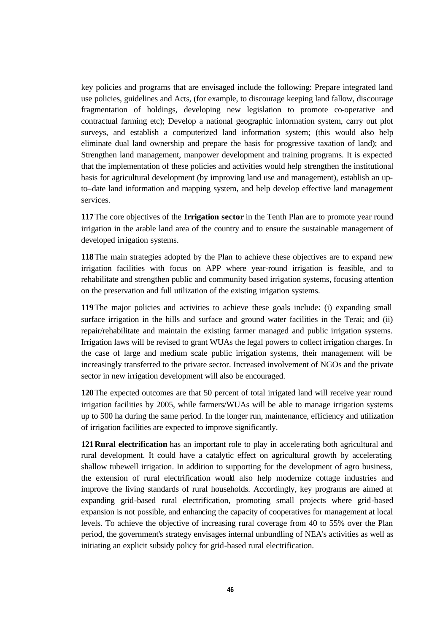key policies and programs that are envisaged include the following: Prepare integrated land use policies, guidelines and Acts, (for example, to discourage keeping land fallow, discourage fragmentation of holdings, developing new legislation to promote co-operative and contractual farming etc); Develop a national geographic information system, carry out plot surveys, and establish a computerized land information system; (this would also help eliminate dual land ownership and prepare the basis for progressive taxation of land); and Strengthen land management, manpower development and training programs. It is expected that the implementation of these policies and activities would help strengthen the institutional basis for agricultural development (by improving land use and management), establish an upto–date land information and mapping system, and help develop effective land management services.

**117**The core objectives of the **Irrigation sector** in the Tenth Plan are to promote year round irrigation in the arable land area of the country and to ensure the sustainable management of developed irrigation systems.

**118**The main strategies adopted by the Plan to achieve these objectives are to expand new irrigation facilities with focus on APP where year-round irrigation is feasible, and to rehabilitate and strengthen public and community based irrigation systems, focusing attention on the preservation and full utilization of the existing irrigation systems.

**119**The major policies and activities to achieve these goals include: (i) expanding small surface irrigation in the hills and surface and ground water facilities in the Terai; and (ii) repair/rehabilitate and maintain the existing farmer managed and public irrigation systems. Irrigation laws will be revised to grant WUAs the legal powers to collect irrigation charges. In the case of large and medium scale public irrigation systems, their management will be increasingly transferred to the private sector. Increased involvement of NGOs and the private sector in new irrigation development will also be encouraged.

**120**The expected outcomes are that 50 percent of total irrigated land will receive year round irrigation facilities by 2005, while farmers/WUAs will be able to manage irrigation systems up to 500 ha during the same period. In the longer run, maintenance, efficiency and utilization of irrigation facilities are expected to improve significantly.

**121Rural electrification** has an important role to play in accele rating both agricultural and rural development. It could have a catalytic effect on agricultural growth by accelerating shallow tubewell irrigation. In addition to supporting for the development of agro business, the extension of rural electrification would also help modernize cottage industries and improve the living standards of rural households. Accordingly, key programs are aimed at expanding grid-based rural electrification, promoting small projects where grid-based expansion is not possible, and enhancing the capacity of cooperatives for management at local levels. To achieve the objective of increasing rural coverage from 40 to 55% over the Plan period, the government's strategy envisages internal unbundling of NEA's activities as well as initiating an explicit subsidy policy for grid-based rural electrification.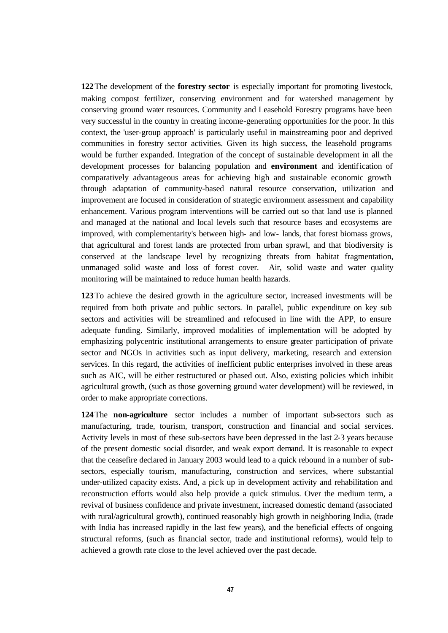**122**The development of the **forestry sector** is especially important for promoting livestock, making compost fertilizer, conserving environment and for watershed management by conserving ground water resources. Community and Leasehold Forestry programs have been very successful in the country in creating income-generating opportunities for the poor. In this context, the 'user-group approach' is particularly useful in mainstreaming poor and deprived communities in forestry sector activities. Given its high success, the leasehold programs would be further expanded. Integration of the concept of sustainable development in all the development processes for balancing population and **environment** and identification of comparatively advantageous areas for achieving high and sustainable economic growth through adaptation of community-based natural resource conservation, utilization and improvement are focused in consideration of strategic environment assessment and capability enhancement. Various program interventions will be carried out so that land use is planned and managed at the national and local levels such that resource bases and ecosystems are improved, with complementarity's between high- and low- lands, that forest biomass grows, that agricultural and forest lands are protected from urban sprawl, and that biodiversity is conserved at the landscape level by recognizing threats from habitat fragmentation, unmanaged solid waste and loss of forest cover. Air, solid waste and water quality monitoring will be maintained to reduce human health hazards.

**123**To achieve the desired growth in the agriculture sector, increased investments will be required from both private and public sectors. In parallel, public expenditure on key sub sectors and activities will be streamlined and refocused in line with the APP, to ensure adequate funding. Similarly, improved modalities of implementation will be adopted by emphasizing polycentric institutional arrangements to ensure greater participation of private sector and NGOs in activities such as input delivery, marketing, research and extension services. In this regard, the activities of inefficient public enterprises involved in these areas such as AIC, will be either restructured or phased out. Also, existing policies which inhibit agricultural growth, (such as those governing ground water development) will be reviewed, in order to make appropriate corrections.

**124**The **non-agriculture** sector includes a number of important sub-sectors such as manufacturing, trade, tourism, transport, construction and financial and social services. Activity levels in most of these sub-sectors have been depressed in the last 2-3 years because of the present domestic social disorder, and weak export demand. It is reasonable to expect that the ceasefire declared in January 2003 would lead to a quick rebound in a number of subsectors, especially tourism, manufacturing, construction and services, where substantial under-utilized capacity exists. And, a pick up in development activity and rehabilitation and reconstruction efforts would also help provide a quick stimulus. Over the medium term, a revival of business confidence and private investment, increased domestic demand (associated with rural/agricultural growth), continued reasonably high growth in neighboring India, (trade with India has increased rapidly in the last few years), and the beneficial effects of ongoing structural reforms, (such as financial sector, trade and institutional reforms), would help to achieved a growth rate close to the level achieved over the past decade.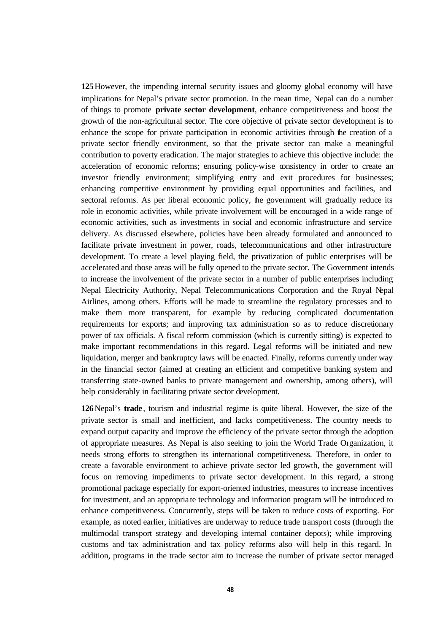**125**However, the impending internal security issues and gloomy global economy will have implications for Nepal's private sector promotion. In the mean time, Nepal can do a number of things to promote **private sector development**, enhance competitiveness and boost the growth of the non-agricultural sector. The core objective of private sector development is to enhance the scope for private participation in economic activities through the creation of a private sector friendly environment, so that the private sector can make a meaningful contribution to poverty eradication. The major strategies to achieve this objective include: the acceleration of economic reforms; ensuring policy-wise consistency in order to create an investor friendly environment; simplifying entry and exit procedures for businesses; enhancing competitive environment by providing equal opportunities and facilities, and sectoral reforms. As per liberal economic policy, the government will gradually reduce its role in economic activities, while private involvement will be encouraged in a wide range of economic activities, such as investments in social and economic infrastructure and service delivery. As discussed elsewhere, policies have been already formulated and announced to facilitate private investment in power, roads, telecommunications and other infrastructure development. To create a level playing field, the privatization of public enterprises will be accelerated and those areas will be fully opened to the private sector. The Government intends to increase the involvement of the private sector in a number of public enterprises including Nepal Electricity Authority, Nepal Telecommunications Corporation and the Royal Nepal Airlines, among others. Efforts will be made to streamline the regulatory processes and to make them more transparent, for example by reducing complicated documentation requirements for exports; and improving tax administration so as to reduce discretionary power of tax officials. A fiscal reform commission (which is currently sitting) is expected to make important recommendations in this regard. Legal reforms will be initiated and new liquidation, merger and bankruptcy laws will be enacted. Finally, reforms currently under way in the financial sector (aimed at creating an efficient and competitive banking system and transferring state-owned banks to private management and ownership, among others), will help considerably in facilitating private sector development.

**126**Nepal's **trade**, tourism and industrial regime is quite liberal. However, the size of the private sector is small and inefficient, and lacks competitiveness. The country needs to expand output capacity and improve the efficiency of the private sector through the adoption of appropriate measures. As Nepal is also seeking to join the World Trade Organization, it needs strong efforts to strengthen its international competitiveness. Therefore, in order to create a favorable environment to achieve private sector led growth, the government will focus on removing impediments to private sector development. In this regard, a strong promotional package especially for export-oriented industries, measures to increase incentives for investment, and an appropria te technology and information program will be introduced to enhance competitiveness. Concurrently, steps will be taken to reduce costs of exporting. For example, as noted earlier, initiatives are underway to reduce trade transport costs (through the multimodal transport strategy and developing internal container depots); while improving customs and tax administration and tax policy reforms also will help in this regard. In addition, programs in the trade sector aim to increase the number of private sector managed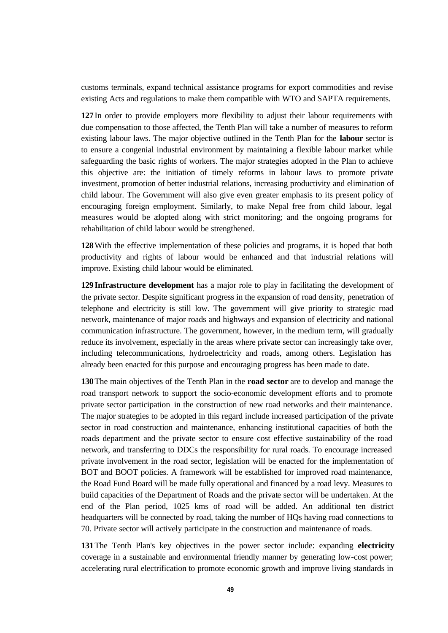customs terminals, expand technical assistance programs for export commodities and revise existing Acts and regulations to make them compatible with WTO and SAPTA requirements.

**127**In order to provide employers more flexibility to adjust their labour requirements with due compensation to those affected, the Tenth Plan will take a number of measures to reform existing labour laws. The major objective outlined in the Tenth Plan for the **labour** sector is to ensure a congenial industrial environment by maintaining a flexible labour market while safeguarding the basic rights of workers. The major strategies adopted in the Plan to achieve this objective are: the initiation of timely reforms in labour laws to promote private investment, promotion of better industrial relations, increasing productivity and elimination of child labour. The Government will also give even greater emphasis to its present policy of encouraging foreign employment. Similarly, to make Nepal free from child labour, legal measures would be adopted along with strict monitoring; and the ongoing programs for rehabilitation of child labour would be strengthened.

**128**With the effective implementation of these policies and programs, it is hoped that both productivity and rights of labour would be enhanced and that industrial relations will improve. Existing child labour would be eliminated.

**129Infrastructure development** has a major role to play in facilitating the development of the private sector. Despite significant progress in the expansion of road density, penetration of telephone and electricity is still low. The government will give priority to strategic road network, maintenance of major roads and highways and expansion of electricity and national communication infrastructure. The government, however, in the medium term, will gradually reduce its involvement, especially in the areas where private sector can increasingly take over, including telecommunications, hydroelectricity and roads, among others. Legislation has already been enacted for this purpose and encouraging progress has been made to date.

**130**The main objectives of the Tenth Plan in the **road sector** are to develop and manage the road transport network to support the socio-economic development efforts and to promote private sector participation in the construction of new road networks and their maintenance. The major strategies to be adopted in this regard include increased participation of the private sector in road construction and maintenance, enhancing institutional capacities of both the roads department and the private sector to ensure cost effective sustainability of the road network, and transferring to DDCs the responsibility for rural roads. To encourage increased private involvement in the road sector, legislation will be enacted for the implementation of BOT and BOOT policies. A framework will be established for improved road maintenance, the Road Fund Board will be made fully operational and financed by a road levy. Measures to build capacities of the Department of Roads and the private sector will be undertaken. At the end of the Plan period, 1025 kms of road will be added. An additional ten district headquarters will be connected by road, taking the number of HQs having road connections to 70. Private sector will actively participate in the construction and maintenance of roads.

**131**The Tenth Plan's key objectives in the power sector include: expanding **electricity** coverage in a sustainable and environmental friendly manner by generating low-cost power; accelerating rural electrification to promote economic growth and improve living standards in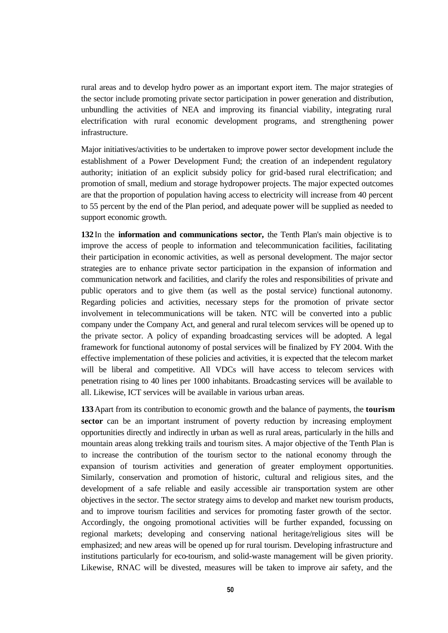rural areas and to develop hydro power as an important export item. The major strategies of the sector include promoting private sector participation in power generation and distribution, unbundling the activities of NEA and improving its financial viability, integrating rural electrification with rural economic development programs, and strengthening power infrastructure.

Major initiatives/activities to be undertaken to improve power sector development include the establishment of a Power Development Fund; the creation of an independent regulatory authority; initiation of an explicit subsidy policy for grid-based rural electrification; and promotion of small, medium and storage hydropower projects. The major expected outcomes are that the proportion of population having access to electricity will increase from 40 percent to 55 percent by the end of the Plan period, and adequate power will be supplied as needed to support economic growth.

**132**In the **information and communications sector,** the Tenth Plan's main objective is to improve the access of people to information and telecommunication facilities, facilitating their participation in economic activities, as well as personal development. The major sector strategies are to enhance private sector participation in the expansion of information and communication network and facilities, and clarify the roles and responsibilities of private and public operators and to give them (as well as the postal service) functional autonomy. Regarding policies and activities, necessary steps for the promotion of private sector involvement in telecommunications will be taken. NTC will be converted into a public company under the Company Act, and general and rural telecom services will be opened up to the private sector. A policy of expanding broadcasting services will be adopted. A legal framework for functional autonomy of postal services will be finalized by FY 2004. With the effective implementation of these policies and activities, it is expected that the telecom market will be liberal and competitive. All VDCs will have access to telecom services with penetration rising to 40 lines per 1000 inhabitants. Broadcasting services will be available to all. Likewise, ICT services will be available in various urban areas.

**133**Apart from its contribution to economic growth and the balance of payments, the **tourism sector** can be an important instrument of poverty reduction by increasing employment opportunities directly and indirectly in urban as well as rural areas, particularly in the hills and mountain areas along trekking trails and tourism sites. A major objective of the Tenth Plan is to increase the contribution of the tourism sector to the national economy through the expansion of tourism activities and generation of greater employment opportunities. Similarly, conservation and promotion of historic, cultural and religious sites, and the development of a safe reliable and easily accessible air transportation system are other objectives in the sector. The sector strategy aims to develop and market new tourism products, and to improve tourism facilities and services for promoting faster growth of the sector. Accordingly, the ongoing promotional activities will be further expanded, focussing on regional markets; developing and conserving national heritage/religious sites will be emphasized; and new areas will be opened up for rural tourism. Developing infrastructure and institutions particularly for eco-tourism, and solid-waste management will be given priority. Likewise, RNAC will be divested, measures will be taken to improve air safety, and the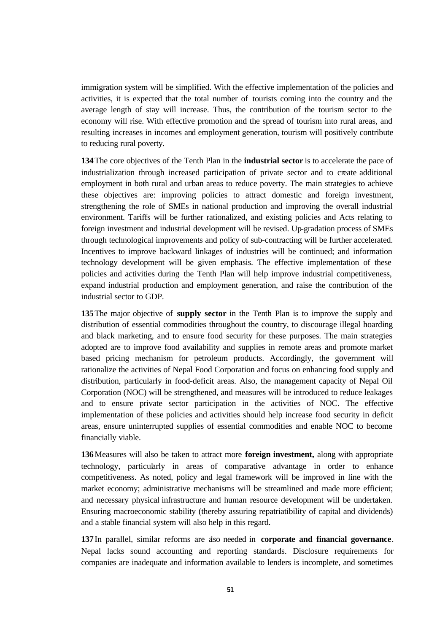immigration system will be simplified. With the effective implementation of the policies and activities, it is expected that the total number of tourists coming into the country and the average length of stay will increase. Thus, the contribution of the tourism sector to the economy will rise. With effective promotion and the spread of tourism into rural areas, and resulting increases in incomes and employment generation, tourism will positively contribute to reducing rural poverty.

**134**The core objectives of the Tenth Plan in the **industrial sector** is to accelerate the pace of industrialization through increased participation of private sector and to create additional employment in both rural and urban areas to reduce poverty. The main strategies to achieve these objectives are: improving policies to attract domestic and foreign investment, strengthening the role of SMEs in national production and improving the overall industrial environment. Tariffs will be further rationalized, and existing policies and Acts relating to foreign investment and industrial development will be revised. Up-gradation process of SMEs through technological improvements and policy of sub-contracting will be further accelerated. Incentives to improve backward linkages of industries will be continued; and information technology development will be given emphasis. The effective implementation of these policies and activities during the Tenth Plan will help improve industrial competitiveness, expand industrial production and employment generation, and raise the contribution of the industrial sector to GDP.

**135**The major objective of **supply sector** in the Tenth Plan is to improve the supply and distribution of essential commodities throughout the country, to discourage illegal hoarding and black marketing, and to ensure food security for these purposes. The main strategies adopted are to improve food availability and supplies in remote areas and promote market based pricing mechanism for petroleum products. Accordingly, the government will rationalize the activities of Nepal Food Corporation and focus on enhancing food supply and distribution, particularly in food-deficit areas. Also, the management capacity of Nepal Oil Corporation (NOC) will be strengthened, and measures will be introduced to reduce leakages and to ensure private sector participation in the activities of NOC. The effective implementation of these policies and activities should help increase food security in deficit areas, ensure uninterrupted supplies of essential commodities and enable NOC to become financially viable.

**136**Measures will also be taken to attract more **foreign investment,** along with appropriate technology, particularly in areas of comparative advantage in order to enhance competitiveness. As noted, policy and legal framework will be improved in line with the market economy; administrative mechanisms will be streamlined and made more efficient; and necessary physical infrastructure and human resource development will be undertaken. Ensuring macroeconomic stability (thereby assuring repatriatibility of capital and dividends) and a stable financial system will also help in this regard.

**137**In parallel, similar reforms are also needed in **corporate and financial governance**. Nepal lacks sound accounting and reporting standards. Disclosure requirements for companies are inadequate and information available to lenders is incomplete, and sometimes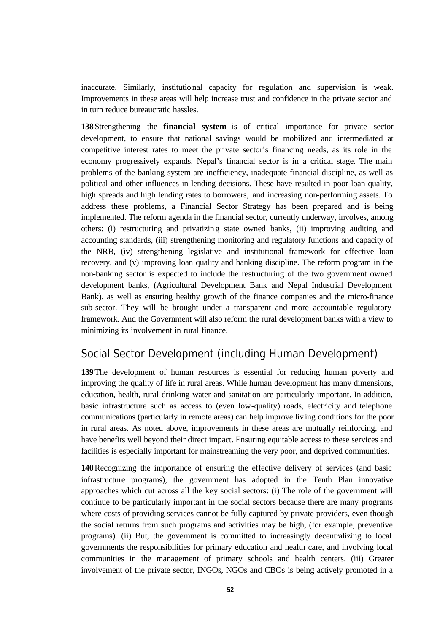inaccurate. Similarly, institutional capacity for regulation and supervision is weak. Improvements in these areas will help increase trust and confidence in the private sector and in turn reduce bureaucratic hassles.

**138**Strengthening the **financial system** is of critical importance for private sector development, to ensure that national savings would be mobilized and intermediated at competitive interest rates to meet the private sector's financing needs, as its role in the economy progressively expands. Nepal's financial sector is in a critical stage. The main problems of the banking system are inefficiency, inadequate financial discipline, as well as political and other influences in lending decisions. These have resulted in poor loan quality, high spreads and high lending rates to borrowers, and increasing non-performing assets. To address these problems, a Financial Sector Strategy has been prepared and is being implemented. The reform agenda in the financial sector, currently underway, involves, among others: (i) restructuring and privatizing state owned banks, (ii) improving auditing and accounting standards, (iii) strengthening monitoring and regulatory functions and capacity of the NRB, (iv) strengthening legislative and institutional framework for effective loan recovery, and (v) improving loan quality and banking discipline. The reform program in the non-banking sector is expected to include the restructuring of the two government owned development banks, (Agricultural Development Bank and Nepal Industrial Development Bank), as well as ensuring healthy growth of the finance companies and the micro-finance sub-sector. They will be brought under a transparent and more accountable regulatory framework. And the Government will also reform the rural development banks with a view to minimizing its involvement in rural finance.

## *Social Sector Development (including Human Development)*

**139**The development of human resources is essential for reducing human poverty and improving the quality of life in rural areas. While human development has many dimensions, education, health, rural drinking water and sanitation are particularly important. In addition, basic infrastructure such as access to (even low-quality) roads, electricity and telephone communications (particularly in remote areas) can help improve living conditions for the poor in rural areas. As noted above, improvements in these areas are mutually reinforcing, and have benefits well beyond their direct impact. Ensuring equitable access to these services and facilities is especially important for mainstreaming the very poor, and deprived communities.

**140**Recognizing the importance of ensuring the effective delivery of services (and basic infrastructure programs), the government has adopted in the Tenth Plan innovative approaches which cut across all the key social sectors: (i) The role of the government will continue to be particularly important in the social sectors because there are many programs where costs of providing services cannot be fully captured by private providers, even though the social returns from such programs and activities may be high, (for example, preventive programs). (ii) But, the government is committed to increasingly decentralizing to local governments the responsibilities for primary education and health care, and involving local communities in the management of primary schools and health centers. (iii) Greater involvement of the private sector, INGOs, NGOs and CBOs is being actively promoted in a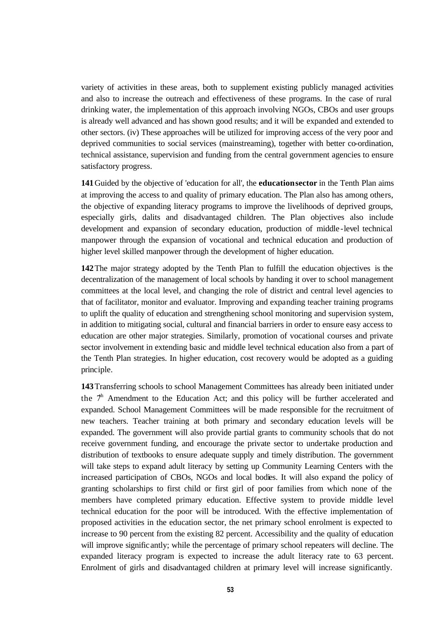variety of activities in these areas, both to supplement existing publicly managed activities and also to increase the outreach and effectiveness of these programs. In the case of rural drinking water, the implementation of this approach involving NGOs, CBOs and user groups is already well advanced and has shown good results; and it will be expanded and extended to other sectors. (iv) These approaches will be utilized for improving access of the very poor and deprived communities to social services (mainstreaming), together with better co-ordination, technical assistance, supervision and funding from the central government agencies to ensure satisfactory progress.

**141**Guided by the objective of 'education for all', the **educationsector** in the Tenth Plan aims at improving the access to and quality of primary education. The Plan also has among others, the objective of expanding literacy programs to improve the livelihoods of deprived groups, especially girls, dalits and disadvantaged children. The Plan objectives also include development and expansion of secondary education, production of middle -level technical manpower through the expansion of vocational and technical education and production of higher level skilled manpower through the development of higher education.

**142**The major strategy adopted by the Tenth Plan to fulfill the education objectives is the decentralization of the management of local schools by handing it over to school management committees at the local level, and changing the role of district and central level agencies to that of facilitator, monitor and evaluator. Improving and expanding teacher training programs to uplift the quality of education and strengthening school monitoring and supervision system, in addition to mitigating social, cultural and financial barriers in order to ensure easy access to education are other major strategies. Similarly, promotion of vocational courses and private sector involvement in extending basic and middle level technical education also from a part of the Tenth Plan strategies. In higher education, cost recovery would be adopted as a guiding principle.

**143**Transferring schools to school Management Committees has already been initiated under the  $7<sup>h</sup>$  Amendment to the Education Act; and this policy will be further accelerated and expanded. School Management Committees will be made responsible for the recruitment of new teachers. Teacher training at both primary and secondary education levels will be expanded. The government will also provide partial grants to community schools that do not receive government funding, and encourage the private sector to undertake production and distribution of textbooks to ensure adequate supply and timely distribution. The government will take steps to expand adult literacy by setting up Community Learning Centers with the increased participation of CBOs, NGOs and local bodies. It will also expand the policy of granting scholarships to first child or first girl of poor families from which none of the members have completed primary education. Effective system to provide middle level technical education for the poor will be introduced. With the effective implementation of proposed activities in the education sector, the net primary school enrolment is expected to increase to 90 percent from the existing 82 percent. Accessibility and the quality of education will improve signific antly; while the percentage of primary school repeaters will decline. The expanded literacy program is expected to increase the adult literacy rate to 63 percent. Enrolment of girls and disadvantaged children at primary level will increase significantly.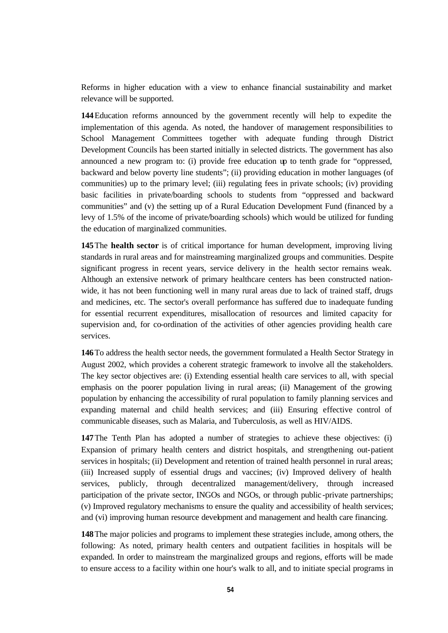Reforms in higher education with a view to enhance financial sustainability and market relevance will be supported.

**144**Education reforms announced by the government recently will help to expedite the implementation of this agenda. As noted, the handover of management responsibilities to School Management Committees together with adequate funding through District Development Councils has been started initially in selected districts. The government has also announced a new program to: (i) provide free education up to tenth grade for "oppressed, backward and below poverty line students"; (ii) providing education in mother languages (of communities) up to the primary level; (iii) regulating fees in private schools; (iv) providing basic facilities in private/boarding schools to students from "oppressed and backward communities" and (v) the setting up of a Rural Education Development Fund (financed by a levy of 1.5% of the income of private/boarding schools) which would be utilized for funding the education of marginalized communities.

**145**The **health sector** is of critical importance for human development, improving living standards in rural areas and for mainstreaming marginalized groups and communities. Despite significant progress in recent years, service delivery in the health sector remains weak. Although an extensive network of primary healthcare centers has been constructed nationwide, it has not been functioning well in many rural areas due to lack of trained staff, drugs and medicines, etc. The sector's overall performance has suffered due to inadequate funding for essential recurrent expenditures, misallocation of resources and limited capacity for supervision and, for co-ordination of the activities of other agencies providing health care services.

**146**To address the health sector needs, the government formulated a Health Sector Strategy in August 2002, which provides a coherent strategic framework to involve all the stakeholders. The key sector objectives are: (i) Extending essential health care services to all, with special emphasis on the poorer population living in rural areas; (ii) Management of the growing population by enhancing the accessibility of rural population to family planning services and expanding maternal and child health services; and (iii) Ensuring effective control of communicable diseases, such as Malaria, and Tuberculosis, as well as HIV/AIDS.

**147**The Tenth Plan has adopted a number of strategies to achieve these objectives: (i) Expansion of primary health centers and district hospitals, and strengthening out-patient services in hospitals; (ii) Development and retention of trained health personnel in rural areas; (iii) Increased supply of essential drugs and vaccines; (iv) Improved delivery of health services, publicly, through decentralized management/delivery, through increased participation of the private sector, INGOs and NGOs, or through public -private partnerships; (v) Improved regulatory mechanisms to ensure the quality and accessibility of health services; and (vi) improving human resource development and management and health care financing.

**148**The major policies and programs to implement these strategies include, among others, the following: As noted, primary health centers and outpatient facilities in hospitals will be expanded. In order to mainstream the marginalized groups and regions, efforts will be made to ensure access to a facility within one hour's walk to all, and to initiate special programs in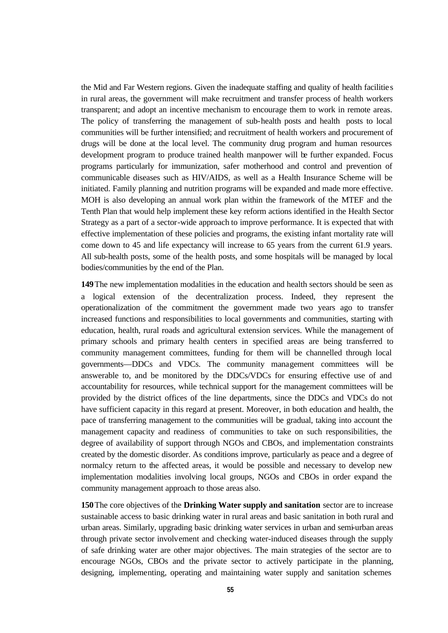the Mid and Far Western regions. Given the inadequate staffing and quality of health facilitie s in rural areas, the government will make recruitment and transfer process of health workers transparent; and adopt an incentive mechanism to encourage them to work in remote areas. The policy of transferring the management of sub-health posts and health posts to local communities will be further intensified; and recruitment of health workers and procurement of drugs will be done at the local level. The community drug program and human resources development program to produce trained health manpower will be further expanded. Focus programs particularly for immunization, safer motherhood and control and prevention of communicable diseases such as HIV/AIDS, as well as a Health Insurance Scheme will be initiated. Family planning and nutrition programs will be expanded and made more effective. MOH is also developing an annual work plan within the framework of the MTEF and the Tenth Plan that would help implement these key reform actions identified in the Health Sector Strategy as a part of a sector-wide approach to improve performance. It is expected that with effective implementation of these policies and programs, the existing infant mortality rate will come down to 45 and life expectancy will increase to 65 years from the current 61.9 years. All sub-health posts, some of the health posts, and some hospitals will be managed by local bodies/communities by the end of the Plan.

**149**The new implementation modalities in the education and health sectors should be seen as a logical extension of the decentralization process. Indeed, they represent the operationalization of the commitment the government made two years ago to transfer increased functions and responsibilities to local governments and communities, starting with education, health, rural roads and agricultural extension services. While the management of primary schools and primary health centers in specified areas are being transferred to community management committees, funding for them will be channelled through local governments—DDCs and VDCs. The community management committees will be answerable to, and be monitored by the DDCs/VDCs for ensuring effective use of and accountability for resources, while technical support for the management committees will be provided by the district offices of the line departments, since the DDCs and VDCs do not have sufficient capacity in this regard at present. Moreover, in both education and health, the pace of transferring management to the communities will be gradual, taking into account the management capacity and readiness of communities to take on such responsibilities, the degree of availability of support through NGOs and CBOs, and implementation constraints created by the domestic disorder. As conditions improve, particularly as peace and a degree of normalcy return to the affected areas, it would be possible and necessary to develop new implementation modalities involving local groups, NGOs and CBOs in order expand the community management approach to those areas also.

**150**The core objectives of the **Drinking Water supply and sanitation** sector are to increase sustainable access to basic drinking water in rural areas and basic sanitation in both rural and urban areas. Similarly, upgrading basic drinking water services in urban and semi-urban areas through private sector involvement and checking water-induced diseases through the supply of safe drinking water are other major objectives. The main strategies of the sector are to encourage NGOs, CBOs and the private sector to actively participate in the planning, designing, implementing, operating and maintaining water supply and sanitation schemes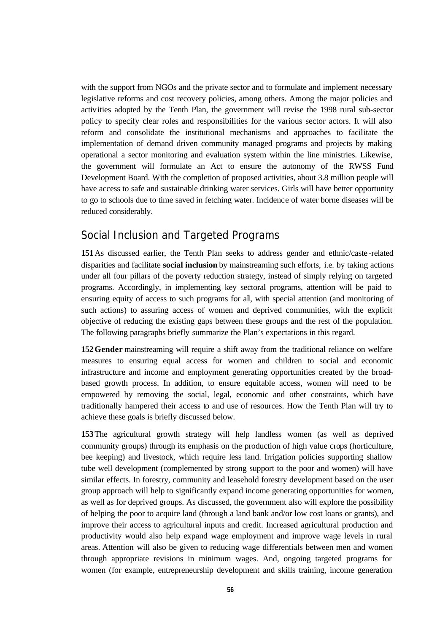with the support from NGOs and the private sector and to formulate and implement necessary legislative reforms and cost recovery policies, among others. Among the major policies and activities adopted by the Tenth Plan, the government will revise the 1998 rural sub-sector policy to specify clear roles and responsibilities for the various sector actors. It will also reform and consolidate the institutional mechanisms and approaches to facilitate the implementation of demand driven community managed programs and projects by making operational a sector monitoring and evaluation system within the line ministries. Likewise, the government will formulate an Act to ensure the autonomy of the RWSS Fund Development Board. With the completion of proposed activities, about 3.8 million people will have access to safe and sustainable drinking water services. Girls will have better opportunity to go to schools due to time saved in fetching water. Incidence of water borne diseases will be reduced considerably.

## *Social Inclusion and Targeted Programs*

**151**As discussed earlier, the Tenth Plan seeks to address gender and ethnic/caste -related disparities and facilitate **social inclusion** by mainstreaming such efforts, i.e. by taking actions under all four pillars of the poverty reduction strategy, instead of simply relying on targeted programs. Accordingly, in implementing key sectoral programs, attention will be paid to ensuring equity of access to such programs for all, with special attention (and monitoring of such actions) to assuring access of women and deprived communities, with the explicit objective of reducing the existing gaps between these groups and the rest of the population. The following paragraphs briefly summarize the Plan's expectations in this regard.

**152Gender** mainstreaming will require a shift away from the traditional reliance on welfare measures to ensuring equal access for women and children to social and economic infrastructure and income and employment generating opportunities created by the broadbased growth process. In addition, to ensure equitable access, women will need to be empowered by removing the social, legal, economic and other constraints, which have traditionally hampered their access to and use of resources. How the Tenth Plan will try to achieve these goals is briefly discussed below.

**153**The agricultural growth strategy will help landless women (as well as deprived community groups) through its emphasis on the production of high value crops (horticulture, bee keeping) and livestock, which require less land. Irrigation policies supporting shallow tube well development (complemented by strong support to the poor and women) will have similar effects. In forestry, community and leasehold forestry development based on the user group approach will help to significantly expand income generating opportunities for women, as well as for deprived groups. As discussed, the government also will explore the possibility of helping the poor to acquire land (through a land bank and/or low cost loans or grants), and improve their access to agricultural inputs and credit. Increased agricultural production and productivity would also help expand wage employment and improve wage levels in rural areas. Attention will also be given to reducing wage differentials between men and women through appropriate revisions in minimum wages. And, ongoing targeted programs for women (for example, entrepreneurship development and skills training, income generation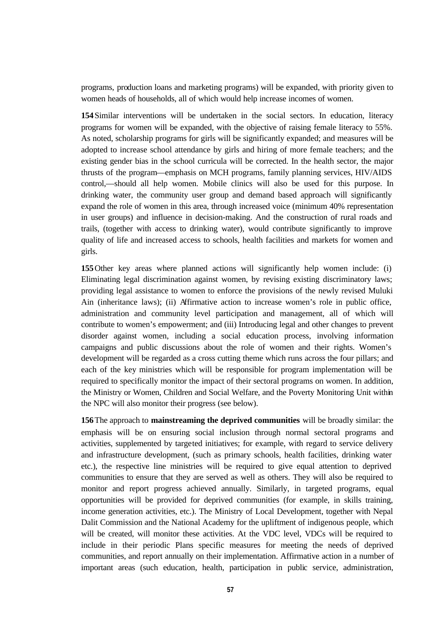programs, production loans and marketing programs) will be expanded, with priority given to women heads of households, all of which would help increase incomes of women.

**154**Similar interventions will be undertaken in the social sectors. In education, literacy programs for women will be expanded, with the objective of raising female literacy to 55%. As noted, scholarship programs for girls will be significantly expanded; and measures will be adopted to increase school attendance by girls and hiring of more female teachers; and the existing gender bias in the school curricula will be corrected. In the health sector, the major thrusts of the program—emphasis on MCH programs, family planning services, HIV/AIDS control,—should all help women. Mobile clinics will also be used for this purpose. In drinking water, the community user group and demand based approach will significantly expand the role of women in this area, through increased voice (minimum 40% representation in user groups) and influence in decision-making. And the construction of rural roads and trails, (together with access to drinking water), would contribute significantly to improve quality of life and increased access to schools, health facilities and markets for women and girls.

**155**Other key areas where planned actions will significantly help women include: (i) Eliminating legal discrimination against women, by revising existing discriminatory laws; providing legal assistance to women to enforce the provisions of the newly revised Muluki Ain (inheritance laws); (ii) Affirmative action to increase women's role in public office, administration and community level participation and management, all of which will contribute to women's empowerment; and (iii) Introducing legal and other changes to prevent disorder against women, including a social education process, involving information campaigns and public discussions about the role of women and their rights. Women's development will be regarded as a cross cutting theme which runs across the four pillars; and each of the key ministries which will be responsible for program implementation will be required to specifically monitor the impact of their sectoral programs on women. In addition, the Ministry or Women, Children and Social Welfare, and the Poverty Monitoring Unit within the NPC will also monitor their progress (see below).

**156**The approach to **mainstreaming the deprived communities** will be broadly similar: the emphasis will be on ensuring social inclusion through normal sectoral programs and activities, supplemented by targeted initiatives; for example, with regard to service delivery and infrastructure development, (such as primary schools, health facilities, drinking water etc.), the respective line ministries will be required to give equal attention to deprived communities to ensure that they are served as well as others. They will also be required to monitor and report progress achieved annually. Similarly, in targeted programs, equal opportunities will be provided for deprived communities (for example, in skills training, income generation activities, etc.). The Ministry of Local Development, together with Nepal Dalit Commission and the National Academy for the upliftment of indigenous people, which will be created, will monitor these activities. At the VDC level, VDCs will be required to include in their periodic Plans specific measures for meeting the needs of deprived communities, and report annually on their implementation. Affirmative action in a number of important areas (such education, health, participation in public service, administration,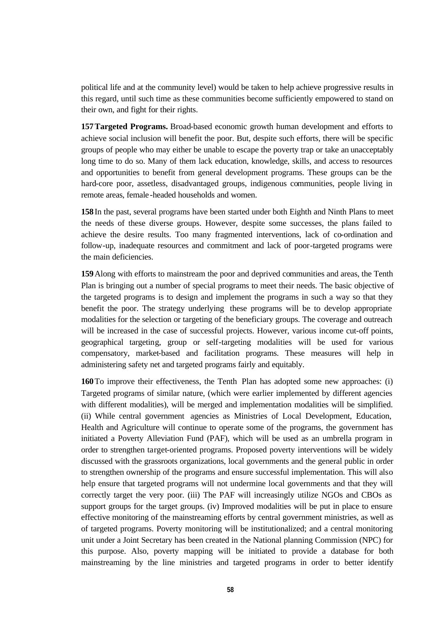political life and at the community level) would be taken to help achieve progressive results in this regard, until such time as these communities become sufficiently empowered to stand on their own, and fight for their rights.

**157Targeted Programs.** Broad-based economic growth human development and efforts to achieve social inclusion will benefit the poor. But, despite such efforts, there will be specific groups of people who may either be unable to escape the poverty trap or take an unacceptably long time to do so. Many of them lack education, knowledge, skills, and access to resources and opportunities to benefit from general development programs. These groups can be the hard-core poor, assetless, disadvantaged groups, indigenous communities, people living in remote areas, female -headed households and women.

**158**In the past, several programs have been started under both Eighth and Ninth Plans to meet the needs of these diverse groups. However, despite some successes, the plans failed to achieve the desire results. Too many fragmented interventions, lack of co-ordination and follow-up, inadequate resources and commitment and lack of poor-targeted programs were the main deficiencies.

**159**Along with efforts to mainstream the poor and deprived communities and areas, the Tenth Plan is bringing out a number of special programs to meet their needs. The basic objective of the targeted programs is to design and implement the programs in such a way so that they benefit the poor. The strategy underlying these programs will be to develop appropriate modalities for the selection or targeting of the beneficiary groups. The coverage and outreach will be increased in the case of successful projects. However, various income cut-off points, geographical targeting, group or self-targeting modalities will be used for various compensatory, market-based and facilitation programs. These measures will help in administering safety net and targeted programs fairly and equitably.

**160**To improve their effectiveness, the Tenth Plan has adopted some new approaches: (i) Targeted programs of similar nature, (which were earlier implemented by different agencies with different modalities), will be merged and implementation modalities will be simplified. (ii) While central government agencies as Ministries of Local Development, Education, Health and Agriculture will continue to operate some of the programs, the government has initiated a Poverty Alleviation Fund (PAF), which will be used as an umbrella program in order to strengthen target-oriented programs. Proposed poverty interventions will be widely discussed with the grassroots organizations, local governments and the general public in order to strengthen ownership of the programs and ensure successful implementation. This will also help ensure that targeted programs will not undermine local governments and that they will correctly target the very poor. (iii) The PAF will increasingly utilize NGOs and CBOs as support groups for the target groups. (iv) Improved modalities will be put in place to ensure effective monitoring of the mainstreaming efforts by central government ministries, as well as of targeted programs. Poverty monitoring will be institutionalized; and a central monitoring unit under a Joint Secretary has been created in the National planning Commission (NPC) for this purpose. Also, poverty mapping will be initiated to provide a database for both mainstreaming by the line ministries and targeted programs in order to better identify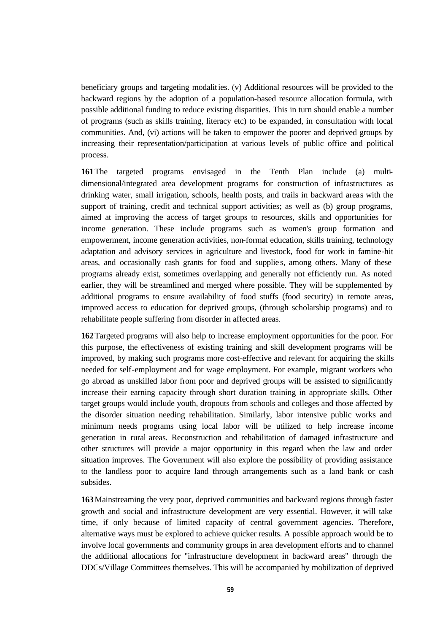beneficiary groups and targeting modalities. (v) Additional resources will be provided to the backward regions by the adoption of a population-based resource allocation formula, with possible additional funding to reduce existing disparities. This in turn should enable a number of programs (such as skills training, literacy etc) to be expanded, in consultation with local communities. And, (vi) actions will be taken to empower the poorer and deprived groups by increasing their representation/participation at various levels of public office and political process.

**161**The targeted programs envisaged in the Tenth Plan include (a) multidimensional/integrated area development programs for construction of infrastructures as drinking water, small irrigation, schools, health posts, and trails in backward areas with the support of training, credit and technical support activities; as well as (b) group programs, aimed at improving the access of target groups to resources, skills and opportunities for income generation. These include programs such as women's group formation and empowerment, income generation activities, non-formal education, skills training, technology adaptation and advisory services in agriculture and livestock, food for work in famine-hit areas, and occasionally cash grants for food and supplie s, among others. Many of these programs already exist, sometimes overlapping and generally not efficiently run. As noted earlier, they will be streamlined and merged where possible. They will be supplemented by additional programs to ensure availability of food stuffs (food security) in remote areas, improved access to education for deprived groups, (through scholarship programs) and to rehabilitate people suffering from disorder in affected areas.

**162**Targeted programs will also help to increase employment opportunities for the poor. For this purpose, the effectiveness of existing training and skill development programs will be improved, by making such programs more cost-effective and relevant for acquiring the skills needed for self-employment and for wage employment. For example, migrant workers who go abroad as unskilled labor from poor and deprived groups will be assisted to significantly increase their earning capacity through short duration training in appropriate skills. Other target groups would include youth, dropouts from schools and colleges and those affected by the disorder situation needing rehabilitation. Similarly, labor intensive public works and minimum needs programs using local labor will be utilized to help increase income generation in rural areas. Reconstruction and rehabilitation of damaged infrastructure and other structures will provide a major opportunity in this regard when the law and order situation improves. The Government will also explore the possibility of providing assistance to the landless poor to acquire land through arrangements such as a land bank or cash subsides.

**163**Mainstreaming the very poor, deprived communities and backward regions through faster growth and social and infrastructure development are very essential. However, it will take time, if only because of limited capacity of central government agencies. Therefore, alternative ways must be explored to achieve quicker results. A possible approach would be to involve local governments and community groups in area development efforts and to channel the additional allocations for "infrastructure development in backward areas" through the DDCs/Village Committees themselves. This will be accompanied by mobilization of deprived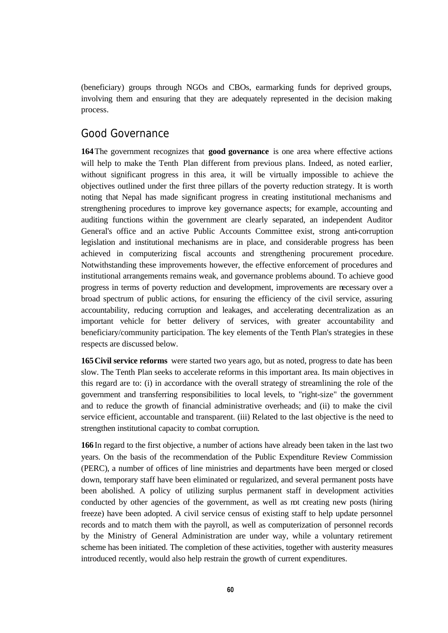(beneficiary) groups through NGOs and CBOs, earmarking funds for deprived groups, involving them and ensuring that they are adequately represented in the decision making process.

#### *Good Governance*

**164**The government recognizes that **good governance** is one area where effective actions will help to make the Tenth Plan different from previous plans. Indeed, as noted earlier, without significant progress in this area, it will be virtually impossible to achieve the objectives outlined under the first three pillars of the poverty reduction strategy. It is worth noting that Nepal has made significant progress in creating institutional mechanisms and strengthening procedures to improve key governance aspects; for example, accounting and auditing functions within the government are clearly separated, an independent Auditor General's office and an active Public Accounts Committee exist, strong anti-corruption legislation and institutional mechanisms are in place, and considerable progress has been achieved in computerizing fiscal accounts and strengthening procurement procedure. Notwithstanding these improvements however, the effective enforcement of procedures and institutional arrangements remains weak, and governance problems abound. To achieve good progress in terms of poverty reduction and development, improvements are necessary over a broad spectrum of public actions, for ensuring the efficiency of the civil service, assuring accountability, reducing corruption and leakages, and accelerating decentralization as an important vehicle for better delivery of services, with greater accountability and beneficiary/community participation. The key elements of the Tenth Plan's strategies in these respects are discussed below.

**165Civil service reforms** were started two years ago, but as noted, progress to date has been slow. The Tenth Plan seeks to accelerate reforms in this important area. Its main objectives in this regard are to: (i) in accordance with the overall strategy of streamlining the role of the government and transferring responsibilities to local levels, to "right-size" the government and to reduce the growth of financial administrative overheads; and (ii) to make the civil service efficient, accountable and transparent. (iii) Related to the last objective is the need to strengthen institutional capacity to combat corruption.

**166**In regard to the first objective, a number of actions have already been taken in the last two years. On the basis of the recommendation of the Public Expenditure Review Commission (PERC), a number of offices of line ministries and departments have been merged or closed down, temporary staff have been eliminated or regularized, and several permanent posts have been abolished. A policy of utilizing surplus permanent staff in development activities conducted by other agencies of the government, as well as not creating new posts (hiring freeze) have been adopted. A civil service census of existing staff to help update personnel records and to match them with the payroll, as well as computerization of personnel records by the Ministry of General Administration are under way, while a voluntary retirement scheme has been initiated. The completion of these activities, together with austerity measures introduced recently, would also help restrain the growth of current expenditures.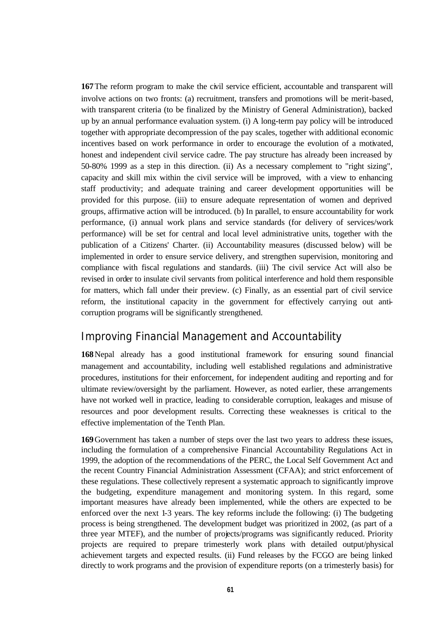**167**The reform program to make the civil service efficient, accountable and transparent will involve actions on two fronts: (a) recruitment, transfers and promotions will be merit-based, with transparent criteria (to be finalized by the Ministry of General Administration), backed up by an annual performance evaluation system. (i) A long-term pay policy will be introduced together with appropriate decompression of the pay scales, together with additional economic incentives based on work performance in order to encourage the evolution of a motivated, honest and independent civil service cadre. The pay structure has already been increased by 50-80% 1999 as a step in this direction. (ii) As a necessary complement to "right sizing", capacity and skill mix within the civil service will be improved, with a view to enhancing staff productivity; and adequate training and career development opportunities will be provided for this purpose. (iii) to ensure adequate representation of women and deprived groups, affirmative action will be introduced. (b) In parallel, to ensure accountability for work performance, (i) annual work plans and service standards (for delivery of services/work performance) will be set for central and local level administrative units, together with the publication of a Citizens' Charter. (ii) Accountability measures (discussed below) will be implemented in order to ensure service delivery, and strengthen supervision, monitoring and compliance with fiscal regulations and standards. (iii) The civil service Act will also be revised in order to insulate civil servants from political interference and hold them responsible for matters, which fall under their preview. (c) Finally, as an essential part of civil service reform, the institutional capacity in the government for effectively carrying out anticorruption programs will be significantly strengthened.

## *Improving Financial Management and Accountability*

**168**Nepal already has a good institutional framework for ensuring sound financial management and accountability, including well established regulations and administrative procedures, institutions for their enforcement, for independent auditing and reporting and for ultimate review/oversight by the parliament. However, as noted earlier, these arrangements have not worked well in practice, leading to considerable corruption, leakages and misuse of resources and poor development results. Correcting these weaknesses is critical to the effective implementation of the Tenth Plan.

**169**Government has taken a number of steps over the last two years to address these issues, including the formulation of a comprehensive Financial Accountability Regulations Act in 1999, the adoption of the recommendations of the PERC, the Local Self Government Act and the recent Country Financial Administration Assessment (CFAA); and strict enforcement of these regulations. These collectively represent a systematic approach to significantly improve the budgeting, expenditure management and monitoring system. In this regard, some important measures have already been implemented, while the others are expected to be enforced over the next 1-3 years. The key reforms include the following: (i) The budgeting process is being strengthened. The development budget was prioritized in 2002, (as part of a three year MTEF), and the number of projects/programs was significantly reduced. Priority projects are required to prepare trimesterly work plans with detailed output/physical achievement targets and expected results. (ii) Fund releases by the FCGO are being linked directly to work programs and the provision of expenditure reports (on a trimesterly basis) for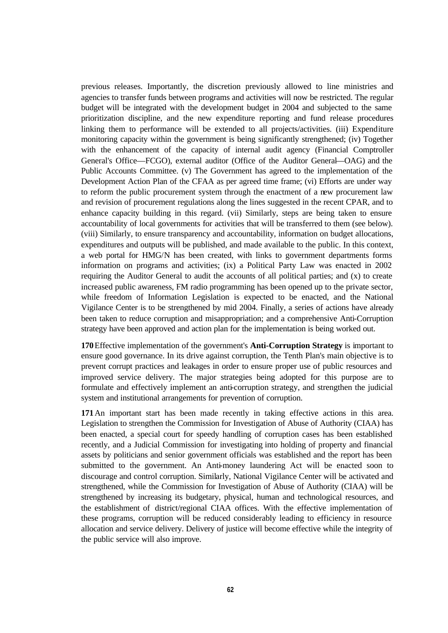previous releases. Importantly, the discretion previously allowed to line ministries and agencies to transfer funds between programs and activities will now be restricted. The regular budget will be integrated with the development budget in 2004 and subjected to the same prioritization discipline, and the new expenditure reporting and fund release procedures linking them to performance will be extended to all projects/activities. (iii) Expenditure monitoring capacity within the government is being significantly strengthened; (iv) Together with the enhancement of the capacity of internal audit agency (Financial Comptroller General's Office—FCGO), external auditor (Office of the Auditor General—OAG) and the Public Accounts Committee. (v) The Government has agreed to the implementation of the Development Action Plan of the CFAA as per agreed time frame; (vi) Efforts are under way to reform the public procurement system through the enactment of a new procurement law and revision of procurement regulations along the lines suggested in the recent CPAR, and to enhance capacity building in this regard. (vii) Similarly, steps are being taken to ensure accountability of local governments for activities that will be transferred to them (see below). (viii) Similarly, to ensure transparency and accountability, information on budget allocations, expenditures and outputs will be published, and made available to the public. In this context, a web portal for HMG/N has been created, with links to government departments forms information on programs and activities; (ix) a Political Party Law was enacted in 2002 requiring the Auditor General to audit the accounts of all political parties; and (x) to create increased public awareness, FM radio programming has been opened up to the private sector, while freedom of Information Legislation is expected to be enacted, and the National Vigilance Center is to be strengthened by mid 2004. Finally, a series of actions have already been taken to reduce corruption and misappropriation; and a comprehensive Anti-Corruption strategy have been approved and action plan for the implementation is being worked out.

**170**Effective implementation of the government's **Anti-Corruption Strategy** is important to ensure good governance. In its drive against corruption, the Tenth Plan's main objective is to prevent corrupt practices and leakages in order to ensure proper use of public resources and improved service delivery. The major strategies being adopted for this purpose are to formulate and effectively implement an anti-corruption strategy, and strengthen the judicial system and institutional arrangements for prevention of corruption.

**171**An important start has been made recently in taking effective actions in this area. Legislation to strengthen the Commission for Investigation of Abuse of Authority (CIAA) has been enacted, a special court for speedy handling of corruption cases has been established recently, and a Judicial Commission for investigating into holding of property and financial assets by politicians and senior government officials was established and the report has been submitted to the government. An Anti-money laundering Act will be enacted soon to discourage and control corruption. Similarly, National Vigilance Center will be activated and strengthened, while the Commission for Investigation of Abuse of Authority (CIAA) will be strengthened by increasing its budgetary, physical, human and technological resources, and the establishment of district/regional CIAA offices. With the effective implementation of these programs, corruption will be reduced considerably leading to efficiency in resource allocation and service delivery. Delivery of justice will become effective while the integrity of the public service will also improve.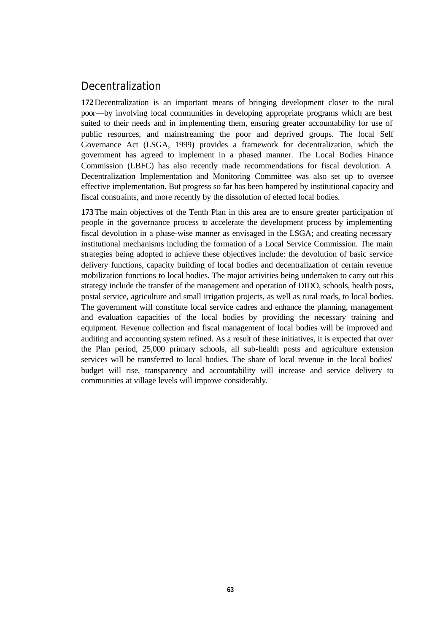## *Decentralization*

**172**Decentralization is an important means of bringing development closer to the rural poor—by involving local communities in developing appropriate programs which are best suited to their needs and in implementing them, ensuring greater accountability for use of public resources, and mainstreaming the poor and deprived groups. The local Self Governance Act (LSGA, 1999) provides a framework for decentralization, which the government has agreed to implement in a phased manner. The Local Bodies Finance Commission (LBFC) has also recently made recommendations for fiscal devolution. A Decentralization Implementation and Monitoring Committee was also set up to oversee effective implementation. But progress so far has been hampered by institutional capacity and fiscal constraints, and more recently by the dissolution of elected local bodies.

**173**The main objectives of the Tenth Plan in this area are to ensure greater participation of people in the governance process to accelerate the development process by implementing fiscal devolution in a phase-wise manner as envisaged in the LSGA; and creating necessary institutional mechanisms including the formation of a Local Service Commission. The main strategies being adopted to achieve these objectives include: the devolution of basic service delivery functions, capacity building of local bodies and decentralization of certain revenue mobilization functions to local bodies. The major activities being undertaken to carry out this strategy include the transfer of the management and operation of DIDO, schools, health posts, postal service, agriculture and small irrigation projects, as well as rural roads, to local bodies. The government will constitute local service cadres and enhance the planning, management and evaluation capacities of the local bodies by providing the necessary training and equipment. Revenue collection and fiscal management of local bodies will be improved and auditing and accounting system refined. As a result of these initiatives, it is expected that over the Plan period, 25,000 primary schools, all sub-health posts and agriculture extension services will be transferred to local bodies. The share of local revenue in the local bodies' budget will rise, transparency and accountability will increase and service delivery to communities at village levels will improve considerably.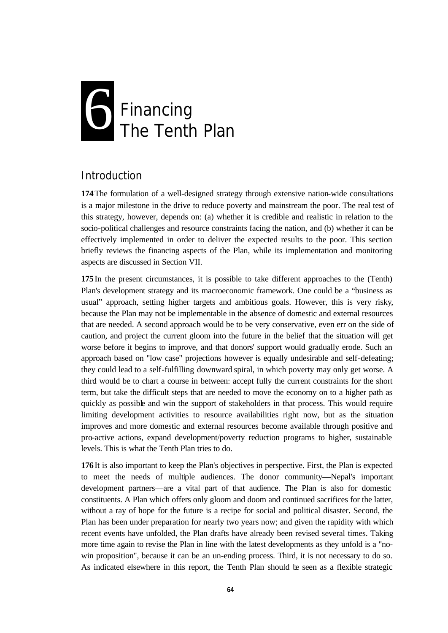

## *Introduction*

**174**The formulation of a well-designed strategy through extensive nation-wide consultations is a major milestone in the drive to reduce poverty and mainstream the poor. The real test of this strategy, however, depends on: (a) whether it is credible and realistic in relation to the socio-political challenges and resource constraints facing the nation, and (b) whether it can be effectively implemented in order to deliver the expected results to the poor. This section briefly reviews the financing aspects of the Plan, while its implementation and monitoring aspects are discussed in Section VII.

**175**In the present circumstances, it is possible to take different approaches to the (Tenth) Plan's development strategy and its macroeconomic framework. One could be a "business as usual" approach, setting higher targets and ambitious goals. However, this is very risky, because the Plan may not be implementable in the absence of domestic and external resources that are needed. A second approach would be to be very conservative, even err on the side of caution, and project the current gloom into the future in the belief that the situation will get worse before it begins to improve, and that donors' support would gradually erode. Such an approach based on "low case" projections however is equally undesirable and self-defeating; they could lead to a self-fulfilling downward spiral, in which poverty may only get worse. A third would be to chart a course in between: accept fully the current constraints for the short term, but take the difficult steps that are needed to move the economy on to a higher path as quickly as possible and win the support of stakeholders in that process. This would require limiting development activities to resource availabilities right now, but as the situation improves and more domestic and external resources become available through positive and pro-active actions, expand development/poverty reduction programs to higher, sustainable levels. This is what the Tenth Plan tries to do.

**176**It is also important to keep the Plan's objectives in perspective. First, the Plan is expected to meet the needs of multiple audiences. The donor community—Nepal's important development partners—are a vital part of that audience. The Plan is also for domestic constituents. A Plan which offers only gloom and doom and continued sacrifices for the latter, without a ray of hope for the future is a recipe for social and political disaster. Second, the Plan has been under preparation for nearly two years now; and given the rapidity with which recent events have unfolded, the Plan drafts have already been revised several times. Taking more time again to revise the Plan in line with the latest developments as they unfold is a "nowin proposition", because it can be an un-ending process. Third, it is not necessary to do so. As indicated elsewhere in this report, the Tenth Plan should be seen as a flexible strategic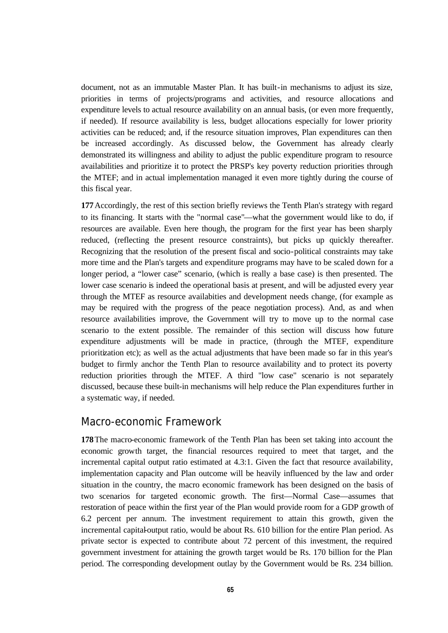document, not as an immutable Master Plan. It has built-in mechanisms to adjust its size, priorities in terms of projects/programs and activities, and resource allocations and expenditure levels to actual resource availability on an annual basis, (or even more frequently, if needed). If resource availability is less, budget allocations especially for lower priority activities can be reduced; and, if the resource situation improves, Plan expenditures can then be increased accordingly. As discussed below, the Government has already clearly demonstrated its willingness and ability to adjust the public expenditure program to resource availabilities and prioritize it to protect the PRSP's key poverty reduction priorities through the MTEF; and in actual implementation managed it even more tightly during the course of this fiscal year.

**177**Accordingly, the rest of this section briefly reviews the Tenth Plan's strategy with regard to its financing. It starts with the "normal case"—what the government would like to do, if resources are available. Even here though, the program for the first year has been sharply reduced, (reflecting the present resource constraints), but picks up quickly thereafter. Recognizing that the resolution of the present fiscal and socio-political constraints may take more time and the Plan's targets and expenditure programs may have to be scaled down for a longer period, a "lower case" scenario, (which is really a base case) is then presented. The lower case scenario is indeed the operational basis at present, and will be adjusted every year through the MTEF as resource availabities and development needs change, (for example as may be required with the progress of the peace negotiation process). And, as and when resource availabilities improve, the Government will try to move up to the normal case scenario to the extent possible. The remainder of this section will discuss how future expenditure adjustments will be made in practice, (through the MTEF, expenditure prioritization etc); as well as the actual adjustments that have been made so far in this year's budget to firmly anchor the Tenth Plan to resource availability and to protect its poverty reduction priorities through the MTEF. A third "low case" scenario is not separately discussed, because these built-in mechanisms will help reduce the Plan expenditures further in a systematic way, if needed.

#### *Macro-economic Framework*

**178**The macro-economic framework of the Tenth Plan has been set taking into account the economic growth target, the financial resources required to meet that target, and the incremental capital output ratio estimated at 4.3:1. Given the fact that resource availability, implementation capacity and Plan outcome will be heavily influenced by the law and order situation in the country, the macro economic framework has been designed on the basis of two scenarios for targeted economic growth. The first—Normal Case—assumes that restoration of peace within the first year of the Plan would provide room for a GDP growth of 6.2 percent per annum. The investment requirement to attain this growth, given the incremental capital-output ratio, would be about Rs. 610 billion for the entire Plan period. As private sector is expected to contribute about 72 percent of this investment, the required government investment for attaining the growth target would be Rs. 170 billion for the Plan period. The corresponding development outlay by the Government would be Rs. 234 billion.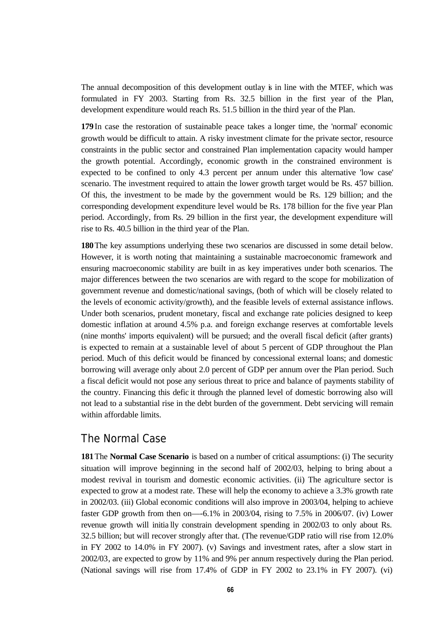The annual decomposition of this development outlay is in line with the MTEF, which was formulated in FY 2003. Starting from Rs. 32.5 billion in the first year of the Plan, development expenditure would reach Rs. 51.5 billion in the third year of the Plan.

**179**In case the restoration of sustainable peace takes a longer time, the 'normal' economic growth would be difficult to attain. A risky investment climate for the private sector, resource constraints in the public sector and constrained Plan implementation capacity would hamper the growth potential. Accordingly, economic growth in the constrained environment is expected to be confined to only 4.3 percent per annum under this alternative 'low case' scenario. The investment required to attain the lower growth target would be Rs. 457 billion. Of this, the investment to be made by the government would be Rs. 129 billion; and the corresponding development expenditure level would be Rs. 178 billion for the five year Plan period. Accordingly, from Rs. 29 billion in the first year, the development expenditure will rise to Rs. 40.5 billion in the third year of the Plan.

**180**The key assumptions underlying these two scenarios are discussed in some detail below. However, it is worth noting that maintaining a sustainable macroeconomic framework and ensuring macroeconomic stability are built in as key imperatives under both scenarios. The major differences between the two scenarios are with regard to the scope for mobilization of government revenue and domestic/national savings, (both of which will be closely related to the levels of economic activity/growth), and the feasible levels of external assistance inflows. Under both scenarios, prudent monetary, fiscal and exchange rate policies designed to keep domestic inflation at around 4.5% p.a. and foreign exchange reserves at comfortable levels (nine months' imports equivalent) will be pursued; and the overall fiscal deficit (after grants) is expected to remain at a sustainable level of about 5 percent of GDP throughout the Plan period. Much of this deficit would be financed by concessional external loans; and domestic borrowing will average only about 2.0 percent of GDP per annum over the Plan period. Such a fiscal deficit would not pose any serious threat to price and balance of payments stability of the country. Financing this defic it through the planned level of domestic borrowing also will not lead to a substantial rise in the debt burden of the government. Debt servicing will remain within affordable limits.

### *The Normal Case*

**181**The **Normal Case Scenario** is based on a number of critical assumptions: (i) The security situation will improve beginning in the second half of 2002/03, helping to bring about a modest revival in tourism and domestic economic activities. (ii) The agriculture sector is expected to grow at a modest rate. These will help the economy to achieve a 3.3% growth rate in 2002/03. (iii) Global economic conditions will also improve in 2003/04, helping to achieve faster GDP growth from then on—-6.1% in 2003/04, rising to 7.5% in 2006/07. (iv) Lower revenue growth will initia lly constrain development spending in 2002/03 to only about Rs. 32.5 billion; but will recover strongly after that. (The revenue/GDP ratio will rise from 12.0% in FY 2002 to 14.0% in FY 2007). (v) Savings and investment rates, after a slow start in 2002/03, are expected to grow by 11% and 9% per annum respectively during the Plan period. (National savings will rise from 17.4% of GDP in FY 2002 to 23.1% in FY 2007). (vi)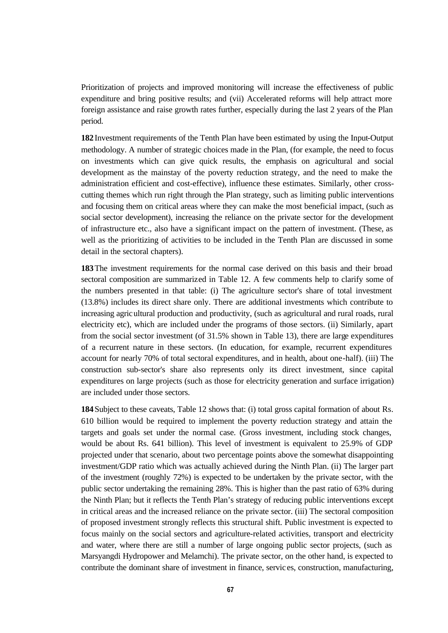Prioritization of projects and improved monitoring will increase the effectiveness of public expenditure and bring positive results; and (vii) Accelerated reforms will help attract more foreign assistance and raise growth rates further, especially during the last 2 years of the Plan period.

**182**Investment requirements of the Tenth Plan have been estimated by using the Input-Output methodology. A number of strategic choices made in the Plan, (for example, the need to focus on investments which can give quick results, the emphasis on agricultural and social development as the mainstay of the poverty reduction strategy, and the need to make the administration efficient and cost-effective), influence these estimates. Similarly, other crosscutting themes which run right through the Plan strategy, such as limiting public interventions and focusing them on critical areas where they can make the most beneficial impact, (such as social sector development), increasing the reliance on the private sector for the development of infrastructure etc., also have a significant impact on the pattern of investment. (These, as well as the prioritizing of activities to be included in the Tenth Plan are discussed in some detail in the sectoral chapters).

**183**The investment requirements for the normal case derived on this basis and their broad sectoral composition are summarized in Table 12. A few comments help to clarify some of the numbers presented in that table: (i) The agriculture sector's share of total investment (13.8%) includes its direct share only. There are additional investments which contribute to increasing agricultural production and productivity, (such as agricultural and rural roads, rural electricity etc), which are included under the programs of those sectors. (ii) Similarly, apart from the social sector investment (of 31.5% shown in Table 13), there are large expenditures of a recurrent nature in these sectors. (In education, for example, recurrent expenditures account for nearly 70% of total sectoral expenditures, and in health, about one-half). (iii) The construction sub-sector's share also represents only its direct investment, since capital expenditures on large projects (such as those for electricity generation and surface irrigation) are included under those sectors.

**184**Subject to these caveats, Table 12 shows that: (i) total gross capital formation of about Rs. 610 billion would be required to implement the poverty reduction strategy and attain the targets and goals set under the normal case. (Gross investment, including stock changes, would be about Rs. 641 billion). This level of investment is equivalent to 25.9% of GDP projected under that scenario, about two percentage points above the somewhat disappointing investment/GDP ratio which was actually achieved during the Ninth Plan. (ii) The larger part of the investment (roughly 72%) is expected to be undertaken by the private sector, with the public sector undertaking the remaining 28%. This is higher than the past ratio of 63% during the Ninth Plan; but it reflects the Tenth Plan's strategy of reducing public interventions except in critical areas and the increased reliance on the private sector. (iii) The sectoral composition of proposed investment strongly reflects this structural shift. Public investment is expected to focus mainly on the social sectors and agriculture-related activities, transport and electricity and water, where there are still a number of large ongoing public sector projects, (such as Marsyangdi Hydropower and Melamchi). The private sector, on the other hand, is expected to contribute the dominant share of investment in finance, servic es, construction, manufacturing,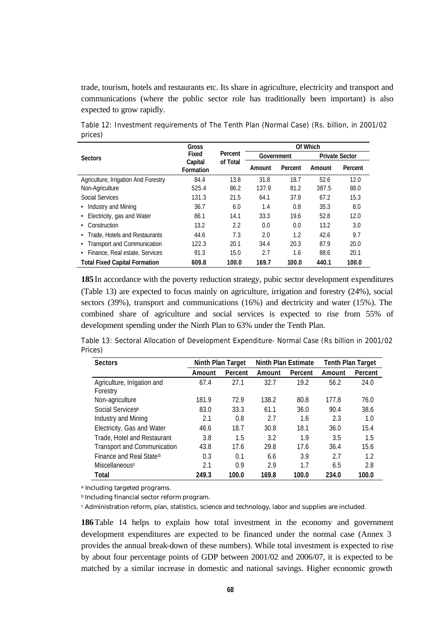trade, tourism, hotels and restaurants etc. Its share in agriculture, electricity and transport and communications (where the public sector role has traditionally been important) is also expected to grow rapidly.

Table 12: Investment requirements of The Tenth Plan (Normal Case) (Rs. billion, in 2001/02 prices)

|                                      | Gross                            |         | Of Which   |         |                       |         |  |
|--------------------------------------|----------------------------------|---------|------------|---------|-----------------------|---------|--|
| <b>Sectors</b>                       | Fixed                            | Percent | Government |         | <b>Private Sector</b> |         |  |
|                                      | of Total<br>Capital<br>Formation |         | Amount     | Percent | Amount                | Percent |  |
| Agriculture, Irrigation And Forestry | 84.4                             | 13.8    | 31.8       | 18.7    | 52.6                  | 12.0    |  |
| Non-Agriculture                      | 525.4                            | 86.2    | 137.9      | 81.2    | 387.5                 | 88.0    |  |
| Social Services                      | 131.3                            | 21.5    | 64.1       | 37.8    | 67.2                  | 15.3    |  |
| Industry and Mining                  | 36.7                             | 6.0     | 1.4        | 0.8     | 35.3                  | 8.0     |  |
| Electricity, gas and Water           | 86.1                             | 14.1    | 33.3       | 19.6    | 52.8                  | 12.0    |  |
| Construction                         | 13.2                             | 2.2     | 0.0        | 0.0     | 13.2                  | 3.0     |  |
| Trade, Hotels and Restaurants        | 44.6                             | 7.3     | 2.0        | 1.2     | 42.6                  | 9.7     |  |
| <b>Transport and Communication</b>   | 122.3                            | 20.1    | 34.4       | 20.3    | 87.9                  | 20.0    |  |
| Finance, Real estate, Services       | 91.3                             | 15.0    | 2.7        | 1.6     | 88.6                  | 20.1    |  |
| <b>Total Fixed Capital Formation</b> | 609.8                            | 100.0   | 169.7      | 100.0   | 440.1                 | 100.0   |  |

**185**In accordance with the poverty reduction strategy, pubic sector development expenditures (Table 13) are expected to focus mainly on agriculture, irrigation and forestry (24%), social sectors (39%), transport and communications (16%) and electricity and water (15%). The combined share of agriculture and social services is expected to rise from 55% of development spending under the Ninth Plan to 63% under the Tenth Plan.

Table 13: Sectoral Allocation of Development Expenditure- Normal Case (Rs billion in 2001/02 Prices)

| <b>Sectors</b>                     | Ninth Plan Target |         | Ninth Plan Estimate |         | <b>Tenth Plan Target</b> |         |
|------------------------------------|-------------------|---------|---------------------|---------|--------------------------|---------|
|                                    | Amount            | Percent | Amount              | Percent | Amount                   | Percent |
| Agriculture, Irrigation and        | 67.4              | 27.1    | 32.7                | 19.2    | 56.2                     | 24.0    |
| Forestry                           |                   |         |                     |         |                          |         |
| Non-agriculture                    | 181.9             | 72.9    | 138.2               | 80.8    | 177.8                    | 76.0    |
| Social Services <sup>a</sup>       | 83.0              | 33.3    | 61.1                | 36.0    | 90.4                     | 38.6    |
| Industry and Mining                | 2.1               | 0.8     | 2.7                 | 1.6     | 2.3                      | 1.0     |
| Electricity, Gas and Water         | 46.6              | 18.7    | 30.8                | 18.1    | 36.0                     | 15.4    |
| Trade, Hotel and Restaurant        | 3.8               | 1.5     | 3.2                 | 1.9     | 3.5                      | 1.5     |
| <b>Transport and Communication</b> | 43.8              | 17.6    | 29.8                | 17.6    | 36.4                     | 15.6    |
| Finance and Real Stateb            | 0.3               | 0.1     | 6.6                 | 3.9     | 2.7                      | 1.2     |
| Miscellaneous <sup>c</sup>         | 2.1               | 0.9     | 2.9                 | 1.7     | 6.5                      | 2.8     |
| Total                              | 249.3             | 100.0   | 169.8               | 100.0   | 234.0                    | 100.0   |

*a Including targeted programs.*

*<sup>b</sup> Including financial sector reform program.*

*c Administration reform, plan, statistics, science and technology, labor and supplies are included.*

**186**Table 14 helps to explain how total investment in the economy and government development expenditures are expected to be financed under the normal case (Annex 3 provides the annual break-down of these numbers). While total investment is expected to rise by about four percentage points of GDP between 2001/02 and 2006/07, it is expected to be matched by a similar increase in domestic and national savings. Higher economic growth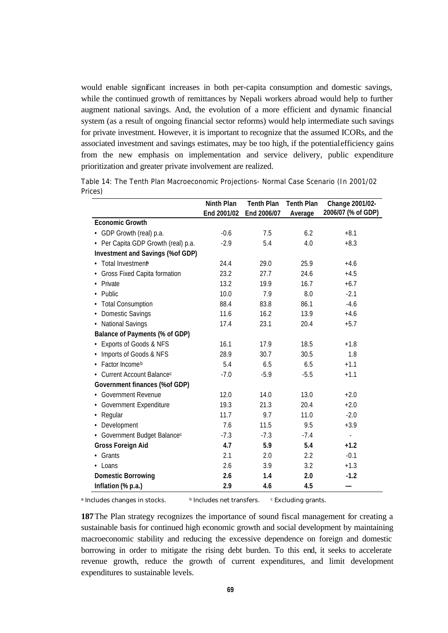would enable significant increases in both per-capita consumption and domestic savings, while the continued growth of remittances by Nepali workers abroad would help to further augment national savings. And, the evolution of a more efficient and dynamic financial system (as a result of ongoing financial sector reforms) would help intermediate such savings for private investment. However, it is important to recognize that the assumed ICORs, and the associated investment and savings estimates, may be too high, if the potential efficiency gains from the new emphasis on implementation and service delivery, public expenditure prioritization and greater private involvement are realized.

|                                             | Ninth Plan  | <b>Tenth Plan</b> | <b>Tenth Plan</b> | Change 2001/02-    |
|---------------------------------------------|-------------|-------------------|-------------------|--------------------|
|                                             | End 2001/02 | End 2006/07       | Average           | 2006/07 (% of GDP) |
| <b>Economic Growth</b>                      |             |                   |                   |                    |
| • GDP Growth (real) p.a.                    | $-0.6$      | 7.5               | 6.2               | $+8.1$             |
| • Per Capita GDP Growth (real) p.a.         | $-2.9$      | 5.4               | 4.0               | $+8.3$             |
| Investment and Savings (%of GDP)            |             |                   |                   |                    |
| • Total Investment                          | 24.4        | 29.0              | 25.9              | $+4.6$             |
| Gross Fixed Capita formation                | 23.2        | 27.7              | 24.6              | $+4.5$             |
| Private                                     | 13.2        | 19.9              | 16.7              | $+6.7$             |
| Public                                      | 10.0        | 7.9               | 8.0               | $-2.1$             |
| <b>Total Consumption</b>                    | 88.4        | 83.8              | 86.1              | $-4.6$             |
| Domestic Savings                            | 11.6        | 16.2              | 13.9              | $+4.6$             |
| <b>National Savings</b><br>٠                | 17.4        | 23.1              | 20.4              | $+5.7$             |
| <b>Balance of Payments (% of GDP)</b>       |             |                   |                   |                    |
| Exports of Goods & NFS                      | 16.1        | 17.9              | 18.5              | $+1.8$             |
| Imports of Goods & NFS                      | 28.9        | 30.7              | 30.5              | 1.8                |
| Factor Incomeb                              | 5.4         | 6.5               | 6.5               | $+1.1$             |
| • Current Account Balancec                  | $-7.0$      | $-5.9$            | $-5.5$            | $+1.1$             |
| <b>Government finances (%of GDP)</b>        |             |                   |                   |                    |
| <b>Government Revenue</b>                   | 12.0        | 14.0              | 13.0              | $+2.0$             |
| • Government Expenditure                    | 19.3        | 21.3              | 20.4              | $+2.0$             |
| Regular                                     | 11.7        | 9.7               | 11.0              | $-2.0$             |
| Development                                 | 7.6         | 11.5              | 9.5               | $+3.9$             |
| Government Budget Balance <sup>c</sup><br>٠ | $-7.3$      | $-7.3$            | $-7.4$            |                    |
| <b>Gross Foreign Aid</b>                    | 4.7         | 5.9               | 5.4               | $+1.2$             |
| Grants                                      | 2.1         | 2.0               | 2.2               | $-0.1$             |
| Loans                                       | 2.6         | 3.9               | 3.2               | $+1.3$             |
| <b>Domestic Borrowing</b>                   | 2.6         | 1.4               | 2.0               | $-1.2$             |
| Inflation (% p.a.)                          | 2.9         | 4.6               | 4.5               |                    |

Table 14: The Tenth Plan Macroeconomic Projections- Normal Case Scenario (In 2001/02 Prices)

*a Includes changes in stocks. <sup>b</sup> Includes net transfers. <sup>c</sup>*

 *Excluding grants.*

**187**The Plan strategy recognizes the importance of sound fiscal management for creating a sustainable basis for continued high economic growth and social development by maintaining macroeconomic stability and reducing the excessive dependence on foreign and domestic borrowing in order to mitigate the rising debt burden. To this end, it seeks to accelerate revenue growth, reduce the growth of current expenditures, and limit development expenditures to sustainable levels.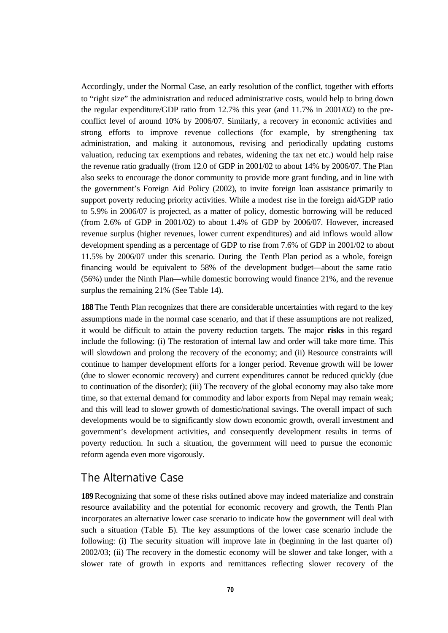Accordingly, under the Normal Case, an early resolution of the conflict, together with efforts to "right size" the administration and reduced administrative costs, would help to bring down the regular expenditure/GDP ratio from 12.7% this year (and 11.7% in 2001/02) to the preconflict level of around 10% by 2006/07. Similarly, a recovery in economic activities and strong efforts to improve revenue collections (for example, by strengthening tax administration, and making it autonomous, revising and periodically updating customs valuation, reducing tax exemptions and rebates, widening the tax net etc.) would help raise the revenue ratio gradually (from 12.0 of GDP in 2001/02 to about 14% by 2006/07. The Plan also seeks to encourage the donor community to provide more grant funding, and in line with the government's Foreign Aid Policy (2002), to invite foreign loan assistance primarily to support poverty reducing priority activities. While a modest rise in the foreign aid/GDP ratio to 5.9% in 2006/07 is projected, as a matter of policy, domestic borrowing will be reduced (from 2.6% of GDP in 2001/02) to about 1.4% of GDP by 2006/07. However, increased revenue surplus (higher revenues, lower current expenditures) and aid inflows would allow development spending as a percentage of GDP to rise from 7.6% of GDP in 2001/02 to about 11.5% by 2006/07 under this scenario. During the Tenth Plan period as a whole, foreign financing would be equivalent to 58% of the development budget—about the same ratio (56%) under the Ninth Plan—while domestic borrowing would finance 21%, and the revenue surplus the remaining 21% (See Table 14).

**188**The Tenth Plan recognizes that there are considerable uncertainties with regard to the key assumptions made in the normal case scenario, and that if these assumptions are not realized, it would be difficult to attain the poverty reduction targets. The major **risks** in this regard include the following: (i) The restoration of internal law and order will take more time. This will slowdown and prolong the recovery of the economy; and (ii) Resource constraints will continue to hamper development efforts for a longer period. Revenue growth will be lower (due to slower economic recovery) and current expenditures cannot be reduced quickly (due to continuation of the disorder); (iii) The recovery of the global economy may also take more time, so that external demand for commodity and labor exports from Nepal may remain weak; and this will lead to slower growth of domestic/national savings. The overall impact of such developments would be to significantly slow down economic growth, overall investment and government's development activities, and consequently development results in terms of poverty reduction. In such a situation, the government will need to pursue the economic reform agenda even more vigorously.

## *The Alternative Case*

**189**Recognizing that some of these risks outlined above may indeed materialize and constrain resource availability and the potential for economic recovery and growth, the Tenth Plan incorporates an alternative lower case scenario to indicate how the government will deal with such a situation (Table 15). The key assumptions of the lower case scenario include the following: (i) The security situation will improve late in (beginning in the last quarter of) 2002/03; (ii) The recovery in the domestic economy will be slower and take longer, with a slower rate of growth in exports and remittances reflecting slower recovery of the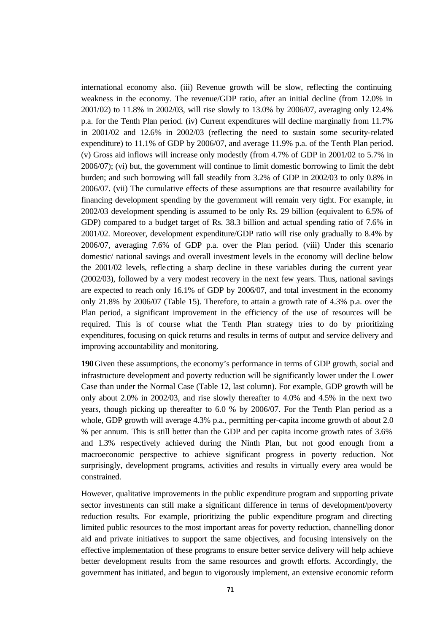international economy also. (iii) Revenue growth will be slow, reflecting the continuing weakness in the economy. The revenue/GDP ratio, after an initial decline (from 12.0% in 2001/02) to 11.8% in 2002/03, will rise slowly to 13.0% by 2006/07, averaging only 12.4% p.a. for the Tenth Plan period. (iv) Current expenditures will decline marginally from 11.7% in 2001/02 and 12.6% in 2002/03 (reflecting the need to sustain some security-related expenditure) to 11.1% of GDP by 2006/07, and average 11.9% p.a. of the Tenth Plan period. (v) Gross aid inflows will increase only modestly (from 4.7% of GDP in 2001/02 to 5.7% in 2006/07); (vi) but, the government will continue to limit domestic borrowing to limit the debt burden; and such borrowing will fall steadily from 3.2% of GDP in 2002/03 to only 0.8% in 2006/07. (vii) The cumulative effects of these assumptions are that resource availability for financing development spending by the government will remain very tight. For example, in 2002/03 development spending is assumed to be only Rs. 29 billion (equivalent to 6.5% of GDP) compared to a budget target of Rs. 38.3 billion and actual spending ratio of 7.6% in 2001/02. Moreover, development expenditure/GDP ratio will rise only gradually to 8.4% by 2006/07, averaging 7.6% of GDP p.a. over the Plan period. (viii) Under this scenario domestic/ national savings and overall investment levels in the economy will decline below the 2001/02 levels, refle cting a sharp decline in these variables during the current year (2002/03), followed by a very modest recovery in the next few years. Thus, national savings are expected to reach only 16.1% of GDP by 2006/07, and total investment in the economy only 21.8% by 2006/07 (Table 15). Therefore, to attain a growth rate of 4.3% p.a. over the Plan period, a significant improvement in the efficiency of the use of resources will be required. This is of course what the Tenth Plan strategy tries to do by prioritizing expenditures, focusing on quick returns and results in terms of output and service delivery and improving accountability and monitoring.

**190**Given these assumptions, the economy's performance in terms of GDP growth, social and infrastructure development and poverty reduction will be significantly lower under the Lower Case than under the Normal Case (Table 12, last column). For example, GDP growth will be only about 2.0% in 2002/03, and rise slowly thereafter to 4.0% and 4.5% in the next two years, though picking up thereafter to 6.0 % by 2006/07. For the Tenth Plan period as a whole, GDP growth will average 4.3% p.a., permitting per-capita income growth of about 2.0 % per annum. This is still better than the GDP and per capita income growth rates of 3.6% and 1.3% respectively achieved during the Ninth Plan, but not good enough from a macroeconomic perspective to achieve significant progress in poverty reduction. Not surprisingly, development programs, activities and results in virtually every area would be constrained.

However, qualitative improvements in the public expenditure program and supporting private sector investments can still make a significant difference in terms of development/poverty reduction results. For example, prioritizing the public expenditure program and directing limited public resources to the most important areas for poverty reduction, channelling donor aid and private initiatives to support the same objectives, and focusing intensively on the effective implementation of these programs to ensure better service delivery will help achieve better development results from the same resources and growth efforts. Accordingly, the government has initiated, and begun to vigorously implement, an extensive economic reform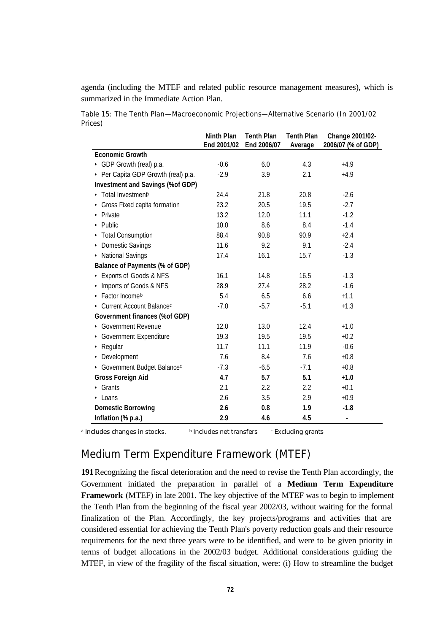agenda (including the MTEF and related public resource management measures), which is summarized in the Immediate Action Plan.

Table 15: The Tenth Plan—Macroeconomic Projections—Alternative Scenario (In 2001/02 Prices)

|                                         | Ninth Plan  | <b>Tenth Plan</b> | <b>Tenth Plan</b> | Change 2001/02-    |
|-----------------------------------------|-------------|-------------------|-------------------|--------------------|
|                                         | End 2001/02 | End 2006/07       | Average           | 2006/07 (% of GDP) |
| <b>Economic Growth</b>                  |             |                   |                   |                    |
| • GDP Growth (real) p.a.                | $-0.6$      | 6.0               | 4.3               | $+4.9$             |
| • Per Capita GDP Growth (real) p.a.     | $-2.9$      | 3.9               | 2.1               | $+4.9$             |
| Investment and Savings (%of GDP)        |             |                   |                   |                    |
| • Total Investment                      | 24.4        | 21.8              | 20.8              | $-2.6$             |
| Gross Fixed capita formation            | 23.2        | 20.5              | 19.5              | $-2.7$             |
| Private                                 | 13.2        | 12.0              | 11.1              | $-1.2$             |
| Public<br>$\bullet$                     | 10.0        | 8.6               | 8.4               | $-1.4$             |
| <b>Total Consumption</b><br>٠           | 88.4        | 90.8              | 90.9              | $+2.4$             |
| Domestic Savings                        | 11.6        | 9.2               | 9.1               | $-2.4$             |
| • National Savings                      | 17.4        | 16.1              | 15.7              | $-1.3$             |
| <b>Balance of Payments (% of GDP)</b>   |             |                   |                   |                    |
| <b>Exports of Goods &amp; NFS</b>       | 16.1        | 14.8              | 16.5              | $-1.3$             |
| Imports of Goods & NFS                  | 28.9        | 27.4              | 28.2              | $-1.6$             |
| Factor Income <sup>b</sup><br>$\bullet$ | 5.4         | 6.5               | 6.6               | $+1.1$             |
| Current Account Balance <sup>c</sup>    | $-7.0$      | $-5.7$            | $-5.1$            | $+1.3$             |
| <b>Government finances (%of GDP)</b>    |             |                   |                   |                    |
| <b>Government Revenue</b>               | 12.0        | 13.0              | 12.4              | $+1.0$             |
| • Government Expenditure                | 19.3        | 19.5              | 19.5              | $+0.2$             |
| Regular<br>٠                            | 11.7        | 11.1              | 11.9              | $-0.6$             |
| Development                             | 7.6         | 8.4               | 7.6               | $+0.8$             |
| • Government Budget Balancec            | $-7.3$      | $-6.5$            | $-7.1$            | $+0.8$             |
| <b>Gross Foreign Aid</b>                | 4.7         | 5.7               | 5.1               | $+1.0$             |
| Grants                                  | 2.1         | 2.2               | 2.2               | $+0.1$             |
| • Loans                                 | 2.6         | 3.5               | 2.9               | $+0.9$             |
| <b>Domestic Borrowing</b>               | 2.6         | 0.8               | 1.9               | $-1.8$             |
| Inflation (% p.a.)                      | 2.9         | 4.6               | 4.5               | ٠                  |

*a Includes changes in stocks. <sup>b</sup> Includes net transfers <sup>c</sup> Excluding grants*

# *Medium Term Expenditure Framework (MTEF)*

**191**Recognizing the fiscal deterioration and the need to revise the Tenth Plan accordingly, the Government initiated the preparation in parallel of a **Medium Term Expenditure Framework** (MTEF) in late 2001. The key objective of the MTEF was to begin to implement the Tenth Plan from the beginning of the fiscal year 2002/03, without waiting for the formal finalization of the Plan. Accordingly, the key projects/programs and activities that are considered essential for achieving the Tenth Plan's poverty reduction goals and their resource requirements for the next three years were to be identified, and were to be given priority in terms of budget allocations in the 2002/03 budget. Additional considerations guiding the MTEF, in view of the fragility of the fiscal situation, were: (i) How to streamline the budget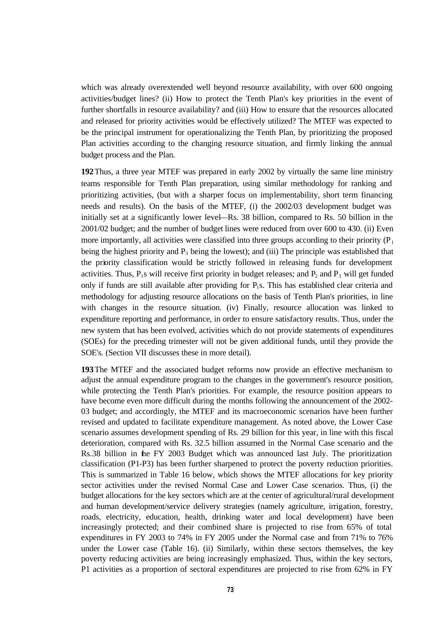which was already overextended well beyond resource availability, with over 600 ongoing activities/budget lines? (ii) How to protect the Tenth Plan's key priorities in the event of further shortfalls in resource availability? and (iii) How to ensure that the resources allocated and released for priority activities would be effectively utilized? The MTEF was expected to be the principal instrument for operationalizing the Tenth Plan, by prioritizing the proposed Plan activities according to the changing resource situation, and firmly linking the annual budget process and the Plan.

**192**Thus, a three year MTEF was prepared in early 2002 by virtually the same line ministry teams responsible for Tenth Plan preparation, using similar methodology for ranking and prioritizing activities, (but with a sharper focus on implementability, short term financing needs and results). On the basis of the MTEF, (i) the 2002/03 development budget was initially set at a significantly lower level—Rs. 38 billion, compared to Rs. 50 billion in the 2001/02 budget; and the number of budget lines were reduced from over 600 to 430. (ii) Even more importantly, all activities were classified into three groups according to their priority  $(P_1$ being the highest priority and  $P_3$  being the lowest); and (iii) The principle was established that the priority classification would be strictly followed in releasing funds for development activities. Thus,  $P_1$ s will receive first priority in budget releases; and  $P_2$  and  $P_3$  will get funded only if funds are still available after providing for  $P_1s$ . This has established clear criteria and methodology for adjusting resource allocations on the basis of Tenth Plan's priorities, in line with changes in the resource situation. (iv) Finally, resource allocation was linked to expenditure reporting and performance, in order to ensure satisfactory results. Thus, under the new system that has been evolved, activities which do not provide statements of expenditures (SOEs) for the preceding trimester will not be given additional funds, until they provide the SOE's. (Section VII discusses these in more detail).

**193**The MTEF and the associated budget reforms now provide an effective mechanism to adjust the annual expenditure program to the changes in the government's resource position, while protecting the Tenth Plan's priorities. For example, the resource position appears to have become even more difficult during the months following the announcement of the 2002- 03 budget; and accordingly, the MTEF and its macroeconomic scenarios have been further revised and updated to facilitate expenditure management. As noted above, the Lower Case scenario assumes development spending of Rs. 29 billion for this year, in line with this fiscal deterioration, compared with Rs. 32.5 billion assumed in the Normal Case scenario and the Rs.38 billion in the FY 2003 Budget which was announced last July. The prioritization classification (P1-P3) has been further sharpened to protect the poverty reduction priorities. This is summarized in Table 16 below, which shows the MTEF allocations for key priority sector activities under the revised Normal Case and Lower Case scenarios. Thus, (i) the budget allocations for the key sectors which are at the center of agricultural/rural development and human development/service delivery strategies (namely agriculture, irrigation, forestry, roads, electricity, education, health, drinking water and local development) have been increasingly protected; and their combined share is projected to rise from 65% of total expenditures in FY 2003 to 74% in FY 2005 under the Normal case and from 71% to 76% under the Lower case (Table 16). (ii) Similarly, within these sectors themselves, the key poverty reducing activities are being increasingly emphasized. Thus, within the key sectors, P1 activities as a proportion of sectoral expenditures are projected to rise from 62% in FY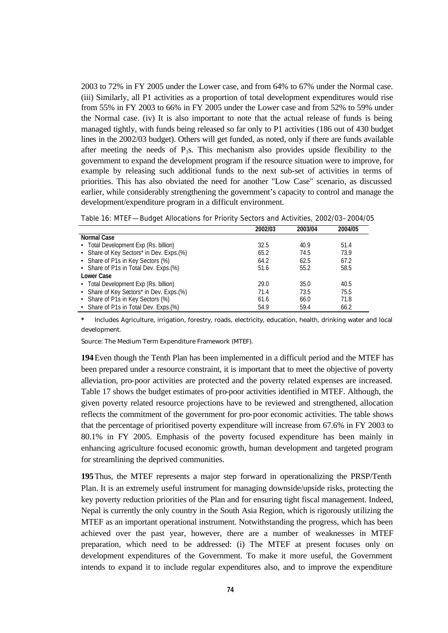2003 to 72% in FY 2005 under the Lower case, and from 64% to 67% under the Normal case. (iii) Similarly, all P1 activities as a proportion of total development expenditures would rise from 55% in FY 2003 to 66% in FY 2005 under the Lower case and from 52% to 59% under the Normal case. (iv) It is also important to note that the actual release of funds is being managed tightly, with funds being released so far only to P1 activities (186 out of 430 budget lines in the 2002/03 budget). Others will get funded, as noted, only if there are funds available after meeting the needs of  $P_1s$ . This mechanism also provides upside flexibility to the government to expand the development program if the resource situation were to improve, for example by releasing such additional funds to the next sub-set of activities in terms of priorities. This has also obviated the need for another "Low Case" scenario, as discussed earlier, while considerably strengthening the government's capacity to control and manage the development/expenditure program in a difficult environment.

Table 16: MTEF—Budget Allocations for Priority Sectors and Activities, 2002/03–2004/05

|                                          | 2002/03 | 2003/04 | 2004/05 |
|------------------------------------------|---------|---------|---------|
| <b>Normal Case</b>                       |         |         |         |
| • Total Development Exp (Rs. billion)    | 32.5    | 40.9    | 51.4    |
| • Share of Key Sectors* in Dev. Exps.(%) | 65.2    | 74.5    | 73.9    |
| • Share of P1s in Key Sectors (%)        | 64.2    | 62.5    | 67.2    |
| • Share of P1s in Total Dev. Exps.(%)    | 51.6    | 55.2    | 58.5    |
| Lower Case                               |         |         |         |
| • Total Development Exp (Rs. billion)    | 29.0    | 35.0    | 40.5    |
| • Share of Key Sectors* in Dev. Exps.(%) | 71.4    | 73.5    | 75.5    |
| • Share of P1s in Key Sectors (%)        | 61.6    | 66.0    | 71.8    |
| • Share of P1s in Total Dev. Exps.(%)    | 54.9    | 59.4    | 66.2    |

*\* Includes Agriculture, irrigation, forestry, roads, electricity, education, health, drinking water and local development.*

*Source: The Medium Term Expenditure Framework (MTEF).*

**194**Even though the Tenth Plan has been implemented in a difficult period and the MTEF has been prepared under a resource constraint, it is important that to meet the objective of poverty alleviation, pro-poor activities are protected and the poverty related expenses are increased. Table 17 shows the budget estimates of pro-poor activities identified in MTEF. Although, the given poverty related resource projections have to be reviewed and strengthened, allocation reflects the commitment of the government for pro-poor economic activities. The table shows that the percentage of prioritised poverty expenditure will increase from 67.6% in FY 2003 to 80.1% in FY 2005. Emphasis of the poverty focused expenditure has been mainly in enhancing agriculture focused economic growth, human development and targeted program for streamlining the deprived communities.

**195**Thus, the MTEF represents a major step forward in operationalizing the PRSP/Tenth Plan. It is an extremely useful instrument for managing downside/upside risks, protecting the key poverty reduction priorities of the Plan and for ensuring tight fiscal management. Indeed, Nepal is currently the only country in the South Asia Region, which is rigorously utilizing the MTEF as an important operational instrument. Notwithstanding the progress, which has been achieved over the past year, however, there are a number of weaknesses in MTEF preparation, which need to be addressed: (i) The MTEF at present focuses only on development expenditures of the Government. To make it more useful, the Government intends to expand it to include regular expenditures also, and to improve the expenditure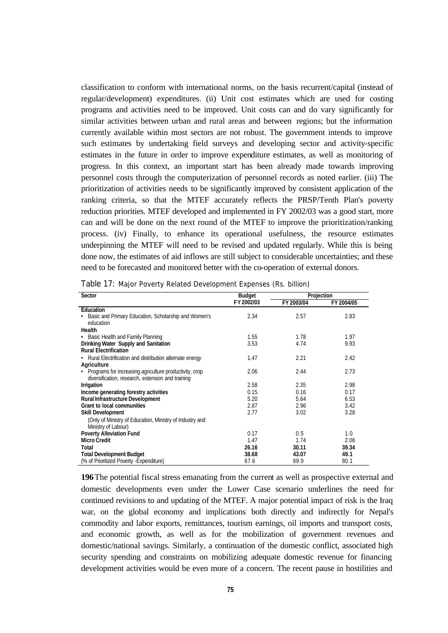classification to conform with international norms, on the basis recurrent/capital (instead of regular/development) expenditures. (ii) Unit cost estimates which are used for costing programs and activities need to be improved. Unit costs can and do vary significantly for similar activities between urban and rural areas and between regions; but the information currently available within most sectors are not robust. The government intends to improve such estimates by undertaking field surveys and developing sector and activity-specific estimates in the future in order to improve expenditure estimates, as well as monitoring of progress. In this context, an important start has been already made towards improving personnel costs through the computerization of personnel records as noted earlier. (iii) The prioritization of activities needs to be significantly improved by consistent application of the ranking criteria, so that the MTEF accurately reflects the PRSP/Tenth Plan's poverty reduction priorities. MTEF developed and implemented in FY 2002/03 was a good start, more can and will be done on the next round of the MTEF to improve the prioritization/ranking process. (iv) Finally, to enhance its operational usefulness, the resource estimates underpinning the MTEF will need to be revised and updated regularly. While this is being done now, the estimates of aid inflows are still subject to considerable uncertainties; and these need to be forecasted and monitored better with the co-operation of external donors.

| Sector                                                    | <b>Budget</b> |            | Projection |
|-----------------------------------------------------------|---------------|------------|------------|
|                                                           | FY 2002/03    | FY 2003/04 | FY 2004/05 |
| Education                                                 |               |            |            |
| Basic and Primary Education, Scholarship and Women's      | 2.34          | 2.57       | 2.83       |
| education                                                 |               |            |            |
| Health                                                    |               |            |            |
| • Basic Health and Family Planning                        | 1.55          | 1.78       | 1.97       |
| Drinking Water Supply and Sanitation                      | 3.53          | 4.74       | 9.93       |
| <b>Rural Electrification</b>                              |               |            |            |
| • Rural Electrification and distribution alternate energy | 1.47          | 2.21       | 2.42       |
| Agriculture                                               |               |            |            |
| • Programs for increasing agriculture productivity, crop  | 2.06          | 2.44       | 2.73       |
| diversification, research, extension and training         |               |            |            |
| <b>Irrigation</b>                                         | 2.58          | 2.35       | 2.98       |
| Income generating forestry activities                     | 0.15          | 0.16       | 0.17       |
| <b>Rural Infrastructure Development</b>                   | 5.20          | 5.64       | 6.53       |
| <b>Grant to local communities</b>                         | 2.87          | 2.96       | 3.42       |
| <b>Skill Development</b>                                  | 2.77          | 3.02       | 3.28       |
| (Only of Ministry of Education, Ministry of Industry and  |               |            |            |
| Ministry of Labour)                                       |               |            |            |
| <b>Poverty Alleviation Fund</b>                           | 0.17          | 0.5        | 1.0        |
| <b>Micro Credit</b>                                       | 1.47          | 1.74       | 2.08       |
| Total                                                     | 26.16         | 30.11      | 39.34      |
| <b>Total Development Budget</b>                           | 38.68         | 43.07      | 49.1       |
| (% of Prioritized Poverty - Expenditure)                  | 67.6          | 69.9       | 80.1       |

Table 17: Major Poverty Related Development Expenses (Rs. billion)

**196**The potential fiscal stress emanating from the current as well as prospective external and domestic developments even under the Lower Case scenario underlines the need for continued revisions to and updating of the MTEF. A major potential impact of risk is the Iraq war, on the global economy and implications both directly and indirectly for Nepal's commodity and labor exports, remittances, tourism earnings, oil imports and transport costs, and economic growth, as well as for the mobilization of government revenues and domestic/national savings. Similarly, a continuation of the domestic conflict, associated high security spending and constraints on mobilizing adequate domestic revenue for financing development activities would be even more of a concern. The recent pause in hostilities and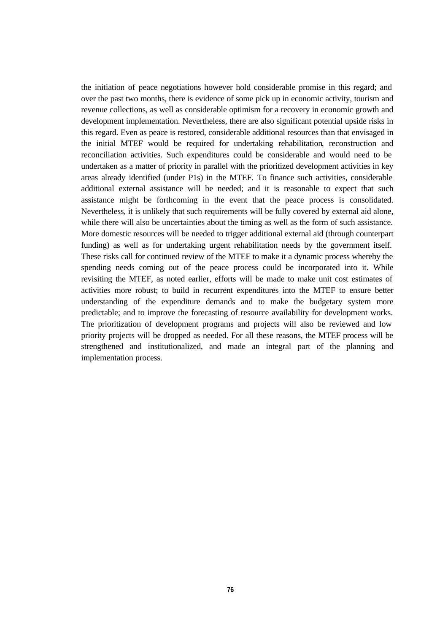the initiation of peace negotiations however hold considerable promise in this regard; and over the past two months, there is evidence of some pick up in economic activity, tourism and revenue collections, as well as considerable optimism for a recovery in economic growth and development implementation. Nevertheless, there are also significant potential upside risks in this regard. Even as peace is restored, considerable additional resources than that envisaged in the initial MTEF would be required for undertaking rehabilitation, reconstruction and reconciliation activities. Such expenditures could be considerable and would need to be undertaken as a matter of priority in parallel with the prioritized development activities in key areas already identified (under P1s) in the MTEF. To finance such activities, considerable additional external assistance will be needed; and it is reasonable to expect that such assistance might be forthcoming in the event that the peace process is consolidated. Nevertheless, it is unlikely that such requirements will be fully covered by external aid alone, while there will also be uncertainties about the timing as well as the form of such assistance. More domestic resources will be needed to trigger additional external aid (through counterpart funding) as well as for undertaking urgent rehabilitation needs by the government itself. These risks call for continued review of the MTEF to make it a dynamic process whereby the spending needs coming out of the peace process could be incorporated into it. While revisiting the MTEF, as noted earlier, efforts will be made to make unit cost estimates of activities more robust; to build in recurrent expenditures into the MTEF to ensure better understanding of the expenditure demands and to make the budgetary system more predictable; and to improve the forecasting of resource availability for development works. The prioritization of development programs and projects will also be reviewed and low priority projects will be dropped as needed. For all these reasons, the MTEF process will be strengthened and institutionalized, and made an integral part of the planning and implementation process.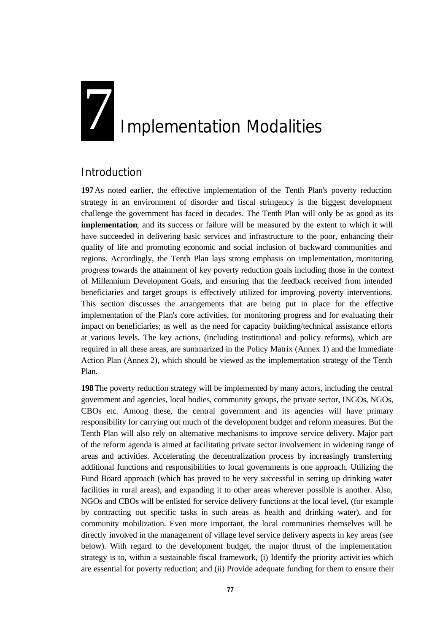# **7** Implementation Modalities

# *Introduction*

**197**As noted earlier, the effective implementation of the Tenth Plan's poverty reduction strategy in an environment of disorder and fiscal stringency is the biggest development challenge the government has faced in decades. The Tenth Plan will only be as good as its **implementation**; and its success or failure will be measured by the extent to which it will have succeeded in delivering basic services and infrastructure to the poor, enhancing their quality of life and promoting economic and social inclusion of backward communities and regions. Accordingly, the Tenth Plan lays strong emphasis on implementation, monitoring progress towards the attainment of key poverty reduction goals including those in the context of Millennium Development Goals, and ensuring that the feedback received from intended beneficiaries and target groups is effectively utilized for improving poverty interventions. This section discusses the arrangements that are being put in place for the effective implementation of the Plan's core activities, for monitoring progress and for evaluating their impact on beneficiaries; as well as the need for capacity building/technical assistance efforts at various levels. The key actions, (including institutional and policy reforms), which are required in all these areas, are summarized in the Policy Matrix (Annex 1) and the Immediate Action Plan (Annex 2), which should be viewed as the implementation strategy of the Tenth Plan.

**198**The poverty reduction strategy will be implemented by many actors, including the central government and agencies, local bodies, community groups, the private sector, INGOs, NGOs, CBOs etc. Among these, the central government and its agencies will have primary responsibility for carrying out much of the development budget and reform measures. But the Tenth Plan will also rely on alternative mechanisms to improve service delivery. Major part of the reform agenda is aimed at facilitating private sector involvement in widening range of areas and activities. Accelerating the decentralization process by increasingly transferring additional functions and responsibilities to local governments is one approach. Utilizing the Fund Board approach (which has proved to be very successful in setting up drinking water facilities in rural areas), and expanding it to other areas wherever possible is another. Also, NGOs and CBOs will be enlisted for service delivery functions at the local level, (for example by contracting out specific tasks in such areas as health and drinking water), and for community mobilization. Even more important, the local communities themselves will be directly involved in the management of village level service delivery aspects in key areas (see below). With regard to the development budget, the major thrust of the implementation strategy is to, within a sustainable fiscal framework, (i) Identify the priority activities which are essential for poverty reduction; and (ii) Provide adequate funding for them to ensure their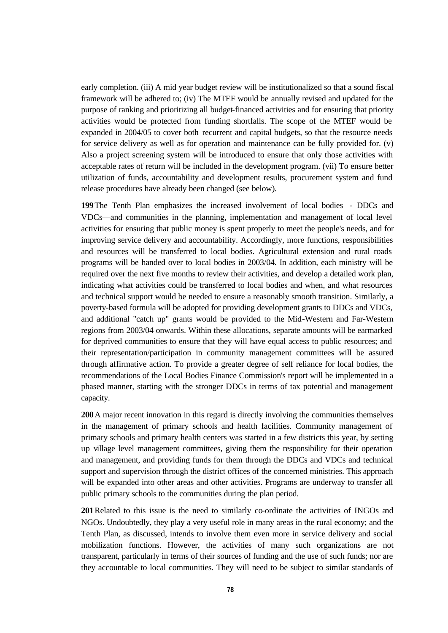early completion. (iii) A mid year budget review will be institutionalized so that a sound fiscal framework will be adhered to; (iv) The MTEF would be annually revised and updated for the purpose of ranking and prioritizing all budget-financed activities and for ensuring that priority activities would be protected from funding shortfalls. The scope of the MTEF would be expanded in 2004/05 to cover both recurrent and capital budgets, so that the resource needs for service delivery as well as for operation and maintenance can be fully provided for. (v) Also a project screening system will be introduced to ensure that only those activities with acceptable rates of return will be included in the development program. (vii) To ensure better utilization of funds, accountability and development results, procurement system and fund release procedures have already been changed (see below).

**199**The Tenth Plan emphasizes the increased involvement of local bodies - DDCs and VDCs—and communities in the planning, implementation and management of local level activities for ensuring that public money is spent properly to meet the people's needs, and for improving service delivery and accountability. Accordingly, more functions, responsibilities and resources will be transferred to local bodies. Agricultural extension and rural roads programs will be handed over to local bodies in 2003/04. In addition, each ministry will be required over the next five months to review their activities, and develop a detailed work plan, indicating what activities could be transferred to local bodies and when, and what resources and technical support would be needed to ensure a reasonably smooth transition. Similarly, a poverty-based formula will be adopted for providing development grants to DDCs and VDCs, and additional "catch up" grants would be provided to the Mid-Western and Far-Western regions from 2003/04 onwards. Within these allocations, separate amounts will be earmarked for deprived communities to ensure that they will have equal access to public resources; and their representation/participation in community management committees will be assured through affirmative action. To provide a greater degree of self reliance for local bodies, the recommendations of the Local Bodies Finance Commission's report will be implemented in a phased manner, starting with the stronger DDCs in terms of tax potential and management capacity.

**200**A major recent innovation in this regard is directly involving the communities themselves in the management of primary schools and health facilities. Community management of primary schools and primary health centers was started in a few districts this year, by setting up village level management committees, giving them the responsibility for their operation and management, and providing funds for them through the DDCs and VDCs and technical support and supervision through the district offices of the concerned ministries. This approach will be expanded into other areas and other activities. Programs are underway to transfer all public primary schools to the communities during the plan period.

**201**Related to this issue is the need to similarly co-ordinate the activities of INGOs and NGOs. Undoubtedly, they play a very useful role in many areas in the rural economy; and the Tenth Plan, as discussed, intends to involve them even more in service delivery and social mobilization functions. However, the activities of many such organizations are not transparent, particularly in terms of their sources of funding and the use of such funds; nor are they accountable to local communities. They will need to be subject to similar standards of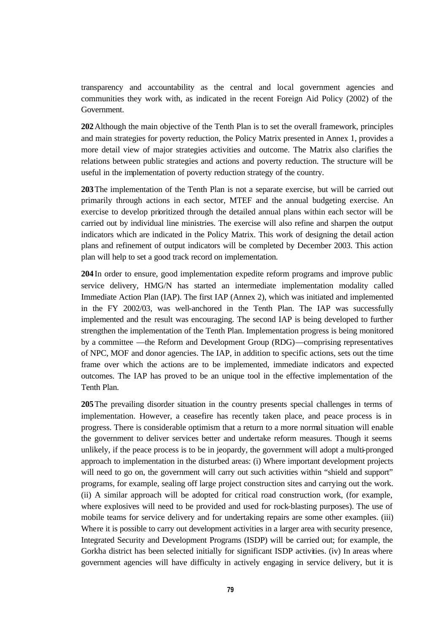transparency and accountability as the central and local government agencies and communities they work with, as indicated in the recent Foreign Aid Policy (2002) of the Government.

**202**Although the main objective of the Tenth Plan is to set the overall framework, principles and main strategies for poverty reduction, the Policy Matrix presented in Annex 1, provides a more detail view of major strategies activities and outcome. The Matrix also clarifies the relations between public strategies and actions and poverty reduction. The structure will be useful in the implementation of poverty reduction strategy of the country.

**203**The implementation of the Tenth Plan is not a separate exercise, but will be carried out primarily through actions in each sector, MTEF and the annual budgeting exercise. An exercise to develop prioritized through the detailed annual plans within each sector will be carried out by individual line ministries. The exercise will also refine and sharpen the output indicators which are indicated in the Policy Matrix. This work of designing the detail action plans and refinement of output indicators will be completed by December 2003. This action plan will help to set a good track record on implementation.

**204**In order to ensure, good implementation expedite reform programs and improve public service delivery, HMG/N has started an intermediate implementation modality called Immediate Action Plan (IAP). The first IAP (Annex 2), which was initiated and implemented in the FY 2002/03, was well-anchored in the Tenth Plan. The IAP was successfully implemented and the result was encouraging. The second IAP is being developed to further strengthen the implementation of the Tenth Plan. Implementation progress is being monitored by a committee —the Reform and Development Group (RDG)—comprising representatives of NPC, MOF and donor agencies. The IAP, in addition to specific actions, sets out the time frame over which the actions are to be implemented, immediate indicators and expected outcomes. The IAP has proved to be an unique tool in the effective implementation of the Tenth Plan.

**205**The prevailing disorder situation in the country presents special challenges in terms of implementation. However, a ceasefire has recently taken place, and peace process is in progress. There is considerable optimism that a return to a more normal situation will enable the government to deliver services better and undertake reform measures. Though it seems unlikely, if the peace process is to be in jeopardy, the government will adopt a multi-pronged approach to implementation in the disturbed areas: (i) Where important development projects will need to go on, the government will carry out such activities within "shield and support" programs, for example, sealing off large project construction sites and carrying out the work. (ii) A similar approach will be adopted for critical road construction work, (for example, where explosives will need to be provided and used for rock-blasting purposes). The use of mobile teams for service delivery and for undertaking repairs are some other examples. (iii) Where it is possible to carry out development activities in a larger area with security presence, Integrated Security and Development Programs (ISDP) will be carried out; for example, the Gorkha district has been selected initially for significant ISDP activities. (iv) In areas where government agencies will have difficulty in actively engaging in service delivery, but it is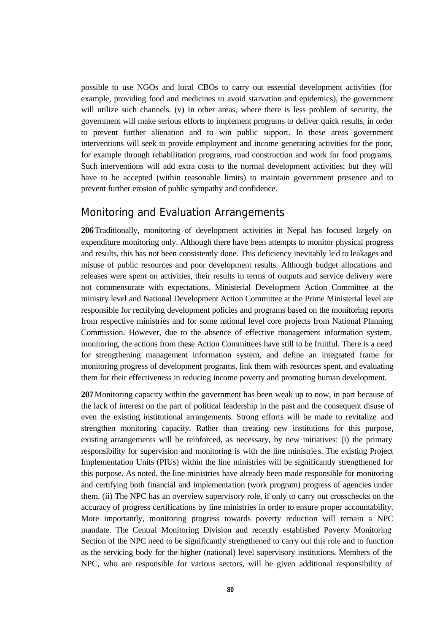possible to use NGOs and local CBOs to carry out essential development activities (for example, providing food and medicines to avoid starvation and epidemics), the government will utilize such channels. (v) In other areas, where there is less problem of security, the government will make serious efforts to implement programs to deliver quick results, in order to prevent further alienation and to win public support. In these areas government interventions will seek to provide employment and income generating activities for the poor, for example through rehabilitation programs, road construction and work for food programs. Such interventions will add extra costs to the normal development activities; but they will have to be accepted (within reasonable limits) to maintain government presence and to prevent further erosion of public sympathy and confidence.

#### *Monitoring and Evaluation Arrangements*

**206**Traditionally, monitoring of development activities in Nepal has focused largely on expenditure monitoring only. Although there have been attempts to monitor physical progress and results, this has not been consistently done. This deficiency inevitably led to leakages and misuse of public resources and poor development results. Although budget allocations and releases were spent on activities, their results in terms of outputs and service delivery were not commensurate with expectations. Ministerial Development Action Committee at the ministry level and National Development Action Committee at the Prime Ministerial level are responsible for rectifying development policies and programs based on the monitoring reports from respective ministries and for some national level core projects from National Planning Commission. However, due to the absence of effective management information system, monitoring, the actions from these Action Committees have still to be fruitful. There is a need for strengthening management information system, and define an integrated frame for monitoring progress of development programs, link them with resources spent, and evaluating them for their effectiveness in reducing income poverty and promoting human development.

**207**Monitoring capacity within the government has been weak up to now, in part because of the lack of interest on the part of political leadership in the past and the consequent disuse of even the existing institutional arrangements. Strong efforts will be made to revitalize and strengthen monitoring capacity. Rather than creating new institutions for this purpose, existing arrangements will be reinforced, as necessary, by new initiatives: (i) the primary responsibility for supervision and monitoring is with the line ministrie s. The existing Project Implementation Units (PIUs) within the line ministries will be significantly strengthened for this purpose. As noted, the line ministries have already been made responsible for monitoring and certifying both financial and implementation (work program) progress of agencies under them. (ii) The NPC has an overview supervisory role, if only to carry out crosschecks on the accuracy of progress certifications by line ministries in order to ensure proper accountability. More importantly, monitoring progress towards poverty reduction will remain a NPC mandate. The Central Monitoring Division and recently established Poverty Monitoring Section of the NPC need to be significantly strengthened to carry out this role and to function as the servicing body for the higher (national) level supervisory institutions. Members of the NPC, who are responsible for various sectors, will be given additional responsibility of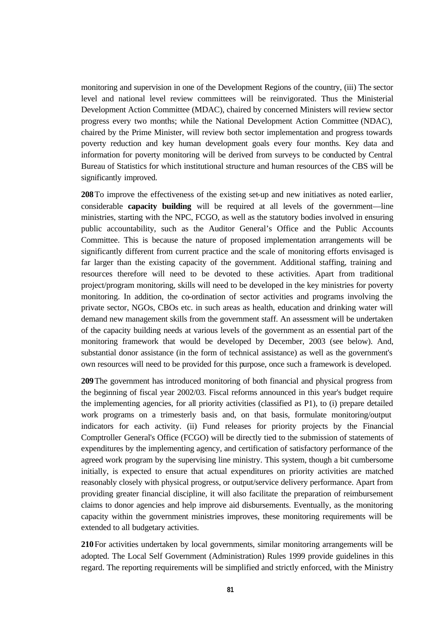monitoring and supervision in one of the Development Regions of the country, (iii) The sector level and national level review committees will be reinvigorated. Thus the Ministerial Development Action Committee (MDAC), chaired by concerned Ministers will review sector progress every two months; while the National Development Action Committee (NDAC), chaired by the Prime Minister, will review both sector implementation and progress towards poverty reduction and key human development goals every four months. Key data and information for poverty monitoring will be derived from surveys to be conducted by Central Bureau of Statistics for which institutional structure and human resources of the CBS will be significantly improved.

**208**To improve the effectiveness of the existing set-up and new initiatives as noted earlier, considerable **capacity building** will be required at all levels of the government—line ministries, starting with the NPC, FCGO, as well as the statutory bodies involved in ensuring public accountability, such as the Auditor General's Office and the Public Accounts Committee. This is because the nature of proposed implementation arrangements will be significantly different from current practice and the scale of monitoring efforts envisaged is far larger than the existing capacity of the government. Additional staffing, training and resources therefore will need to be devoted to these activities. Apart from traditional project/program monitoring, skills will need to be developed in the key ministries for poverty monitoring. In addition, the co-ordination of sector activities and programs involving the private sector, NGOs, CBOs etc. in such areas as health, education and drinking water will demand new management skills from the government staff. An assessment will be undertaken of the capacity building needs at various levels of the government as an essential part of the monitoring framework that would be developed by December, 2003 (see below). And, substantial donor assistance (in the form of technical assistance) as well as the government's own resources will need to be provided for this purpose, once such a framework is developed.

**209**The government has introduced monitoring of both financial and physical progress from the beginning of fiscal year 2002/03. Fiscal reforms announced in this year's budget require the implementing agencies, for all priority activities (classified as P1), to (i) prepare detailed work programs on a trimesterly basis and, on that basis, formulate monitoring/output indicators for each activity. (ii) Fund releases for priority projects by the Financial Comptroller General's Office (FCGO) will be directly tied to the submission of statements of expenditures by the implementing agency, and certification of satisfactory performance of the agreed work program by the supervising line ministry. This system, though a bit cumbersome initially, is expected to ensure that actual expenditures on priority activities are matched reasonably closely with physical progress, or output/service delivery performance. Apart from providing greater financial discipline, it will also facilitate the preparation of reimbursement claims to donor agencies and help improve aid disbursements. Eventually, as the monitoring capacity within the government ministries improves, these monitoring requirements will be extended to all budgetary activities.

**210**For activities undertaken by local governments, similar monitoring arrangements will be adopted. The Local Self Government (Administration) Rules 1999 provide guidelines in this regard. The reporting requirements will be simplified and strictly enforced, with the Ministry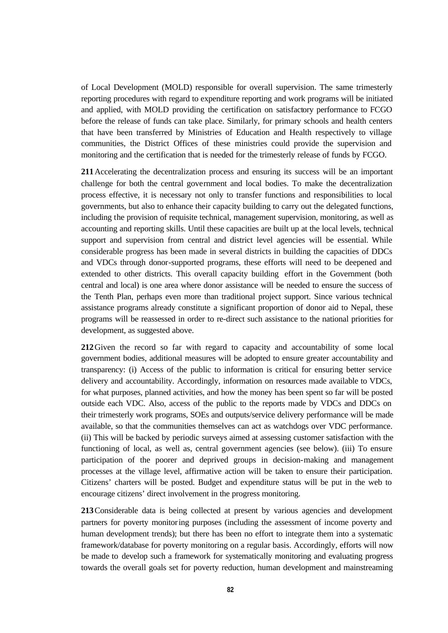of Local Development (MOLD) responsible for overall supervision. The same trimesterly reporting procedures with regard to expenditure reporting and work programs will be initiated and applied, with MOLD providing the certification on satisfactory performance to FCGO before the release of funds can take place. Similarly, for primary schools and health centers that have been transferred by Ministries of Education and Health respectively to village communities, the District Offices of these ministries could provide the supervision and monitoring and the certification that is needed for the trimesterly release of funds by FCGO.

**211**Accelerating the decentralization process and ensuring its success will be an important challenge for both the central government and local bodies. To make the decentralization process effective, it is necessary not only to transfer functions and responsibilities to local governments, but also to enhance their capacity building to carry out the delegated functions, including the provision of requisite technical, management supervision, monitoring, as well as accounting and reporting skills. Until these capacities are built up at the local levels, technical support and supervision from central and district level agencies will be essential. While considerable progress has been made in several districts in building the capacities of DDCs and VDCs through donor-supported programs, these efforts will need to be deepened and extended to other districts. This overall capacity building effort in the Government (both central and local) is one area where donor assistance will be needed to ensure the success of the Tenth Plan, perhaps even more than traditional project support. Since various technical assistance programs already constitute a significant proportion of donor aid to Nepal, these programs will be reassessed in order to re-direct such assistance to the national priorities for development, as suggested above.

**212**Given the record so far with regard to capacity and accountability of some local government bodies, additional measures will be adopted to ensure greater accountability and transparency: (i) Access of the public to information is critical for ensuring better service delivery and accountability. Accordingly, information on resources made available to VDCs, for what purposes, planned activities, and how the money has been spent so far will be posted outside each VDC. Also, access of the public to the reports made by VDCs and DDCs on their trimesterly work programs, SOEs and outputs/service delivery performance will be made available, so that the communities themselves can act as watchdogs over VDC performance. (ii) This will be backed by periodic surveys aimed at assessing customer satisfaction with the functioning of local, as well as, central government agencies (see below). (iii) To ensure participation of the poorer and deprived groups in decision-making and management processes at the village level, affirmative action will be taken to ensure their participation. Citizens' charters will be posted. Budget and expenditure status will be put in the web to encourage citizens' direct involvement in the progress monitoring.

**213**Considerable data is being collected at present by various agencies and development partners for poverty monitoring purposes (including the assessment of income poverty and human development trends); but there has been no effort to integrate them into a systematic framework/database for poverty monitoring on a regular basis. Accordingly, efforts will now be made to develop such a framework for systematically monitoring and evaluating progress towards the overall goals set for poverty reduction, human development and mainstreaming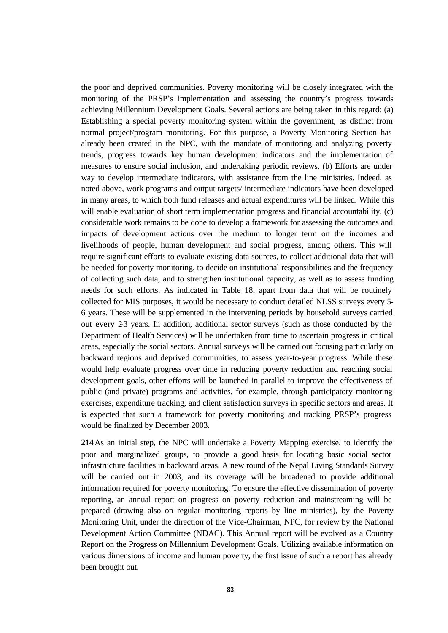the poor and deprived communities. Poverty monitoring will be closely integrated with the monitoring of the PRSP's implementation and assessing the country's progress towards achieving Millennium Development Goals. Several actions are being taken in this regard: (a) Establishing a special poverty monitoring system within the government, as distinct from normal project/program monitoring. For this purpose, a Poverty Monitoring Section has already been created in the NPC, with the mandate of monitoring and analyzing poverty trends, progress towards key human development indicators and the implementation of measures to ensure social inclusion, and undertaking periodic reviews. (b) Efforts are under way to develop intermediate indicators, with assistance from the line ministries. Indeed, as noted above, work programs and output targets/ intermediate indicators have been developed in many areas, to which both fund releases and actual expenditures will be linked. While this will enable evaluation of short term implementation progress and financial accountability, (c) considerable work remains to be done to develop a framework for assessing the outcomes and impacts of development actions over the medium to longer term on the incomes and livelihoods of people, human development and social progress, among others. This will require significant efforts to evaluate existing data sources, to collect additional data that will be needed for poverty monitoring, to decide on institutional responsibilities and the frequency of collecting such data, and to strengthen institutional capacity, as well as to assess funding needs for such efforts. As indicated in Table 18, apart from data that will be routinely collected for MIS purposes, it would be necessary to conduct detailed NLSS surveys every 5- 6 years. These will be supplemented in the intervening periods by household surveys carried out every 2-3 years. In addition, additional sector surveys (such as those conducted by the Department of Health Services) will be undertaken from time to ascertain progress in critical areas, especially the social sectors. Annual surveys will be carried out focusing particularly on backward regions and deprived communities, to assess year-to-year progress. While these would help evaluate progress over time in reducing poverty reduction and reaching social development goals, other efforts will be launched in parallel to improve the effectiveness of public (and private) programs and activities, for example, through participatory monitoring exercises, expenditure tracking, and client satisfaction surveys in specific sectors and areas. It is expected that such a framework for poverty monitoring and tracking PRSP's progress would be finalized by December 2003.

**214**As an initial step, the NPC will undertake a Poverty Mapping exercise, to identify the poor and marginalized groups, to provide a good basis for locating basic social sector infrastructure facilities in backward areas. A new round of the Nepal Living Standards Survey will be carried out in 2003, and its coverage will be broadened to provide additional information required for poverty monitoring. To ensure the effective dissemination of poverty reporting, an annual report on progress on poverty reduction and mainstreaming will be prepared (drawing also on regular monitoring reports by line ministries), by the Poverty Monitoring Unit, under the direction of the Vice-Chairman, NPC, for review by the National Development Action Committee (NDAC). This Annual report will be evolved as a Country Report on the Progress on Millennium Development Goals. Utilizing available information on various dimensions of income and human poverty, the first issue of such a report has already been brought out.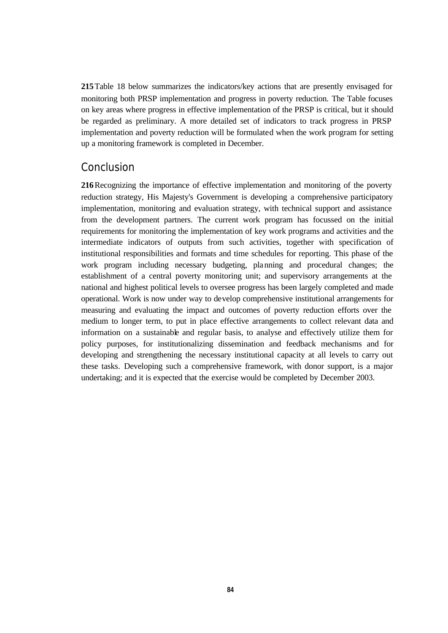**215**Table 18 below summarizes the indicators/key actions that are presently envisaged for monitoring both PRSP implementation and progress in poverty reduction. The Table focuses on key areas where progress in effective implementation of the PRSP is critical, but it should be regarded as preliminary. A more detailed set of indicators to track progress in PRSP implementation and poverty reduction will be formulated when the work program for setting up a monitoring framework is completed in December.

#### *Conclusion*

**216**Recognizing the importance of effective implementation and monitoring of the poverty reduction strategy, His Majesty's Government is developing a comprehensive participatory implementation, monitoring and evaluation strategy, with technical support and assistance from the development partners. The current work program has focussed on the initial requirements for monitoring the implementation of key work programs and activities and the intermediate indicators of outputs from such activities, together with specification of institutional responsibilities and formats and time schedules for reporting. This phase of the work program including necessary budgeting, planning and procedural changes; the establishment of a central poverty monitoring unit; and supervisory arrangements at the national and highest political levels to oversee progress has been largely completed and made operational. Work is now under way to develop comprehensive institutional arrangements for measuring and evaluating the impact and outcomes of poverty reduction efforts over the medium to longer term, to put in place effective arrangements to collect relevant data and information on a sustainable and regular basis, to analyse and effectively utilize them for policy purposes, for institutionalizing dissemination and feedback mechanisms and for developing and strengthening the necessary institutional capacity at all levels to carry out these tasks. Developing such a comprehensive framework, with donor support, is a major undertaking; and it is expected that the exercise would be completed by December 2003.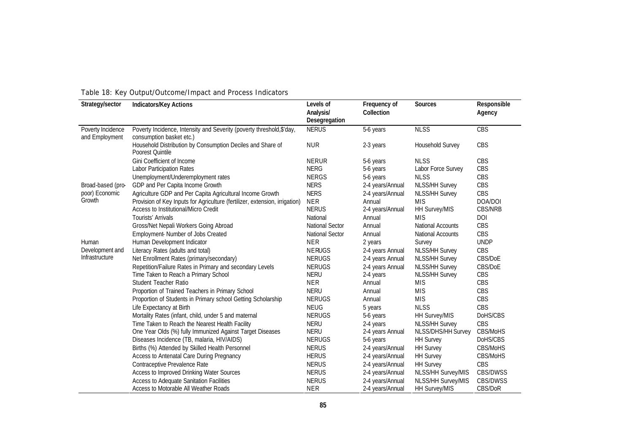Table 18: Key Output/Outcome/Impact and Process Indicators

| Strategy/sector                     | <b>Indicators/Key Actions</b>                                                                     | Levels of                  | Frequency of     | <b>Sources</b>           | Responsible     |
|-------------------------------------|---------------------------------------------------------------------------------------------------|----------------------------|------------------|--------------------------|-----------------|
|                                     |                                                                                                   | Analysis/<br>Desegregation | Collection       |                          | Agency          |
| Poverty Incidence<br>and Employment | Poverty Incidence, Intensity and Severity (poverty threshold, \$'day,<br>consumption basket etc.) | <b>NERUS</b>               | 5-6 years        | <b>NLSS</b>              | <b>CBS</b>      |
|                                     | Household Distribution by Consumption Deciles and Share of<br>Poorest Quintile                    | <b>NUR</b>                 | 2-3 years        | Household Survey         | CBS             |
|                                     | <b>Gini Coefficient of Income</b>                                                                 | <b>NERUR</b>               | 5-6 years        | <b>NLSS</b>              | CBS             |
|                                     | Labor Participation Rates                                                                         | <b>NERG</b>                | 5-6 years        | Labor Force Survey       | CBS             |
|                                     | Unemployment/Underemployment rates                                                                | <b>NERGS</b>               | 5-6 years        | <b>NLSS</b>              | CBS             |
| Broad-based (pro-                   | GDP and Per Capita Income Growth                                                                  | <b>NERS</b>                | 2-4 years/Annual | NLSS/HH Survey           | CBS             |
| poor) Economic                      | Agriculture GDP and Per Capita Agricultural Income Growth                                         | <b>NERS</b>                | 2-4 years/Annual | NLSS/HH Survey           | CBS             |
| Growth                              | Provision of Key Inputs for Agriculture (fertilizer, extension, irrigation)                       | <b>NER</b>                 | Annual           | <b>MIS</b>               | DOA/DOI         |
|                                     | Access to Institutional/Micro Credit                                                              | <b>NERUS</b>               | 2-4 years/Annual | HH Survey/MIS            | <b>CBS/NRB</b>  |
|                                     | Tourists' Arrivals                                                                                | National                   | Annual           | <b>MIS</b>               | <b>DOI</b>      |
|                                     | Gross/Net Nepali Workers Going Abroad                                                             | <b>National Sector</b>     | Annual           | <b>National Accounts</b> | CBS             |
|                                     | Employment- Number of Jobs Created                                                                | <b>National Sector</b>     | Annual           | National Accounts        | CBS             |
| Human                               | Human Development Indicator                                                                       | <b>NER</b>                 | 2 years          | Survey                   | <b>UNDP</b>     |
| Development and                     | Literacy Rates (adults and total)                                                                 | <b>NERUGS</b>              | 2-4 years Annual | NLSS/HH Survey           | CBS             |
| Infrastructure                      | Net Enrollment Rates (primary/secondary)                                                          | <b>NERUGS</b>              | 2-4 years Annual | NLSS/HH Survey           | CBS/DoE         |
|                                     | Repetition/Failure Rates in Primary and secondary Levels                                          | <b>NERUGS</b>              | 2-4 years Annual | NLSS/HH Survey           | CBS/DoE         |
|                                     | Time Taken to Reach a Primary School                                                              | <b>NERU</b>                | 2-4 years        | NLSS/HH Survey           | CBS             |
|                                     | Student Teacher Ratio                                                                             | <b>NER</b>                 | Annual           | <b>MIS</b>               | CBS             |
|                                     | Proportion of Trained Teachers in Primary School                                                  | <b>NERU</b>                | Annual           | <b>MIS</b>               | <b>CBS</b>      |
|                                     | Proportion of Students in Primary school Getting Scholarship                                      | <b>NERUGS</b>              | Annual           | <b>MIS</b>               | <b>CBS</b>      |
|                                     | Life Expectancy at Birth                                                                          | <b>NEUG</b>                | 5 years          | <b>NLSS</b>              | CBS             |
|                                     | Mortality Rates (infant, child, under 5 and maternal                                              | <b>NERUGS</b>              | 5-6 years        | HH Survey/MIS            | DoHS/CBS        |
|                                     | Time Taken to Reach the Nearest Health Facility                                                   | <b>NERU</b>                | 2-4 years        | NLSS/HH Survey           | CBS             |
|                                     | One Year Olds (%) fully Immunized Against Target Diseases                                         | <b>NERU</b>                | 2-4 years Annual | NLSS/DHS/HH Survey       | CBS/MoHS        |
|                                     | Diseases Incidence (TB, malaria, HIV/AIDS)                                                        | <b>NERUGS</b>              | 5-6 years        | <b>HH Survey</b>         | DoHS/CBS        |
|                                     | Births (%) Attended by Skilled Health Personnel                                                   | <b>NERUS</b>               | 2-4 years/Annual | <b>HH Survey</b>         | CBS/MoHS        |
|                                     | Access to Antenatal Care During Pregnancy                                                         | <b>HERUS</b>               | 2-4 years/Annual | <b>HH Survey</b>         | CBS/MoHS        |
|                                     | Contraceptive Prevalence Rate                                                                     | <b>NERUS</b>               | 2-4 years/Annual | <b>HH Survey</b>         | CBS             |
|                                     | Access to Improved Drinking Water Sources                                                         | <b>NERUS</b>               | 2-4 years/Annual | NLSS/HH Survey/MIS       | <b>CBS/DWSS</b> |
|                                     | Access to Adequate Sanitation Facilities                                                          | <b>NERUS</b>               | 2-4 years/Annual | NLSS/HH Survey/MIS       | CBS/DWSS        |
|                                     | Access to Motorable All Weather Roads                                                             | <b>NER</b>                 | 2-4 years/Annual | HH Survey/MIS            | CBS/DoR         |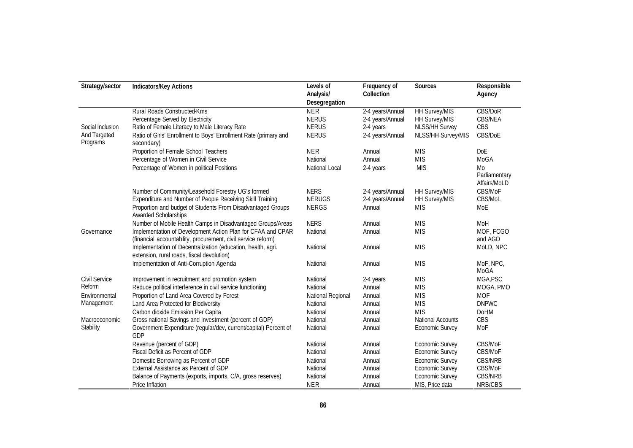| Strategy/sector          | <b>Indicators/Key Actions</b>                                                                                                | Levels of<br>Analysis/<br>Desegregation | Frequency of<br>Collection | Sources                  | Responsible<br>Agency               |
|--------------------------|------------------------------------------------------------------------------------------------------------------------------|-----------------------------------------|----------------------------|--------------------------|-------------------------------------|
|                          | Rural Roads Constructed-Kms                                                                                                  | <b>NER</b>                              | 2-4 years/Annual           | <b>HH Survey/MIS</b>     | CBS/DoR                             |
|                          | Percentage Served by Electricity                                                                                             | <b>NERUS</b>                            | 2-4 years/Annual           | HH Survey/MIS            | <b>CBS/NEA</b>                      |
| Social Inclusion         | Ratio of Female Literacy to Male Literacy Rate                                                                               | <b>NERUS</b>                            | 2-4 years                  | NLSS/HH Survey           | CBS                                 |
| And Targeted<br>Programs | Ratio of Girls' Enrollment to Boys' Enrollment Rate (primary and<br>secondary)                                               | <b>NERUS</b>                            | 2-4 years/Annual           | NLSS/HH Survey/MIS       | CBS/DoE                             |
|                          | Proportion of Female School Teachers                                                                                         | <b>NER</b>                              | Annual                     | <b>MIS</b>               | <b>DoE</b>                          |
|                          | Percentage of Women in Civil Service                                                                                         | National                                | Annual                     | <b>MIS</b>               | MoGA                                |
|                          | Percentage of Women in political Positions                                                                                   | National Local                          | 2-4 years                  | <b>MIS</b>               | Mo<br>Parliamentary<br>Affairs/MoLD |
|                          | Number of Community/Leasehold Forestry UG's formed                                                                           | <b>NERS</b>                             | 2-4 years/Annual           | HH Survey/MIS            | CBS/MoF                             |
|                          | Expenditure and Number of People Receiving Skill Training                                                                    | <b>NERUGS</b>                           | 2-4 years/Annual           | HH Survey/MIS            | CBS/MoL                             |
|                          | Proportion and budget of Students From Disadvantaged Groups<br>Awarded Scholarships                                          | <b>NERGS</b>                            | Annual                     | <b>MIS</b>               | MoE                                 |
|                          | Number of Mobile Health Camps in Disadvantaged Groups/Areas                                                                  | <b>NERS</b>                             | Annual                     | <b>MIS</b>               | MoH                                 |
| Governance               | Implementation of Development Action Plan for CFAA and CPAR<br>(financial accountability, procurement, civil service reform) | National                                | Annual                     | <b>MIS</b>               | MOF, FCGO<br>and AGO                |
|                          | Implementation of Decentralization (education, health, agri.<br>extension, rural roads, fiscal devolution)                   | National                                | Annual                     | <b>MIS</b>               | MoLD, NPC                           |
|                          | Implementation of Anti-Corruption Agenda                                                                                     | National                                | Annual                     | <b>MIS</b>               | MoF, NPC,<br>MoGA                   |
| Civil Service            | Improvement in recruitment and promotion system                                                                              | National                                | 2-4 years                  | <b>MIS</b>               | MGA, PSC                            |
| Reform                   | Reduce political interference in civil service functioning                                                                   | National                                | Annual                     | <b>MIS</b>               | MOGA, PMO                           |
| Environmental            | Proportion of Land Area Covered by Forest                                                                                    | National Regional                       | Annual                     | <b>MIS</b>               | <b>MOF</b>                          |
| Management               | Land Area Protected for Biodiversity                                                                                         | National                                | Annual                     | <b>MIS</b>               | <b>DNPWC</b>                        |
|                          | Carbon dioxide Emission Per Capita                                                                                           | National                                | Annual                     | <b>MIS</b>               | <b>DoHM</b>                         |
| Macroeconomic            | Gross national Savings and Investment (percent of GDP)                                                                       | National                                | Annual                     | <b>National Accounts</b> | CBS                                 |
| Stability                | Government Expenditure (regular/dev, current/capital) Percent of<br>GDP                                                      | National                                | Annual                     | Economic Survey          | MoF                                 |
|                          | Revenue (percent of GDP)                                                                                                     | National                                | Annual                     | Economic Survey          | CBS/MoF                             |
|                          | Fiscal Deficit as Percent of GDP                                                                                             | National                                | Annual                     | Economic Survey          | CBS/MoF                             |
|                          | Domestic Borrowing as Percent of GDP                                                                                         | National                                | Annual                     | Economic Survey          | <b>CBS/NRB</b>                      |
|                          | External Assistance as Percent of GDP                                                                                        | National                                | Annual                     | Economic Survey          | CBS/MoF                             |
|                          | Balance of Payments (exports, imports, C/A, gross reserves)                                                                  | National                                | Annual                     | Economic Survey          | <b>CBS/NRB</b>                      |
|                          | Price Inflation                                                                                                              | <b>NER</b>                              | Annual                     | MIS, Price data          | NRB/CBS                             |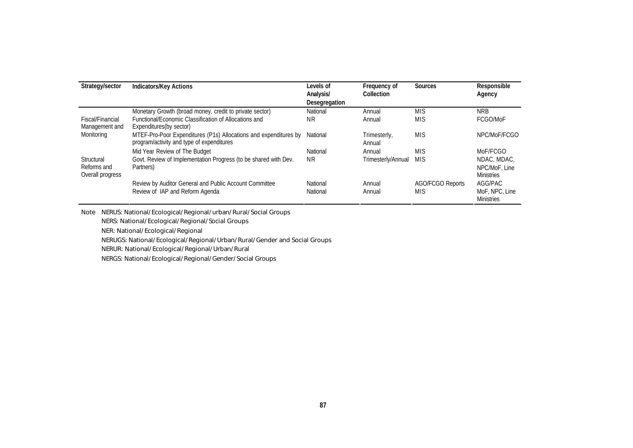| Strategy/sector                               | <b>Indicators/Key Actions</b>                                                                                 | Levels of<br>Analysis/<br>Desegregation | Frequency of<br>Collection | <b>Sources</b>                        | Responsible<br>Agency                             |
|-----------------------------------------------|---------------------------------------------------------------------------------------------------------------|-----------------------------------------|----------------------------|---------------------------------------|---------------------------------------------------|
|                                               | Monetary Growth (broad money, credit to private sector)                                                       | National                                | Annual                     | <b>MIS</b>                            | <b>NRB</b>                                        |
| Fiscal/Financial<br>Management and            | Functional/Economic Classification of Allocations and<br>Expenditures (by sector)                             | ΝR                                      | Annual                     | <b>MIS</b>                            | FCGO/MoF                                          |
| Monitoring                                    | MTEF-Pro-Poor Expenditures (P1s) Allocations and expenditures by<br>program/activity and type of expenditures | National                                | Trimesterly,<br>Annual     | <b>MIS</b>                            | NPC/MoF/FCGO                                      |
|                                               | Mid Year Review of The Budget                                                                                 | National                                | Annual                     | <b>MIS</b>                            | MoF/FCGO                                          |
| Structural<br>Reforms and<br>Overall progress | Govt. Review of Implementation Progress (to be shared with Dev.<br>Partners)                                  | NR.                                     | Trimesterly/Annual         | <b>MIS</b>                            | NDAC, MDAC,<br>NPC/MoF, Line<br><b>Ministries</b> |
|                                               | Review by Auditor General and Public Account Committee<br>Review of IAP and Reform Agenda                     | National<br>National                    | Annual<br>Annual           | <b>AGO/FCGO Reports</b><br><b>MIS</b> | AGG/PAC<br>MoF, NPC, Line<br><b>Ministries</b>    |

Note *NERUS: National/Ecological/Regional/urban/Rural/Social Groups*

*NERS: National/Ecological/Regional/Social Groups*

*NER: National/Ecological/Regional*

*NERUGS: National/Ecological/Regional/Urban/Rural/Gender and Social Groups*

*NERUR: National/Ecological/Regional/Urban/Rural*

*NERGS: National/Ecological/Regional/Gender/Social Groups*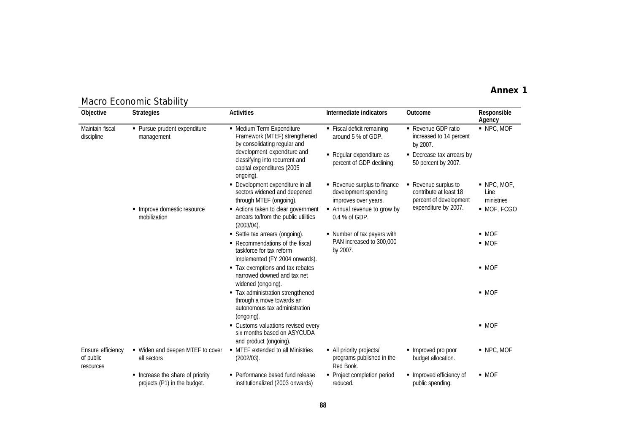#### *Annex 1*

| Objective                                                                                                                  | <b>Strategies</b>                                                | <b>Activities</b>                                                                                                                                                                                      | Intermediate indicators                                                                                                    | Outcome                                                                                                        | Responsible<br>Agency                                         |
|----------------------------------------------------------------------------------------------------------------------------|------------------------------------------------------------------|--------------------------------------------------------------------------------------------------------------------------------------------------------------------------------------------------------|----------------------------------------------------------------------------------------------------------------------------|----------------------------------------------------------------------------------------------------------------|---------------------------------------------------------------|
| Maintain fiscal<br>- Pursue prudent expenditure<br>discipline<br>management<br>• Improve domestic resource<br>mobilization |                                                                  | • Medium Term Expenditure<br>Framework (MTEF) strengthened<br>by consolidating regular and<br>development expenditure and<br>classifying into recurrent and<br>capital expenditures (2005<br>ongoing). | • Fiscal deficit remaining<br>around 5 % of GDP.<br>- Regular expenditure as<br>percent of GDP declining.                  | • Revenue GDP ratio<br>increased to 14 percent<br>by 2007.<br>• Decrease tax arrears by<br>50 percent by 2007. | NPC, MOF                                                      |
|                                                                                                                            |                                                                  | • Development expenditure in all<br>sectors widened and deepened<br>through MTEF (ongoing).<br>- Actions taken to clear government<br>arrears to/from the public utilities                             | • Revenue surplus to finance<br>development spending<br>improves over years.<br>Annual revenue to grow by<br>0.4 % of GDP. | - Revenue surplus to<br>contribute at least 18<br>percent of development<br>expenditure by 2007.               | $\blacksquare$ NPC, MOF,<br>Line<br>ministries<br>· MOF, FCGO |
|                                                                                                                            |                                                                  | (2003/04).<br>Settle tax arrears (ongoing).<br>• Recommendations of the fiscal<br>taskforce for tax reform<br>implemented (FY 2004 onwards).                                                           | • Number of tax payers with<br>PAN increased to 300,000<br>by 2007.                                                        |                                                                                                                | $-MOF$<br>$-MOF$                                              |
|                                                                                                                            |                                                                  | • Tax exemptions and tax rebates<br>narrowed downed and tax net<br>widened (ongoing).                                                                                                                  |                                                                                                                            |                                                                                                                | $-MOF$                                                        |
|                                                                                                                            |                                                                  | • Tax administration strengthened<br>through a move towards an<br>autonomous tax administration<br>(ongoing).                                                                                          |                                                                                                                            |                                                                                                                | $-MOF$                                                        |
|                                                                                                                            |                                                                  | • Customs valuations revised every<br>six months based on ASYCUDA<br>and product (ongoing).                                                                                                            |                                                                                                                            |                                                                                                                | $-MOF$                                                        |
| Ensure efficiency<br>of public<br>resources                                                                                | • Widen and deepen MTEF to cover<br>all sectors                  | • MTEF extended to all Ministries<br>(2002/03).                                                                                                                                                        | • All priority projects/<br>programs published in the<br>Red Book.                                                         | • Improved pro poor<br>budget allocation.                                                                      | $\blacksquare$ NPC, MOF                                       |
|                                                                                                                            | • Increase the share of priority<br>projects (P1) in the budget. | • Performance based fund release<br>institutionalized (2003 onwards)                                                                                                                                   | • Project completion period<br>reduced.                                                                                    | • Improved efficiency of<br>public spending.                                                                   | $-MOF$                                                        |

#### **88**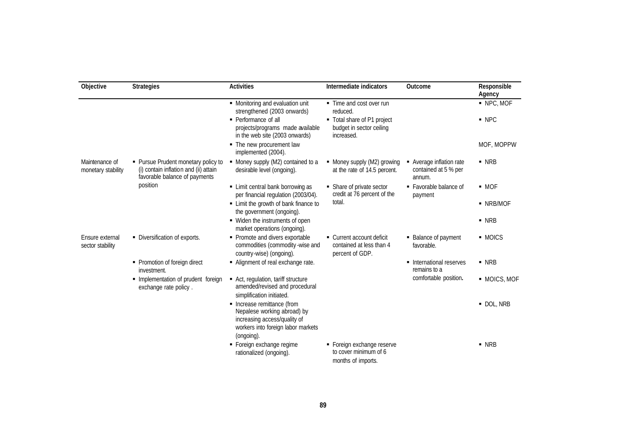| Objective                            | <b>Strategies</b>                                                                                             | <b>Activities</b>                                                                                                                              | Intermediate indicators                                                   | Outcome                                                    | Responsible<br>Agency |
|--------------------------------------|---------------------------------------------------------------------------------------------------------------|------------------------------------------------------------------------------------------------------------------------------------------------|---------------------------------------------------------------------------|------------------------------------------------------------|-----------------------|
|                                      |                                                                                                               | • Monitoring and evaluation unit<br>strengthened (2003 onwards)                                                                                | • Time and cost over run<br>reduced.                                      |                                                            | NPC, MOF              |
|                                      |                                                                                                               | • Performance of all<br>projects/programs made available<br>in the web site (2003 onwards)                                                     | • Total share of P1 project<br>budget in sector ceiling<br>increased.     |                                                            | NPC                   |
|                                      |                                                                                                               | • The new procurement law<br>implemented (2004).                                                                                               |                                                                           |                                                            | MOF, MOPPW            |
| Maintenance of<br>monetary stability | • Pursue Prudent monetary policy to<br>(i) contain inflation and (ii) attain<br>favorable balance of payments | • Money supply (M2) contained to a<br>desirable level (ongoing).                                                                               | • Money supply (M2) growing<br>at the rate of 14.5 percent.               | • Average inflation rate<br>contained at 5 % per<br>annum. | $\blacksquare$ NRB    |
| position                             |                                                                                                               | • Limit central bank borrowing as<br>per financial regulation (2003/04).                                                                       | • Share of private sector<br>credit at 76 percent of the                  | • Favorable balance of<br>payment                          | $-MOF$                |
|                                      |                                                                                                               | • Limit the growth of bank finance to<br>the government (ongoing).                                                                             | total.                                                                    |                                                            | • NRB/MOF             |
|                                      |                                                                                                               | • Widen the instruments of open<br>market operations (ongoing).                                                                                |                                                                           |                                                            | $\blacksquare$ NRB    |
| Ensure external<br>sector stability  | • Diversification of exports.                                                                                 | • Promote and divers exportable<br>commodities (commodity -wise and<br>country-wise) (ongoing).                                                | • Current account deficit<br>contained at less than 4<br>percent of GDP.  | • Balance of payment<br>favorable.                         | • MOICS               |
|                                      | • Promotion of foreign direct<br>investment.                                                                  | - Alignment of real exchange rate.                                                                                                             |                                                                           | • International reserves<br>remains to a                   | $\blacksquare$ NRB    |
|                                      | • Implementation of prudent foreign<br>exchange rate policy.                                                  | Act, regulation, tariff structure<br>amended/revised and procedural<br>simplification initiated.                                               |                                                                           | comfortable position.                                      | • MOICS, MOF          |
|                                      |                                                                                                               | • Increase remittance (from<br>Nepalese working abroad) by<br>increasing access/quality of<br>workers into foreign labor markets<br>(ongoing). |                                                                           |                                                            | • DOL, NRB            |
|                                      |                                                                                                               | • Foreign exchange regime<br>rationalized (ongoing).                                                                                           | • Foreign exchange reserve<br>to cover minimum of 6<br>months of imports. |                                                            | $\blacksquare$ NRB    |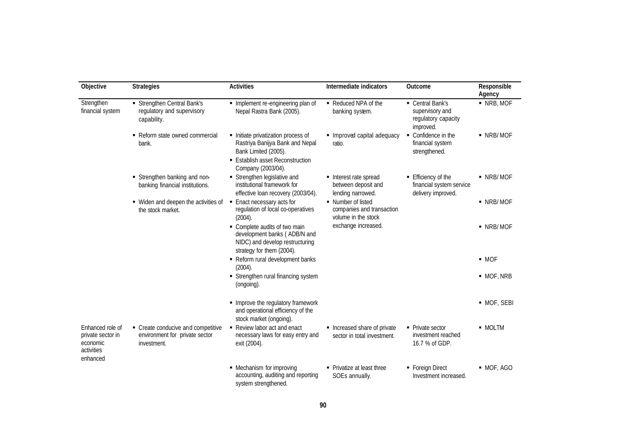| Objective                                                                   | <b>Strategies</b>                                                                   | <b>Activities</b>                                                                                                                  | Intermediate indicators                                                | Outcome                                                                 | Responsible<br>Agency  |
|-----------------------------------------------------------------------------|-------------------------------------------------------------------------------------|------------------------------------------------------------------------------------------------------------------------------------|------------------------------------------------------------------------|-------------------------------------------------------------------------|------------------------|
| Strengthen<br>financial system                                              | Strengthen Central Bank's<br>regulatory and supervisory<br>capability.              | • Implement re-engineering plan of<br>Nepal Rastra Bank (2005).                                                                    | Reduced NPA of the<br>banking system.                                  | • Central Bank's<br>supervisory and<br>regulatory capacity<br>improved. | ■ NRB, MOF             |
|                                                                             | Reform state owned commercial<br>bank.                                              | • Initiate privatization process of<br>Rastriya Banijya Bank and Nepal<br>Bank Limited (2005).<br>• Establish asset Reconstruction | Improved capital adequacy<br>ratio.                                    | • Confidence in the<br>financial system<br>strengthened.                | • NRB/MOF              |
|                                                                             | Strengthen banking and non-<br>banking financial institutions.                      | Company (2003/04).<br>Strengthen legislative and<br>institutional framework for<br>effective loan recovery (2003/04).              | Interest rate spread<br>between deposit and<br>lending narrowed.       | Efficiency of the<br>financial system service<br>delivery improved.     | - NRB/MOF              |
|                                                                             | • Widen and deepen the activities of<br>the stock market.                           | • Enact necessary acts for<br>regulation of local co-operatives<br>(2004).                                                         | • Number of listed<br>companies and transaction<br>volume in the stock |                                                                         | $\blacksquare$ NRB/MOF |
|                                                                             |                                                                                     | • Complete audits of two main<br>development banks (ADB/N and<br>NIDC) and develop restructuring<br>strategy for them (2004).      | exchange increased.                                                    |                                                                         | • NRB/MOF              |
|                                                                             |                                                                                     | Reform rural development banks<br>(2004).                                                                                          |                                                                        |                                                                         | $-MOF$                 |
|                                                                             |                                                                                     | Strengthen rural financing system<br>(ongoing).                                                                                    |                                                                        |                                                                         | $-MOF, NRB$            |
|                                                                             |                                                                                     | • Improve the regulatory framework<br>and operational efficiency of the<br>stock market (ongoing).                                 |                                                                        |                                                                         | • MOF, SEBI            |
| Enhanced role of<br>private sector in<br>economic<br>activities<br>enhanced | • Create conducive and competitive<br>environment for private sector<br>investment. | Review labor act and enact<br>necessary laws for easy entry and<br>exit (2004).                                                    | Increased share of private<br>sector in total investment.              | • Private sector<br>investment reached<br>16.7 % of GDP.                | • MOLTM                |
|                                                                             |                                                                                     | • Mechanism for improving<br>accounting, auditing and reporting<br>system strengthened.                                            | • Privatize at least three<br>SOEs annually.                           | • Foreign Direct<br>Investment increased.                               | • MOF, AGO             |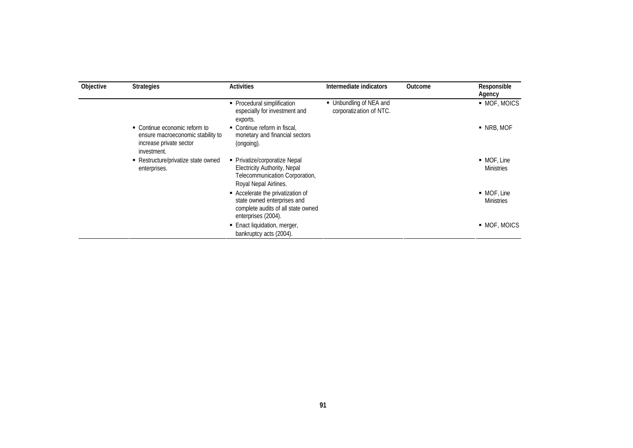| Objective | <b>Strategies</b>                                                                                            | <b>Activities</b>                                                                                                             | Intermediate indicators                            | Outcome | Responsible<br>Agency                         |
|-----------|--------------------------------------------------------------------------------------------------------------|-------------------------------------------------------------------------------------------------------------------------------|----------------------------------------------------|---------|-----------------------------------------------|
|           |                                                                                                              | • Procedural simplification<br>especially for investment and<br>exports.                                                      | • Unbundling of NEA and<br>corporatization of NTC. |         | • MOF, MOICS                                  |
|           | • Continue economic reform to<br>ensure macroeconomic stability to<br>increase private sector<br>investment. | • Continue reform in fiscal.<br>monetary and financial sectors<br>(ongoing).                                                  |                                                    |         | $\blacksquare$ NRB, MOF                       |
|           | ■ Restructure/privatize state owned<br>enterprises.                                                          | • Privatize/corporatize Nepal<br>Electricity Authority, Nepal<br>Telecommunication Corporation,<br>Royal Nepal Airlines.      |                                                    |         | $-MOF$ , Line<br><b>Ministries</b>            |
|           |                                                                                                              | - Accelerate the privatization of<br>state owned enterprises and<br>complete audits of all state owned<br>enterprises (2004). |                                                    |         | $\blacksquare$ MOF, Line<br><b>Ministries</b> |
|           |                                                                                                              | ■ Enact liquidation, merger,<br>bankruptcy acts (2004).                                                                       |                                                    |         | • MOF, MOICS                                  |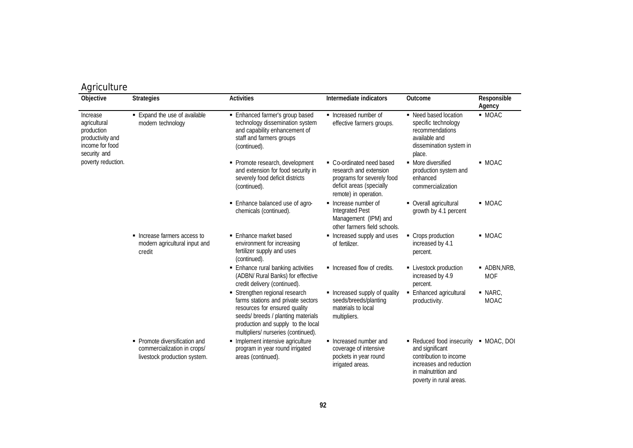| Objective                                                                                     | <b>Strategies</b>                                                                            | <b>Activities</b>                                                                                                                                                                                                      | Intermediate indicators                                                                                                                | Outcome                                                                                                                                             | Responsible                         |
|-----------------------------------------------------------------------------------------------|----------------------------------------------------------------------------------------------|------------------------------------------------------------------------------------------------------------------------------------------------------------------------------------------------------------------------|----------------------------------------------------------------------------------------------------------------------------------------|-----------------------------------------------------------------------------------------------------------------------------------------------------|-------------------------------------|
|                                                                                               |                                                                                              |                                                                                                                                                                                                                        |                                                                                                                                        |                                                                                                                                                     | Agency                              |
| Increase<br>agricultural<br>production<br>productivity and<br>income for food<br>security and | • Expand the use of available<br>modern technology                                           | • Enhanced farmer's group based<br>technology dissemination system<br>and capability enhancement of<br>staff and farmers groups<br>(continued).                                                                        | • Increased number of<br>effective farmers groups.                                                                                     | • Need based location<br>specific technology<br>recommendations<br>available and<br>dissemination system in<br>place.                               | - MOAC                              |
| poverty reduction.                                                                            |                                                                                              | - Promote research, development<br>and extension for food security in<br>severely food deficit districts<br>(continued).                                                                                               | • Co-ordinated need based<br>research and extension<br>programs for severely food<br>deficit areas (specially<br>remote) in operation. | • More diversified<br>production system and<br>enhanced<br>commercialization                                                                        | - MOAC                              |
|                                                                                               |                                                                                              | • Enhance balanced use of agro-<br>chemicals (continued).                                                                                                                                                              | Increase number of<br><b>Integrated Pest</b><br>Management (IPM) and<br>other farmers field schools.                                   | • Overall agricultural<br>growth by 4.1 percent                                                                                                     | - MOAC                              |
|                                                                                               | • Increase farmers access to<br>modern agricultural input and<br>credit                      | • Enhance market based<br>environment for increasing<br>fertilizer supply and uses<br>(continued).                                                                                                                     | Increased supply and uses<br>of fertilizer.                                                                                            | Crops production<br>increased by 4.1<br>percent.                                                                                                    | - MOAC                              |
|                                                                                               |                                                                                              | • Enhance rural banking activities<br>(ADBN/ Rural Banks) for effective<br>credit delivery (continued).                                                                                                                | Increased flow of credits.                                                                                                             | • Livestock production<br>increased by 4.9<br>percent.                                                                                              | ■ ADBN, NRB,<br><b>MOF</b>          |
|                                                                                               |                                                                                              | Strengthen regional research<br>farms stations and private sectors<br>resources for ensured quality<br>seeds/ breeds / planting materials<br>production and supply to the local<br>multipliers/ nurseries (continued). | • Increased supply of quality<br>seeds/breeds/planting<br>materials to local<br>multipliers.                                           | • Enhanced agricultural<br>productivity.                                                                                                            | $\blacksquare$ NARC.<br><b>MOAC</b> |
|                                                                                               | • Promote diversification and<br>commercialization in crops/<br>livestock production system. | • Implement intensive agriculture<br>program in year round irrigated<br>areas (continued).                                                                                                                             | • Increased number and<br>coverage of intensive<br>pockets in year round<br>irrigated areas.                                           | - Reduced food insecurity<br>and significant<br>contribution to income<br>increases and reduction<br>in malnutrition and<br>poverty in rural areas. | • MOAC, DOI                         |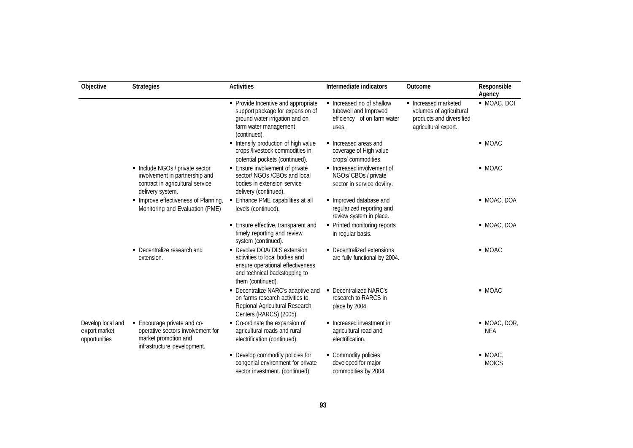| Objective                                           | <b>Strategies</b>                                                                                                       | <b>Activities</b>                                                                                                                                        | Intermediate indicators                                                                  | Outcome                                                                                             | Responsible<br>Agency      |
|-----------------------------------------------------|-------------------------------------------------------------------------------------------------------------------------|----------------------------------------------------------------------------------------------------------------------------------------------------------|------------------------------------------------------------------------------------------|-----------------------------------------------------------------------------------------------------|----------------------------|
|                                                     |                                                                                                                         | • Provide Incentive and appropriate<br>support package for expansion of<br>ground water irrigation and on<br>farm water management<br>(continued).       | Increased no of shallow<br>tubewell and Improved<br>efficiency of on farm water<br>uses. | • Increased marketed<br>volumes of agricultural<br>products and diversified<br>agricultural export. | · MOAC, DOI                |
|                                                     |                                                                                                                         | Intensify production of high value<br>crops /livestock commodities in<br>potential pockets (continued).                                                  | • Increased areas and<br>coverage of High value<br>crops/ commodities.                   |                                                                                                     | - MOAC                     |
|                                                     | Include NGOs / private sector<br>involvement in partnership and<br>contract in agricultural service<br>delivery system. | • Ensure involvement of private<br>sector/ NGOs /CBOs and local<br>bodies in extension service<br>delivery (continued).                                  | • Increased involvement of<br>NGOs/ CBOs / private<br>sector in service devilry.         |                                                                                                     | $-MOAC$                    |
|                                                     | • Improve effectiveness of Planning,<br>Monitoring and Evaluation (PME)                                                 | • Enhance PME capabilities at all<br>levels (continued).                                                                                                 | Improved database and<br>regularized reporting and<br>review system in place.            |                                                                                                     | • MOAC, DOA                |
|                                                     |                                                                                                                         | • Ensure effective, transparent and<br>timely reporting and review<br>system (continued).                                                                | • Printed monitoring reports<br>in regular basis.                                        |                                                                                                     | • MOAC, DOA                |
|                                                     | • Decentralize research and<br>extension.                                                                               | • Devolve DOA/ DLS extension<br>activities to local bodies and<br>ensure operational effectiveness<br>and technical backstopping to<br>them (continued). | • Decentralized extensions<br>are fully functional by 2004.                              |                                                                                                     | - MOAC                     |
|                                                     |                                                                                                                         | • Decentralize NARC's adaptive and<br>on farms research activities to<br>Regional Agricultural Research<br>Centers (RARCS) (2005).                       | • Decentralized NARC's<br>research to RARCS in<br>place by 2004.                         |                                                                                                     | - MOAC                     |
| Develop local and<br>export market<br>opportunities | • Encourage private and co-<br>operative sectors involvement for<br>market promotion and<br>infrastructure development. | • Co-ordinate the expansion of<br>agricultural roads and rural<br>electrification (continued).                                                           | • Increased investment in<br>agricultural road and<br>electrification.                   |                                                                                                     | · MOAC, DOR,<br><b>NEA</b> |
|                                                     |                                                                                                                         | • Develop commodity policies for<br>congenial environment for private<br>sector investment. (continued).                                                 | • Commodity policies<br>developed for major<br>commodities by 2004.                      |                                                                                                     | $-MOAC$<br><b>MOICS</b>    |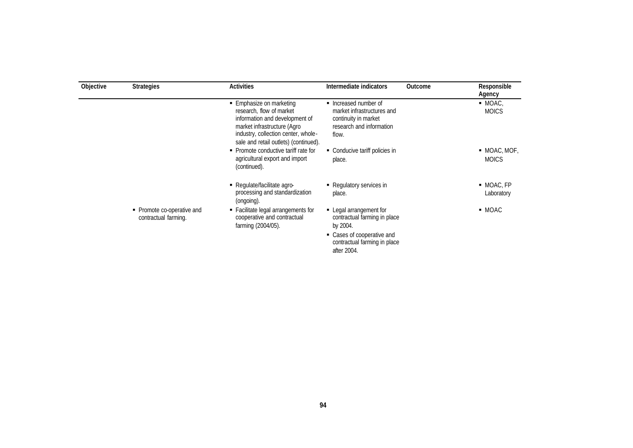| Objective | <b>Strategies</b>                                  | <b>Activities</b>                                                                                                                                                                                     | Intermediate indicators                                                                                          | Outcome | Responsible<br>Agency         |
|-----------|----------------------------------------------------|-------------------------------------------------------------------------------------------------------------------------------------------------------------------------------------------------------|------------------------------------------------------------------------------------------------------------------|---------|-------------------------------|
|           |                                                    | ■ Emphasize on marketing<br>research, flow of market<br>information and development of<br>market infrastructure (Agro<br>industry, collection center, whole-<br>sale and retail outlets) (continued). | • Increased number of<br>market infrastructures and<br>continuity in market<br>research and information<br>flow. |         | $-MOAC$<br><b>MOICS</b>       |
|           |                                                    | • Promote conductive tariff rate for<br>agricultural export and import<br>(continued).                                                                                                                | • Conducive tariff policies in<br>place.                                                                         |         | $-MOAC, MOF,$<br><b>MOICS</b> |
|           |                                                    | - Regulate/facilitate agro-<br>processing and standardization<br>(ongoing).                                                                                                                           | • Regulatory services in<br>place.                                                                               |         | $-MOAC, FP$<br>Laboratory     |
|           | • Promote co-operative and<br>contractual farming. | • Facilitate legal arrangements for<br>cooperative and contractual<br>farming (2004/05).                                                                                                              | • Legal arrangement for<br>contractual farming in place<br>by 2004.                                              |         | • MOAC                        |
|           |                                                    |                                                                                                                                                                                                       | • Cases of cooperative and<br>contractual farming in place<br>after 2004.                                        |         |                               |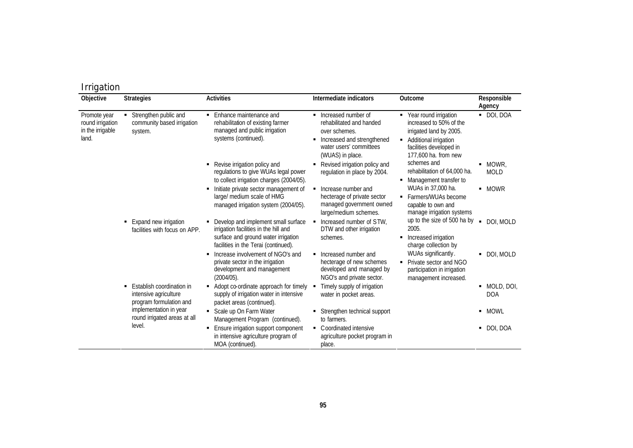| Irrigation                                                    |                                                                                                                                                                                                                                                                                                          |                                                                                                                       |                                                                                                                                                 |                                                                                                                                     |                          |  |  |  |            |
|---------------------------------------------------------------|----------------------------------------------------------------------------------------------------------------------------------------------------------------------------------------------------------------------------------------------------------------------------------------------------------|-----------------------------------------------------------------------------------------------------------------------|-------------------------------------------------------------------------------------------------------------------------------------------------|-------------------------------------------------------------------------------------------------------------------------------------|--------------------------|--|--|--|------------|
| Objective                                                     | <b>Strategies</b>                                                                                                                                                                                                                                                                                        | <b>Activities</b>                                                                                                     | Intermediate indicators                                                                                                                         | Outcome                                                                                                                             | Responsible<br>Agency    |  |  |  |            |
| Promote year<br>round irrigation<br>in the irrigable<br>land. | Strengthen public and<br>community based irrigation<br>system.                                                                                                                                                                                                                                           | Enhance maintenance and<br>rehabilitation of existing farmer<br>managed and public irrigation<br>systems (continued). | • Increased number of<br>rehabilitated and handed<br>over schemes.<br>Increased and strengthened<br>water users' committees<br>(WUAS) in place. | • Year round irrigation<br>increased to 50% of the<br>irrigated land by 2005.<br>• Additional irrigation<br>facilities developed in | 177,600 ha. from new     |  |  |  | · DOI, DOA |
|                                                               |                                                                                                                                                                                                                                                                                                          | Revise irrigation policy and<br>regulations to give WUAs legal power<br>to collect irrigation charges (2004/05).      | Revised irrigation policy and<br>regulation in place by 2004.                                                                                   | schemes and<br>rehabilitation of 64,000 ha.<br>• Management transfer to                                                             | MOWR,<br><b>MOLD</b>     |  |  |  |            |
|                                                               |                                                                                                                                                                                                                                                                                                          | Initiate private sector management of<br>large/ medium scale of HMG<br>managed irrigation system (2004/05).           | Increase number and<br>hecterage of private sector<br>managed government owned<br>large/medium schemes.                                         | WUAs in 37,000 ha.<br>Farmers/WUAs become<br>capable to own and<br>manage irrigation systems                                        | • MOWR                   |  |  |  |            |
|                                                               | Increased number of STW,<br>Expand new irrigation<br>Develop and implement small surface<br>2005.<br>irrigation facilities in the hill and<br>DTW and other irrigation<br>facilities with focus on APP.<br>surface and ground water irrigation<br>schemes.<br>٠.<br>facilities in the Terai (continued). | up to the size of 500 ha by<br>Increased irrigation<br>charge collection by                                           | DOI. MOLD                                                                                                                                       |                                                                                                                                     |                          |  |  |  |            |
|                                                               |                                                                                                                                                                                                                                                                                                          | Increase involvement of NGO's and<br>private sector in the irrigation<br>development and management<br>$(2004/05)$ .  | Increased number and<br>hecterage of new schemes<br>developed and managed by<br>NGO's and private sector.                                       | WUAs significantly.<br>Private sector and NGO<br>п.<br>participation in irrigation<br>management increased.                         | DOI, MOLD                |  |  |  |            |
|                                                               | Establish coordination in<br>intensive agriculture<br>program formulation and                                                                                                                                                                                                                            | Adopt co-ordinate approach for timely<br>supply of irrigation water in intensive<br>packet areas (continued).         | Timely supply of irrigation<br>water in pocket areas.                                                                                           |                                                                                                                                     | MOLD, DOI,<br><b>DOA</b> |  |  |  |            |
|                                                               | implementation in year<br>round irrigated areas at all                                                                                                                                                                                                                                                   | Scale up On Farm Water<br>٠<br>Management Program (continued).                                                        | Strengthen technical support<br>to farmers.                                                                                                     |                                                                                                                                     | MOWL                     |  |  |  |            |
|                                                               | level.                                                                                                                                                                                                                                                                                                   | Ensure irrigation support component<br>in intensive agriculture program of<br>MOA (continued).                        | Coordinated intensive<br>٠<br>agriculture pocket program in<br>place.                                                                           |                                                                                                                                     | doi, doa<br>٠            |  |  |  |            |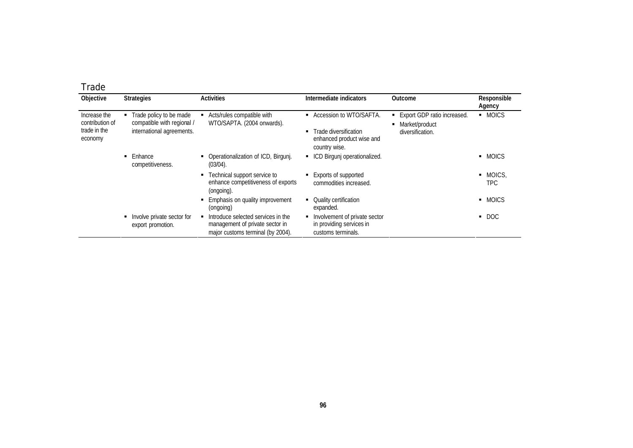| Trade                                                      |                                                                                    |                                                                                                            |                                                                                                  |                                                                       |                        |
|------------------------------------------------------------|------------------------------------------------------------------------------------|------------------------------------------------------------------------------------------------------------|--------------------------------------------------------------------------------------------------|-----------------------------------------------------------------------|------------------------|
| Objective                                                  | <b>Strategies</b>                                                                  | <b>Activities</b>                                                                                          | Intermediate indicators                                                                          | Outcome                                                               | Responsible<br>Agency  |
| Increase the<br>contribution of<br>trade in the<br>economy | Trade policy to be made<br>compatible with regional /<br>international agreements. | Acts/rules compatible with<br>WTO/SAPTA. (2004 onwards).                                                   | • Accession to WTO/SAFTA.<br>Trade diversification<br>enhanced product wise and<br>country wise. | • Export GDP ratio increased.<br>• Market/product<br>diversification. | - MOICS                |
|                                                            | Enhance<br>competitiveness.                                                        | • Operationalization of ICD, Birgunj.<br>$(03/04)$ .                                                       | • ICD Birgunj operationalized.                                                                   |                                                                       | • MOICS                |
|                                                            |                                                                                    | • Technical support service to<br>enhance competitiveness of exports<br>(ongoing).                         | ■ Exports of supported<br>commodities increased.                                                 |                                                                       | • MOICS.<br><b>TPC</b> |
|                                                            |                                                                                    | Emphasis on quality improvement<br>٠<br>(ongoing)                                                          | <b>Quality certification</b><br>expanded.                                                        |                                                                       | • MOICS                |
|                                                            | Involve private sector for<br>export promotion.                                    | Introduce selected services in the<br>management of private sector in<br>major customs terminal (by 2004). | • Involvement of private sector<br>in providing services in<br>customs terminals.                |                                                                       | $\blacksquare$ DOC     |

**96**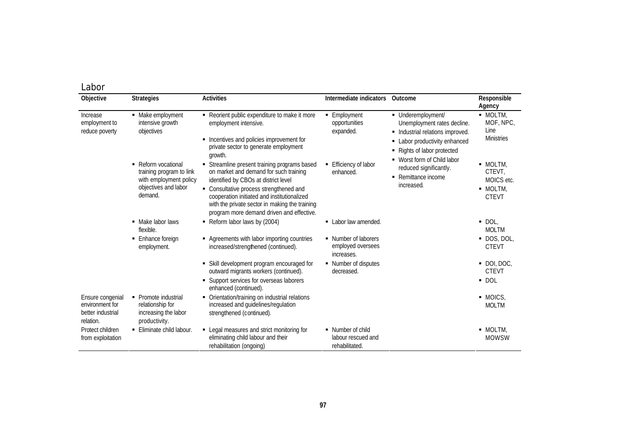| LANUI                                                                 |                                                                                                              |                                                                                                                                                                                                                                                                                                                         |                                                           |                                                                                                                                                                                                                                                   |                                                              |
|-----------------------------------------------------------------------|--------------------------------------------------------------------------------------------------------------|-------------------------------------------------------------------------------------------------------------------------------------------------------------------------------------------------------------------------------------------------------------------------------------------------------------------------|-----------------------------------------------------------|---------------------------------------------------------------------------------------------------------------------------------------------------------------------------------------------------------------------------------------------------|--------------------------------------------------------------|
| Objective                                                             | <b>Strategies</b>                                                                                            | <b>Activities</b>                                                                                                                                                                                                                                                                                                       | Intermediate indicators                                   | Outcome                                                                                                                                                                                                                                           | Responsible<br>Agency                                        |
| Increase<br>employment to<br>reduce poverty                           | • Make employment<br>intensive growth<br>objectives                                                          | - Reorient public expenditure to make it more<br>employment intensive.<br>• Incentives and policies improvement for<br>private sector to generate employment<br>growth.                                                                                                                                                 | • Employment<br>opportunities<br>expanded.                | Underemployment/<br>Unemployment rates decline.<br>• Industrial relations improved.<br>• Labor productivity enhanced<br>- Rights of labor protected<br>• Worst form of Child labor<br>reduced significantly.<br>• Remittance income<br>increased. | • MOLTM,<br>MOF, NPC,<br>Line<br><b>Ministries</b>           |
|                                                                       | • Reform vocational<br>training program to link<br>with employment policy<br>objectives and labor<br>demand. | • Streamline present training programs based<br>on market and demand for such training<br>identified by CBOs at district level<br>• Consultative process strengthened and<br>cooperation initiated and institutionalized<br>with the private sector in making the training<br>program more demand driven and effective. | Efficiency of labor<br>enhanced.                          |                                                                                                                                                                                                                                                   | · MOLTM.<br>CTEVT,<br>MOICS etc.<br>· MOLTM,<br><b>CTEVT</b> |
|                                                                       | • Make labor laws<br>flexible.                                                                               | Reform labor laws by (2004)                                                                                                                                                                                                                                                                                             | • Labor law amended.                                      |                                                                                                                                                                                                                                                   | $\bullet$ DOL.<br><b>MOLTM</b>                               |
|                                                                       | • Enhance foreign<br>employment.                                                                             | • Agreements with labor importing countries<br>increased/strengthened (continued).                                                                                                                                                                                                                                      | • Number of laborers<br>employed oversees<br>increases.   |                                                                                                                                                                                                                                                   | $\blacksquare$ DOS, DOL,<br><b>CTEVT</b>                     |
|                                                                       |                                                                                                              | • Skill development program encouraged for<br>outward migrants workers (continued).                                                                                                                                                                                                                                     | • Number of disputes<br>decreased.                        |                                                                                                                                                                                                                                                   | $\bullet$ DOI, DOC,<br><b>CTEVT</b>                          |
|                                                                       |                                                                                                              | • Support services for overseas laborers<br>enhanced (continued).                                                                                                                                                                                                                                                       |                                                           |                                                                                                                                                                                                                                                   | $\blacksquare$ DOL                                           |
| Ensure congenial<br>environment for<br>better industrial<br>relation. | • Promote industrial<br>relationship for<br>increasing the labor<br>productivity.                            | • Orientation/training on industrial relations<br>increased and guidelines/regulation<br>strengthened (continued).                                                                                                                                                                                                      |                                                           |                                                                                                                                                                                                                                                   | • MOICS.<br><b>MOLTM</b>                                     |
| Protect children<br>from exploitation                                 | $\blacksquare$ Eliminate child labour.                                                                       | • Legal measures and strict monitoring for<br>eliminating child labour and their<br>rehabilitation (ongoing)                                                                                                                                                                                                            | • Number of child<br>labour rescued and<br>rehabilitated. |                                                                                                                                                                                                                                                   | $-MOLTM,$<br><b>MOWSW</b>                                    |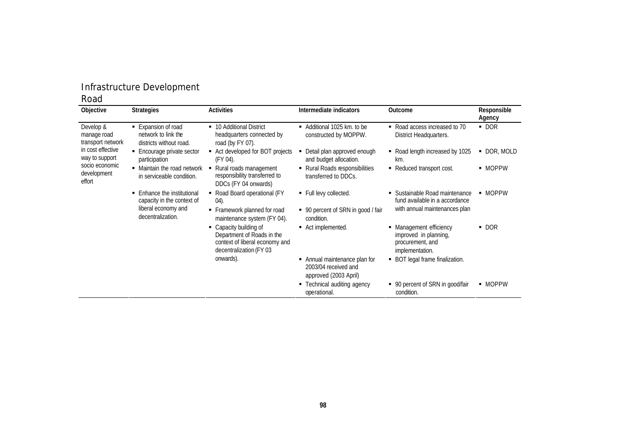# Infrastructure Development

# Road

| Objective                                                                      | <b>Strategies</b>                                                                                                     | <b>Activities</b>                                                                                               | Intermediate indicators                                                           | Outcome                                                                                 | Responsible<br>Agency |
|--------------------------------------------------------------------------------|-----------------------------------------------------------------------------------------------------------------------|-----------------------------------------------------------------------------------------------------------------|-----------------------------------------------------------------------------------|-----------------------------------------------------------------------------------------|-----------------------|
| Develop &<br>manage road<br>transport network                                  | Expansion of road<br>٠.<br>network to link the<br>districts without road.                                             | 10 Additional District<br>headquarters connected by<br>road (by FY 07).                                         | Additional 1025 km, to be<br>٠<br>constructed by MOPPW.                           | • Road access increased to 70<br>District Headquarters.                                 | $\blacksquare$ DOR    |
| in cost effective<br>way to support<br>socio economic<br>development<br>effort | Encourage private sector<br>participation                                                                             | ■ Act developed for BOT projects<br>(FY 04).                                                                    | Detail plan approved enough<br>and budget allocation.                             | • Road length increased by 1025<br>km.                                                  | ■ DOR, MOLD           |
|                                                                                | • Maintain the road network<br>in serviceable condition.                                                              | • Rural roads management<br>responsibility transferred to<br>DDCs (FY 04 onwards)                               | Rural Roads responsibilities<br>٠<br>transferred to DDCs.                         | • Reduced transport cost.                                                               | • MOPPW               |
|                                                                                | Enhance the institutional<br>$\blacksquare$<br>capacity in the context of<br>liberal economy and<br>decentralization. | • Road Board operational (FY<br>$(04)$ .                                                                        | • Full levy collected.                                                            | • Sustainable Road maintenance<br>fund available in a accordance                        | • MOPPW               |
|                                                                                |                                                                                                                       | • Framework planned for road<br>maintenance system (FY 04).<br>condition.                                       | • 90 percent of SRN in good / fair                                                | with annual maintenances plan                                                           |                       |
|                                                                                |                                                                                                                       | Capacity building of<br>Department of Roads in the<br>context of liberal economy and<br>decentralization (FY 03 | Act implemented.                                                                  | • Management efficiency<br>improved in planning,<br>procurement, and<br>implementation. | $\blacksquare$ DOR    |
|                                                                                |                                                                                                                       | onwards).                                                                                                       | Annual maintenance plan for<br>٠<br>2003/04 received and<br>approved (2003 April) | • BOT legal frame finalization.                                                         |                       |
|                                                                                |                                                                                                                       |                                                                                                                 | Technical auditing agency<br>٠<br>operational.                                    | • 90 percent of SRN in good/fair<br>condition.                                          | • MOPPW               |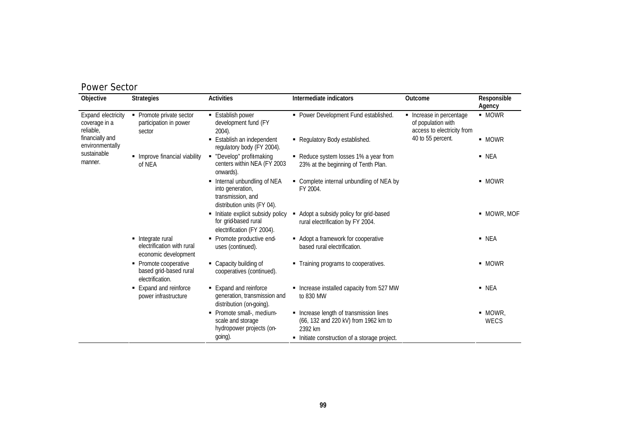| Objective                                        | <b>Strategies</b>                                                       | <b>Activities</b>                                                                                  | Intermediate indicators                                                                    | Outcome                                                                      | Responsible<br>Agency |
|--------------------------------------------------|-------------------------------------------------------------------------|----------------------------------------------------------------------------------------------------|--------------------------------------------------------------------------------------------|------------------------------------------------------------------------------|-----------------------|
| Expand electricity<br>coverage in a<br>reliable, | • Promote private sector<br>participation in power<br>sector            | ■ Establish power<br>development fund (FY<br>2004).                                                | • Power Development Fund established.                                                      | • Increase in percentage<br>of population with<br>access to electricity from | • MOWR                |
| financially and<br>environmentally               |                                                                         | Establish an independent<br>regulatory body (FY 2004).                                             | - Regulatory Body established.                                                             | 40 to 55 percent.                                                            | - MOWR                |
| sustainable<br>manner.                           | • Improve financial viability<br>of NEA                                 | • "Develop" profitmaking<br>centers within NEA (FY 2003<br>onwards).                               | • Reduce system losses 1% a year from<br>23% at the beginning of Tenth Plan.               |                                                                              | $\blacksquare$ NEA    |
|                                                  |                                                                         | Internal unbundling of NEA<br>into generation,<br>transmission, and<br>distribution units (FY 04). | • Complete internal unbundling of NEA by<br>FY 2004.                                       |                                                                              | • MOWR                |
|                                                  |                                                                         | • Initiate explicit subsidy policy<br>for grid-based rural<br>electrification (FY 2004).           | Adopt a subsidy policy for grid-based<br>rural electrification by FY 2004.                 |                                                                              | • MOWR, MOF           |
|                                                  | • Integrate rural<br>electrification with rural<br>economic development | • Promote productive end-<br>uses (continued).                                                     | • Adopt a framework for cooperative<br>based rural electrification.                        |                                                                              | $\blacksquare$ NEA    |
|                                                  | • Promote cooperative<br>based grid-based rural<br>electrification.     | • Capacity building of<br>cooperatives (continued).                                                | • Training programs to cooperatives.                                                       |                                                                              | - MOWR                |
|                                                  | ■ Expand and reinforce<br>power infrastructure                          | ■ Expand and reinforce<br>generation, transmission and<br>distribution (on-going).                 | • Increase installed capacity from 527 MW<br>to 830 MW                                     |                                                                              | $\blacksquare$ NEA    |
|                                                  |                                                                         | • Promote small-, medium-<br>scale and storage<br>hydropower projects (on-                         | • Increase length of transmission lines<br>(66, 132 and 220 kV) from 1962 km to<br>2392 km |                                                                              | $-MOWR$<br>WECS       |
|                                                  |                                                                         | going).                                                                                            | Initiate construction of a storage project.                                                |                                                                              |                       |

Power Sector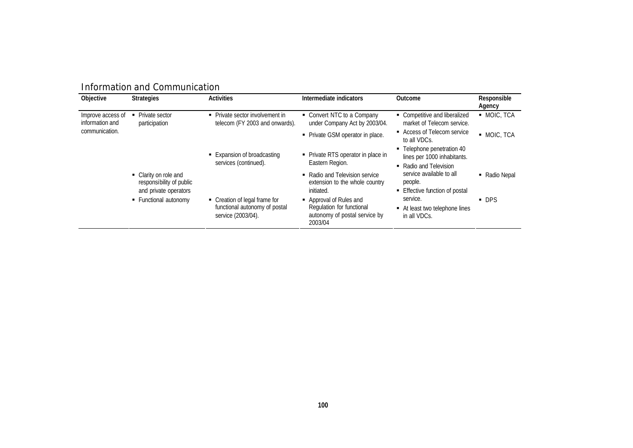| Objective                            | <b>Strategies</b>                                                          | <b>Activities</b>                                                                    | Intermediate indicators                                                                          | <b>Outcome</b>                                                                      | Responsible<br>Agency |
|--------------------------------------|----------------------------------------------------------------------------|--------------------------------------------------------------------------------------|--------------------------------------------------------------------------------------------------|-------------------------------------------------------------------------------------|-----------------------|
| Improve access of<br>information and | Private sector<br>participation                                            | • Private sector involvement in<br>telecom (FY 2003 and onwards).                    | • Convert NTC to a Company<br>under Company Act by 2003/04.                                      | • Competitive and liberalized<br>market of Telecom service.                         | • MOIC, TCA           |
| communication.                       |                                                                            |                                                                                      | • Private GSM operator in place.                                                                 | • Access of Telecom service<br>to all VDCs.                                         | • MOIC, TCA           |
|                                      |                                                                            | ■ Expansion of broadcasting<br>services (continued).                                 | • Private RTS operator in place in<br>Eastern Region.                                            | • Telephone penetration 40<br>lines per 1000 inhabitants.<br>• Radio and Television |                       |
|                                      | • Clarity on role and<br>responsibility of public<br>and private operators |                                                                                      | • Radio and Television service<br>extension to the whole country<br>initiated.                   | service available to all<br>people.<br>■ Effective function of postal               | • Radio Nepal         |
|                                      | • Functional autonomy                                                      | • Creation of legal frame for<br>functional autonomy of postal<br>service (2003/04). | • Approval of Rules and<br>Regulation for functional<br>autonomy of postal service by<br>2003/04 | service.<br>At least two telephone lines<br>in all VDCs.                            | • DPS                 |

## Information and Communication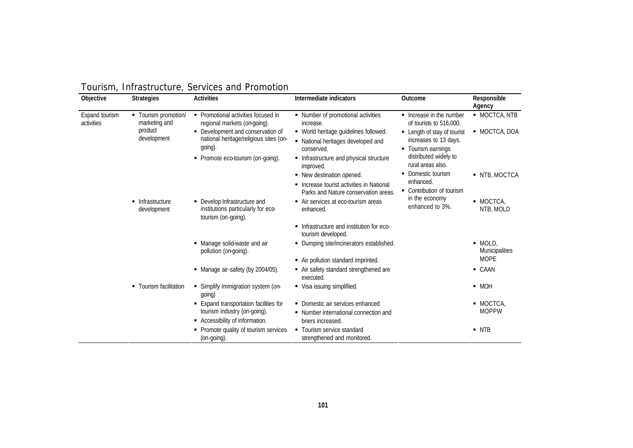| Objective                    | <b>Strategies</b>                     | <b>Activities</b>                                                                                                           | Intermediate indicators                                                                                                            | Outcome                                                                                                                  | Responsible<br>Agency       |
|------------------------------|---------------------------------------|-----------------------------------------------------------------------------------------------------------------------------|------------------------------------------------------------------------------------------------------------------------------------|--------------------------------------------------------------------------------------------------------------------------|-----------------------------|
| Expand tourism<br>activities | - Tourism promotion/<br>marketing and | • Promotional activities focused in<br>regional markets (on-going).                                                         | • Number of promotional activities<br>increase.                                                                                    | • Increase in the number<br>of tourists to 516,000.                                                                      | • MOCTCA, NTB               |
|                              | product<br>development                | • Development and conservation of<br>national heritage/religious sites (on-<br>going).<br>• Promote eco tourism (on-going). | • World heritage guidelines followed.<br>• National heritages developed and<br>conserved.<br>Infrastructure and physical structure | • Length of stay of tourist<br>increases to 13 days.<br>• Tourism earnings<br>distributed widely to<br>rural areas also. | - MOCTCA, DOA               |
|                              |                                       |                                                                                                                             | improved.<br>• New destination opened.<br>• Increase tourist activities in National<br>Parks and Nature conservation areas.        | Domestic tourism<br>٠<br>enhanced.<br>• Contribution of tourism                                                          | - NTB, MOCTCA               |
|                              | • Infrastructure<br>development       | • Develop Infrastructure and<br>institutions particularly for eco-<br>tourism (on-going).                                   | • Air services at eco-tourism areas<br>enhanced.                                                                                   | in the economy<br>enhanced to 3%.                                                                                        | · MOCTCA.<br>NTB, MOLD      |
|                              |                                       |                                                                                                                             | Infrastructure and institution for eco-<br>tourism developed.                                                                      |                                                                                                                          |                             |
|                              |                                       | • Manage solid-waste and air<br>pollution (on-going).                                                                       | • Dumping site/incinerators established.                                                                                           |                                                                                                                          | $-MOLD$ .<br>Municipalities |
|                              |                                       |                                                                                                                             | • Air pollution standard imprinted.                                                                                                |                                                                                                                          | <b>MOPE</b>                 |
|                              |                                       | • Manage air-safety (by 2004/05).                                                                                           | - Air safety standard strengthened are<br>executed.                                                                                |                                                                                                                          | <b>CAAN</b>                 |
|                              | • Tourism facilitation                | Simplify Immigration system (on-<br>٠<br>qoing)                                                                             | Visa issuing simplified.                                                                                                           |                                                                                                                          | $-MOH$                      |
|                              |                                       | Expand transportation facilities for<br>٠<br>tourism industry (on-going).<br>- Accessibility of information.                | • Domestic air services enhanced.<br>• Number international connection and<br>briers increased.                                    |                                                                                                                          | • MOCTCA,<br><b>MOPPW</b>   |
|                              |                                       | Promote quality of tourism services<br>٠<br>(on-going).                                                                     | • Tourism service standard<br>strengthened and monitored.                                                                          |                                                                                                                          | $\blacksquare$ NTB          |

# Tourism, Infrastructure, Services and Promotion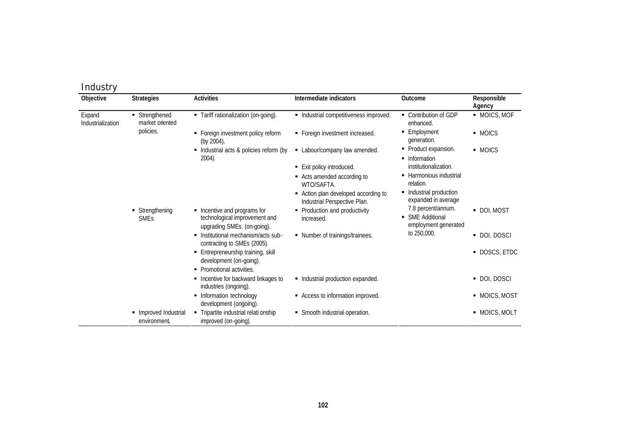| Objective                   | <b>Strategies</b>                       | <b>Activities</b>                                                                            | Intermediate indicators                                              | Outcome                                                        | Responsible<br>Agency |
|-----------------------------|-----------------------------------------|----------------------------------------------------------------------------------------------|----------------------------------------------------------------------|----------------------------------------------------------------|-----------------------|
| Expand<br>Industrialization | ■ Strengthened<br>market oriented       | • Tariff rationalization (on-going).                                                         | • Industrial competitiveness improved.                               | • Contribution of GDP<br>enhanced.                             | MOICS, MOF            |
|                             | policies.                               | • Foreign investment policy reform<br>(by 2004).                                             | • Foreign investment increased.                                      | Employment<br>generation.                                      | • MOICS               |
|                             |                                         | • Industrial acts & policies reform (by<br>2004).                                            | • Labour/company law amended.                                        | • Product expansion.<br>• Information                          | • MOICS               |
|                             |                                         |                                                                                              | ■ Exit policy introduced.                                            | institutionalization.                                          |                       |
|                             |                                         |                                                                                              | • Acts amended according to<br>WTO/SAFTA.                            | • Harmonious industrial<br>relation.                           |                       |
|                             |                                         |                                                                                              | • Action plan developed according to<br>Industrial Perspective Plan. | • Industrial production<br>expanded in average                 |                       |
|                             | Strengthening<br><b>SME<sub>S</sub></b> | • Incentive and programs for<br>technological improvement and<br>upgrading SMEs. (on-going). | • Production and productivity<br>increased.                          | 7.8 percent/annum.<br>· SME Additional<br>employment generated | • DOI, MOST           |
|                             |                                         | - Institutional mechanism/acts sub-<br>contracting to SMEs (2005).                           | ■ Number of trainings/trainees.                                      | to 250,000.                                                    | • DOI, DOSCI          |
|                             |                                         | • Entrepreneurship training, skill<br>development (on-going).<br>• Promotional activities.   |                                                                      |                                                                | DOSCS, ETDC           |
|                             |                                         | • Incentive for backward linkages to<br>industries (ongoing).                                | • Industrial production expanded.                                    |                                                                | • DOI, DOSCI          |
|                             |                                         | • Information technology<br>development (ongoing).                                           | - Access to information improved.                                    |                                                                | MOICS, MOST           |
|                             | • Improved Industrial<br>environment.   | - Tripartite industrial relati onship<br>improved (on-going).                                | • Smooth industrial operation.                                       |                                                                | MOICS, MOLT           |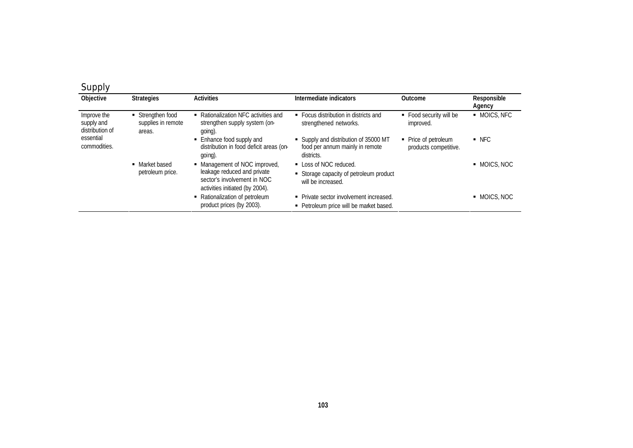| Supply                                                                              |                                         |                                                                                               |                                                                                        |                                               |                       |
|-------------------------------------------------------------------------------------|-----------------------------------------|-----------------------------------------------------------------------------------------------|----------------------------------------------------------------------------------------|-----------------------------------------------|-----------------------|
| Objective                                                                           | <b>Strategies</b>                       | <b>Activities</b>                                                                             | Intermediate indicators                                                                | Outcome                                       | Responsible<br>Agency |
| Improve the<br>supply and<br>distribution of<br>areas.<br>essential<br>commodities. | • Strengthen food<br>supplies in remote | Rationalization NFC activities and<br>strengthen supply system (on-<br>qoing).                | • Focus distribution in districts and<br>strengthened networks.                        | • Food security will be<br>improved.          | • MOICS, NFC          |
|                                                                                     |                                         | • Enhance food supply and<br>distribution in food deficit areas (on-<br>going).               | • Supply and distribution of 35000 MT<br>food per annum mainly in remote<br>districts. | • Price of petroleum<br>products competitive. | $\blacksquare$ NFC    |
|                                                                                     | • Market based                          | • Management of NOC improved,                                                                 | • Loss of NOC reduced.                                                                 |                                               | • MOICS, NOC          |
|                                                                                     | petroleum price.                        | leakage reduced and private<br>sector's involvement in NOC<br>activities initiated (by 2004). | • Storage capacity of petroleum product<br>will be increased.                          |                                               |                       |
|                                                                                     |                                         | • Rationalization of petroleum<br>product prices (by 2003).                                   | • Private sector involvement increased.<br>• Petroleum price will be market based.     |                                               | • MOICS, NOC          |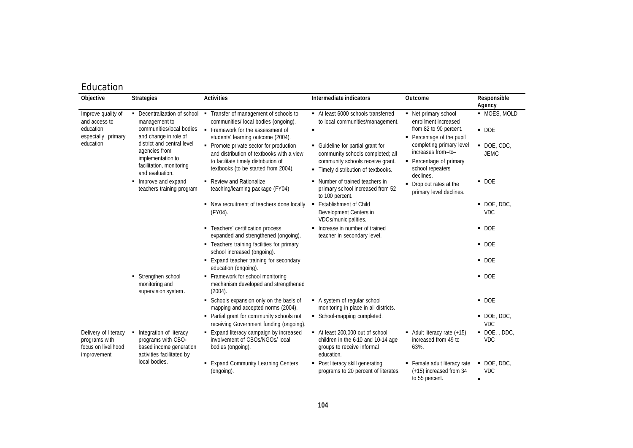| Objective                                                                           | <b>Strategies</b>                                                                                                                                                                                                     | <b>Activities</b>                                                                                                                                                                                                                                                                                                                 | Intermediate indicators                                                                                                                                                                                                   | Outcome                                                                                                                                                                                                           | Responsible<br>Agency                               |
|-------------------------------------------------------------------------------------|-----------------------------------------------------------------------------------------------------------------------------------------------------------------------------------------------------------------------|-----------------------------------------------------------------------------------------------------------------------------------------------------------------------------------------------------------------------------------------------------------------------------------------------------------------------------------|---------------------------------------------------------------------------------------------------------------------------------------------------------------------------------------------------------------------------|-------------------------------------------------------------------------------------------------------------------------------------------------------------------------------------------------------------------|-----------------------------------------------------|
| Improve quality of<br>and access to<br>education<br>especially primary<br>education | • Decentralization of school<br>management to<br>communities/local bodies<br>and change in role of<br>district and central level<br>agencies from<br>implementation to<br>facilitation, monitoring<br>and evaluation. | • Transfer of management of schools to<br>communities/ local bodies (ongoing).<br>• Framework for the assessment of<br>students' learning outcome (2004).<br>• Promote private sector for production<br>and distribution of textbooks with a view<br>to facilitate timely distribution of<br>textbooks (to be started from 2004). | At least 6000 schools transferred<br>to local communities/management.<br>• Guideline for partial grant for<br>community schools completed; all<br>community schools receive grant.<br>- Timely distribution of textbooks. | • Net primary school<br>enrollment increased<br>from 82 to 90 percent.<br>• Percentage of the pupil<br>completing primary level<br>increases from-to-<br>• Percentage of primary<br>school repeaters<br>declines. | • MOES, MOLD<br>$-$ DOE<br>DOE, CDC,<br><b>JEMC</b> |
|                                                                                     | • Improve and expand<br>teachers training program                                                                                                                                                                     | • Review and Rationalize<br>teaching/learning package (FY04)                                                                                                                                                                                                                                                                      | • Number of trained teachers in<br>primary school increased from 52<br>to 100 percent.                                                                                                                                    | • Drop out rates at the<br>primary level declines.                                                                                                                                                                | $-$ DOE                                             |
|                                                                                     |                                                                                                                                                                                                                       | • New recruitment of teachers done locally<br>(FY04).                                                                                                                                                                                                                                                                             | <b>Establishment of Child</b><br>Development Centers in<br>VDCs/municipalities.                                                                                                                                           |                                                                                                                                                                                                                   | $\bullet$ DOE, DDC,<br><b>VDC</b>                   |
|                                                                                     |                                                                                                                                                                                                                       | • Teachers' certification process<br>expanded and strengthened (ongoing).                                                                                                                                                                                                                                                         | • Increase in number of trained<br>teacher in secondary level.                                                                                                                                                            |                                                                                                                                                                                                                   | $\blacksquare$ DOE                                  |
|                                                                                     |                                                                                                                                                                                                                       | • Teachers training facilities for primary<br>school increased (ongoing).                                                                                                                                                                                                                                                         |                                                                                                                                                                                                                           |                                                                                                                                                                                                                   | $-$ DOE                                             |
|                                                                                     |                                                                                                                                                                                                                       | • Expand teacher training for secondary<br>education (ongoing).                                                                                                                                                                                                                                                                   |                                                                                                                                                                                                                           |                                                                                                                                                                                                                   | $-$ DOE                                             |
|                                                                                     | Strengthen school<br>monitoring and<br>supervision system.                                                                                                                                                            | • Framework for school monitoring<br>mechanism developed and strengthened<br>(2004).                                                                                                                                                                                                                                              |                                                                                                                                                                                                                           |                                                                                                                                                                                                                   | $-$ DOE                                             |
|                                                                                     |                                                                                                                                                                                                                       | Schools expansion only on the basis of<br>mapping and accepted norms (2004).                                                                                                                                                                                                                                                      | A system of regular school<br>monitoring in place in all districts.                                                                                                                                                       |                                                                                                                                                                                                                   | $-$ DOE                                             |
|                                                                                     |                                                                                                                                                                                                                       | • Partial grant for community schools not<br>receiving Government funding (ongoing).                                                                                                                                                                                                                                              | School-mapping completed.                                                                                                                                                                                                 |                                                                                                                                                                                                                   | $\bullet$ DOE, DDC,<br>VDC                          |
| Delivery of literacy<br>programs with<br>focus on livelihood<br>improvement         | • Integration of literacy<br>programs with CBO-<br>based income generation<br>activities facilitated by                                                                                                               | • Expand literacy campaign by increased<br>involvement of CBOs/NGOs/ local<br>bodies (ongoing).                                                                                                                                                                                                                                   | At least 200,000 out of school<br>children in the 6-10 and 10-14 age<br>groups to receive informal<br>education.                                                                                                          | • Adult literacy rate $(+15)$<br>increased from 49 to<br>63%.                                                                                                                                                     | $\blacksquare$ DOE, , DDC,<br><b>VDC</b>            |
|                                                                                     | local bodies.                                                                                                                                                                                                         | • Expand Community Learning Centers<br>(ongoing).                                                                                                                                                                                                                                                                                 | Post literacy skill generating<br>programs to 20 percent of literates.                                                                                                                                                    | • Female adult literacy rate<br>(+15) increased from 34<br>to 55 percent.                                                                                                                                         | · DOE, DDC,<br><b>VDC</b><br>٠                      |

### Education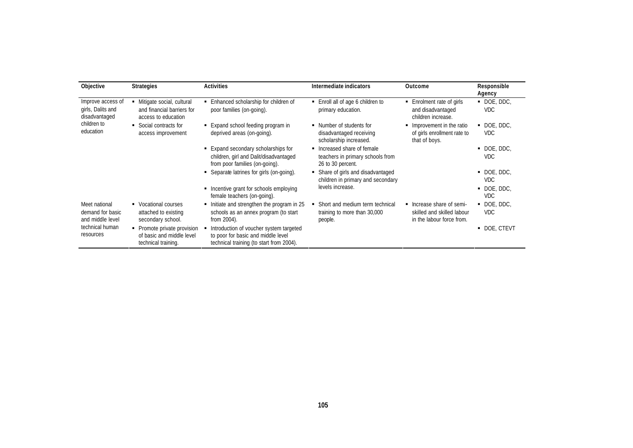| Objective                                               | <b>Strategies</b>                                                               | <b>Activities</b>                                                                                                         | Intermediate indicators                                                              | Outcome                                                                              | Responsible<br>Agency                  |
|---------------------------------------------------------|---------------------------------------------------------------------------------|---------------------------------------------------------------------------------------------------------------------------|--------------------------------------------------------------------------------------|--------------------------------------------------------------------------------------|----------------------------------------|
| Improve access of<br>girls, Dalits and<br>disadvantaged | Mitigate social, cultural<br>and financial barriers for<br>access to education  | • Enhanced scholarship for children of<br>poor families (on-going).                                                       | • Enroll all of age 6 children to<br>primary education.                              | ■ Enrolment rate of girls<br>and disadvantaged<br>children increase.                 | $\bullet$ DOE, DDC,<br><b>VDC</b>      |
| children to<br>education                                | • Social contracts for<br>access improvement                                    | ■ Expand school feeding program in<br>deprived areas (on-going).                                                          | • Number of students for<br>disadvantaged receiving<br>scholarship increased.        | • Improvement in the ratio<br>of girls enrollment rate to<br>that of boys.           | $\blacksquare$ DOE, DDC,<br><b>VDC</b> |
|                                                         |                                                                                 | ■ Expand secondary scholarships for<br>children, girl and Dalit/disadvantaged<br>from poor families (on-going).           | • Increased share of female<br>teachers in primary schools from<br>26 to 30 percent. |                                                                                      | • DOE, DDC,<br><b>VDC</b>              |
|                                                         |                                                                                 | • Separate latrines for girls (on-going).                                                                                 | • Share of girls and disadvantaged<br>children in primary and secondary              |                                                                                      | $\bullet$ DOE, DDC,<br><b>VDC</b>      |
|                                                         |                                                                                 | • Incentive grant for schools employing<br>female teachers (on-going).                                                    | levels increase.                                                                     |                                                                                      | $\bullet$ DOE, DDC,<br><b>VDC</b>      |
| Meet national<br>demand for basic<br>and middle level   | • Vocational courses<br>attached to existing<br>secondary school.               | Initiate and strengthen the program in 25<br>schools as an annex program (to start<br>from 2004).                         | Short and medium term technical<br>training to more than 30,000<br>people.           | • Increase share of semi-<br>skilled and skilled labour<br>in the labour force from. | $\blacksquare$ DOE, DDC,<br><b>VDC</b> |
| technical human<br>resources                            | • Promote private provision<br>of basic and middle level<br>technical training. | Introduction of voucher system targeted<br>to poor for basic and middle level<br>technical training (to start from 2004). |                                                                                      |                                                                                      | • DOE, CTEVT                           |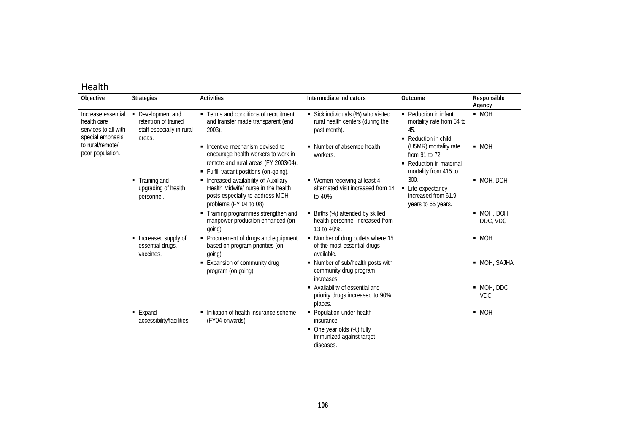| Objective                                                                     | <b>Strategies</b>                                                                 | <b>Activities</b>                                                                                                                                         | Intermediate indicators                                                                              | Outcome                                                                                     | Responsible<br>Agency     |
|-------------------------------------------------------------------------------|-----------------------------------------------------------------------------------|-----------------------------------------------------------------------------------------------------------------------------------------------------------|------------------------------------------------------------------------------------------------------|---------------------------------------------------------------------------------------------|---------------------------|
| Increase essential<br>health care<br>services to all with<br>special emphasis | • Development and<br>retenti on of trained<br>staff especially in rural<br>areas. | • Terms and conditions of recruitment<br>and transfer made transparent (end<br>2003).                                                                     | Sick individuals (%) who visited<br>rural health centers (during the<br>past month).                 | • Reduction in infant<br>mortality rate from 64 to<br>45.<br>• Reduction in child           | $-MOH$                    |
| to rural/remote/<br>poor population.                                          |                                                                                   | • Incentive mechanism devised to<br>encourage health workers to work in<br>remote and rural areas (FY 2003/04).<br>• Fulfill vacant positions (on-going). | • Number of absentee health<br>workers.                                                              | (U5MR) mortality rate<br>from 91 to 72.<br>• Reduction in maternal<br>mortality from 415 to | $-MOH$                    |
|                                                                               | $\blacksquare$ Training and<br>upgrading of health<br>personnel.                  | • Increased availability of Auxiliary<br>Health Midwife/ nurse in the health<br>posts especially to address MCH<br>problems (FY 04 to 08)                 | • Women receiving at least 4<br>alternated visit increased from 14<br>to 40%.                        | 300.<br>• Life expectancy<br>increased from 61.9<br>years to 65 years.                      | • MOH, DOH                |
|                                                                               |                                                                                   | • Training programmes strengthen and<br>manpower production enhanced (on<br>going).                                                                       | • Births (%) attended by skilled<br>health personnel increased from<br>13 to 40%.                    |                                                                                             | $-MOH$ , DOH,<br>DDC, VDC |
|                                                                               | • Increased supply of<br>essential drugs,<br>vaccines.                            | • Procurement of drugs and equipment<br>based on program priorities (on<br>going).                                                                        | • Number of drug outlets where 15<br>of the most essential drugs<br>available.                       |                                                                                             | $-MOH$                    |
|                                                                               |                                                                                   | Expansion of community drug<br>program (on going).                                                                                                        | • Number of sub/health posts with<br>community drug program<br>increases.                            |                                                                                             | • MOH, SAJHA              |
|                                                                               |                                                                                   |                                                                                                                                                           | Availability of essential and<br>٠.<br>priority drugs increased to 90%<br>places.                    |                                                                                             | • MOH, DDC,<br><b>VDC</b> |
|                                                                               | $\blacksquare$ Expand<br>accessibility/facilities                                 | • Initiation of health insurance scheme<br>(FY04 onwards).                                                                                                | Population under health<br>٠.<br>insurance.<br>• One year olds (%) fully<br>immunized against target |                                                                                             | • MOH                     |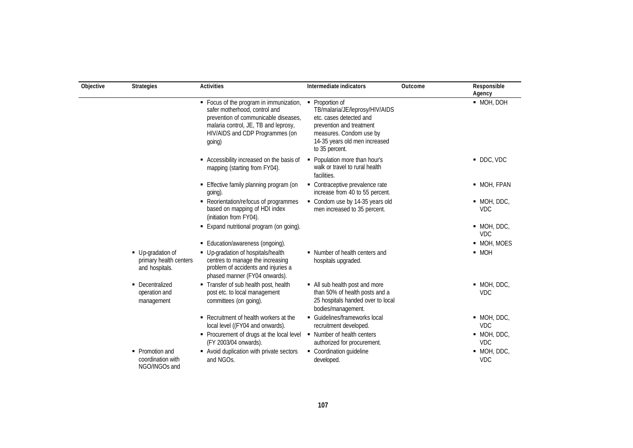| Objective | <b>Strategies</b>                                             | <b>Activities</b>                                                                                                                                                                                     | Intermediate indicators                                                                                                                                                                | Outcome | Responsible<br>Agency       |
|-----------|---------------------------------------------------------------|-------------------------------------------------------------------------------------------------------------------------------------------------------------------------------------------------------|----------------------------------------------------------------------------------------------------------------------------------------------------------------------------------------|---------|-----------------------------|
|           |                                                               | • Focus of the program in immunization,<br>safer motherhood, control and<br>prevention of communicable diseases,<br>malaria control, JE, TB and leprosy,<br>HIV/AIDS and CDP Programmes (on<br>going) | • Proportion of<br>TB/malaria/JE/leprosy/HIV/AIDS<br>etc. cases detected and<br>prevention and treatment<br>measures. Condom use by<br>14-35 years old men increased<br>to 35 percent. |         | • MOH, DOH                  |
|           |                                                               | • Accessibility increased on the basis of<br>mapping (starting from FY04).                                                                                                                            | • Population more than hour's<br>walk or travel to rural health<br>facilities.                                                                                                         |         | • DDC, VDC                  |
|           |                                                               | Effective family planning program (on<br>going).                                                                                                                                                      | • Contraceptive prevalence rate<br>increase from 40 to 55 percent.                                                                                                                     |         | • MOH, FPAN                 |
|           |                                                               | • Reorientation/refocus of programmes<br>based on mapping of HDI index<br>(initiation from FY04).                                                                                                     | • Condom use by 14-35 years old<br>men increased to 35 percent.                                                                                                                        |         | $-MOH$ , DDC,<br><b>VDC</b> |
|           |                                                               | • Expand nutritional program (on going).                                                                                                                                                              |                                                                                                                                                                                        |         | $-MOH$ , DDC,<br><b>VDC</b> |
|           |                                                               | • Education/awareness (ongoing).                                                                                                                                                                      |                                                                                                                                                                                        |         | • MOH, MOES                 |
|           | • Up-gradation of<br>primary health centers<br>and hospitals. | • Up-gradation of hospitals/health<br>centres to manage the increasing<br>problem of accidents and injuries a<br>phased manner (FY04 onwards).                                                        | • Number of health centers and<br>hospitals upgraded.                                                                                                                                  |         | $-MOH$                      |
|           | • Decentralized<br>operation and<br>management                | - Transfer of sub health post, health<br>post etc. to local management<br>committees (on going).                                                                                                      | • All sub health post and more<br>than 50% of health posts and a<br>25 hospitals handed over to local<br>bodies/management.                                                            |         | • MOH, DDC,<br><b>VDC</b>   |
|           |                                                               | • Recruitment of health workers at the<br>local level ((FY04 and onwards).                                                                                                                            | • Guidelines/frameworks local<br>recruitment developed.                                                                                                                                |         | $-MOH$ , DDC,<br><b>VDC</b> |
|           |                                                               | • Procurement of drugs at the local level<br>(FY 2003/04 onwards).                                                                                                                                    | • Number of health centers<br>authorized for procurement.                                                                                                                              |         | • MOH, DDC,<br><b>VDC</b>   |
|           | • Promotion and<br>coordination with<br>NGO/INGOs and         | - Avoid duplication with private sectors<br>and NGOs.                                                                                                                                                 | • Coordination guideline<br>developed.                                                                                                                                                 |         | • MOH, DDC,<br><b>VDC</b>   |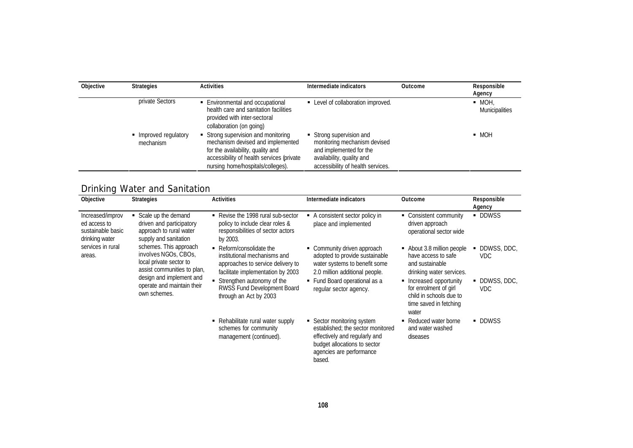| <b>Objective</b> | <b>Strategies</b>                  | <b>Activities</b>                                                                                                                                                                             | Intermediate indicators                                                                                                                             | Outcome | Responsible<br>Agency    |
|------------------|------------------------------------|-----------------------------------------------------------------------------------------------------------------------------------------------------------------------------------------------|-----------------------------------------------------------------------------------------------------------------------------------------------------|---------|--------------------------|
|                  | private Sectors                    | • Environmental and occupational<br>health care and sanitation facilities<br>provided with inter-sectoral<br>collaboration (on going)                                                         | • Level of collaboration improved.                                                                                                                  |         | $-MOH$<br>Municipalities |
|                  | • Improved regulatory<br>mechanism | Strong supervision and monitoring<br>mechanism devised and implemented<br>for the availability, quality and<br>accessibility of health services (private<br>nursing home/hospitals/colleges). | Strong supervision and<br>monitoring mechanism devised<br>and implemented for the<br>availability, quality and<br>accessibility of health services. |         | $-MOH$                   |

# **Drinking Water and Sanitation**

| Objective                                                                                                                                                                                                         | <b>Strategies</b>                                                                                                                  | <b>Activities</b>                                                                                                                   | Intermediate indicators                                                                                                                                              | Outcome                                                                                                        | Responsible<br>Agency |
|-------------------------------------------------------------------------------------------------------------------------------------------------------------------------------------------------------------------|------------------------------------------------------------------------------------------------------------------------------------|-------------------------------------------------------------------------------------------------------------------------------------|----------------------------------------------------------------------------------------------------------------------------------------------------------------------|----------------------------------------------------------------------------------------------------------------|-----------------------|
| Increased/improv<br>ed access to<br>sustainable basic<br>drinking water                                                                                                                                           | Scale up the demand<br>driven and participatory<br>approach to rural water<br>supply and sanitation                                | Revise the 1998 rural sub-sector<br>policy to include clear roles &<br>responsibilities of sector actors<br>by 2003.                | A consistent sector policy in<br>place and implemented                                                                                                               | • Consistent community<br>driven approach<br>operational sector wide                                           | <b>DDWSS</b>          |
| services in rural<br>schemes. This approach<br>involves NGOs, CBOs,<br>areas.<br>local private sector to<br>assist communities to plan,<br>design and implement and<br>operate and maintain their<br>own schemes. | • Reform/consolidate the<br>institutional mechanisms and<br>approaches to service delivery to<br>facilitate implementation by 2003 | Community driven approach<br>٠<br>adopted to provide sustainable<br>water systems to benefit some<br>2.0 million additional people. | About 3.8 million people<br>have access to safe<br>and sustainable<br>drinking water services.                                                                       | ■ DDWSS, DDC,<br>VDC.                                                                                          |                       |
|                                                                                                                                                                                                                   |                                                                                                                                    | Strengthen autonomy of the<br>RWSS Fund Development Board<br>through an Act by 2003                                                 | • Fund Board operational as a<br>regular sector agency.                                                                                                              | • Increased opportunity<br>for enrolment of girl<br>child in schools due to<br>time saved in fetching<br>water | • DDWSS, DDC,<br>VDC. |
|                                                                                                                                                                                                                   |                                                                                                                                    | Rehabilitate rural water supply<br>schemes for community<br>management (continued).                                                 | Sector monitoring system<br>established; the sector monitored<br>effectively and regularly and<br>budget allocations to sector<br>agencies are performance<br>based. | • Reduced water borne<br>and water washed<br>diseases                                                          | • DDWSS               |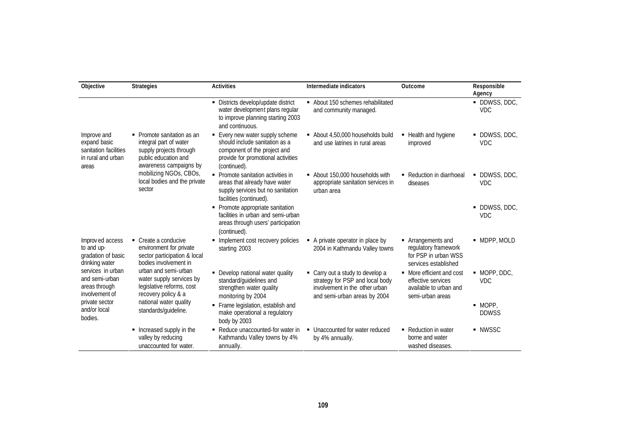| Objective                                                                           | <b>Strategies</b>                                                                                                                 | <b>Activities</b>                                                                                                                                       | Intermediate indicators                                                                                                               | Outcome                                                                                       | Responsible<br>Agency       |
|-------------------------------------------------------------------------------------|-----------------------------------------------------------------------------------------------------------------------------------|---------------------------------------------------------------------------------------------------------------------------------------------------------|---------------------------------------------------------------------------------------------------------------------------------------|-----------------------------------------------------------------------------------------------|-----------------------------|
|                                                                                     |                                                                                                                                   | • Districts develop/update district<br>water development plans regular<br>to improve planning starting 2003<br>and continuous.                          | About 150 schemes rehabilitated<br>and community managed.                                                                             |                                                                                               | · DDWSS, DDC,<br><b>VDC</b> |
| Improve and<br>expand basic<br>sanitation facilities<br>in rural and urban<br>areas | • Promote sanitation as an<br>integral part of water<br>supply projects through<br>public education and<br>awareness campaigns by | • Every new water supply scheme<br>should include sanitation as a<br>component of the project and<br>provide for promotional activities<br>(continued). | About 4,50,000 households build<br>and use latrines in rural areas                                                                    | • Health and hygiene<br>improved                                                              | • DDWSS, DDC,<br><b>VDC</b> |
|                                                                                     | mobilizing NGOs, CBOs,<br>local bodies and the private<br>sector                                                                  | • Promote sanitation activities in<br>areas that already have water<br>supply services but no sanitation<br>facilities (continued).                     | About 150,000 households with<br>appropriate sanitation services in<br>urban area                                                     | • Reduction in diarrhoeal<br>diseases                                                         | • DDWSS, DDC,<br><b>VDC</b> |
|                                                                                     |                                                                                                                                   | • Promote appropriate sanitation<br>facilities in urban and semi-urban<br>areas through users' participation<br>(continued).                            |                                                                                                                                       |                                                                                               | • DDWSS, DDC,<br><b>VDC</b> |
| Improved access<br>to and up-<br>gradation of basic<br>drinking water               | $\blacksquare$ Create a conducive<br>environment for private<br>sector participation & local<br>bodies involvement in             | • Implement cost recovery policies<br>starting 2003                                                                                                     | • A private operator in place by<br>2004 in Kathmandu Valley towns                                                                    | • Arrangements and<br>regulatory framework<br>for PSP in urban WSS<br>services established    | • MDPP, MOLD                |
| services in urban<br>and semi-urban<br>areas through<br>involvement of              | urban and semi-urban<br>water supply services by<br>legislative reforms, cost<br>recovery policy & a                              | • Develop national water quality<br>standard/guidelines and<br>strengthen water quality<br>monitoring by 2004                                           | • Carry out a study to develop a<br>strategy for PSP and local body<br>involvement in the other urban<br>and semi-urban areas by 2004 | • More efficient and cost<br>effective services<br>available to urban and<br>semi-urban areas | • MOPP, DDC,<br><b>VDC</b>  |
| private sector<br>and/or local<br>bodies.                                           | national water quality<br>standards/guideline.                                                                                    | • Frame legislation, establish and<br>make operational a regulatory<br>body by 2003                                                                     |                                                                                                                                       |                                                                                               | $-MOPP$ .<br><b>DDWSS</b>   |
|                                                                                     | • Increased supply in the<br>valley by reducing<br>unaccounted for water.                                                         | • Reduce unaccounted-for water in<br>Kathmandu Valley towns by 4%<br>annually.                                                                          | • Unaccounted for water reduced<br>by 4% annually.                                                                                    | • Reduction in water<br>borne and water<br>washed diseases.                                   | • NWSSC                     |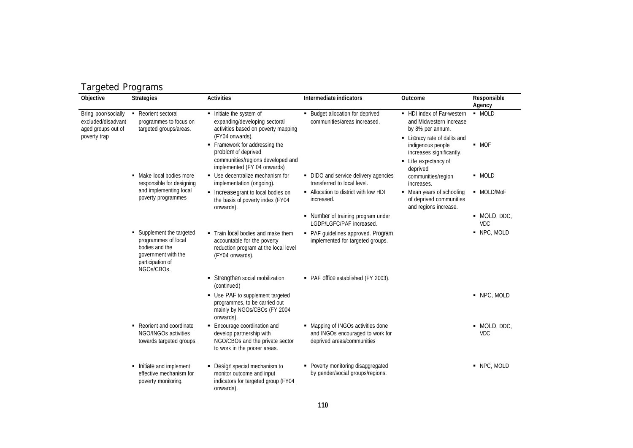#### Targeted Programs

| Objective                                                                       | <b>Strategies</b>                                                                                                         | <b>Activities</b>                                                                                                                                   | Intermediate indicators                                                                              | Outcome                                                                                                                         | Responsible<br>Agency      |
|---------------------------------------------------------------------------------|---------------------------------------------------------------------------------------------------------------------------|-----------------------------------------------------------------------------------------------------------------------------------------------------|------------------------------------------------------------------------------------------------------|---------------------------------------------------------------------------------------------------------------------------------|----------------------------|
| Bring poor/socially<br>excluded/disadvant<br>aged groups out of<br>poverty trap | - Reorient sectoral<br>programmes to focus on<br>targeted groups/areas.                                                   | Initiate the system of<br>expanding/developing sectoral<br>activities based on poverty mapping<br>(FY04 onwards).<br>• Framework for addressing the | • Budget allocation for deprived<br>communities/areas increased.                                     | • HDI index of Far-western<br>and Midwestern increase<br>by 8% per annum.<br>• Literacy rate of dalits and<br>indigenous people | - MOLD<br>$-MOF$           |
|                                                                                 |                                                                                                                           | problem of deprived<br>communities/regions developed and<br>implemented (FY 04 onwards)                                                             |                                                                                                      | increases significantly.<br>• Life expectancy of<br>deprived                                                                    |                            |
|                                                                                 | • Make local bodies more<br>responsible for designing                                                                     | • Use decentralize mechanism for<br>implementation (ongoing).                                                                                       | • DIDO and service delivery agencies<br>transferred to local level.                                  | communities/region<br>increases.                                                                                                | - MOLD                     |
|                                                                                 | and implementing local<br>poverty programmes                                                                              | • Increase grant to local bodies on<br>the basis of poverty index (FY04<br>onwards).                                                                | • Allocation to district with low HDI<br>increased.                                                  | • Mean years of schooling<br>of deprived communities<br>and regions increase.                                                   | - MOLD/MoF                 |
|                                                                                 |                                                                                                                           |                                                                                                                                                     | • Number of training program under<br>LGDP/LGFC/PAF increased.                                       |                                                                                                                                 | • MOLD, DDC,<br><b>VDC</b> |
|                                                                                 | Supplement the targeted<br>programmes of local<br>bodies and the<br>government with the<br>participation of<br>NGOs/CBOs. | Train local bodies and make them<br>accountable for the poverty<br>reduction program at the local level<br>(FY04 onwards).                          | • PAF guidelines approved. Program<br>implemented for targeted groups.                               |                                                                                                                                 | • NPC, MOLD                |
|                                                                                 |                                                                                                                           | Strengthen social mobilization<br>(continued)                                                                                                       | • PAF office established (FY 2003).                                                                  |                                                                                                                                 |                            |
|                                                                                 |                                                                                                                           | • Use PAF to supplement targeted<br>programmes, to be carried out<br>mainly by NGOs/CBOs (FY 2004<br>onwards).                                      |                                                                                                      |                                                                                                                                 | • NPC, MOLD                |
|                                                                                 | • Reorient and coordinate<br>NGO/INGOs activities<br>towards targeted groups.                                             | • Encourage coordination and<br>develop partnership with<br>NGO/CBOs and the private sector<br>to work in the poorer areas.                         | • Mapping of INGOs activities done<br>and INGOs encouraged to work for<br>deprived areas/communities |                                                                                                                                 | • MOLD, DDC,<br><b>VDC</b> |
|                                                                                 | • Initiate and implement<br>effective mechanism for<br>poverty monitoring.                                                | • Design special mechanism to<br>monitor outcome and input<br>indicators for targeted group (FY04<br>onwards).                                      | • Poverty monitoring disaggregated<br>by gender/social groups/regions.                               |                                                                                                                                 | • NPC, MOLD                |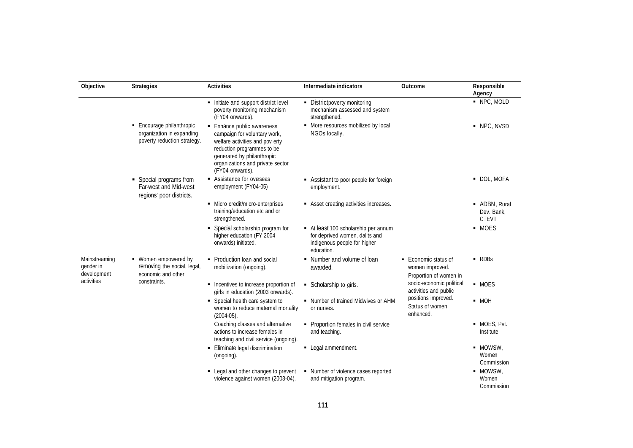| Objective                                 | <b>Strategies</b>                                                                     | <b>Activities</b>                                                                                                                                                                                                | Intermediate indicators                                                                                              | Outcome                                                           | Responsible<br>Agency                       |
|-------------------------------------------|---------------------------------------------------------------------------------------|------------------------------------------------------------------------------------------------------------------------------------------------------------------------------------------------------------------|----------------------------------------------------------------------------------------------------------------------|-------------------------------------------------------------------|---------------------------------------------|
|                                           |                                                                                       | Initiate and support district level<br>poverty monitoring mechanism<br>(FY04 onwards).                                                                                                                           | • Districtpoverty monitoring<br>mechanism assessed and system<br>strengthened.                                       |                                                                   | • NPC, MOLD                                 |
|                                           | ■ Encourage philanthropic<br>organization in expanding<br>poverty reduction strategy. | • Enhance public awareness<br>campaign for voluntary work,<br>welfare activities and pov erty<br>reduction programmes to be<br>generated by philanthropic<br>organizations and private sector<br>(FY04 onwards). | • More resources mobilized by local<br>NGOs locally.                                                                 |                                                                   | • NPC, NVSD                                 |
|                                           | • Special programs from<br>Far-west and Mid-west<br>regions' poor districts.          | Assistance for overseas<br>employment (FY04-05)                                                                                                                                                                  | • Assistant to poor people for foreign<br>employment.                                                                |                                                                   | · DOL, MOFA                                 |
|                                           |                                                                                       | - Micro credit/micro-enterprises<br>training/education etc and or<br>strengthened.                                                                                                                               | Asset creating activities increases.                                                                                 |                                                                   | • ADBN, Rural<br>Dev. Bank,<br><b>CTEVT</b> |
|                                           |                                                                                       | Special scholarship program for<br>higher education (FY 2004<br>onwards) initiated.                                                                                                                              | - At least 100 scholarship per annum<br>for deprived women, dalits and<br>indigenous people for higher<br>education. |                                                                   | • MOES                                      |
| Mainstreaming<br>gender in<br>development | • Women empowered by<br>removing the social, legal,<br>economic and other             | • Production loan and social<br>mobilization (ongoing).                                                                                                                                                          | • Number and volume of loan<br>awarded.                                                                              | • Economic status of<br>women improved.<br>Proportion of women in | $\blacksquare$ RDBs                         |
| activities                                | constraints.                                                                          | • Incentives to increase proportion of<br>girls in education (2003 onwards).                                                                                                                                     | Scholarship to girls.                                                                                                | socio-economic political<br>activities and public                 | - MOES                                      |
|                                           |                                                                                       | • Special health care system to<br>• Number of trained Midwives or AHM<br>women to reduce maternal mortality<br>or nurses.<br>$(2004-05)$ .                                                                      | positions improved.<br>Status of women<br>enhanced.                                                                  | $-MOH$                                                            |                                             |
|                                           |                                                                                       | Coaching classes and alternative<br>actions to increase females in<br>teaching and civil service (ongoing).                                                                                                      | • Proportion females in civil service<br>and teaching.                                                               |                                                                   | • MOES, Pvt.<br>Institute                   |
|                                           |                                                                                       | Eliminate legal discrimination<br>(ongoing).                                                                                                                                                                     | • Legal ammendment.                                                                                                  |                                                                   | · MOWSW,<br>Women<br>Commission             |
|                                           |                                                                                       | • Legal and other changes to prevent<br>violence against women (2003-04).                                                                                                                                        | • Number of violence cases reported<br>and mitigation program.                                                       |                                                                   | · MOWSW,<br>Women<br>Commission             |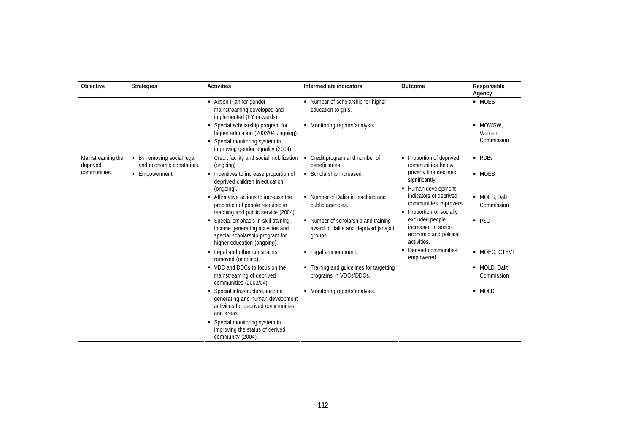| Objective                                     | <b>Strategies</b>                                                                                                                                                                                                                                                                                                                                                                                                                                                                                                                                                                                                                                                                                                                                                                                                                                                                                                                                                                                                                                                                                                                                                                                                     | <b>Activities</b>                                                                                                                               | Intermediate indicators                                   | Outcome                                       | Responsible<br>Agency           |
|-----------------------------------------------|-----------------------------------------------------------------------------------------------------------------------------------------------------------------------------------------------------------------------------------------------------------------------------------------------------------------------------------------------------------------------------------------------------------------------------------------------------------------------------------------------------------------------------------------------------------------------------------------------------------------------------------------------------------------------------------------------------------------------------------------------------------------------------------------------------------------------------------------------------------------------------------------------------------------------------------------------------------------------------------------------------------------------------------------------------------------------------------------------------------------------------------------------------------------------------------------------------------------------|-------------------------------------------------------------------------------------------------------------------------------------------------|-----------------------------------------------------------|-----------------------------------------------|---------------------------------|
|                                               |                                                                                                                                                                                                                                                                                                                                                                                                                                                                                                                                                                                                                                                                                                                                                                                                                                                                                                                                                                                                                                                                                                                                                                                                                       | - Action Plan for gender<br>mainstreaming developed and<br>implemented (FY onwards)                                                             | • Number of scholarship for higher<br>education to girls. |                                               | - MOES                          |
|                                               |                                                                                                                                                                                                                                                                                                                                                                                                                                                                                                                                                                                                                                                                                                                                                                                                                                                                                                                                                                                                                                                                                                                                                                                                                       | • Special scholarship program for<br>higher education (2003/04 ongoing).<br>• Special monitoring system in<br>improving gender equality (2004). | • Monitoring reports/analysis.                            |                                               | • MOWSW,<br>Women<br>Commission |
| Mainstreaming the<br>deprived<br>communities. | • By removing social legal<br>and economic constraints.                                                                                                                                                                                                                                                                                                                                                                                                                                                                                                                                                                                                                                                                                                                                                                                                                                                                                                                                                                                                                                                                                                                                                               | Credit facility and social mobilization<br>(ongoing)                                                                                            | • Credit program and number of<br>beneficiaries.          | • Proportion of deprived<br>communities below | $\blacksquare$ RDBs             |
|                                               | poverty line declines<br>• Incentives to increase proportion of<br>Scholarship increased.<br>■ Empowerment<br>significantly.<br>deprived children in education<br>- Human development<br>(ongoing).<br>indicators of deprived<br>Affirmative actions to increase the<br>• Number of Dalits in teaching and<br>proportion of people recruited in<br>public agencies.<br>• Proportion of socially<br>teaching and public service (2004).<br>excluded people<br>• Special emphasis in skill training,<br>• Number of scholarship and training<br>increased in socio-<br>income generating activities and<br>award to dalits and deprived janajati<br>economic and political<br>special scholarship program for<br>groups.<br>activities.<br>higher education (ongoing).<br>Derived communities<br>• Legal and other constraints<br>• Legal ammendment.<br>empowered.<br>removed (ongoing).<br>• VDC and DDCs to focus on the<br>• Training and guidelines for targetting<br>programs in VDCs/DDCs.<br>mainstreaming of deprived<br>communities (2003/04).<br>• Special infrastructure, income<br>• Monitoring reports/analysis.<br>generating and human development<br>activities for deprived communities<br>and areas. |                                                                                                                                                 |                                                           | - MOES                                        |                                 |
|                                               |                                                                                                                                                                                                                                                                                                                                                                                                                                                                                                                                                                                                                                                                                                                                                                                                                                                                                                                                                                                                                                                                                                                                                                                                                       |                                                                                                                                                 |                                                           | communities improvers.                        | • MOES, Dalit<br>Commission     |
|                                               |                                                                                                                                                                                                                                                                                                                                                                                                                                                                                                                                                                                                                                                                                                                                                                                                                                                                                                                                                                                                                                                                                                                                                                                                                       |                                                                                                                                                 |                                                           |                                               | $-$ PSC                         |
|                                               |                                                                                                                                                                                                                                                                                                                                                                                                                                                                                                                                                                                                                                                                                                                                                                                                                                                                                                                                                                                                                                                                                                                                                                                                                       |                                                                                                                                                 | - MOEC, CTEVT                                             |                                               |                                 |
|                                               |                                                                                                                                                                                                                                                                                                                                                                                                                                                                                                                                                                                                                                                                                                                                                                                                                                                                                                                                                                                                                                                                                                                                                                                                                       |                                                                                                                                                 |                                                           |                                               | · MOLD, Dalit<br>Commission     |
|                                               |                                                                                                                                                                                                                                                                                                                                                                                                                                                                                                                                                                                                                                                                                                                                                                                                                                                                                                                                                                                                                                                                                                                                                                                                                       |                                                                                                                                                 |                                                           | - MOLD                                        |                                 |
|                                               |                                                                                                                                                                                                                                                                                                                                                                                                                                                                                                                                                                                                                                                                                                                                                                                                                                                                                                                                                                                                                                                                                                                                                                                                                       | • Special monitoring system in<br>improving the status of derived<br>community (2004).                                                          |                                                           |                                               |                                 |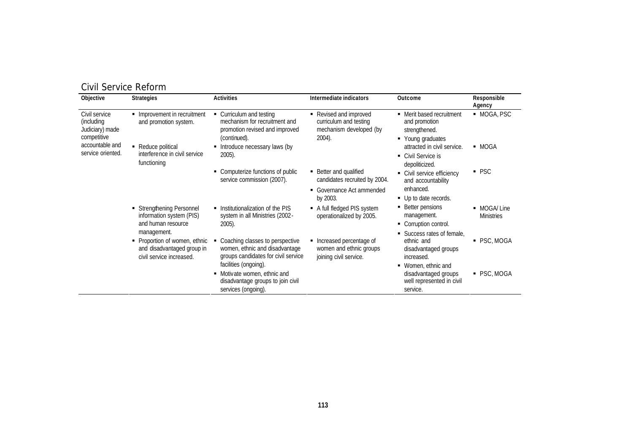| Civil Service Reform |  |  |  |
|----------------------|--|--|--|
|----------------------|--|--|--|

| <b>Strategies</b>                                                                          | <b>Activities</b>                                                                                                                                                                                      | Intermediate indicators                                                                             | Outcome                                                                                                                      | Responsible<br>Agency                                                       |
|--------------------------------------------------------------------------------------------|--------------------------------------------------------------------------------------------------------------------------------------------------------------------------------------------------------|-----------------------------------------------------------------------------------------------------|------------------------------------------------------------------------------------------------------------------------------|-----------------------------------------------------------------------------|
| • Improvement in recruitment<br>and promotion system.                                      | • Curriculum and testing<br>mechanism for recruitment and<br>promotion revised and improved<br>(continued).                                                                                            | Revised and improved<br>٠<br>curriculum and testing<br>mechanism developed (by<br>2004).            | • Merit based recruitment<br>and promotion<br>strengthened.                                                                  | ■ MOGA, PSC                                                                 |
| - Reduce political<br>interference in civil service<br>functioning                         | Introduce necessary laws (by<br>2005).                                                                                                                                                                 |                                                                                                     | attracted in civil service.<br>• Civil Service is                                                                            | ■ MOGA                                                                      |
|                                                                                            | • Computerize functions of public<br>service commission (2007).                                                                                                                                        | • Better and qualified<br>candidates recruited by 2004.<br>Governance Act ammended<br>٠<br>by 2003. | Civil service efficiency<br>and accountability<br>enhanced.<br>• Up to date records.                                         | $-$ PSC                                                                     |
| • Strengthening Personnel<br>information system (PIS)<br>and human resource<br>management. | • Institutionalization of the PIS<br>system in all Ministries (2002-<br>2005).                                                                                                                         | ■ A full fledged PIS system<br>operationalized by 2005.                                             | • Better pensions<br>management.<br>Corruption control.                                                                      | • MOGA/Line<br><b>Ministries</b>                                            |
| • Proportion of women, ethnic<br>and disadvantaged group in<br>civil service increased.    | Coaching classes to perspective<br>women, ethnic and disadvantage<br>groups candidates for civil service<br>facilities (ongoing).<br>• Motivate women, ethnic and<br>disadvantage groups to join civil | Increased percentage of<br>women and ethnic groups<br>joining civil service.                        | ethnic and<br>disadvantaged groups<br>increased.<br>• Women, ethnic and<br>disadvantaged groups<br>well represented in civil | ■ PSC, MOGA<br>• PSC, MOGA                                                  |
|                                                                                            |                                                                                                                                                                                                        | services (ongoing).                                                                                 |                                                                                                                              | • Young graduates<br>depoliticized.<br>Success rates of female,<br>service. |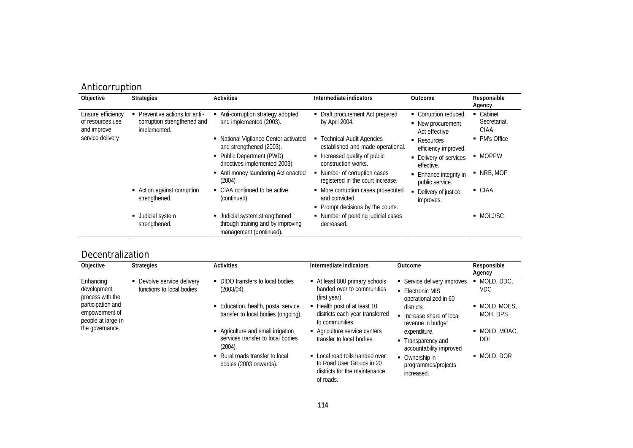| Anticorruption                                       |                                                                               |                                                                                                |                                                                                           |                                                             |                                   |
|------------------------------------------------------|-------------------------------------------------------------------------------|------------------------------------------------------------------------------------------------|-------------------------------------------------------------------------------------------|-------------------------------------------------------------|-----------------------------------|
| Objective                                            | <b>Strategies</b>                                                             | <b>Activities</b>                                                                              | Intermediate indicators                                                                   | Outcome                                                     | Responsible<br>Agency             |
| Ensure efficiency<br>of resources use<br>and improve | • Preventive actions for anti-<br>corruption strengthened and<br>implemented. | • Anti-corruption strategy adopted<br>and implemented (2003).                                  | • Draft procurement Act prepared<br>by April 2004.                                        | • Corruption reduced.<br>• New procurement<br>Act effective | • Cabinet<br>Secretariat,<br>CIAA |
| service delivery                                     |                                                                               | • National Vigilance Center activated<br>and strengthened (2003).                              | • Technical Audit Agencies<br>established and made operational.                           | • Resources<br>efficiency improved.                         | • PM's Office                     |
|                                                      |                                                                               | • Public Department (PWD)<br>directives implemented 2003).                                     | • Increased quality of public<br>construction works.                                      | • Delivery of services<br>effective.                        | • MOPPW                           |
|                                                      |                                                                               | • Anti money laundering Act enacted<br>(2004).                                                 | • Number of corruption cases<br>registered in the court increase.                         | • Enhance integrity in<br>public service.                   | $\blacksquare$ NRB, MOF           |
|                                                      | • Action against corruption<br>strengthened.                                  | • CIAA continued to be active<br>(continued).                                                  | • More corruption cases prosecuted<br>and convicted.<br>• Prompt decisions by the courts. | • Delivery of justice<br>improves.                          | • CIAA                            |
|                                                      | • Judicial system<br>strengthened.                                            | • Judicial system strengthened<br>through training and by improving<br>management (continued). | • Number of pending judicial cases<br>decreased.                                          |                                                             | • MOLJ/SC                         |

## Decentralization

| Objective                                                                                                                    | <b>Strategies</b>                                       | <b>Activities</b>                                                                                              | Intermediate indicators                                                                                         | Outcome                                                                                                         | Responsible<br>Agency                 |
|------------------------------------------------------------------------------------------------------------------------------|---------------------------------------------------------|----------------------------------------------------------------------------------------------------------------|-----------------------------------------------------------------------------------------------------------------|-----------------------------------------------------------------------------------------------------------------|---------------------------------------|
| Enhancing<br>development<br>process with the<br>participation and<br>empowerment of<br>people at large in<br>the governance. | • Devolve service delivery<br>functions to local bodies | • DIDO transfers to local bodies<br>(2003/04).<br>■ Education, health, postal service                          | At least 800 primary schools<br>handed over to communities<br>(first year)<br>■ Health post of at least 10      | Service delivery improves<br>• Electronic MIS<br>operational zed in 60<br>districts.                            | • MOLD, DDC,<br>VDC.<br>• MOLD, MOES, |
|                                                                                                                              | (2004).<br>bodies (2003 onwards).                       | transfer to local bodies (ongoing).<br>• Agriculture and small irrigation<br>services transfer to local bodies | districts each year transferred<br>to communities<br>• Agriculture service centers<br>transfer to local bodies. | • Increase share of local<br>revenue in budget<br>expenditure.<br>• Transparency and<br>accountability improved | MOH, DPS<br>$-MOLD, MOAC$ .<br>DOI    |
|                                                                                                                              |                                                         | • Rural roads transfer to local                                                                                | • Local road tolls handed over<br>to Road User Groups in 20<br>districts for the maintenance<br>of roads.       | • Ownership in<br>programmes/projects<br>increased.                                                             | $-MOLD$ , DOR                         |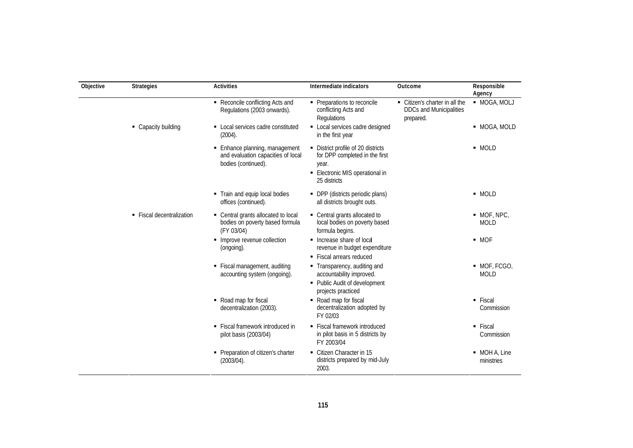| Objective | <b>Strategies</b>         | Intermediate indicators<br><b>Activities</b><br>Outcome                                     |                                                                                                                                  |                                                                               | Responsible<br>Agency       |
|-----------|---------------------------|---------------------------------------------------------------------------------------------|----------------------------------------------------------------------------------------------------------------------------------|-------------------------------------------------------------------------------|-----------------------------|
|           |                           | • Reconcile conflicting Acts and<br>Regulations (2003 onwards).                             | • Preparations to reconcile<br>conflicting Acts and<br>Regulations                                                               | • Citizen's charter in all the<br><b>DDCs and Municipalities</b><br>prepared. | · MOGA, MOLJ                |
|           | • Capacity building       | • Local services cadre constituted<br>(2004).                                               | • Local services cadre designed<br>in the first year                                                                             |                                                                               | • MOGA, MOLD                |
|           |                           | • Enhance planning, management<br>and evaluation capacities of local<br>bodies (continued). | • District profile of 20 districts<br>for DPP completed in the first<br>year.<br>• Electronic MIS operational in<br>25 districts |                                                                               | • MOLD                      |
|           |                           | • Train and equip local bodies<br>offices (continued).                                      | • DPP (districts periodic plans)<br>all districts brought outs.                                                                  |                                                                               | • MOLD                      |
|           | • Fiscal decentralization | • Central grants allocated to local<br>bodies on poverty based formula<br>(FY 03/04)        | • Central grants allocated to<br>local bodies on poverty based<br>formula begins.                                                |                                                                               | $-MOF, NPC,$<br><b>MOLD</b> |
|           |                           | • Improve revenue collection<br>(ongoing).                                                  | • Increase share of local<br>revenue in budget expenditure<br>• Fiscal arrears reduced                                           |                                                                               | $-MOF$                      |
|           |                           | • Fiscal management, auditing<br>accounting system (ongoing).                               | • Transparency, auditing and<br>accountability improved.<br>• Public Audit of development<br>projects practiced                  |                                                                               | • MOF, FCGO,<br><b>MOLD</b> |
|           |                           | • Road map for fiscal<br>decentralization (2003).                                           | • Road map for fiscal<br>decentralization adopted by<br>FY 02/03                                                                 |                                                                               | • Fiscal<br>Commission      |
|           |                           | • Fiscal framework introduced in<br>pilot basis (2003/04)                                   | • Fiscal framework introduced<br>in pilot basis in 5 districts by<br>FY 2003/04                                                  |                                                                               | ■ Fiscal<br>Commission      |
|           |                           | • Preparation of citizen's charter<br>(2003/04).                                            | Citizen Character in 15<br>districts prepared by mid-July<br>2003.                                                               |                                                                               | • MOH A, Line<br>ministries |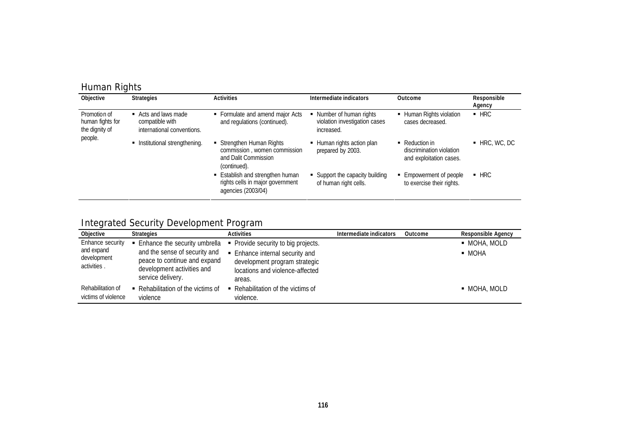| Human Rights                                                  |                                                                       |                                                                                                 |                                                                         |                                                                                    |                       |
|---------------------------------------------------------------|-----------------------------------------------------------------------|-------------------------------------------------------------------------------------------------|-------------------------------------------------------------------------|------------------------------------------------------------------------------------|-----------------------|
| Objective                                                     | <b>Strategies</b>                                                     | <b>Activities</b>                                                                               | Intermediate indicators                                                 | Outcome                                                                            | Responsible<br>Agency |
| Promotion of<br>human fights for<br>the dignity of<br>people. | • Acts and laws made<br>compatible with<br>international conventions. | • Formulate and amend major Acts<br>and regulations (continued).                                | • Number of human rights<br>violation investigation cases<br>increased. | • Human Rights violation<br>cases decreased.                                       | $-HRC$                |
|                                                               | Institutional strengthening.                                          | Strengthen Human Rights<br>commission, women commission<br>and Dalit Commission<br>(continued). | • Human rights action plan<br>prepared by 2003.                         | $\blacksquare$ Reduction in<br>discrimination violation<br>and exploitation cases. | $-HRC, WC, DC$        |
|                                                               |                                                                       | ■ Establish and strengthen human<br>rights cells in major government<br>agencies (2003/04)      | • Support the capacity building<br>of human right cells.                | ■ Empowerment of people<br>to exercise their rights.                               | $-HRC$                |

Integrated Security Development Program

| Objective                                                    | <b>Strategies</b>                                                                                                                                   | <b>Activities</b>                                                                                                                                    | Intermediate indicators | Outcome | <b>Responsible Agency</b> |
|--------------------------------------------------------------|-----------------------------------------------------------------------------------------------------------------------------------------------------|------------------------------------------------------------------------------------------------------------------------------------------------------|-------------------------|---------|---------------------------|
| Enhance security<br>and expand<br>development<br>activities. | • Enhance the security umbrella<br>and the sense of security and<br>peace to continue and expand<br>development activities and<br>service delivery. | • Provide security to big projects.<br>• Enhance internal security and<br>development program strategic<br>locations and violence-affected<br>areas. |                         |         | • MOHA, MOLD<br>• MOHA    |
| Rehabilitation of<br>victims of violence                     | • Rehabilitation of the victims of<br>violence                                                                                                      | • Rehabilitation of the victims of<br>violence.                                                                                                      |                         |         | $\blacksquare$ MOHA, MOLD |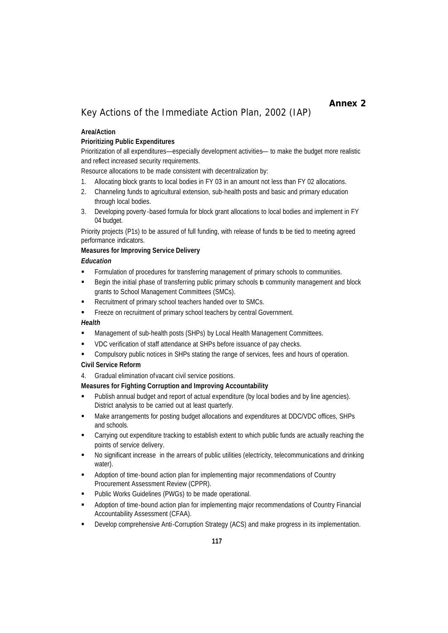## *Annex 2*

## Key Actions of the Immediate Action Plan, 2002 (IAP)

#### **Area/Action**

#### **Prioritizing Public Expenditures**

Prioritization of all expenditures—especially development activities— to make the budget more realistic and reflect increased security requirements.

Resource allocations to be made consistent with decentralization by:

- 1. Allocating block grants to local bodies in FY 03 in an amount not less than FY 02 allocations.
- 2. Channeling funds to agricultural extension, sub-health posts and basic and primary education through local bodies.
- 3. Developing poverty -based formula for block grant allocations to local bodies and implement in FY 04 budget.

Priority projects (P1s) to be assured of full funding, with release of funds to be tied to meeting agreed performance indicators.

#### **Measures for Improving Service Delivery**

#### *Education*

- **Formulation of procedures for transferring management of primary schools to communities.**
- **Begin the initial phase of transferring public primary schools to community management and block** grants to School Management Committees (SMCs).
- ß Recruitment of primary school teachers handed over to SMCs.
- ß Freeze on recruitment of primary school teachers by central Government.

#### *Health*

- ß Management of sub-health posts (SHPs) by Local Health Management Committees.
- ß VDC verification of staff attendance at SHPs before issuance of pay checks.
- ß Compulsory public notices in SHPs stating the range of services, fees and hours of operation.

#### **Civil Service Reform**

4. Gradual elimination of vacant civil service positions.

#### **Measures for Fighting Corruption and Improving Accountability**

- Publish annual budget and report of actual expenditure (by local bodies and by line agencies). District analysis to be carried out at least quarterly.
- ß Make arrangements for posting budget allocations and expenditures at DDC/VDC offices, SHPs and schools.
- ß Carrying out expenditure tracking to establish extent to which public funds are actually reaching the points of service delivery.
- ß No significant increase in the arrears of public utilities (electricity, telecommunications and drinking water).
- ß Adoption of time-bound action plan for implementing major recommendations of Country Procurement Assessment Review (CPPR).
- Public Works Guidelines (PWGs) to be made operational.
- ß Adoption of time-bound action plan for implementing major recommendations of Country Financial Accountability Assessment (CFAA).
- ß Develop comprehensive Anti-Corruption Strategy (ACS) and make progress in its implementation.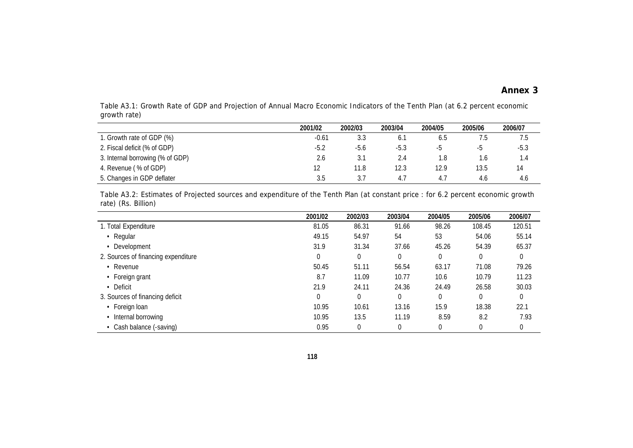| growth rate)                     |                  |         |         |         |         |         |
|----------------------------------|------------------|---------|---------|---------|---------|---------|
|                                  | 2001/02          | 2002/03 | 2003/04 | 2004/05 | 2005/06 | 2006/07 |
| 1. Growth rate of GDP (%)        | $-0.61$          | 3.3     | 6.1     | 6.5     | . ს     | 7.5     |
| 2. Fiscal deficit (% of GDP)     | $-5.2$           | $-5.6$  | $-5.3$  | -5      | -5      | $-5.3$  |
| 3. Internal borrowing (% of GDP) | 2.6              | 3.1     | 2.4     | 1.8     | $\cdot$ | 1.4     |
| 4. Revenue (% of GDP)            | 12 <sup>12</sup> | 11.8    | 12.3    | 12.9    | 13.5    | 14      |
| 5. Changes in GDP deflater       | 3.5              | 3.7     |         | 4.7     | 4.6     | 4.6     |

Table A3.1: Growth Rate of GDP and Projection of Annual Macro Economic Indicators of the Tenth Plan (at 6.2 percent economic growth rate)

*Annex 3*

Table A3.2: Estimates of Projected sources and expenditure of the Tenth Plan (at constant price : for 6.2 percent economic growth rate) (Rs. Billion)

|                                     | 2001/02  | 2002/03  | 2003/04  | 2004/05  | 2005/06 | 2006/07        |
|-------------------------------------|----------|----------|----------|----------|---------|----------------|
| 1. Total Expenditure                | 81.05    | 86.31    | 91.66    | 98.26    | 108.45  | 120.51         |
| • Regular                           | 49.15    | 54.97    | 54       | 53       | 54.06   | 55.14          |
| • Development                       | 31.9     | 31.34    | 37.66    | 45.26    | 54.39   | 65.37          |
| 2. Sources of financing expenditure | $\Omega$ | 0        |          | 0        | 0       | $\overline{0}$ |
| • Revenue                           | 50.45    | 51.11    | 56.54    | 63.17    | 71.08   | 79.26          |
| • Foreign grant                     | 8.7      | 11.09    | 10.77    | 10.6     | 10.79   | 11.23          |
| • Deficit                           | 21.9     | 24.11    | 24.36    | 24.49    | 26.58   | 30.03          |
| 3. Sources of financing deficit     | $\Omega$ | $\Omega$ | $\Omega$ | $\Omega$ | 0       | 0              |
| • Foreign loan                      | 10.95    | 10.61    | 13.16    | 15.9     | 18.38   | 22.1           |
| Internal borrowing                  | 10.95    | 13.5     | 11.19    | 8.59     | 8.2     | 7.93           |
| • Cash balance (-saving)            | 0.95     | 0        |          |          | 0       | $\overline{0}$ |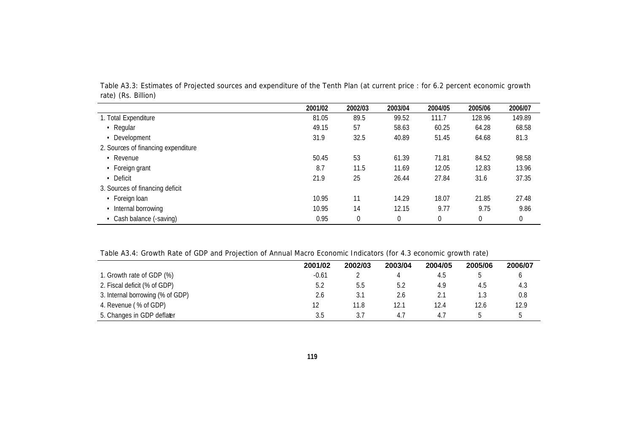|                                     | 2001/02 | 2002/03 | 2003/04  | 2004/05  | 2005/06        | 2006/07        |
|-------------------------------------|---------|---------|----------|----------|----------------|----------------|
| 1. Total Expenditure                | 81.05   | 89.5    | 99.52    | 111.7    | 128.96         | 149.89         |
| • Regular                           | 49.15   | 57      | 58.63    | 60.25    | 64.28          | 68.58          |
| • Development                       | 31.9    | 32.5    | 40.89    | 51.45    | 64.68          | 81.3           |
| 2. Sources of financing expenditure |         |         |          |          |                |                |
| • Revenue                           | 50.45   | 53      | 61.39    | 71.81    | 84.52          | 98.58          |
| • Foreign grant                     | 8.7     | 11.5    | 11.69    | 12.05    | 12.83          | 13.96          |
| $\cdot$ Deficit                     | 21.9    | 25      | 26.44    | 27.84    | 31.6           | 37.35          |
| 3. Sources of financing deficit     |         |         |          |          |                |                |
| • Foreign loan                      | 10.95   |         | 14.29    | 18.07    | 21.85          | 27.48          |
| Internal borrowing                  | 10.95   | 14      | 12.15    | 9.77     | 9.75           | 9.86           |
| • Cash balance (-saving)            | 0.95    | 0       | $\Omega$ | $\Omega$ | $\overline{0}$ | $\overline{0}$ |

Table A3.3: Estimates of Projected sources and expenditure of the Tenth Plan (at current price : for 6.2 percent economic growth rate) (Rs. Billion)

Table A3.4: Growth Rate of GDP and Projection of Annual Macro Economic Indicators (for 4.3 economic growth rate)

| 2001/02 | 2002/03 | 2003/04 | 2004/05 | 2005/06 | 2006/07 |
|---------|---------|---------|---------|---------|---------|
| $-0.61$ |         |         | 4.5     |         |         |
| 5.2     | 5.5     | 5.2     | 4.9     | 4.5     | 4.3     |
| 2.6     | 3.1     | 2.6     | 2.1     |         | 0.8     |
|         | 11.8    | 12.1    | 12.4    | 12.6    | 12.9    |
| 3.5     | 3.7     | 4.1     |         |         |         |
|         |         |         |         |         |         |

**119**